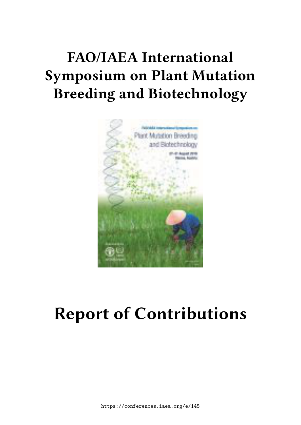# **FAO/IAEA International Symposium on Plant Mutation Breeding and Biotechnology**



# **Report of Contributions**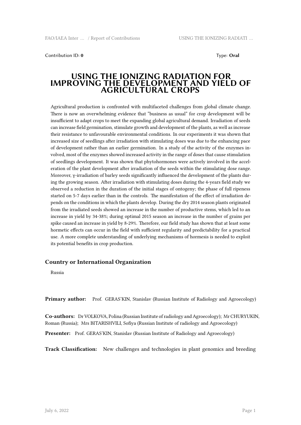**Contribution ID: 0** Type: **Oral** 

# **USING THE IONIZING RADIATION FOR IMPROVING THE DEVELOPMENT AND YIELD OF AGRICULTURAL CROPS**

Agricultural production is confronted with multifaceted challenges from global climate change. There is now an overwhelming evidence that "business as usual" for crop development will be insufficient to adapt crops to meet the expanding global agricultural demand. Irradiation of seeds can increase field germination, stimulate growth and development of the plants, as well as increase their resistance to unfavourable environmental conditions. In our experiments it was shown that increased size of seedlings after irradiation with stimulating doses was due to the enhancing pace of development rather than an earlier germination. In a study of the activity of the enzymes involved, most of the enzymes showed increased activity in the range of doses that cause stimulation of seedlings development. It was shown that phytohormones were actively involved in the acceleration of the plant development after irradiation of the seeds within the stimulating dose range. Moreover, γ-irradiation of barley seeds significantly influenced the development of the plants during the growing season. After irradiation with stimulating doses during the 4-years field study we observed a reduction in the duration of the initial stages of ontogeny; the phase of full ripeness started on 5-7 days earlier than in the controls. The manifestation of the effect of irradiation depends on the conditions in which the plants develop. During the dry 2014 season plants originated from the irradiated seeds showed an increase in the number of productive stems, which led to an increase in yield by 34-38%; during optimal 2015 season an increase in the number of grains per spike caused an increase in yield by 8-29%. Therefore, our field study has shown that at least some hormetic effects can occur in the field with sufficient regularity and predictability for a practical use. A more complete understanding of underlying mechanisms of hormesis is needed to exploit its potential benefits in crop production.

#### **Country or International Organization**

Russia

**Primary author:** Prof. GERAS'KIN, Stanislav (Russian Institute of Radiology and Agroecology)

**Co-authors:** Dr VOLKOVA, Polina (Russian Institute of radiology and Agroecology); Mr CHURYUKIN, Roman (Russia); Mrs BITARISHVILI, Sofiya (Russian Institute of radiology and Agroecology)

Presenter: Prof. GERAS'KIN, Stanislav (Russian Institute of Radiology and Agroecology)

**Track Classification:** New challenges and technologies in plant genomics and breeding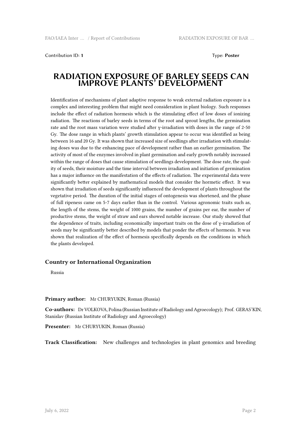Contribution ID: **1** Type: **Poster**

# **RADIATION EXPOSURE OF BARLEY SEEDS CAN IMPROVE PLANTS' DEVELOPMENT**

Identification of mechanisms of plant adaptive response to weak external radiation exposure is a complex and interesting problem that might need consideration in plant biology. Such responses include the effect of radiation hormesis which is the stimulating effect of low doses of ionizing radiation. The reactions of barley seeds in terms of the root and sprout lengths, the germination rate and the root mass variation were studied after γ-irradiation with doses in the range of 2-50 Gy. The dose range in which plants' growth stimulation appear to occur was identified as being between 16 and 20 Gy. It was shown that increased size of seedlings after irradiation with stimulating doses was due to the enhancing pace of development rather than an earlier germination. The activity of most of the enzymes involved in plant germination and early growth notably increased within the range of doses that cause stimulation of seedlings development. The dose rate, the quality of seeds, their moisture and the time interval between irradiation and initiation of germination has a major influence on the manifestation of the effects of radiation. The experimental data were significantly better explained by mathematical models that consider the hormetic effect. It was shown that irradiation of seeds significantly influenced the development of plants throughout the vegetative period. The duration of the initial stages of ontogenesis was shortened, and the phase of full ripeness came on 5-7 days earlier than in the control. Various agronomic traits such as, the length of the stems, the weight of 1000 grains, the number of grains per ear, the number of productive stems, the weight of straw and ears showed notable increase. Our study showed that the dependence of traits, including economically important traits on the dose of γ-irradiation of seeds may be significantly better described by models that ponder the effects of hormesis. It was shown that realization of the effect of hormesis specifically depends on the conditions in which the plants developed.

#### **Country or International Organization**

Russia

#### **Primary author:** Mr CHURYUKIN, Roman (Russia)

**Co-authors:** Dr VOLKOVA, Polina (Russian Institute of Radiology and Agroecology); Prof. GERAS'KIN, Stanislav (Russian Institute of Radiology and Agroecology)

**Presenter:** Mr CHURYUKIN, Roman (Russia)

**Track Classification:** New challenges and technologies in plant genomics and breeding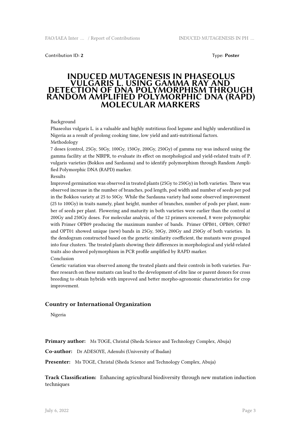**Contribution ID: 2** Type: **Poster** 

# **INDUCED MUTAGENESIS IN PHASEOLUS VULGARIS L. USING GAMMA RAY AND DETECTION OF DNA POLYMORPHISM THROUGH RANDOM AMPLIFIED POLYMORPHIC DNA (RAPD) MOLECULAR MARKERS**

Background

Phaseolus vulgaris L. is a valuable and highly nutritious food legume and highly underutilized in Nigeria as a result of prolong cooking time, low yield and anti-nutritional factors. Methodology

7 doses (control, 25Gy, 50Gy, 100Gy, 150Gy, 200Gy, 250Gy) of gamma ray was induced using the gamma facility at the NIRPR, to evaluate its effect on morphological and yield-related traits of P. vulgaris varieties (Bokkos and Sardauna) and to identify polymorphism through Random Amplified Polymorphic DNA (RAPD) marker.

Results

Improved germination was observed in treated plants (25Gy to 250Gy) in both varieties. There was observed increase in the number of branches, pod length, pod width and number of seeds per pod in the Bokkos variety at 25 to 50Gy. While the Sardauna variety had some observed improvement (25 to 100Gy) in traits namely, plant height, number of branches, number of pods per plant, number of seeds per plant. Flowering and maturity in both varieties were earlier than the control at 200Gy and 250Gy doses. For molecular analysis, of the 12 primers screened, 8 were polymorphic with Primer OPB09 producing the maximum number of bands. Primer OPB01, OPB09, OPB07 and OPT01 showed unique (new) bands in 25Gy, 50Gy, 200Gy and 250Gy of both varieties. In the dendogram constructed based on the genetic similarity coefficient, the mutants were grouped into four clusters. The treated plants showing their differences in morphological and yield-related traits also showed polymorphism in PCR profile amplified by RAPD marker. Conclusion

Genetic variation was observed among the treated plants and their controls in both varieties. Further research on these mutants can lead to the development of elite line or parent donors for cross breeding to obtain hybrids with improved and better morpho-agronomic characteristics for crop improvement.

## **Country or International Organization**

Nigeria

**Primary author:** Ms TOGE, Christal (Sheda Science and Technology Complex, Abuja)

**Co-author:** Dr ADESOYE, Adenubi (University of Ibadan)

**Presenter:** Ms TOGE, Christal (Sheda Science and Technology Complex, Abuja)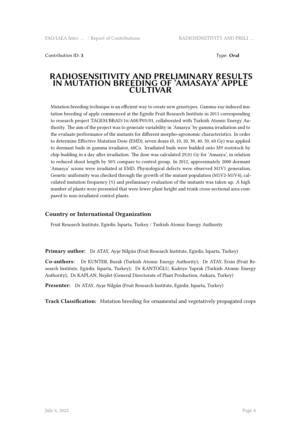Contribution ID: **3** Type: **Oral**

# **RADIOSENSITIVITY AND PRELIMINARY RESULTS IN MUTATION BREEDING OF 'AMASAYA' APPLE CULTIVAR**

Mutation breeding technique is an efficient way to create new genotypes. Gamma-ray induced mutation breeding of apple commenced at the Egirdir Fruit Research Institute in 2011 corresponding to research project TAGEM/BBAD/16/A08/P03/03, collaborated with Turkish Atomic Energy Authority. The aim of the project was to generate variability in 'Amasya' by gamma irradiation and to the evaluate performance of the mutants for different morpho-agronomic characteristics. In order to determine Effective Mutation Dose (EMD), seven doses (0, 10, 20, 30, 40, 50, 60 Gy) was applied to dormant buds in gamma irradiator, 60Co. Irradiated buds were budded onto M9 rootstock by chip budding in a day after irradiation. The dose was calculated 29,01 Gy for 'Amasya', in relation to reduced shoot length by 50% compare to control group. In 2012, approximately 2000 dormant 'Amasya' scions were irradiated at EMD. Physiological defects were observed M1V1 generation. Genetic uniformity was checked through the growth of the mutant population (M1V2-M1V4), calculated mutation frequency (%) and preliminary evaluation of the mutants was taken up. A high number of plants were presented that were lower plant height and trunk cross-sectional area compared to non-irradiated control plants.

## **Country or International Organization**

Fruit Research Institute, Egirdir, Isparta, Turkey / Turkish Atomic Energy Authority

**Primary author:** Dr ATAY, Ayşe Nilgün (Fruit Research Institute, Egirdir, Isparta, Turkey)

**Co-authors:** Dr KUNTER, Burak (Turkish Atomic Energy Authority); Dr ATAY, Ersin (Fruit Research Institute, Egirdir, Isparta, Turkey); Dr KANTOĞLU, Kadriye Yaprak (Turkish Atomic Energy Authority); Dr KAPLAN, Nejdet (General Directorate of Plant Production, Ankara, Turkey)

**Presenter:** Dr ATAY, Ayşe Nilgün (Fruit Research Institute, Egirdir, Isparta, Turkey)

**Track Classification:** Mutation breeding for ornamental and vegetatively propagated crops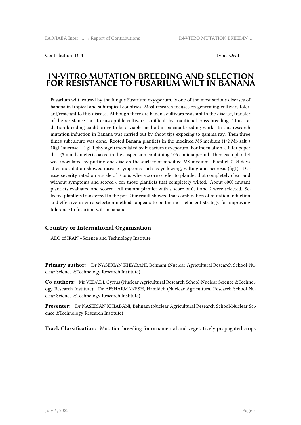Contribution ID: **4** Type: **Oral**

# **IN-VITRO MUTATION BREEDING AND SELECTION FOR RESISTANCE TO FUSARIUM WILT IN BANANA**

Fusarium wilt, caused by the fungus Fusarium oxysporum, is one of the most serious diseases of banana in tropical and subtropical countries. Most research focuses on generating cultivars tolerant/resistant to this disease. Although there are banana cultivars resistant to the disease, transfer of the resistance trait to susceptible cultivars is difficult by traditional cross-breeding. Thus, radiation breeding could prove to be a viable method in banana breeding work. In this research mutation induction in Banana was carried out by shoot tips exposing to gamma ray. Then three times subculture was done. Rooted Banana plantlets in the modified MS medium (1/2 MS salt + 10gl-1sucrose + 4 gl-1 phytagel) inoculated by Fusarium oxysporum. For Inoculation, a filter paper disk (5mm diameter) soaked in the suspension containing 106 conidia per ml. Then each plantlet was inoculated by putting one disc on the surface of modified MS medium. Plantlet 7-24 days after inoculation showed disease symptoms such as yellowing, wilting and necrosis (fig1). Disease severity rated on a scale of 0 to 6, where score o refer to plantlet that completely clear and without symptoms and scored 6 for those plantlets that completely wilted. About 6000 mutant plantlets evaluated and scored. All mutant plantlet with a score of 0, 1 and 2 were selected. Selected plantlets transferred to the pot. Our result showed that combination of mutation induction and effective in-vitro selection methods appears to be the most efficient strategy for improving tolerance to fusarium wilt in banana.

#### **Country or International Organization**

AEO of IRAN –Science and Technology Institute

**Primary author:** Dr NASERIAN KHIABANI, Behnam (Nuclear Agricultural Research School-Nuclear Science &Technology Research Institute)

**Co-authors:** Mr VEDADI, Cyrius (Nuclear Agricultural Research School-Nuclear Science &Technology Research Institute); Dr AFSHARMANESH, Hamideh (Nuclear Agricultural Research School-Nuclear Science &Technology Research Institute)

**Presenter:** Dr NASERIAN KHIABANI, Behnam (Nuclear Agricultural Research School-Nuclear Science &Technology Research Institute)

**Track Classification:** Mutation breeding for ornamental and vegetatively propagated crops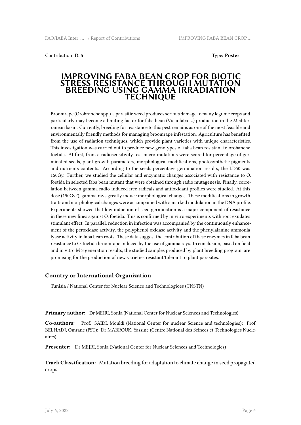Contribution ID: **5** Type: **Poster**

## **IMPROVING FABA BEAN CROP FOR BIOTIC STRESS RESISTANCE THROUGH MUTATION BREEDING USING GAMMA IRRADIATION TECHNIQUE**

Broomrape (Orobranche spp.) a parasitic weed produces serious damage to many legume crops and particularly may become a limiting factor for faba bean (Vicia faba L.) production in the Mediterranean basin. Currently, breeding for resistance to this pest remains as one of the most feasible and environmentally friendly methods for managing broomrape infestation. Agriculture has benefited from the use of radiation techniques, which provide plant varieties with unique characteristics. This investigation was carried out to produce new genotypes of faba bean resistant to orobanche foetida. At first, from a radiosensitivity test micro-mutations were scored for percentage of germinated seeds, plant growth parameters, morphological modifications, photosynthetic pigments and nutrients contents. According to the seeds percentage germination results, the LD50 was 150Gy. Further, we studied the cellular and enzymatic changes associated with resistance to O. foetida in selected faba bean mutant that were obtained through radio mutagenesis. Finally, correlation between gamma radio-induced free radicals and antioxidant profiles were studied. At this dose (150Gy?), gamma rays greatly induce morphological changes. These modifications in growth traits and morphological changes were accompanied with a marked modulation in the DNA profile. Experiments showed that low induction of seed germination is a major component of resistance in these new lines against O. foetida. This is confirmed by in vitro experiments with root exudates stimulant effect. In parallel, reduction in infection was accompanied by the continuously enhancement of the peroxidase activity, the polyphenol oxidase activity and the phenylalanine ammonia lyase activity in faba bean roots. These data suggest the contribution of these enzymes in faba bean resistance to O. foetida broomrape induced by the use of gamma rays. In conclusion, based on field and in vitro M 3 generation results, the studied samples produced by plant breeding program, are promising for the production of new varieties resistant/tolerant to plant parasites.

#### **Country or International Organization**

Tunisia / National Center for Nuclear Science and Technologioes (CNSTN)

**Primary author:** Dr MEJRI, Sonia (National Center for Nuclear Sciences and Technologies)

**Co-authors:** Prof. SAIDI, Mouldi (National Center for nuclear Science and technologies); Prof. BELHADJ, Omrane (FST); Dr MABROUK, Yassine (Centre National des Scinces et Technologies Nucleaires)

**Presenter:** Dr MEJRI, Sonia (National Center for Nuclear Sciences and Technologies)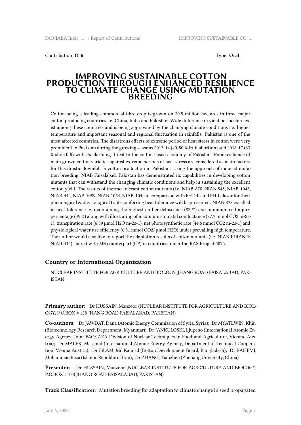**Contribution ID: 6** Type: **Oral** 

## **IMPROVING SUSTAINABLE COTTON PRODUCTION THROUGH ENHANCED RESILIENCE TO CLIMATE CHANGE USING MUTATION BREEDING**

Cotton being a leading commercial fibre crop is grown on 20.5 million hectares in three major cotton producing countries i.e. China, India and Pakistan. Wide difference in yield per hectare exist among these countries and is being aggravated by the changing climate conditions i.e. higher temperature and important seasonal and regional fluctuation in rainfalls. Pakistan is one of the most affected countries. The disastrous effects of extreme period of heat stress in cotton were very prominent in Pakistan during the growing seasons 2013-14 (40-50 % fruit abortion) and 2016-17 (33 % shortfall) with its alarming threat to the cotton based economy of Pakistan. Poor resilience of main grown cotton varieties against extreme periods of heat stress are considered as main factors for this drastic downfall in cotton production in Pakistan. Using the approach of induced mutation breeding, NIAB Faisalabad, Pakistan has demonstrated its capabilities in developing cotton mutants that can withstand the changing climatic conditions and help in sustaining the excellent cotton yield. The results of thermo-tolerant cotton mutants (i.e. NIAB-878, NIAB-545, NIAB-1048, NIAB-444, NIAB-1089, NIAB-1064, NIAB-1042 in comparison with FH-142 and FH-Lalazar for their phenological & physiological traits conferring heat tolerance will be presented. NIAB-878 excelled in heat tolerance by maintaining the highest anther dehiscence (82 %) and minimum cell injury percentage (39 %) along with illustrating of maximum stomatal conductance (27.7 mmol CO2 m-2s-1), transpiration rate (6.89  $\mu$ mol H2O m-2s-1), net photosynthetic rate (44.6 mmol CO2 m-2s-1) and physiological water use efficiency (6.81 mmol CO2/ µmol H2O) under prevailing high temperature. The author would also like to report the adaptation results of cotton mutants (i.e. NIAB-KIRAN & NIAB-414) shared with MS counterpart (CP) in countries under the RAS Project 5075.

#### **Country or International Organization**

NUCLEAR INSTITUTE FOR AGRICULTURE AND BIOLOGY, JHANG ROAD FAISALABAD, PAK-ISTAN

**Primary author:** Dr HUSSAIN, Manzoor (NUCLEAR INSTITUTE FOR AGRICULTURE AND BIOL-OGY, P.O.BOX # 128 JHANG ROAD FAISALABAD, PAKISTAN)

**Co-authors:** Dr JAWDAT, Dana (Atomic Energy Commission of Syria, Syria); Dr MYATLWIN, Khin (Biotechnology Research Department, Myanmar); Dr JANKULOSKI, Ljupcho (International Atomic Energy Agency, Joint FAO/IAEA Division of Nuclear Techniques in Food and Agriculture, Vienna, Austria); Dr MALEK, Massoud (International Atomic Energy Agency, Department of Technical Cooperation, Vienna Austria); Dr ISLAM, Md Kamrul (Cotton Development Board, Bangladesh); Dr RAHEMI, Mohammad Reza (Islamic Republic of Iran); Dr ZHANG, Tianzhen (Zhejiang University, China)

**Presenter:** Dr HUSSAIN, Manzoor (NUCLEAR INSTITUTE FOR AGRICULTURE AND BIOLOGY, P.O.BOX # 128 JHANG ROAD FAISALABAD, PAKISTAN)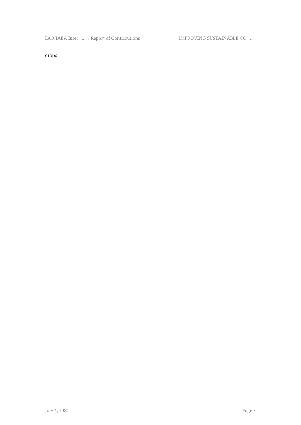FAO/IAEA Inter ... / Report of Contributions IMPROVING SUSTAINABLE CO ...

crops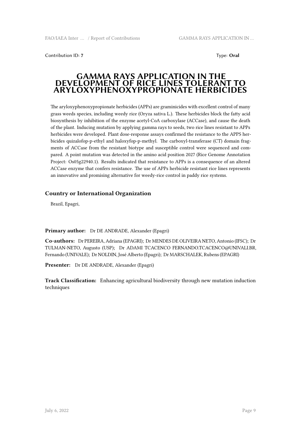Contribution ID: **7** Type: **Oral**

# **GAMMA RAYS APPLICATION IN THE DEVELOPMENT OF RICE LINES TOLERANT TO ARYLOXYPHENOXYPROPIONATE HERBICIDES**

The aryloxyphenoxypropionate herbicides (APPs) are graminicides with excellent control of many grass weeds species, including weedy rice (Oryza sativa L.). These herbicides block the fatty acid biosynthesis by inhibition of the enzyme acetyl-CoA carboxylase (ACCase), and cause the death of the plant. Inducing mutation by applying gamma rays to seeds, two rice lines resistant to APPs herbicides were developed. Plant dose-response assays confirmed the resistance to the APPS herbicides quizalofop-p-ethyl and haloxyfop-p-methyl. The carboxyl-transferase (CT) domain fragments of ACCase from the resistant biotype and susceptible control were sequenced and compared. A point mutation was detected in the amino acid position 2027 (Rice Genome Annotation Project: Os05g22940.1). Results indicated that resistance to APPs is a consequence of an altered ACCase enzyme that confers resistance. The use of APPs herbicide resistant rice lines represents an innovative and promising alternative for weedy-rice control in paddy rice systems.

## **Country or International Organization**

Brazil, Epagri,

#### **Primary author:** Dr DE ANDRADE, Alexander (Epagri)

**Co-authors:** Dr PEREIRA, Adriana (EPAGRI); Dr MENDES DE OLIVEIRA NETO, Antonio (IFSC); Dr TULMAN-NETO, Augusto (USP); Dr ADAMI TCACENCO FERNANDO.TCACENCO@UNIVALI.BR, Fernando (UNIVALE); Dr NOLDIN, José Alberto (Epagri); Dr MARSCHALEK, Rubens (EPAGRI)

**Presenter:** Dr DE ANDRADE, Alexander (Epagri)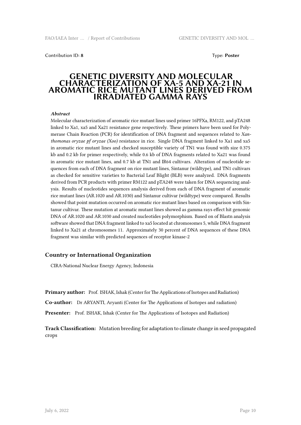#### Contribution ID: **8** Type: **Poster**

## **GENETIC DIVERSITY AND MOLECULAR CHARACTERIZATION OF XA-5 AND XA-21 IN AROMATIC RICE MUTANT LINES DERIVED FROM IRRADIATED GAMMA RAYS**

#### *Abstract*

Molecular characterization of aromatic rice mutant lines used primer 16PFXa, RM122, and pTA248 linked to Xa1, xa5 and Xa21 resistance gene respectively. These primers have been used for Polymerase Chain Reaction (PCR) for identification of DNA fragment and sequences related to *Xanthomonas oryzae pf oryzae (Xoo)* resistance in rice. Single DNA fragment linked to Xa1 and xa5 in aromatic rice mutant lines and checked susceptible variety of TN1 was found with size 0.375 kb and 0.2 kb for primer respectively, while 0.6 kb of DNA fragments related to Xa21 was found in aromatic rice mutant lines, and 0.7 kb at TN1 and IR64 cultivars. Alteration of nucleotide sequences from each of DNA fragment on rice mutant lines, Sintanur (wildtype), and TN1 cultivars as checked for sensitive varieties to Bacterial Leaf Blight (BLB) were analyzed. DNA fragments derived from PCR products with primer RM122 and pTA248 were taken for DNA sequencing analysis. Results of nucleotides sequences analysis derived from each of DNA fragment of aromatic rice mutant lines (AR.1020 and AR.1030) and Sintanur cultivar (wildtype) were compared. Results showed that point mutation occurred on aromatic rice mutant lines based on comparison with Sintanur cultivar. These mutation at aromatic mutant lines showed as gamma rays effect hit genomic DNA of AR.1020 and AR.1030 and created nucleotides polymorphism. Based on of Blastn analysis software showed that DNA fragment linked to xa5 located at chromosomes 5, while DNA fragment linked to Xa21 at chromosomes 11. Approximately 30 percent of DNA sequences of these DNA fragment was similar with predicted sequences of receptor kinase-2

#### **Country or International Organization**

CIRA-National Nuclear Energy Agency, Indonesia

**Primary author:** Prof. ISHAK, Ishak (Center for The Applications of Isotopes and Radiation)

**Co-author:** Dr ARYANTI, Aryanti (Center for The Applications of Isotopes and radiation)

**Presenter:** Prof. ISHAK, Ishak (Center for The Applications of Isotopes and Radiation)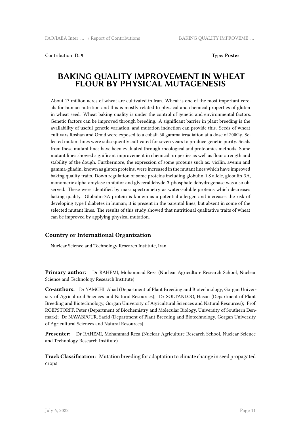Contribution ID: **9** Type: **Poster**

# **BAKING QUALITY IMPROVEMENT IN WHEAT FLOUR BY PHYSICAL MUTAGENESIS**

About 13 million acres of wheat are cultivated in Iran. Wheat is one of the most important cereals for human nutrition and this is mostly related to physical and chemical properties of gluten in wheat seed. Wheat baking quality is under the control of genetic and environmental factors. Genetic factors can be improved through breeding. A significant barrier in plant breeding is the availability of useful genetic variation, and mutation induction can provide this. Seeds of wheat cultivars Roshan and Omid were exposed to a cobalt-60 gamma irradiation at a dose of 200Gy. Selected mutant lines were subsequently cultivated for seven years to produce genetic purity. Seeds from these mutant lines have been evaluated through rheological and proteomics methods. Some mutant lines showed significant improvement in chemical properties as well as flour strength and stability of the dough. Furthermore, the expression of some proteins such as: vicilin, avenin and gamma-gliadin, known as gluten proteins, were increased in the mutant lines which have improved baking quality traits. Down regulation of some proteins including globulin-1 S allele, globulin-3A, monomeric alpha-amylase inhibitor and glyceraldehyde-3-phosphate dehydrogenase was also observed. These were identified by mass spectrometry as water-soluble proteins which decreases baking quality. Globulin-3A protein is known as a potential allergen and increases the risk of developing type I diabetes in human; it is present in the parental lines, but absent in some of the selected mutant lines. The results of this study showed that nutritional qualitative traits of wheat can be improved by applying physical mutation.

## **Country or International Organization**

Nuclear Science and Technology Research Institute, Iran

**Primary author:** Dr RAHEMI, Mohammad Reza (Nuclear Agriculture Research School, Nuclear Science and Technology Research Institute)

**Co-authors:** Dr YAMCHI, Ahad (Department of Plant Breeding and Biotechnology, Gorgan University of Agricultural Sciences and Natural Resources); Dr SOLTANLOO, Hasan (Department of Plant Breeding and Biotechnology, Gorgan University of Agricultural Sciences and Natural Resources); Prof. ROEPSTORFF, Peter (Department of Biochemistry and Molecular Biology, University of Southern Denmark); Dr NAVABPOUR, Saeid (Department of Plant Breeding and Biotechnology, Gorgan University of Agricultural Sciences and Natural Resources)

**Presenter:** Dr RAHEMI, Mohammad Reza (Nuclear Agriculture Research School, Nuclear Science and Technology Research Institute)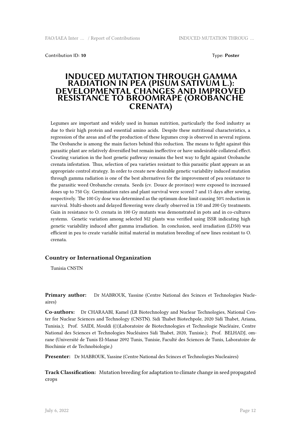Contribution ID: **10** Type: **Poster**

# **INDUCED MUTATION THROUGH GAMMA RADIATION IN PEA (PISUM SATIVUM L.): DEVELOPMENTAL CHANGES AND IMPROVED RESISTANCE TO BROOMRAPE (OROBANCHE CRENATA)**

Legumes are important and widely used in human nutrition, particularly the food industry as due to their high protein and essential amino acids. Despite these nutritional characteristics, a regression of the areas and of the production of these legumes crop is observed in several regions. The Orobanche is among the main factors behind this reduction. The means to fight against this parasitic plant are relatively diversified but remain ineffective or have undesirable collateral effect. Creating variation in the host genetic pathway remains the best way to fight against Orobanche crenata infestation. Thus, selection of pea varieties resistant to this parasitic plant appears as an appropriate control strategy. In order to create new desirable genetic variability induced mutation through gamma radiation is one of the best alternatives for the improvement of pea resistance to the parasitic weed Orobanche crenata. Seeds (cv. Douce de province) were exposed to increased doses up to 750 Gy. Germination rates and plant survival were scored 7 and 15 days after sowing, respectively. The 100 Gy dose was determined as the optimum dose limit causing 50% reduction in survival. Multi-shoots and delayed flowering were clearly observed in 150 and 200 Gy treatments. Gain in resistance to O. crenata in 100 Gy mutants was demonstrated in pots and in co-cultures systems. Genetic variation among selected M2 plants was verified using ISSR indicating high genetic variability induced after gamma irradiation. In conclusion, seed irradiation (LD50) was efficient in pea to create variable initial material in mutation breeding of new lines resistant to O. crenata.

#### **Country or International Organization**

Tunisia CNSTN

**Primary author:** Dr MABROUK, Yassine (Centre National des Scinces et Technologies Nucleaires)

**Co-authors:** Dr CHARAABI, Kamel (LR Biotechnology and Nuclear Technologies, National Center for Nuclear Sciences and Technology (CNSTN). Sidi Thabet Biotechpole, 2020 Sidi Thabet, Ariana, Tunisia.); Prof. SAIDI, Mouldi ((1)Laboratoire de Biotechnologies et Technologie Nucléaire, Centre National des Sciences et Technologies Nucléaires Sidi Thabet, 2020, Tunisie.); Prof. BELHADJ, omrane (Université de Tunis El-Manar 2092 Tunis, Tunisie, Faculté des Sciences de Tunis, Laboratoire de Biochimie et de Technobiologie,)

**Presenter:** Dr MABROUK, Yassine (Centre National des Scinces et Technologies Nucleaires)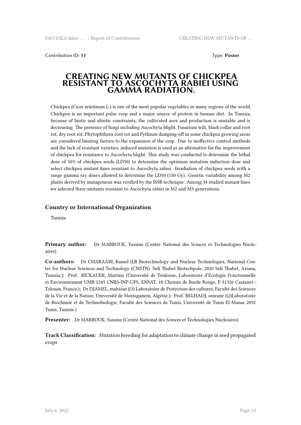Contribution ID: **11** Type: **Poster**

## **CREATING NEW MUTANTS OF CHICKPEA RESISTANT TO ASCOCHYTA RABIEI USING GAMMA RADIATION.**

Chickpea (Cicer arietinum L.) is one of the most popular vegetables in many regions of the world. Chickpea is an important pulse crop and a major source of protein in human diet. In Tunisia, because of biotic and abiotic constraints, the cultivated area and production is unstable and is decreasing. The presence of fungi including Ascochyta blight, Fusarium wilt, black collar and root rot, dry root rot, Phytophthora root rot and Pythium damping-off in some chickpea growing areas are considered limiting factors to the expansion of the crop. Due to ineffective control methods and the lack of resistant varieties, induced mutation is used as an alternative for the improvement of chickpea for resistance to Ascochyta blight. This study was conducted to determine the lethal dose of 50% of chickpea seeds (LD50) to determine the optimum mutation induction dose and select chickpea mutant lines resistant to Ascochyta rabiei. Irradiation of chickpea seeds with a range gamma ray doses allowed to determine the LD50 (150 Gy). Genetic variability among M2 plants derived by mutagenesis was verified by the ISSR technique. Among 34 studied mutant lines we selected three mutants resistant to Ascochyta rabiei in M2 and M3 generations.

#### **Country or International Organization**

Tunisia

**Primary author:** Dr MABROUK, Yassine (Centre National des Scinces et Technologies Nucleaires)

**Co-authors:** Dr CHARAABI, Kamel (LR Biotechnology and Nuclear Technologies, National Center for Nuclear Sciences and Technology (CNSTN). Sidi Thabet Biotechpole, 2020 Sidi Thabet, Ariana, Tunisia.); Prof. RICKAUER, Martina (Université de Toulouse, Laboratoire d'Ecologie Fonctionnelle et Environnement UMR 5245 CNRS-INP-UPS, ENSAT, 18 Chemin de Borde Rouge, F-31326 Castanet-- Tolosan, France.); Dr DJAMEL, mahiout ((3) Laboratoire de Protection des cultures, Faculté des Sciences de la Vie et de la Nature, Université de Mostaganem, Algérie.); Prof. BELHADJ, omrane ((2)Laboratoire de Biochimie et de Technobiologie, Faculté des Sciences de Tunis, Université de Tunis El-Manar 2092 Tunis, Tunisie.)

**Presenter:** Dr MABROUK, Yassine (Centre National des Scinces et Technologies Nucleaires)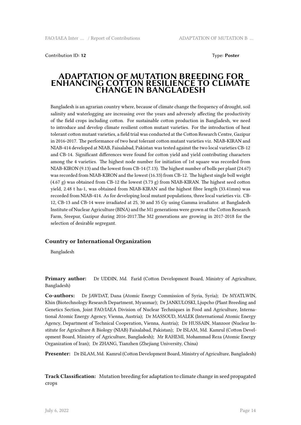Contribution ID: 12 Type: **Poster** 

## **ADAPTATION OF MUTATION BREEDING FOR ENHANCING COTTON RESILIENCE TO CLIMATE CHANGE IN BANGLADESH**

Bangladesh is an agrarian country where, because of climate change the frequency of drought, soil salinity and waterlogging are increasing over the years and adversely affecting the productivity of the field crops including cotton. For sustainable cotton production in Bangladesh, we need to introduce and develop climate resilient cotton mutant varieties. For the introduction of heat tolerant cotton mutant varieties, a field trial was conducted at the Cotton Research Centre, Gazipur in 2016-2017. The performance of two heat tolerant cotton mutant varieties viz. NIAB-KIRAN and NIAB-414 developed at NIAB, Faisalabad, Pakistan was tested against the two local varieties CB-12 and CB-14. Significant differences were found for cotton yield and yield contributing characters among the 4 varieties. The highest node number for initiation of 1st square was recorded from NIAB-KIRON (9.13) and the lowest from CB-14 (7.13). The highest number of bolls per plant (24.67) was recorded from NIAB-KIRON and the lowest (16.33) from CB-12. The highest single boll weight (4.67 g) was obtained from CB-12 the lowest (3.73 g) from NIAB-KIRAN. The highest seed cotton yield, 2.48 t ha-1, was obtained from NIAB-KIRAN and the highest fibre length (33.41mm) was recorded from NIAB-414. As for developing local mutant populations, three local varieties viz. CB-12, CB-13 and CB-14 were irradiated at 25, 30 and 35 Gy using Gamma irradiator. at Bangladesh Institute of Nuclear Agriculture (BINA) and the M1 generations were grown at the Cotton Research Farm, Sreepur, Gazipur during 2016-2017.The M2 generations are growing in 2017-2018 for the selection of desirable segregant.

#### **Country or International Organization**

Bangladesh

**Primary author:** Dr UDDIN, Md. Farid (Cotton Development Board, Ministry of Agriculture, Bangladesh)

**Co-authors:** Dr JAWDAT, Dana (Atomic Energy Commission of Syria, Syria); Dr MYATLWIN, Khin (Biotechnology Research Department, Myanmar); Dr JANKULOSKI, Ljupcho (Plant Breeding and Genetics Section, Joint FAO/IAEA Division of Nuclear Techniques in Food and Agriculture, International Atomic Energy Agency, Vienna, Austria); Dr MASSOUD, MALEK (International Atomic Energy Agency, Department of Technical Cooperation, Vienna, Austria); Dr HUSSAIN, Manzoor (Nuclear Institute for Agriculture & Biology (NIAB) Faisalabad, Pakistan); Dr ISLAM, Md. Kamrul (Cotton Development Board, Ministry of Agriculture, Bangladesh); Mr RAHEMI, Mohammad Reza (Atomic Energy Organization of Iran); Dr ZHANG, Tianzhen (Zhejiang University, China)

**Presenter:** Dr ISLAM, Md. Kamrul (Cotton Development Board, Ministry of Agriculture, Bangladesh)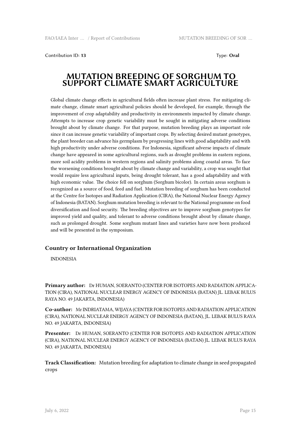Contribution ID: **13** Type: **Oral**

# **MUTATION BREEDING OF SORGHUM TO SUPPORT CLIMATE SMART AGRICULTURE**

Global climate change effects in agricultural fields often increase plant stress. For mitigating climate change, climate smart agricultural policies should be developed, for example, through the improvement of crop adaptability and productivity in environments impacted by climate change. Attempts to increase crop genetic variability must be sought in mitigating adverse conditions brought about by climate change. For that purpose, mutation breeding plays an important role since it can increase genetic variability of important crops. By selecting desired mutant genotypes, the plant breeder can advance his germplasm by progressing lines with good adaptability and with high productivity under adverse conditions. For Indonesia, significant adverse impacts of climate change have appeared in some agricultural regions, such as drought problems in eastern regions, more soil acidity problems in western regions and salinity problems along coastal areas. To face the worsening conditions brought about by climate change and variability, a crop was sought that would require less agricultural inputs, being drought tolerant, has a good adaptability and with high economic value. The choice fell on sorghum (Sorghum bicolor). In certain areas sorghum is recognized as a source of food, feed and fuel. Mutation breeding of sorghum has been conducted at the Centre for Isotopes and Radiation Application (CIRA), the National Nuclear Energy Agency of Indonesia (BATAN). Sorghum mutation breeding is relevant to the National programme on food diversification and food security. The breeding objectives are to improve sorghum genotypes for improved yield and quality, and tolerant to adverse conditions brought about by climate change, such as prolonged drought. Some sorghum mutant lines and varieties have now been produced and will be presented in the symposium.

#### **Country or International Organization**

INDONESIA

**Primary author:** Dr HUMAN, SOERANTO (CENTER FOR ISOTOPES AND RADIATION APPLICA-TION (CIRA), NATIONAL NUCLEAR ENERGY AGENCY OF INDONESIA (BATAN) JL. LEBAK BULUS RAYA NO. 49 JAKARTA, INDONESIA)

**Co-author:** Mr INDRIATAMA, WIJAYA (CENTER FOR ISOTOPES AND RADIATION APPLICATION (CIRA), NATIONAL NUCLEAR ENERGY AGENCY OF INDONESIA (BATAN), JL. LEBAK BULUS RAYA NO. 49 JAKARTA, INDONESIA)

**Presenter:** Dr HUMAN, SOERANTO (CENTER FOR ISOTOPES AND RADIATION APPLICATION (CIRA), NATIONAL NUCLEAR ENERGY AGENCY OF INDONESIA (BATAN) JL. LEBAK BULUS RAYA NO. 49 JAKARTA, INDONESIA)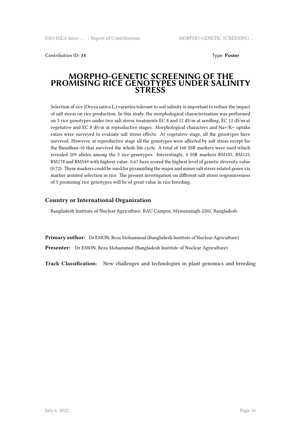Contribution ID: **14** Type: **Poster**

# **MORPHO-GENETIC SCREENING OF THE PROMISING RICE GENOTYPES UNDER SALINITY STRESS**

Selection of rice (Oryza sativa L.) varieties tolerant to soil salinity is important to reduce the impact of salt stress on rice production. In this study, the morphological characterization was performed on 5 rice genotypes under two salt stress treatments EC 8 and 12 dS/m at seedling, EC 12 dS/m at vegetative and EC 8 dS/m at reproductive stages. Morphological characters and Na+/K+ uptake ratios were surveyed to evaluate salt stress effects. At vegetative stage, all the genotypes have survived. However, at reproductive stage all the genotypes were affected by salt stress except for the Binadhan-10 that survived the whole life cycle. A total of 160 SSR markers were used which revealed 209 alleles among the 5 rice genotypes. Interestingly, 4 SSR markers RM105, RM125, RM178 and RM549 with highest value: 0.67 have scored the highest level of genetic diversity value (0.72). These markers could be used for pyramiding the major and minor salt stress related genes via marker assisted selection in rice. The present investigation on different salt stress responsiveness of 5 promising rice genotypes will be of great value in rice breeding.

#### **Country or International Organization**

Bangladesh Institute of Nuclear Agriculture, BAU Campus, Mymensingh-2202, Bangladesh

**Primary author:** Dr EMON, Reza Mohammad (Bangladesh Institute of Nuclear Agriculture)

**Presenter:** Dr EMON, Reza Mohammad (Bangladesh Institute of Nuclear Agriculture)

**Track Classification:** New challenges and technologies in plant genomics and breeding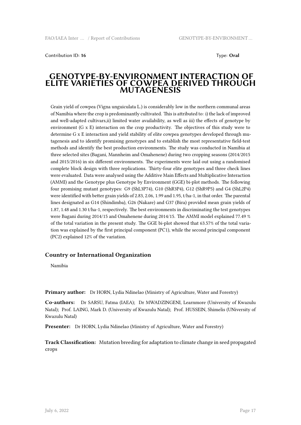Contribution ID: **16** Type: **Oral**

# **GENOTYPE-BY-ENVIRONMENT INTERACTION OF ELITE VARIETIES OF COWPEA DERIVED THROUGH MUTAGENESIS**

Grain yield of cowpea (Vigna unguiculata L.) is considerably low in the northern communal areas of Namibia where the crop is predominantly cultivated. This is attributed to: i) the lack of improved and well-adapted cultivars,ii) limited water availability, as well as iii) the effects of genotype by environment (G x E) interaction on the crop productivity. The objectives of this study were to determine G x E interaction and yield stability of elite cowpea genotypes developed through mutagenesis and to identify promising genotypes and to establish the most representative field-test methods and identify the best production environments. The study was conducted in Namibia at three selected sites (Bagani, Mannheim and Omahenene) during two cropping seasons (2014/2015 and 2015/2016) in six different environments. The experiments were laid out using a randomised complete block design with three replications. Thirty-four elite genotypes and three check lines were evaluated. Data were analysed using the Additive Main Effects and Multiplicative Interaction (AMMI) and the Genotype plus Genotype by Environment (GGE) bi-plot methods. The following four promising mutant genotypes: G9 (ShL3P74), G10 (ShR3P4), G12 (ShR9P5) and G4 (ShL2P4) were identified with better grain yields of 2.83, 2.06, 1.99 and 1.95, t/ha-1, in that order. The parental lines designated as G14 (Shindimba), G26 (Nakare) and G37 (Bira) provided mean grain yields of 1.87, 1.48 and 1.30 t/ha-1, respectively. The best environments in discriminating the test genotypes were Bagani during 2014/15 and Omahenene during 2014/15. The AMMI model explained 77.49 % of the total variation in the present study. The GGE bi-plot showed that 63.57% of the total variation was explained by the first principal component (PC1), while the second principal component (PC2) explained 12% of the variation.

## **Country or International Organization**

Namibia

**Primary author:** Dr HORN, Lydia Ndinelao (Ministry of Agriculture, Water and Forestry)

**Co-authors:** Dr SARSU, Fatma (IAEA); Dr MWADZINGENI, Learnmore (University of Kwazulu Natal); Prof. LAING, Mark D. (University of Kwazulu Natal); Prof. HUSSEIN, Shimelis (UNiversity of Kwazulu Natal)

**Presenter:** Dr HORN, Lydia Ndinelao (Ministry of Agriculture, Water and Forestry)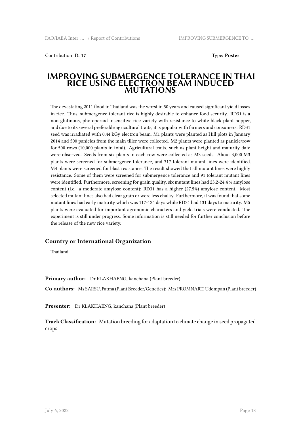Contribution ID: **17** Type: **Poster**

# **IMPROVING SUBMERGENCE TOLERANCE IN THAI RICE USING ELECTRON BEAM INDUCED MUTATIONS**

The devastating 2011 flood in Thailand was the worst in 50 years and caused significant yield losses in rice. Thus, submergence-tolerant rice is highly desirable to enhance food security. RD31 is a non-glutinous, photoperiod-insensitive rice variety with resistance to white-black plant hopper, and due to its several preferable agricultural traits, it is popular with farmers and consumers. RD31 seed was irradiated with 0.44 kGy electron beam. M1 plants were planted as Hill plots in January 2014 and 500 panicles from the main tiller were collected. M2 plants were planted as panicle/row for 500 rows (10,000 plants in total). Agricultural traits, such as plant height and maturity date were observed. Seeds from six plants in each row were collected as M3 seeds. About 3,000 M3 plants were screened for submergence tolerance, and 317 tolerant mutant lines were identified. M4 plants were screened for blast resistance. The result showed that all mutant lines were highly resistance. Some of them were screened for submergence tolerance and 91 tolerant mutant lines were identified. Furthermore, screening for grain quality, six mutant lines had 23.2-24.4 % amylose content (i.e. a moderate amylose content); RD31 has a higher (27.5%) amylose content. Most selected mutant lines also had clear grain or were less chalky. Furthermore, it was found that some mutant lines had early maturity which was 117-124 days while RD31 had 131 days to maturity. M5 plants were evaluated for important agronomic characters and yield trials were conducted. The experiment is still under progress. Some information is still needed for further conclusion before the release of the new rice variety.

#### **Country or International Organization**

Thailand

**Primary author:** Dr KLAKHAENG, kanchana (Plant breeder)

**Co-authors:** Ms SARSU, Fatma (Plant Breeder/Genetics); Mrs PROMNART, Udompan (Plant breeder)

**Presenter:** Dr KLAKHAENG, kanchana (Plant breeder)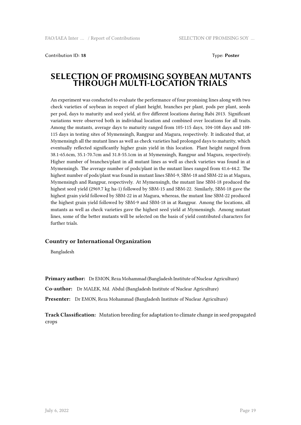Contribution ID: **18** Type: **Poster**

# **SELECTION OF PROMISING SOYBEAN MUTANTS THROUGH MULTI-LOCATION TRIALS**

An experiment was conducted to evaluate the performance of four promising lines along with two check varieties of soybean in respect of plant height, branches per plant, pods per plant, seeds per pod, days to maturity and seed yield, at five different locations during Rabi 2013. Significant variations were observed both in individual location and combined over locations for all traits. Among the mutants, average days to maturity ranged from 105-115 days, 104-108 days and 108- 115 days in testing sites of Mymensingh, Rangpur and Magura, respectively. It indicated that, at Mymensingh all the mutant lines as well as check varieties had prolonged days to maturity, which eventually reflected significantly higher grain yield in this location. Plant height ranged from 38.1-65.6cm, 35.1-70.7cm and 31.8-55.1cm in at Mymensingh, Rangpur and Magura, respectively. Higher number of branches/plant in all mutant lines as well as check varieties was found in at Mymensingh. The average number of pods/plant in the mutant lines ranged from 41.6-44.2. The highest number of pods/plant was found in mutant lines SBM-9, SBM-18 and SBM-22 in at Magura, Mymensingh and Rangpur, respectively. At Mymensingh, the mutant line SBM-18 produced the highest seed yield (2969.7 kg ha-1) followed by SBM-15 and SBM-22. Similarly, SBM-18 gave the highest grain yield followed by SBM-22 in at Magura, whereas, the mutant line SBM-22 produced the highest grain yield followed by SBM-9 and SBM-18 in at Rangpur. Among the locations, all mutants as well as check varieties gave the highest seed yield at Mymensingh. Among mutant lines, some of the better mutants will be selected on the basis of yield contributed characters for further trials.

#### **Country or International Organization**

Bangladesh

**Primary author:** Dr EMON, Reza Mohammad (Bangladesh Institute of Nuclear Agriculture)

**Co-author:** Dr MALEK, Md. Abdul (Bangladesh Institute of Nuclear Agriculture)

**Presenter:** Dr EMON, Reza Mohammad (Bangladesh Institute of Nuclear Agriculture)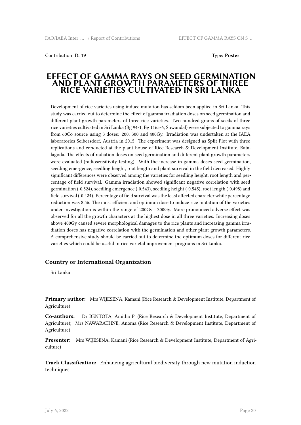Contribution ID: **19** Type: **Poster**

# **EFFECT OF GAMMA RAYS ON SEED GERMINATION AND PLANT GROWTH PARAMETERS OF THREE RICE VARIETIES CULTIVATED IN SRI LANKA**

Development of rice varieties using induce mutation has seldom been applied in Sri Lanka. This study was carried out to determine the effect of gamma irradiation doses on seed germination and different plant growth parameters of three rice varieties. Two hundred grams of seeds of three rice varieties cultivated in Sri Lanka (Bg 94-1, Bg 1165-6, Suwandal) were subjected to gamma rays from 60Co source using 3 doses: 200, 300 and 400Gy. Irradiation was undertaken at the IAEA laboratories Seibersdorf, Austria in 2015. The experiment was designed as Split Plot with three replications and conducted at the plant house of Rice Research & Development Institute, Batalagoda. The effects of radiation doses on seed germination and different plant growth parameters were evaluated (radiosensitivity testing). With the increase in gamma doses seed germination, seedling emergence, seedling height, root length and plant survival in the field decreased. Highly significant differences were observed among the varieties for seedling height, root length and percentage of field survival. Gamma irradiation showed significant negative correlation with seed germination (-0.524), seedling emergence (-0.543), seedling height (-0.545), root length (-0.498) and field survival (-0.424). Percentage of field survival was the least affected character while percentage reduction was 8.56. The most efficient and optimum dose to induce rice mutation of the varieties under investigation is within the range of 200Gy - 300Gy. More pronounced adverse effect was observed for all the growth characters at the highest dose in all three varieties. Increasing doses above 400Gy caused severe morphological damages to the rice plants and increasing gamma irradiation doses has negative correlation with the germination and other plant growth parameters. A comprehensive study should be carried out to determine the optimum doses for different rice varieties which could be useful in rice varietal improvement programs in Sri Lanka.

## **Country or International Organization**

Sri Lanka

**Primary author:** Mrs WIJESENA, Kamani (Rice Research & Development Institute, Department of Agriculture)

**Co-authors:** Dr BENTOTA, Amitha P. (Rice Research & Development Institute, Department of Agriculture); Mrs NAWARATHNE, Anoma (Rice Research & Development Institute, Department of Agriculture)

**Presenter:** Mrs WIJESENA, Kamani (Rice Research & Development Institute, Department of Agriculture)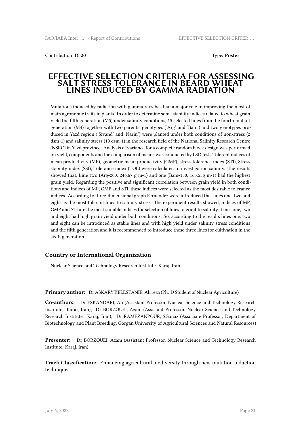Contribution ID: 20 Type: **Poster** 

# **EFFECTIVE SELECTION CRITERIA FOR ASSESSING SALT STRESS TOLERANCE IN BEARD WHEAT LINES INDUCED BY GAMMA RADIATION**

Mutations induced by radiation with gamma rays has had a major role in improving the most of main agronomic traits in plants. In order to determine some stability indices related to wheat grain yield the fifth generation (M5) under salinity conditions, 15 selected lines from the fourth mutant generation (M4) together with two parents' genotypes ('Arg' and 'Bam') and two genotypes produced in Yazd region ('Sivand' and 'Narin') were planted under both conditions of non-stress (2 dsm-1) and salinity stress (10 dsm-1) in the research field of the National Salinity Research Centre (NSRC) in Yazd province. Analysis of variance for a complete random block design was performed on yield, components and the comparison of means was conducted by LSD test. Tolerant indices of mean productivity (MP), geometric mean productivity (GMP), stress tolerance index (STI), Stress stability index (SSI), Tolerance index (TOL) were calculated to investigation salinity. The results showed that, Line two (Arg-200, 246.67 g m-1) and one (Bam-150, 165.55g m-1) had the highest grain yield. Regarding the positive and significant correlation between grain yield in both conditions and indices of MP, GMP and STI, these indices were selected as the most desirable tolerance indices. According to three-dimensional graph Fernandez were introduced that lines one, two and eight as the most tolerant lines to salinity stress. The experiment results showed, indices of MP, GMP and STI are the most suitable indices for selection of lines tolerant to salinity. Lines one, two and eight had high grain yield under both conditions. So, according to the results lines one, two and eight can be introduced as stable lines and with high yield under salinity stress conditions and the fifth generation and it is recommended to introduce these three lines for cultivation in the sixth generation.

## **Country or International Organization**

Nuclear Science and Technology Research Institute. Karaj, Iran

**Primary author:** Dr ASKARY KELESTANIE, Ali reza (Ph. D Student of Nuclear Agriculture)

**Co-authors:** Dr ESKANDARI, Ali (Assistant Professor, Nuclear Science and Technology Research Institute. Karaj, Iran); Dr BORZOUEI, Azam (Assistant Professor, Nuclear Science and Technology Research Institute. Karaj, Iran); Dr RAMEZANPOUR, S.Sanaz (Associate Professor, Department of Biotechnology and Plant Breeding, Gorgan University of Agricultural Sciences and Natural Resources)

**Presenter:** Dr BORZOUEI, Azam (Assistant Professor, Nuclear Science and Technology Research Institute. Karaj, Iran)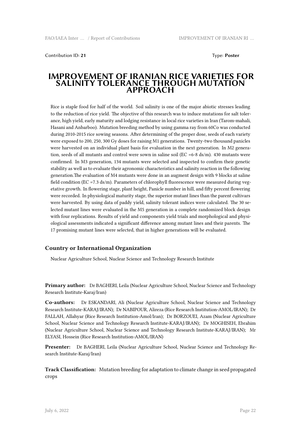Contribution ID: **21** Type: **Poster**

## **IMPROVEMENT OF IRANIAN RICE VARIETIES FOR SALINITY TOLERANCE THROUGH MUTATION APPROACH**

Rice is staple food for half of the world. Soil salinity is one of the major abiotic stresses leading to the reduction of rice yield. The objective of this research was to induce mutations for salt tolerance, high yield, early maturity and lodging resistance in local rice varieties in Iran (Tarom-mahali, Hasani and Anbarboo). Mutation breeding method by using gamma ray from 60Co was conducted during 2010-2015 rice sowing seasons. After determining of the proper dose, seeds of each variety were exposed to 200, 250, 300 Gy doses for raising M1 generations. Twenty-two thousand panicles were harvested on an individual plant basis for evaluation in the next generation. In M2 generation, seeds of all mutants and control were sown in saline soil (EC =6-8 ds/m). 430 mutants were confirmed. In M3 generation, 134 mutants were selected and inspected to confirm their genetic stability as well as to evaluate their agronomic characteristics and salinity reaction in the following generation.The evaluation of M4 mutants were done in an augment design with 9 blocks at saline field condition (EC = 7.3 ds/m). Parameters of chlorophyll fluorescence were measured during vegetative growth. In flowering stage, plant height, Panicle number in hill, and fifty percent flowering were recorded. In physiological maturity stage, the superior mutant lines than the parent cultivars were harvested. By using data of paddy yield, salinity tolerant indices were calculated. The 30 selected mutant lines were evaluated in the M5 generation in a complete randomized block design with four replications. Results of yield and components yield trials and morphological and physiological assessments indicated a significant difference among mutant lines and their parents. The 17 promising mutant lines were selected, that in higher generations will be evaluated.

## **Country or International Organization**

Nuclear Agriculture School, Nuclear Science and Technology Research Institute

**Primary author:** Dr BAGHERI, Leila (Nuclear Agriculture School, Nuclear Science and Technology Research Institute-Karaj/Iran)

**Co-authors:** Dr ESKANDARI, Ali (Nuclear Agriculture School, Nuclear Science and Technology Research Institute-KARAJ/IRAN); Dr NABIPOUR, Alireza (Rice Research Institution-AMOL/IRAN); Dr FALLAH, Allahyar (Rice Research Institution-Amol/Iran); Dr BORZOUEI, Azam (Nuclear Agriculture School, Nuclear Science and Technology Research Institute-KARAJ/IRAN); Dr MOGHISEH, Ebrahim (Nuclear Agriculture School, Nuclear Science and Technology Research Institute-KARAJ/IRAN); Mr ELYASI, Hossein (Rice Research Institution-AMOL/IRAN)

**Presenter:** Dr BAGHERI, Leila (Nuclear Agriculture School, Nuclear Science and Technology Research Institute-Karaj/Iran)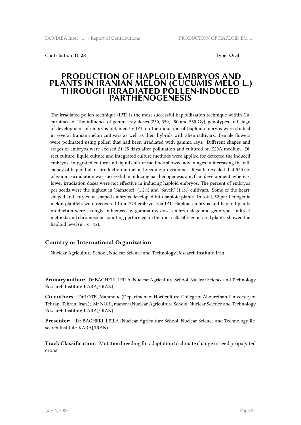Contribution ID: **23** Type: **Oral**

## **PRODUCTION OF HAPLOID EMBRYOS AND PLANTS IN IRANIAN MELON (CUCUMIS MELO L.) THROUGH IRRADIATED POLLEN-INDUCED PARTHENOGENESIS**

The irradiated pollen technique (IPT) is the most successful haploidization technique within Cucurbitaceae. The influence of gamma ray doses (250, 350, 450 and 550 Gy), genotypes and stage of development of embryos obtained by IPT on the induction of haploid embryos were studied in several Iranian melon cultivars as well as their hybrids with alien cultivars. Female flowers were pollinated using pollen that had been irradiated with gamma rays. Different shapes and stages of embryos were excised 21-25 days after pollination and cultured on E20A medium. Direct culture, liquid culture and integrated culture methods were applied for detected the induced embryos. Integrated culture and liquid culture methods showed advantages in increasing the efficiency of haploid plant production in melon breeding programmes. Results revealed that 550 Gy of gamma-irradiation was successful in inducing parthenogenesis and fruit development, whereas, lower irradiation doses were not effective in inducing haploid embryos. The percent of embryos per seeds were the highest in 'Samsoori' (1.2%) and 'Saveh' (1.1%) cultivars. Some of the heartshaped and cotyledon-shaped embryos developed into haploid plants. In total, 52 parthenogenic melon plantlets were recovered from 274 embryos via IPT. Haploid embryos and haploid plants production were strongly influenced by gamma ray dose, embryo stage and genotype. Indirect methods and chromosome counting performed on the root cells of regenerated plants, showed the haploid level  $(n = x = 12)$ .

## **Country or International Organization**

Nuclear Agriculture School, Nuclear Science and Technology Research Institute-Iran

**Primary author:** Dr BAGHERI, LEILA (Nuclear Agriculture School, Nuclear Science and Technology Research Institute-KARAJ/IRAN)

**Co-authors:** Dr LOTFI, Mahmoud (Department of Horticulture, College of Aboureihan, University of Tehran, Tehran, Iran.); Mr NORI, mansor (Nuclear Agriculture School, Nuclear Science and Technology Research Institute-KARAJ/IRAN)

**Presenter:** Dr BAGHERI, LEILA (Nuclear Agriculture School, Nuclear Science and Technology Research Institute-KARAJ/IRAN)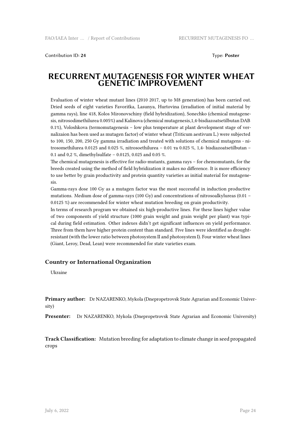Contribution ID: **24** Type: **Poster**

# **RECURRENT MUTAGENESIS FOR WINTER WHEAT GENETIC IMPROVEMENT**

Evaluation of winter wheat mutant lines (2010 2017, up to M8 generation) has been carried out. Dried seeds of eight varieties Favoritka, Lasunya, Hurtovina (irradiation of initial material by gamma rays), line 418, Kolos Mironovschiny (field hybridization), Sonechko (chemical mutagenesis, nitrosodimethilurea 0.005%) and Kalinova (chemical mutagenesis,1,4-bisdiazoatsetilbutan DAB 0.1%), Voloshkova (termomutagenesis – low plus temperature at plant development stage of vernalizaion has been used as mutagen factor) of winter wheat (Triticum aestivum L.) were subjected to 100, 150, 200, 250 Gy gamma irradiation and treated with solutions of chemical mutagens - nitrosomethilurea 0.0125 and 0.025 %, nitrosoethilurea – 0.01 та 0.025 %, 1,4- bisdiazoatsetilbutan – 0.1 and 0,2 %, dimethylsulfate – 0.0125, 0.025 and 0.05 %.

The chemical mutagenesis is effective for radio-mutants, gamma rays – for chemomutants, for the breeds created using the method of field hybridization it makes no difference. It is more efficiency to use better by grain productivity and protein quantity varieties as initial material for mutagenesis.

Gamma-rays dose 100 Gy as a mutagen factor was the most successful in induction productive mutations. Medium dose of gamma-rays (100 Gy) and concentrations of nitrosoalkylureas (0.01 – 0.0125 %) are recommended for winter wheat mutation breeding on grain productivity.

In terms of research program we obtained six high-productive lines. For these lines higher value of two components of yield structure (1000 grain weight and grain weight per plant) was typical during field estimation. Other indexes didn't get significant influences on yield performance. Three from them have higher protein content than standard. Five lines were identified as droughtresistant (with the lower ratio between photosystem ІІ and photosystem І). Four winter wheat lines (Giant, Leroy, Dead, Lean) were recommended for state varieties exam.

## **Country or International Organization**

Ukraine

**Primary author:** Dr NAZARENKO, Mykola (Dnepropetrovsk State Agrarian and Economic University)

**Presenter:** Dr NAZARENKO, Mykola (Dnepropetrovsk State Agrarian and Economic University)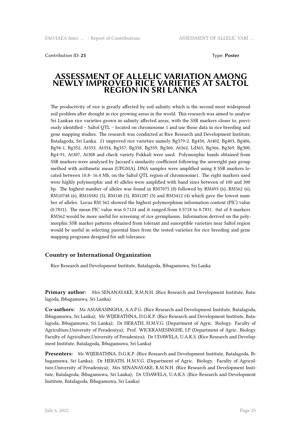Contribution ID: 25 Type: **Poster** 

## **ASSESSMENT OF ALLELIC VARIATION AMONG NEWLY IMPROVED RICE VARIETIES AT SALTOL REGION IN SRI LANKA**

The productivity of rice is greatly affected by soil salinity which is the second most widespread soil problem after drought in rice growing areas in the world. This research was aimed to analyse Sri Lankan rice varieties grown in salinity affected areas, with the SSR markers closer to, previously identified – Saltol QTL – located on chromosome 1 and use those data in rice breeding and gene mapping studies. The research was conducted at Rice Research and Development Institute, Batalagoda, Sri Lanka. 21 improved rice varieties namely Bg379-2, Bg450, At402, Bg403, Bg406, Bg94-1, Bg352, At353, At354, Bg357, Bg358, Bg359, Bg360, At362, Ld365, Bg366, Bg369, Bg300, Bg4-91, At307, At308 and check variety Pokkali were used. Polymorphic bands obtained from SSR markers were analysed by Jaccard's similarity coefficient following the unweight pair group method with arithmetic mean (UPGMA). DNA samples were amplified using 8 SSR markers located between 10.8- 16.4 Mb, on the Saltol QTL region of chromosome1. The eight markers used were highly polymorphic and 45 alleles were amplified with band sizes between of 100 and 300 bp. The highest number of alleles was found in RM7075 (8) followed by RM493 (6), RM562 (6), RM10748 (6), RM10582 (5), RM140 (5), RM1287 (5) and RM3412 (4) which gave the lowest number of alleles. Locus RM 562 showed the highest polymorphism information content (PIC) value (0.7831). The mean PIC value was 0.7124 and it ranged from 0.5718 to 0.7831. 0ut of 8 markers RM562 would be more useful for screening of rice germplasms. Information derived on the polymorphic SSR marker patterns obtained from tolerant and susceptible varieties near Saltol region would be useful in selecting parental lines from the tested varieties for rice breeding and gene mapping programs designed for salt tolerance.

## **Country or International Organization**

Rice Research and Development Institute, Batalagoda, Ibbagamuwa, Sri Lanka

**Primary author:** Mrs SENANAYAKE, R.M.N.H. (Rice Research and Development Institute, Batalagoda, Ibbagamuwa, Sri Lanka)

**Co-authors:** Ms AMARASINGHA, A.A.P.G. (Rice Research and Development Institute, Batalagoda, Ibbagamuwa, Sri Lanka); Mr WIJERATHNA, D.G.K.P. (Rice Research and Development Institute, Batalagoda, Ibbagamuwa, Sri Lanka); Dr HERATH, H.M.V.G. (Department of Agric. Biology. Faculty of Agriculture,University of Peradeniya); Prof. WICKRAMESINGHE, I.P (Department of Agric. Biology. Faculty of Agriculture,University of Peradeniya); Dr UDAWELA, U.A.K.S. (Rice Research and Development Institute, Batalagoda, Ibbagamuwa, Sri Lanka)

**Presenters:** Mr WIJERATHNA, D.G.K.P. (Rice Research and Development Institute, Batalagoda, Ibbagamuwa, Sri Lanka); Dr HERATH, H.M.V.G. (Department of Agric. Biology. Faculty of Agriculture,University of Peradeniya); Mrs SENANAYAKE, R.M.N.H. (Rice Research and Development Institute, Batalagoda, Ibbagamuwa, Sri Lanka); Dr UDAWELA, U.A.K.S. (Rice Research and Development Institute, Batalagoda, Ibbagamuwa, Sri Lanka)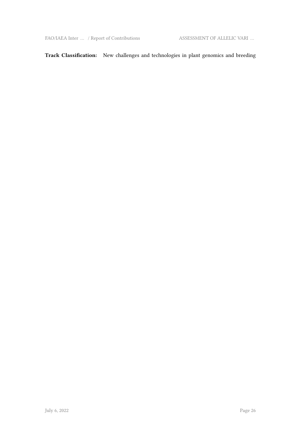# **Track Classification:** New challenges and technologies in plant genomics and breeding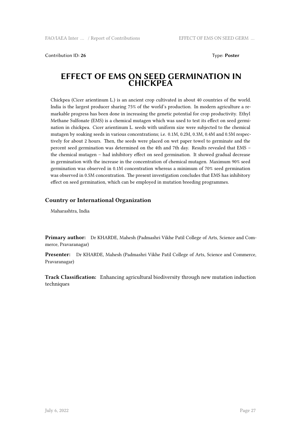Contribution ID: 26 Type: **Poster** 

# **EFFECT OF EMS ON SEED GERMINATION IN CHICKPEA**

Chickpea (Cicer arientinum L.) is an ancient crop cultivated in about 40 countries of the world. India is the largest producer sharing 75% of the world's production. In modern agriculture a remarkable progress has been done in increasing the genetic potential for crop productivity. Ethyl Methane Sulfonate (EMS) is a chemical mutagen which was used to test its effect on seed germination in chickpea. Cicer arientinum L. seeds with uniform size were subjected to the chemical mutagen by soaking seeds in various concentrations; i.e. 0.1M, 0.2M, 0.3M, 0.4M and 0.5M respectively for about 2 hours. Then, the seeds were placed on wet paper towel to germinate and the percent seed germination was determined on the 4th and 7th day. Results revealed that EMS – the chemical mutagen – had inhibitory effect on seed germination. It showed gradual decrease in germination with the increase in the concentration of chemical mutagen. Maximum 90% seed germination was observed in 0.1M concentration whereas a minimum of 70% seed germination was observed in 0.5M concentration. The present investigation concludes that EMS has inhibitory effect on seed germination, which can be employed in mutation breeding programmes.

#### **Country or International Organization**

Maharashtra, India

**Primary author:** Dr KHARDE, Mahesh (Padmashri Vikhe Patil College of Arts, Science and Commerce, Pravaranagar)

**Presenter:** Dr KHARDE, Mahesh (Padmashri Vikhe Patil College of Arts, Science and Commerce, Pravaranagar)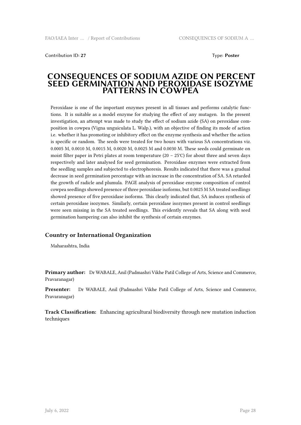Contribution ID: **27** Type: **Poster**

# **CONSEQUENCES OF SODIUM AZIDE ON PERCENT SEED GERMINATION AND PEROXIDASE ISOZYME PATTERNS IN COWPEA**

Peroxidase is one of the important enzymes present in all tissues and performs catalytic functions. It is suitable as a model enzyme for studying the effect of any mutagen. In the present investigation, an attempt was made to study the effect of sodium azide (SA) on peroxidase composition in cowpea (Vigna unguiculata L. Walp.), with an objective of finding its mode of action i.e. whether it has promoting or inhibitory effect on the enzyme synthesis and whether the action is specific or random. The seeds were treated for two hours with various SA concentrations viz. 0.0005 M, 0.0010 M, 0.0015 M, 0.0020 M, 0.0025 M and 0.0030 M. These seeds could germinate on moist filter paper in Petri plates at room temperature (20 – 25℃) for about three and seven days respectively and later analysed for seed germination. Peroxidase enzymes were extracted from the seedling samples and subjected to electrophoresis. Results indicated that there was a gradual decrease in seed germination percentage with an increase in the concentration of SA. SA retarded the growth of radicle and plumula. PAGE analysis of peroxidase enzyme composition of control cowpea seedlings showed presence of three peroxidase isoforms, but 0.0025 M SA treated seedlings showed presence of five peroxidase isoforms. This clearly indicated that, SA induces synthesis of certain peroxidase isozymes. Similarly, certain peroxidase isozymes present in control seedlings were seen missing in the SA treated seedlings. This evidently reveals that SA along with seed germination hampering can also inhibit the synthesis of certain enzymes.

## **Country or International Organization**

Maharashtra, India

**Primary author:** Dr WABALE, Anil (Padmashri Vikhe Patil College of Arts, Science and Commerce, Pravaranagar)

**Presenter:** Dr WABALE, Anil (Padmashri Vikhe Patil College of Arts, Science and Commerce, Pravaranagar)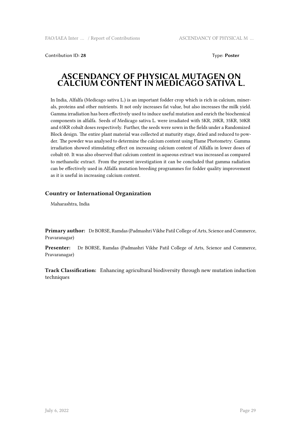Contribution ID: **28** Type: **Poster**

# **ASCENDANCY OF PHYSICAL MUTAGEN ON CALCIUM CONTENT IN MEDICAGO SATIVA L.**

In India, Alfalfa (Medicago sativa L.) is an important fodder crop which is rich in calcium, minerals, proteins and other nutrients. It not only increases fat value, but also increases the milk yield. Gamma irradiation has been effectively used to induce useful mutation and enrich the biochemical components in alfalfa. Seeds of Medicago sativa L. were irradiated with 5KR, 20KR, 35KR, 50KR and 65KR cobalt doses respectively. Further, the seeds were sown in the fields under a Randomized Block design. The entire plant material was collected at maturity stage, dried and reduced to powder. The powder was analysed to determine the calcium content using Flame Photometry. Gamma irradiation showed stimulating effect on increasing calcium content of Alfalfa in lower doses of cobalt 60. It was also observed that calcium content in aqueous extract was increased as compared to methanolic extract. From the present investigation it can be concluded that gamma radiation can be effectively used in Alfalfa mutation breeding programmes for fodder quality improvement as it is useful in increasing calcium content.

## **Country or International Organization**

Maharashtra, India

**Primary author:** Dr BORSE, Ramdas (Padmashri Vikhe Patil College of Arts, Science and Commerce, Pravaranagar)

**Presenter:** Dr BORSE, Ramdas (Padmashri Vikhe Patil College of Arts, Science and Commerce, Pravaranagar)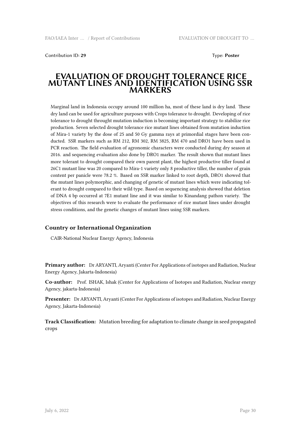Contribution ID: 29 Type: **Poster** 

# **EVALUATION OF DROUGHT TOLERANCE RICE MUTANT LINES AND IDENTIFICATION USING SSR MARKERS**

Marginal land in Indonesia occupy around 100 million ha, most of these land is dry land. These dry land can be used for agriculture purposes with Crops tolerance to drought. Developing of rice tolerance to drought throught mutation induction is becoming important strategy to stabilize rice production. Seven selected drought tolerance rice mutant lines obtained from mutation induction of Mira-1 variety by the dose of 25 and 50 Gy gamma rays at primordial stages have been conducted. SSR markers such as RM 212, RM 302, RM 3825, RM 470 and DRO1 have been used in PCR reaction. The field evaluation of agronomic characters were conducted during dry season at 2016. and sequencing evaluation also done by DRO1 marker. The result shown that mutant lines more tolerant to drought compared their own parent plant, the highest productive tiller found at 26C1 mutant line was 20 compared to Mira-1 variety only 8 productive tiller, the number of grain content per panicle were 78.2 %. Based on SSR marker linked to root depth, DRO1 showed that the mutant lines polymorphic, and changing of genetic of mutant lines which were indicating tolerant to drought compared to their wild type. Based on sequencing analysis showed that deletion of DNA 4 bp occurred at 7E1 mutant line and it was similar to Kinandang pathon variety. The objectives of this research were to evaluate the performance of rice mutant lines under drought stress conditions, and the genetic changes of mutant lines using SSR markers.

## **Country or International Organization**

CAIR-National Nuclear Energy Agency, Indonesia

**Primary author:** Dr ARYANTI, Aryanti (Center For Applications of isotopes and Radiation, Nuclear Energy Agency, Jakarta-Indonesia)

**Co-author:** Prof. ISHAK, Ishak (Center for Applications of Isotopes and Radiation, Nuclear energy Agency, jakarta-Indonesia)

**Presenter:** Dr ARYANTI, Aryanti (Center For Applications of isotopes and Radiation, Nuclear Energy Agency, Jakarta-Indonesia)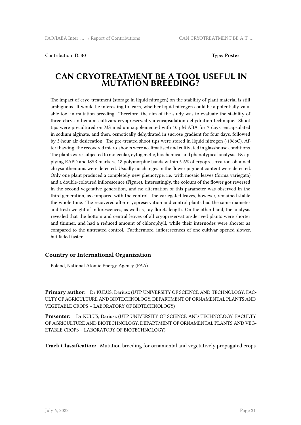Contribution ID: 30 Type: **Poster** 

# **CAN CRYOTREATMENT BE A TOOL USEFUL IN MUTATION BREEDING?**

The impact of cryo-treatment (storage in liquid nitrogen) on the stability of plant material is still ambiguous. It would be interesting to learn, whether liquid nitrogen could be a potentially valuable tool in mutation breeding. Therefore, the aim of the study was to evaluate the stability of three chrysanthemum cultivars cryopreserved via encapsulation-dehydration technique. Shoot tips were precultured on MS medium supplemented with 10 µM ABA for 7 days, encapsulated in sodium alginate, and then, osmotically dehydrated in sucrose gradient for four days, followed by 3-hour air desiccation. The pre-treated shoot tips were stored in liquid nitrogen (-196oC). After thawing, the recovered micro-shoots were acclimatised and cultivated in glasshouse conditions. The plants were subjected to molecular, cytogenetic, biochemical and phenotypical analysis. By applying RAPD and ISSR markers, 18 polymorphic bands within 5-6% of cryopreservation-obtained chrysanthemums were detected. Usually no changes in the flower pigment content were detected. Only one plant produced a completely new phenotype, i.e. with mosaic leaves (forma variegata) and a double-coloured inflorescence (Figure). Interestingly, the colours of the flower got reversed in the second vegetative generation, and no alternation of this parameter was observed in the third generation, as compared with the control. The variegated leaves, however, remained stable the whole time. The recovered after cryopreservation and control plants had the same diameter and fresh weight of inflorescences, as well as, ray florets length. On the other hand, the analysis revealed that the bottom and central leaves of all cryopreservation-derived plants were shorter and thinner, and had a reduced amount of chlorophyll, while their internodes were shorter as compared to the untreated control. Furthermore, inflorescences of one cultivar opened slower, but faded faster.

## **Country or International Organization**

Poland, National Atomic Energy Agency (PAA)

**Primary author:** Dr KULUS, Dariusz (UTP UNIVERSITY OF SCIENCE AND TECHNOLOGY, FAC-ULTY OF AGRICULTURE AND BIOTECHNOLOGY, DEPARTMENT OF ORNAMENTAL PLANTS AND VEGETABLE CROPS – LABORATORY OF BIOTECHNOLOGY)

**Presenter:** Dr KULUS, Dariusz (UTP UNIVERSITY OF SCIENCE AND TECHNOLOGY, FACULTY OF AGRICULTURE AND BIOTECHNOLOGY, DEPARTMENT OF ORNAMENTAL PLANTS AND VEG-ETABLE CROPS – LABORATORY OF BIOTECHNOLOGY)

**Track Classification:** Mutation breeding for ornamental and vegetatively propagated crops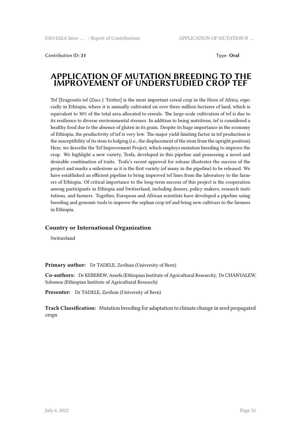Contribution ID: **31** Type: **Oral**

# **APPLICATION OF MUTATION BREEDING TO THE IMPROVEMENT OF UNDERSTUDIED CROP TEF**

Tef [Eragrostis tef (Zucc.) Trotter] is the most important cereal crop in the Horn of Africa, especially in Ethiopia, where it is annually cultivated on over three million hectares of land, which is equivalent to 30% of the total area allocated to cereals. The large-scale cultivation of tef is due to its resilience to diverse environmental stresses. In addition to being nutritious, tef is considered a healthy food due to the absence of gluten in its grain. Despite its huge importance in the economy of Ethiopia, the productivity of tef is very low. The major yield-limiting factor in tef production is the susceptibility of its stem to lodging (i.e., the displacement of the stem from the upright position). Here, we describe the Tef Improvement Project, which employs mutation breeding to improve the crop. We highlight a new variety, Tesfa, developed in this pipeline and possessing a novel and desirable combination of traits. Tesfa's recent approval for release illustrates the success of the project and marks a milestone as it is the first variety (of many in the pipeline) to be released. We have established an efficient pipeline to bring improved tef lines from the laboratory to the farmers of Ethiopia. Of critical importance to the long-term success of this project is the cooperation among participants in Ethiopia and Switzerland, including donors, policy makers, research institutions, and farmers. Together, European and African scientists have developed a pipeline using breeding and genomic tools to improve the orphan crop tef and bring new cultivars to the farmers in Ethiopia.

## **Country or International Organization**

Switzerland

**Primary author:** Dr TADELE, Zerihun (University of Bern)

**Co-authors:** Dr KEBEBEW, Assefa (Ethiopian Institute of Agricultural Research); Dr CHANYALEW, Solomon (Ethiopian Institute of Agricultural Research)

**Presenter:** Dr TADELE, Zerihun (University of Bern)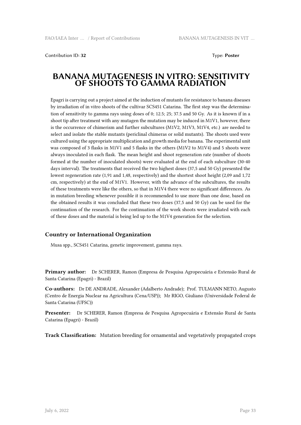Contribution ID: **32** Type: **Poster**

# **BANANA MUTAGENESIS IN VITRO: SENSITIVITY OF SHOOTS TO GAMMA RADIATION**

Epagri is carrying out a project aimed at the induction of mutants for resistance to banana diseases by irradiation of in vitro shoots of the cultivar SCS451 Catarina. The first step was the determination of sensitivity to gamma rays using doses of 0; 12.5; 25; 37.5 and 50 Gy. As it is known if in a shoot tip after treatment with any mutagen the mutation may be induced in M1V1, however, there is the occurrence of chimerism and further subcultures (M1V2, M1V3, M1V4, etc.) are needed to select and isolate the stable mutants (periclinal chimeras or solid mutants). The shoots used were cultured using the appropriate multiplication and growth media for banana. The experimental unit was composed of 3 flasks in M1V1 and 5 flasks in the others (M1V2 to M1V4) and 5 shoots were always inoculated in each flask. The mean height and shoot regeneration rate (number of shoots formed at the number of inoculated shoots) were evaluated at the end of each subculture (30-40 days interval). The treatments that received the two highest doses (37,5 and 50 Gy) presented the lowest regeneration rate (1,91 and 1,48, respectively) and the shortest shoot height (2,09 and 1,72 cm, respectively) at the end of M1V1. However, with the advance of the subcultures, the results of these treatments were like the others, so that in M1V4 there were no significant differences. As in mutation breeding whenever possible it is recommended to use more than one dose, based on the obtained results it was concluded that these two doses (37,5 and 50 Gy) can be used for the continuation of the research. For the continuation of the work shoots were irradiated with each of these doses and the material is being led up to the M1V4 generation for the selection.

## **Country or International Organization**

Musa spp., SCS451 Catarina, genetic improvement, gamma rays.

**Primary author:** Dr SCHERER, Ramon (Empresa de Pesquisa Agropecuária e Extensão Rural de Santa Catarina (Epagri) - Brazil)

**Co-authors:** Dr DE ANDRADE, Alexander (Adalberto Andrade); Prof. TULMANN NETO, Augusto (Centro de Energia Nuclear na Agricultura (Cena/USP)); Mr RIGO, Giuliano (Universidade Federal de Santa Catarina (UFSC))

**Presenter:** Dr SCHERER, Ramon (Empresa de Pesquisa Agropecuária e Extensão Rural de Santa Catarina (Epagri) - Brazil)

**Track Classification:** Mutation breeding for ornamental and vegetatively propagated crops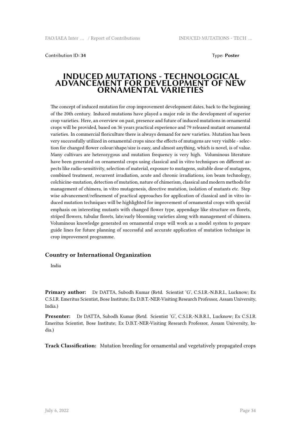Contribution ID: **34** Type: **Poster**

# **INDUCED MUTATIONS - TECHNOLOGICAL ADVANCEMENT FOR DEVELOPMENT OF NEW ORNAMENTAL VARIETIES**

The concept of induced mutation for crop improvement development dates, back to the beginning of the 20th century. Induced mutations have played a major role in the development of superior crop varieties. Here, an overview on past, presence and future of induced mutations in ornamental crops will be provided, based on 36 years practical experience and 79 released mutant ornamental varieties. In commercial floriculture there is always demand for new varieties. Mutation has been very successfully utilized in ornamental crops since the effects of mutagens are very visible - selection for changed flower colour/shape/size is easy, and almost anything, which is novel, is of value. Many cultivars are heterozygous and mutation frequency is very high. Voluminous literature have been generated on ornamental crops using classical and in vitro techniques on different aspects like radio-sensitivity, selection of material, exposure to mutagens, suitable dose of mutagens, combined treatment, recurrent irradiation, acute and chronic irradiations, ion beam technology, colchicine-mutation, detection of mutation, nature of chimerism, classical and modern methods for management of chimera, in vitro mutagenesis, directive mutation, isolation of mutants etc. Step wise advancement/refinement of practical approaches for application of classical and in vitro induced mutation techniques will be highlighted for improvement of ornamental crops with special emphasis on interesting mutants with changed flower type, appendage like structure on florets, striped flowers, tubular florets, late/early blooming varieties along with management of chimera. Voluminous knowledge generated on ornamental crops will work as a model system to prepare guide lines for future planning of successful and accurate application of mutation technique in crop improvement programme.

## **Country or International Organization**

India

**Primary author:** Dr DATTA, Subodh Kumar (Retd. Scientist 'G', C.S.I.R.-N.B.R.I., Lucknow; Ex C.S.I.R. Emeritus Scientist, Bose Institute; Ex D.B.T.-NER-Visiting Research Professor, Assam University, India.)

**Presenter:** Dr DATTA, Subodh Kumar (Retd. Scientist 'G', C.S.I.R.-N.B.R.I., Lucknow; Ex C.S.I.R. Emeritus Scientist, Bose Institute; Ex D.B.T.-NER-Visiting Research Professor, Assam University, India.)

**Track Classification:** Mutation breeding for ornamental and vegetatively propagated crops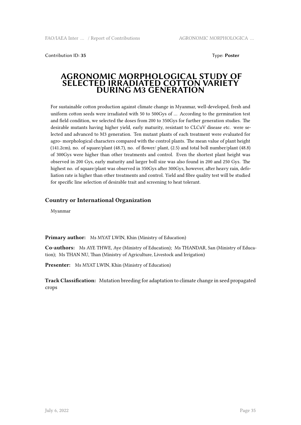Contribution ID: **35** Type: **Poster**

# **AGRONOMIC MORPHOLOGICAL STUDY OF SELECTED IRRADIATED COTTON VARIETY DURING M3 GENERATION**

For sustainable cotton production against climate change in Myanmar, well-developed, fresh and uniform cotton seeds were irradiated with 50 to 500Gys of … According to the germination test and field condition, we selected the doses from 200 to 350Gys for further generation studies. The desirable mutants having higher yield, early maturity, resistant to CLCuV disease etc. were selected and advanced to M3 generation. Ten mutant plants of each treatment were evaluated for agro- morphological characters compared with the control plants. The mean value of plant height (141.2cm), no. of square/plant (48.7), no. of flower/ plant, (2.5) and total boll number/plant (48.8) of 300Gys were higher than other treatments and control. Even the shortest plant height was observed in 200 Gys, early maturity and larger boll size was also found in 200 and 250 Gys. The highest no. of square/plant was observed in 350Gys after 300Gys, however, after heavy rain, defoliation rate is higher than other treatments and control. Yield and fibre quality test will be studied for specific line selection of desirable trait and screening to heat tolerant.

## **Country or International Organization**

Myanmar

**Primary author:** Ms MYAT LWIN, Khin (Ministry of Education)

**Co-authors:** Ms AYE THWE, Aye (Ministry of Education); Ms THANDAR, San (Ministry of Education); Ms THAN NU, Than (Ministry of Agriculture, Livestock and Irrigation)

**Presenter:** Ms MYAT LWIN, Khin (Ministry of Education)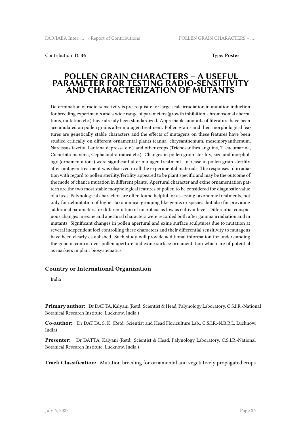Contribution ID: **36** Type: **Poster**

## **POLLEN GRAIN CHARACTERS – A USEFUL PARAMETER FOR TESTING RADIO-SENSITIVITY AND CHARACTERIZATION OF MUTANTS**

Determination of radio-sensitivity is pre-requisite for large scale irradiation in mutation induction for breeding experiments and a wide range of parameters (growth inhibition, chromosomal aberrations, mutation etc.) have already been standardized. Appreciable amounts of literature have been accumulated on pollen grains after mutagen treatment. Pollen grains and their morphological features are genetically stable characters and the effects of mutagens on these features have been studied critically on different ornamental plants (canna, chrysanthemum, mesembryanthemum, Narcissus tazetta, Lantana depressa etc.) and other crops (Trichosanthes anguins, T. cucumarina, Cucurbita maxima, Cephalandra indica etc.). Changes in pollen grain sterility, size and morphology (ornamentations) were significant after mutagen treatment. Increase in pollen grain sterility after mutagen treatment was observed in all the experimental materials. The responses to irradiation with regard to pollen sterility/fertility appeared to be plant specific and may be the outcome of the mode of chance mutation in different plants. Apertural character and exine ornamentation pattern are the two most stable morphological features of pollen to be considered for diagnostic value of a taxa. Palynological characters are often found helpful for assessing taxonomic treatments, not only for delimitation of higher taxonomical grouping like genus or species, but also for providing additional parameters for differentiation of microtaxa as low as cultivar level. Differential conspicuous changes in exine and apertural characters were recorded both after gamma irradiation and in mutants. Significant changes in pollen apertural and exine surface sculptures due to mutation at several independent loci controlling these characters and their differential sensitivity to mutagens have been clearly established. Such study will provide additional information for understanding the genetic control over pollen aperture and exine surface ornamentation which are of potential as markers in plant biosystematics.

#### **Country or International Organization**

India

**Primary author:** Dr DATTA, Kalyani (Retd. Scientist & Head, Palynology Laboratory, C.S.I.R.-National Botanical Research Institute, Lucknow, India.)

**Co-author:** Dr DATTA, S. K. (Retd. Scientist and Head Floriculture Lab., C.S.I.R.-N.B.R.I., Lucknow, India)

**Presenter:** Dr DATTA, Kalyani (Retd. Scientist & Head, Palynology Laboratory, C.S.I.R.-National Botanical Research Institute, Lucknow, India.)

**Track Classification:** Mutation breeding for ornamental and vegetatively propagated crops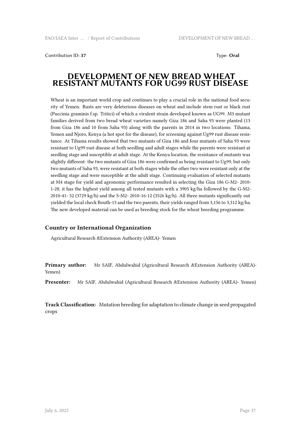Contribution ID: **37** Type: **Oral**

## **DEVELOPMENT OF NEW BREAD WHEAT RESISTANT MUTANTS FOR UG99 RUST DISEASE**

Wheat is an important world crop and continues to play a crucial role in the national food security of Yemen. Rusts are very deleterious diseases on wheat and include stem rust or black rust (Puccinia graminis f.sp. Tritici) of which a virulent strain developed known as UG99. M3 mutant families derived from two bread wheat varieties namely Giza 186 and Saha 93 were planted (13 from Giza 186 and 10 from Saha 93) along with the parents in 2014 in two locations: Tihama, Yemen and Njoro, Kenya (a hot spot for the disease), for screening against Ug99 rust disease resistance. At Tihama results showed that two mutants of Giza 186 and four mutants of Saha 93 were resistant to Ug99 rust disease at both seedling and adult stages while the parents were resistant at seedling stage and susceptible at adult stage. At the Kenya location, the resistance of mutants was slightly different: the two mutants of Giza 186 were confirmed as being resistant to Ug99, but only two mutants of Saha 93, were resistant at both stages while the other two were resistant only at the seedling stage and were susceptible at the adult stage. Continuing evaluation of selected mutants at M4 stage for yield and agronomic performance resulted in selecting the Giza 186 G-M2- 2010- 1-28, it has the highest yield among all tested mutants with a 3905 kg/ha followed by the G-M2- 2010-41- 52 (3729 kg/h) and the S-M2- 2010-16-12 (3526 kg/h). All three mutants significantly out yielded the local check Bouth-13 and the two parents, their yields ranged from 3,156 to 3,312 kg/ha. The new developed material can be used as breeding stock for the wheat breeding programme.

#### **Country or International Organization**

Agricultural Research &Extension Authority (AREA)- Yemen

**Primary author:** Mr SAIF, Abdulwahid (Agricultural Research &Extension Authority (AREA)- Yemen)

**Presenter:** Mr SAIF, Abdulwahid (Agricultural Research &Extension Authority (AREA)- Yemen)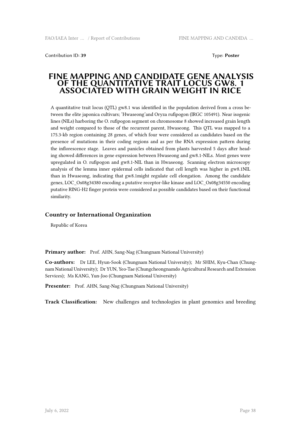Contribution ID: 39 Type: **Poster** 

# **FINE MAPPING AND CANDIDATE GENE ANALYSIS OF THE QUANTITATIVE TRAIT LOCUS GW8. 1 ASSOCIATED WITH GRAIN WEIGHT IN RICE**

A quantitative trait locus (QTL) gw8.1 was identified in the population derived from a cross between the elite japonica cultivars; 'Hwaseong'and Oryza rufipogon (IRGC 105491). Near isogenic lines (NILs) harboring the O. rufipogon segment on chromosome 8 showed increased grain length and weight compared to those of the recurrent parent, Hwaseong. This QTL was mapped to a 175.3-kb region containing 28 genes, of which four were considered as candidates based on the presence of mutations in their coding regions and as per the RNA expression pattern during the inflorescence stage. Leaves and panicles obtained from plants harvested 5 days after heading showed differences in gene expression between Hwaseong and gw8.1-NILs. Most genes were upregulated in O. rufipogon and gw8.1-NIL than in Hwaseong. Scanning electron microscopy analysis of the lemma inner epidermal cells indicated that cell length was higher in gw8.1NIL than in Hwaseong, indicating that gw8.1might regulate cell elongation. Among the candidate genes, LOC\_Os08g34380 encoding a putative receptor-like kinase and LOC\_Os08g34550 encoding putative RING-H2 finger protein were considered as possible candidates based on their functional similarity.

#### **Country or International Organization**

Republic of Korea

**Primary author:** Prof. AHN, Sang-Nag (Chungnam National University)

**Co-authors:** Dr LEE, Hyun-Sook (Chungnam National University); Mr SHIM, Kyu-Chan (Chungnam National University); Dr YUN, Yeo-Tae (Chungcheongnamdo Agricultural Research and Extension Services); Ms KANG, Yun-Joo (Chungnam National University)

Presenter: Prof. AHN, Sang-Nag (Chungnam National University)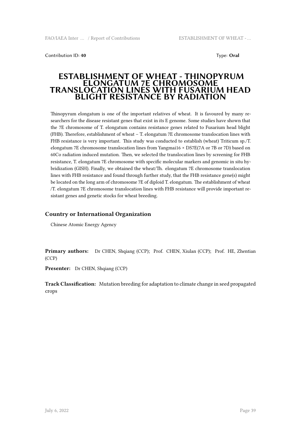Contribution ID: **40** Type: **Oral**

## **ESTABLISHMENT OF WHEAT - THINOPYRUM ELONGATUM 7E CHROMOSOME TRANSLOCATION LINES WITH FUSARIUM HEAD BLIGHT RESISTANCE BY RADIATION**

Thinopyrum elongatum is one of the important relatives of wheat. It is favoured by many researchers for the disease resistant genes that exist in its E genome. Some studies have shown that the 7E chromosome of T. elongatum contains resistance genes related to Fusarium head blight (FHB). Therefore, establishment of wheat – T. elongatum 7E chromosome translocation lines with FHB resistance is very important. This study was conducted to establish (wheat) Triticum sp./T. elongatum 7E chromosome translocation lines from Yangmai16 × DS7E(7A or 7B or 7D) based on 60Co radiation induced mutation. Then, we selected the translocation lines by screening for FHB resistance, T. elongatum 7E chromosome with specific molecular markers and genomic in situ hybridization (GISH). Finally, we obtained the wheat/Th. elongatum 7E chromosome translocation lines with FHB resistance and found through further study, that the FHB resistance gene(s) might be located on the long arm of chromosome 7E of diploid T. elongatum. The establishment of wheat /T. elongatum 7E chromosome translocation lines with FHB resistance will provide important resistant genes and genetic stocks for wheat breeding.

#### **Country or International Organization**

Chinese Atomic Energy Agency

Primary authors: Dr CHEN, Shqiang (CCP); Prof. CHEN, Xiulan (CCP); Prof. HE, Zhentian (CCP)

**Presenter:** Dr CHEN, Shqiang (CCP)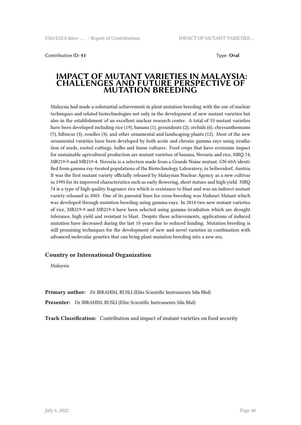Contribution ID: **41** Type: **Oral**

## **IMPACT OF MUTANT VARIETIES IN MALAYSIA: CHALLENGES AND FUTURE PERSPECTIVE OF MUTATION BREEDING**

Malaysia had made a substantial achievement in plant mutation breeding with the use of nuclear techniques and related biotechnologies not only in the development of new mutant varieties but also in the establishment of an excellent nuclear research centre. A total of 53 mutant varieties have been developed including rice (19), banana (1), groundnuts (2), orchids (6), chrysanthemums (7), hibiscus (3), roselles (3), and other ornamental and landscaping plants (12). Most of the new ornamental varieties have been developed by both acute and chronic gamma rays using irradiation of seeds, rooted cuttings, bulbs and tissue cultures. Food crops that have economic impact for sustainable agricultural production are mutant varieties of banana, Novaria and rice, MRQ 74, MR219-9 and MR219-4. Novaria is a selection made from a Grande Naine mutant, GN-60A identified from gamma ray-treated populations of the Biotechnology Laboratory, in Seibersdorf, Austria. It was the first mutant variety officially released by Malaysian Nuclear Agency as a new cultivar in 1995 for its improved characteristics such as early flowering, short stature and high yield. MRQ 74 is a type of high quality fragrance rice which is resistance to blast and was an indirect mutant variety released in 2003. One of its parental lines for cross-breeding was Mahsuri Mutant which was developed through mutation breeding using gamma-rays. In 2014 two new mutant varieties of rice, MR219-9 and MR219-4 have been selected using gamma irradiation which are drought tolerance, high yield and resistant to blast. Despite these achievements, applications of induced mutation have decreased during the last 10 years due to reduced funding. Mutation breeding is still promising techniques for the development of new and novel varieties in combination with advanced molecular genetics that can bring plant mutation breeding into a new era.

#### **Country or International Organization**

Malaysia

**Primary author:** Dr IBRAHIM, RUSLI (Elite Scientific Instruments Sdn Bhd)

**Presenter:** Dr IBRAHIM, RUSLI (Elite Scientific Instruments Sdn Bhd)

**Track Classification:** Contribution and impact of mutant varieties on food security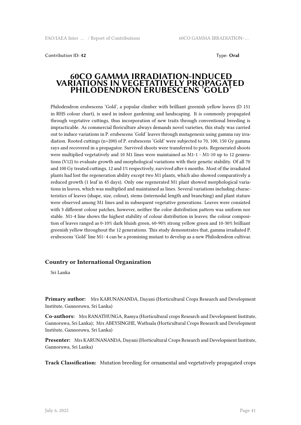Contribution ID: **42** Type: **Oral**

## **60CO GAMMA IRRADIATION-INDUCED VARIATIONS IN VEGETATIVELY PROPAGATED PHILODENDRON ERUBESCENS 'GOLD'**

Philodendron erubescens 'Gold', a popular climber with brilliant greenish yellow leaves (D 151 in RHS colour chart), is used in indoor gardening and landscaping. It is commonly propagated through vegetative cuttings, thus incorporation of new traits through conventional breeding is impracticable. As commercial floriculture always demands novel varieties, this study was carried out to induce variations in P. erubescens 'Gold' leaves through mutagenesis using gamma ray irradiation. Rooted cuttings (n=200) of P. erubescens 'Gold' were subjected to 70, 100, 150 Gy gamma rays and recovered in a propagator. Survived shoots were transferred to pots. Regenerated shoots were multiplied vegetatively and 10 M1 lines were maintained as M1-1 - M1-10 up to 12 generations (V12) to evaluate growth and morphological variations with their genetic stability. Of all 70 and 100 Gy treated cuttings, 12 and 1% respectively, survived after 6 months. Most of the irradiated plants had lost the regeneration ability except two M1 plants, which also showed comparatively a reduced growth (1 leaf in 45 days). Only one regenerated M1 plant showed morphological variations in leaves, which was multiplied and maintained as lines. Several variations including characteristics of leaves (shape, size, colour), stems (internodal length and branching) and plant stature were observed among M1 lines and in subsequent vegetative generations. Leaves were consisted with 3 different colour patches, however, neither the color distribution pattern was uniform nor stable. M1-4 line shows the highest stability of colour distribution in leaves; the colour composition of leaves ranged as 0-10% dark bluish green, 60-90% strong yellow green and 10-30% brilliant greenish yellow throughout the 12 generations. This study demonstrates that, gamma irradiated P. erubescens 'Gold' line M1- 4 can be a promising mutant to develop as a new Philodendron cultivar.

#### **Country or International Organization**

Sri Lanka

**Primary author:** Mrs KARUNANANDA, Dayani (Horticultural Crops Research and Development Institute, Gannoruwa, Sri Lanka)

**Co-authors:** Mrs RANATHUNGA, Ramya (Horticultural crops Research and Development Institute, Gannoruwa, Sri Lanka); Mrs ABEYSINGHE, Wathsala (Horticultural Crops Research and Development Institute, Gannoruwa, Sri Lanka)

**Presenter:** Mrs KARUNANANDA, Dayani (Horticultural Crops Research and Development Institute, Gannoruwa, Sri Lanka)

**Track Classification:** Mutation breeding for ornamental and vegetatively propagated crops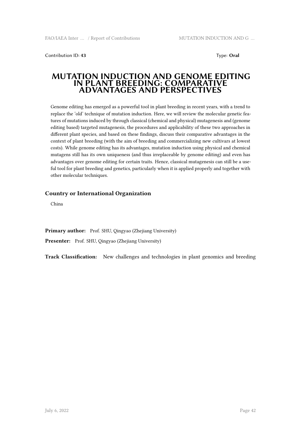Contribution ID: **43** Type: **Oral**

## **MUTATION INDUCTION AND GENOME EDITING IN PLANT BREEDING: COMPARATIVE ADVANTAGES AND PERSPECTIVES**

Genome editing has emerged as a powerful tool in plant breeding in recent years, with a trend to replace the 'old' technique of mutation induction. Here, we will review the molecular genetic features of mutations induced by through classical (chemical and physical) mutagenesis and (genome editing based) targeted mutagenesis, the procedures and applicability of these two approaches in different plant species, and based on these findings, discuss their comparative advantages in the context of plant breeding (with the aim of breeding and commercializing new cultivars at lowest costs). While genome editing has its advantages, mutation induction using physical and chemical mutagens still has its own uniqueness (and thus irreplaceable by genome editing) and even has advantages over genome editing for certain traits. Hence, classical mutagenesis can still be a useful tool for plant breeding and genetics, particularly when it is applied properly and together with other molecular techniques.

#### **Country or International Organization**

China

**Primary author:** Prof. SHU, Qingyao (Zhejiang University)

**Presenter:** Prof. SHU, Qingyao (Zhejiang University)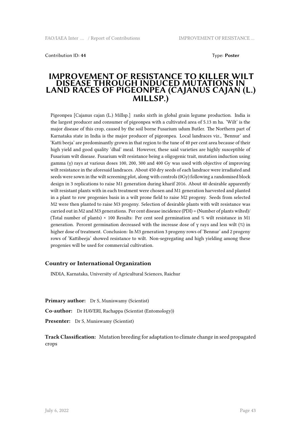Contribution ID: **44** Type: **Poster**

## **IMPROVEMENT OF RESISTANCE TO KILLER WILT DISEASE THROUGH INDUCED MUTATIONS IN LAND RACES OF PIGEONPEA (CAJANUS CAJAN (L.) MILLSP.)**

Pigeonpea [Cajanus cajan (L.) Millsp.] ranks sixth in global grain legume production. India is the largest producer and consumer of pigeonpea with a cultivated area of 5.13 m ha. 'Wilt' is the major disease of this crop, caused by the soil borne Fusarium udum Butler. The Northern part of Karnataka state in India is the major producer of pigeonpea. Local landraces viz., 'Bennur' and 'Katti beeja' are predominantly grown in that region to the tune of 40 per cent area because of their high yield and good quality 'dhal' meal. However, these said varieties are highly susceptible of Fusarium wilt disease. Fusarium wilt resistance being a oligogenic trait, mutation induction using gamma (γ) rays at various doses 100, 200, 300 and 400 Gy was used with objective of improving wilt resistance in the aforesaid landraces. About 450 dry seeds of each landrace were irradiated and seeds were sown in the wilt screening plot, along with controls (0Gy) following a randomised block design in 3 replications to raise M1 generation during kharif 2016. About 40 desirable apparently wilt resistant plants with in each treatment were chosen and M1 generation harvested and planted in a plant to row progenies basis in a wilt prone field to raise M2 progeny. Seeds from selected M2 were then planted to raise M3 progeny. Selection of desirable plants with wilt resistance was carried out in M2 and M3 generations. Per cent disease incidence (PDI) = (Number of plants wilted)/ (Total number of plants) × 100 Results: Per cent seed germination and % wilt resistance in M1 generation. Percent germination decreased with the increase dose of  $\gamma$  rays and less wilt (%) in higher dose of treatment. Conclusion: In M3 generation 3 progeny rows of 'Bennur' and 2 progeny rows of 'Kattibeeja' showed resistance to wilt. Non-segregating and high yielding among these progenies will be used for commercial cultivation.

#### **Country or International Organization**

INDIA, Karnataka, University of Agricultural Sciences, Raichur

Primary author: Dr S, Muniswamy (Scientist)

**Co-author:** Dr HAVERI, Rachappa (Scientist (Entomology))

**Presenter:** Dr S, Muniswamy (Scientist)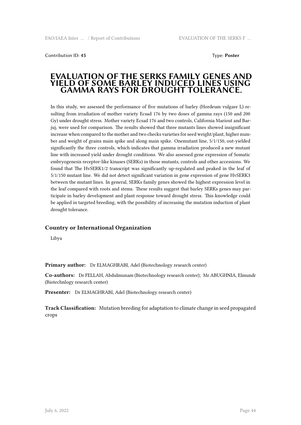Contribution ID: **45** Type: **Poster**

## **EVALUATION OF THE SERKS FAMILY GENES AND YIELD OF SOME BARLEY INDUCED LINES USING GAMMA RAYS FOR DROUGHT TOLERANCE.**

In this study, we assessed the performance of five mutations of barley (Hordeum vulgare L) resulting from irradiation of mother variety Ecsad 176 by two doses of gamma rays (150 and 200 Gy) under drought stress. Mother variety Ecsad 176 and two controls, California Mariout and Barjuj, were used for comparison. The results showed that three mutants lines showed insignificant increase when compared to the mother and two checks varieties for seed weight/plant, higher number and weight of grains main spike and along main spike. Onemutant line, 5/1/150, out-yielded significantly the three controls, which indicates that gamma irradiation produced a new mutant line with increased yield under drought conditions. We also assessed gene expression of Somatic embryogenesis receptor-like kinases (SERKs) in those mutants, controls and other accessions. We found that The HvSERK1/2 transcript was significantly up-regulated and peaked in the leaf of 5/1/150 mutant line. We did not detect significant variation in gene expression of gene HvSERK3 between the mutant lines. In general, SERKs family genes showed the highest expression level in the leaf compared with roots and stems. These results suggest that barley SERKs genes may participate in barley development and plant response toward drought stress. This knowledge could be applied in targeted breeding, with the possibility of increasing the mutation induction of plant drought tolerance.

### **Country or International Organization**

Libya

**Primary author:** Dr ELMAGHRABI, Adel (Biotechnology research center)

**Co-authors:** Dr FELLAH, Abdulmunam (Biotechnology research center); Mr ABUGHNIA, Elmundr (Biotechnlogy research center)

**Presenter:** Dr ELMAGHRABI, Adel (Biotechnology research center)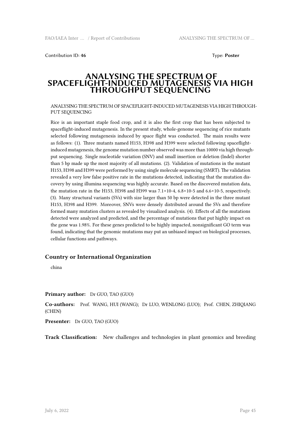Contribution ID: 46 Type: **Poster** 

## **ANALYSING THE SPECTRUM OF SPACEFLIGHT-INDUCED MUTAGENESIS VIA HIGH THROUGHPUT SEQUENCING**

#### ANALYSING THE SPECTRUM OF SPACEFLIGHT-INDUCED MUTAGENESIS VIA HIGH THROUGH-PUT SEQUENCING

Rice is an important staple food crop, and it is also the first crop that has been subjected to spaceflight-induced mutagenesis. In the present study, whole-genome sequencing of rice mutants selected following mutagenesis induced by space flight was conducted. The main results were as follows: (1). Three mutants named H153, H398 and H399 were selected following spaceflightinduced mutagenesis, the genome mutation number observed was more than 10000 via high throughput sequencing. Single nucleotide variation (SNV) and small insertion or deletion (Indel) shorter than 5 bp made up the most majority of all mutations. (2). Validation of mutations in the mutant H153, H398 and H399 were performed by using single molecule sequencing (SMRT). The validation revealed a very low false positive rate in the mutations detected, indicating that the mutation discovery by using illumina sequencing was highly accurate. Based on the discovered mutation data, the mutation rate in the H153, H398 and H399 was  $7.1 \times 10^{-4}$ , 6.8 $\times$ 10-5 and 6.6 $\times$ 10-5, respectively. (3). Many structural variants (SVs) with size larger than 50 bp were detected in the three mutant H153, H398 and H399. Moreover, SNVs were densely distributed around the SVs and therefore formed many mutation clusters as revealed by visualized analysis. (4). Effects of all the mutations detected were analyzed and predicted, and the percentage of mutations that put highly impact on the gene was 1.98%. For these genes predicted to be highly impacted, nonsignificant GO term was found, indicating that the genomic mutations may put an unbiased impact on biological processes, cellular functions and pathways.

#### **Country or International Organization**

china

#### **Primary author:** Dr GUO, TAO (GUO)

**Co-authors:** Prof. WANG, HUI (WANG); Dr LUO, WENLONG (LUO); Prof. CHEN, ZHIQIANG (CHEN)

**Presenter:** Dr GUO, TAO (GUO)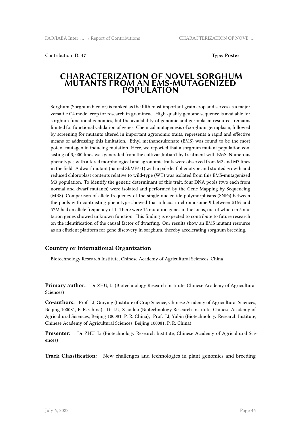Contribution ID: **47** Type: **Poster**

## **CHARACTERIZATION OF NOVEL SORGHUM MUTANTS FROM AN EMS-MUTAGENIZED POPULATION**

Sorghum (Sorghum bicolor) is ranked as the fifth most important grain crop and serves as a major versatile C4 model crop for research in gramineae. High-quality genome sequence is available for sorghum functional genomics, but the availability of genomic and germplasm resources remains limited for functional validation of genes. Chemical mutagenesis of sorghum germplasm, followed by screening for mutants altered in important agronomic traits, represents a rapid and effective means of addressing this limitation. Ethyl methanesulfonate (EMS) was found to be the most potent mutagen in inducing mutation. Here, we reported that a sorghum mutant population consisting of 3, 000 lines was generated from the cultivar Jiutian1 by treatment with EMS. Numerous phenotypes with altered morphological and agronomic traits were observed from M2 and M3 lines in the field. A dwarf mutant (named SbME6-1) with a pale leaf phenotype and stunted growth and reduced chloroplast contents relative to wild-type (WT) was isolated from this EMS-mutagenized M3 population. To identify the genetic determinant of this trait, four DNA pools (two each from normal and dwarf mutants) were isolated and performed by the Gene Mapping by Sequencing (MBS). Comparison of allele frequency of the single nucleotide polymorphisms (SNPs) between the pools with contrasting phenotype showed that a locus in chromosome 9 between 51M and 57M had an allele frequency of 1. There were 15 mutation genes in the locus, out of which in 5 mutation genes showed unknown function. This finding is expected to contribute to future research on the identification of the causal factor of dwarfing. Our results show an EMS mutant resource as an efficient platform for gene discovery in sorghum, thereby accelerating sorghum breeding.

### **Country or International Organization**

Biotechnology Research Institute, Chinese Academy of Agricultural Sciences, China

**Primary author:** Dr ZHU, Li (Biotechnology Research Institute, Chinese Academy of Agricultural Sciences)

**Co-authors:** Prof. LI, Guiying (Institute of Crop Science, Chinese Academy of Agricultural Sciences, Beijing 100081, P. R. China); Dr LU, Xiaoduo (Biotechnology Research Institute, Chinese Academy of Agricultural Sciences, Beijing 100081, P. R. China); Prof. LI, Yubin (Biotechnology Research Institute, Chinese Academy of Agricultural Sciences, Beijing 100081, P. R. China)

**Presenter:** Dr ZHU, Li (Biotechnology Research Institute, Chinese Academy of Agricultural Sciences)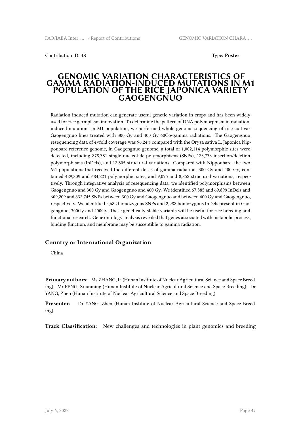Contribution ID: 48 Type: **Poster** 

### **GENOMIC VARIATION CHARACTERISTICS OF GAMMA RADIATION-INDUCED MUTATIONS IN M1 POPULATION OF THE RICE JAPONICA VARIETY GAOGENGNUO**

Radiation-induced mutation can generate useful genetic variation in crops and has been widely used for rice germplasm innovation. To determine the pattern of DNA polymorphism in radiationinduced mutations in M1 population, we performed whole genome sequencing of rice cultivar Gaogengnuo lines treated with 300 Gy and 400 Gy 60Co-gamma radiations. The Gaogengnuo resequencing data of 4×fold coverage was 96.24% compared with the Oryza sativa L. Japonica Nipponbare reference genome, in Gaogengnuo genome, a total of 1,002,114 polymorphic sites were detected, including 878,381 single nucleotide polymorphisms (SNPs), 123,733 insertion/deletion polymorphisms (InDels), and 12,805 structural variations. Compared with Nipponbare, the two M1 populations that received the different doses of gamma radiation, 300 Gy and 400 Gy, contained 429,809 and 684,221 polymorphic sites, and 9,075 and 8,852 structural variations, respectively. Through integrative analysis of resequencing data, we identified polymorphisms between Gaogengnuo and 300 Gy and Gaogengnuo and 400 Gy. We identified 67,885 and 69,899 InDels and 609,209 and 632,745 SNPs between 300 Gy and Gaogengnuo and between 400 Gy and Gaogengnuo, respectively. We identified 2,682 homozygous SNPs and 2,988 homozygous InDels present in Gaogengnuo, 300Gy and 400Gy. These genetically stable variants will be useful for rice breeding and functional research. Gene ontology analysis revealed that genes associated with metabolic process, binding function, and membrane may be susceptible to gamma radiation.

### **Country or International Organization**

China

**Primary authors:** Ms ZHANG, Li (Hunan Institute of Nuclear Agricultural Science and Space Breeding); Mr PENG, Xuanming (Hunan Institute of Nuclear Agricultural Science and Space Breeding); Dr YANG, Zhen (Hunan Institute of Nuclear Agricultural Science and Space Breeding)

**Presenter:** Dr YANG, Zhen (Hunan Institute of Nuclear Agricultural Science and Space Breeding)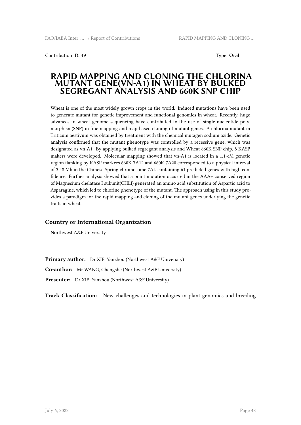Contribution ID: **49** Type: **Oral**

## **RAPID MAPPING AND CLONING THE CHLORINA MUTANT GENE(VN-A1) IN WHEAT BY BULKED SEGREGANT ANALYSIS AND 660K SNP CHIP**

Wheat is one of the most widely grown crops in the world. Induced mutations have been used to generate mutant for genetic improvement and functional genomics in wheat. Recently, huge advances in wheat genome sequencing have contributed to the use of single-nucleotide polymorphism(SNP) in fine mapping and map-based cloning of mutant genes. A chlorina mutant in Triticum aestivum was obtained by treatment with the chemical mutagen sodium azide. Genetic analysis confirmed that the mutant phenotype was controlled by a recessive gene, which was designated as vn-A1. By applying bulked segregant analysis and Wheat 660K SNP chip, 8 KASP makers were developed. Molecular mapping showed that vn-A1 is located in a 1.1-cM genetic region flanking by KASP markers 660K-7A12 and 660K-7A20 corresponded to a physical interval of 3.48 Mb in the Chinese Spring chromosome 7AL containing 61 predicted genes with high confidence. Further analysis showed that a point mutation occurred in the AAA+ conserved region of Magnesium chelatase I subunit(CHLI) generated an amino acid substitution of Aspartic acid to Asparagine, which led to chlorine phenotype of the mutant. The approach using in this study provides a paradigm for the rapid mapping and cloning of the mutant genes underlying the genetic traits in wheat.

### **Country or International Organization**

Northwest A&F University

**Primary author:** Dr XIE, Yanzhou (Northwest A&F University)

**Co-author:** Mr WANG, Chengshe (Northwest A&F University)

**Presenter:** Dr XIE, Yanzhou (Northwest A&F University)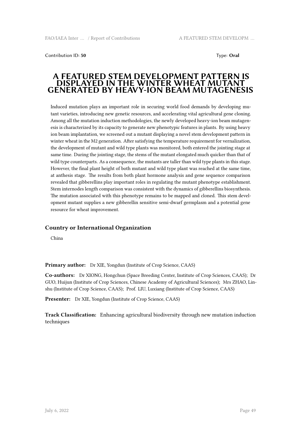**Contribution ID: 50** Type: **Oral** 

## **A FEATURED STEM DEVELOPMENT PATTERN IS DISPLAYED IN THE WINTER WHEAT MUTANT GENERATED BY HEAVY-ION BEAM MUTAGENESIS**

Induced mutation plays an important role in securing world food demands by developing mutant varieties, introducing new genetic resources, and accelerating vital agricultural gene cloning. Among all the mutation induction methodologies, the newly developed heavy-ion beam mutagenesis is characterized by its capacity to generate new phenotypic features in plants. By using heavy ion beam implantation, we screened out a mutant displaying a novel stem development pattern in winter wheat in the M2 generation. After satisfying the temperature requirement for vernalization, the development of mutant and wild type plants was monitored, both entered the jointing stage at same time. During the jointing stage, the stems of the mutant elongated much quicker than that of wild type counterparts. As a consequence, the mutants are taller than wild type plants in this stage. However, the final plant height of both mutant and wild type plant was reached at the same time, at anthesis stage. The results from both plant hormone analysis and gene sequence comparison revealed that gibberellins play important roles in regulating the mutant phenotype establishment. Stem internodes length comparison was consistent with the dynamics of gibberellins biosynthesis. The mutation associated with this phenotype remains to be mapped and cloned. This stem development mutant supplies a new gibberellin sensitive semi-dwarf germplasm and a potential gene resource for wheat improvement.

### **Country or International Organization**

China

**Primary author:** Dr XIE, Yongdun (Institute of Crop Science, CAAS)

**Co-authors:** Dr XIONG, Hongchun (Space Breeding Center, Institute of Crop Sciences, CAAS); Dr GUO, Huijun (Institute of Crop Sciences, Chinese Academy of Agricultural Sciences); Mrs ZHAO, Linshu (Institute of Crop Science, CAAS); Prof. LIU, Luxiang (Institute of Crop Science, CAAS)

**Presenter:** Dr XIE, Yongdun (Institute of Crop Science, CAAS)

**Track Classification:** Enhancing agricultural biodiversity through new mutation induction techniques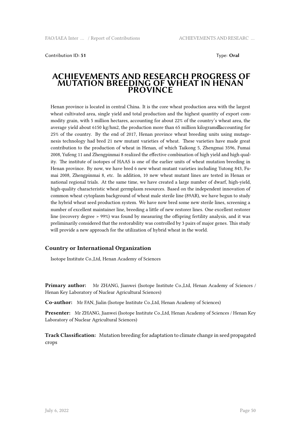Contribution ID: **51** Type: **Oral**

## **ACHIEVEMENTS AND RESEARCH PROGRESS OF MUTATION BREEDING OF WHEAT IN HENAN PROVINCE**

Henan province is located in central China. It is the core wheat production area with the largest wheat cultivated area, single yield and total production and the highest quantity of export commodity grain, with 5 million hectares, accounting for about 22% of the country's wheat area, the average yield about 6150 kg/hm2, the production more than 65 million kilograms accounting for 25% of the country. By the end of 2017, Henan province wheat breeding units using mutagenesis technology had bred 21 new mutant varieties of wheat. These varieties have made great contribution to the production of wheat in Henan, of which Taikong 5, Zhengmai 3596, Fumai 2008, Yufeng 11 and Zhengpinmai 8 realized the effective combination of high yield and high quality. The institute of isotopes of HAAS is one of the earlier units of wheat mutation breeding in Henan province. By now, we have bred 6 new wheat mutant varieties including Yutong 843, Fumai 2008, Zhengpinmai 8, etc. In addition, 10 new wheat mutant lines are tested in Henan or national regional trials. At the same time, we have created a large number of dwarf, high-yield, high-quality characteristic wheat germplasm resources. Based on the independent innovation of common wheat cytoplasm background of wheat male sterile line (89AR), we have begun to study the hybrid wheat seed production system. We have now bred some new sterile lines, screening a number of excellent maintainer line, breeding a little of new restorer lines. One excellent restorer line (recovery degree > 99%) was found by measuring the offspring fertility analysis, and it was preliminarily considered that the restorability was controlled by 3 pairs of major genes. This study will provide a new approach for the utilization of hybrid wheat in the world.

### **Country or International Organization**

Isotope Institute Co.,Ltd, Henan Academy of Sciences

**Primary author:** Mr ZHANG, Jianwei (Isotope Institute Co.,Ltd, Henan Academy of Sciences / Henan Key Laboratory of Nuclear Agricultural Sciences)

**Co-author:** Mr FAN, Jialin (Isotope Institute Co.,Ltd, Henan Academy of Sciences)

**Presenter:** Mr ZHANG, Jianwei (Isotope Institute Co.,Ltd, Henan Academy of Sciences / Henan Key Laboratory of Nuclear Agricultural Sciences)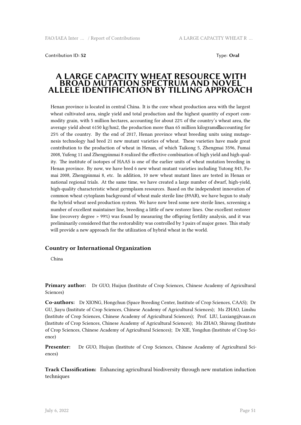**Contribution ID: 52** Type: **Oral** 

## **A LARGE CAPACITY WHEAT RESOURCE WITH BROAD MUTATION SPECTRUM AND NOVEL ALLELE IDENTIFICATION BY TILLING APPROACH**

Henan province is located in central China. It is the core wheat production area with the largest wheat cultivated area, single yield and total production and the highest quantity of export commodity grain, with 5 million hectares, accounting for about 22% of the country's wheat area, the average yield about 6150 kg/hm2, the production more than 65 million kilograms $\mathbb Z$ accounting for 25% of the country. By the end of 2017, Henan province wheat breeding units using mutagenesis technology had bred 21 new mutant varieties of wheat. These varieties have made great contribution to the production of wheat in Henan, of which Taikong 5, Zhengmai 3596, Fumai 2008, Yufeng 11 and Zhengpinmai 8 realized the effective combination of high yield and high quality. The institute of isotopes of HAAS is one of the earlier units of wheat mutation breeding in Henan province. By now, we have bred 6 new wheat mutant varieties including Yutong 843, Fumai 2008, Zhengpinmai 8, etc. In addition, 10 new wheat mutant lines are tested in Henan or national regional trials. At the same time, we have created a large number of dwarf, high-yield, high-quality characteristic wheat germplasm resources. Based on the independent innovation of common wheat cytoplasm background of wheat male sterile line (89AR), we have begun to study the hybrid wheat seed production system. We have now bred some new sterile lines, screening a number of excellent maintainer line, breeding a little of new restorer lines. One excellent restorer line (recovery degree > 99%) was found by measuring the offspring fertility analysis, and it was preliminarily considered that the restorability was controlled by 3 pairs of major genes. This study will provide a new approach for the utilization of hybrid wheat in the world.

### **Country or International Organization**

China

**Primary author:** Dr GUO, Huijun (Institute of Crop Sciences, Chinese Academy of Agricultural Sciences)

**Co-authors:** Dr XIONG, Hongchun (Space Breeding Center, Institute of Crop Sciences, CAAS); Dr GU, Jiayu (Institute of Crop Sciences, Chinese Academy of Agricultural Sciences); Ms ZHAO, Linshu (Institute of Crop Sciences, Chinese Academy of Agricultural Sciences); Prof. LIU, Luxiang@caas.cn (Institute of Crop Sciences, Chinese Academy of Agricultural Sciences); Ms ZHAO, Shirong (Institute of Crop Sciences, Chinese Academy of Agricultural Sciences); Dr XIE, Yongdun (Institute of Crop Science)

**Presenter:** Dr GUO, Huijun (Institute of Crop Sciences, Chinese Academy of Agricultural Sciences)

**Track Classification:** Enhancing agricultural biodiversity through new mutation induction techniques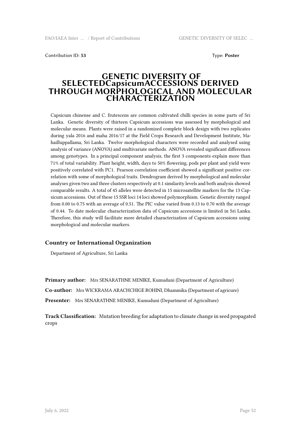Contribution ID: **53** Type: **Poster**

## **GENETIC DIVERSITY OF SELECTEDCapsicumACCESSIONS DERIVED THROUGH MORPHOLOGICAL AND MOLECULAR CHARACTERIZATION**

Capsicum chinense and C. frutescens are common cultivated chilli species in some parts of Sri Lanka. Genetic diversity of thirteen Capsicum accessions was assessed by morphological and molecular means. Plants were raised in a randomized complete block design with two replicates during yala 2016 and maha 2016/17 at the Field Crops Research and Development Institute, Mahailluppallama, Sri Lanka. Twelve morphological characters were recorded and analysed using analysis of variance (ANOVA) and multivariate methods. ANOVA revealed significant differences among genotypes. In a principal component analysis, the first 3 components explain more than 71% of total variability. Plant height, width, days to 50% flowering, pods per plant and yield were positively correlated with PC1. Pearson correlation coefficient showed a significant positive correlation with some of morphological traits. Dendrogram derived by morphological and molecular analyses given two and three clusters respectively at 0.1 similarity levels and both analysis showed comparable results. A total of 45 alleles were detected in 15 microsatellite markers for the 13 Capsicum accessions. Out of these 15 SSR loci 14 loci showed polymorphism. Genetic diversity ranged from 0.00 to 0.75 with an average of 0.51. The PIC value varied from 0.13 to 0.70 with the average of 0.44. To date molecular characterization data of Capsicum accessions is limited in Sri Lanka. Therefore, this study will facilitate more detailed characterization of Capsicum accessions using morphological and molecular markers.

#### **Country or International Organization**

Department of Agriculture, Sri Lanka

**Primary author:** Mrs SENARATHNE MENIKE, Kumuduni (Department of Agriculture)

**Co-author:** Mrs WICKRAMA ARACHCHIGE ROHINI, Dhammika (Department of agricure)

**Presenter:** Mrs SENARATHNE MENIKE, Kumuduni (Department of Agriculture)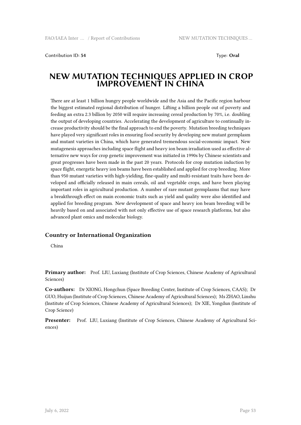Contribution ID: **54** Type: **Oral**

# **NEW MUTATION TECHNIQUES APPLIED IN CROP IMPROVEMENT IN CHINA**

There are at least 1 billion hungry people worldwide and the Asia and the Pacific region harbour the biggest estimated regional distribution of hunger. Lifting a billion people out of poverty and feeding an extra 2.3 billion by 2050 will require increasing cereal production by 70%, i.e. doubling the output of developing countries. Accelerating the development of agriculture to continually increase productivity should be the final approach to end the poverty. Mutation breeding techniques have played very significant roles in ensuring food security by developing new mutant germplasm and mutant varieties in China, which have generated tremendous social-economic impact. New mutagenesis approaches including space flight and heavy ion beam irradiation used as effective alternative new ways for crop genetic improvement was initiated in 1990s by Chinese scientists and great progresses have been made in the past 20 years. Protocols for crop mutation induction by space flight, energetic heavy ion beams have been established and applied for crop breeding. More than 950 mutant varieties with high-yielding, fine-quality and multi-resistant traits have been developed and officially released in main cereals, oil and vegetable crops, and have been playing important roles in agricultural production. A number of rare mutant germplasms that may have a breakthrough effect on main economic traits such as yield and quality were also identified and applied for breeding program. New development of space and heavy ion beam breeding will be heavily based on and associated with not only effective use of space research platforms, but also advanced plant omics and molecular biology.

### **Country or International Organization**

China

**Primary author:** Prof. LIU, Luxiang (Institute of Crop Sciences, Chinese Academy of Agricultural Sciences)

**Co-authors:** Dr XIONG, Hongchun (Space Breeding Center, Institute of Crop Sciences, CAAS); Dr GUO, Huijun (Institute of Crop Sciences, Chinese Academy of Agricultural Sciences); Ms ZHAO, Linshu (Institute of Crop Sciences, Chinese Academy of Agricultural Sciences); Dr XIE, Yongdun (Institute of Crop Science)

**Presenter:** Prof. LIU, Luxiang (Institute of Crop Sciences, Chinese Academy of Agricultural Sciences)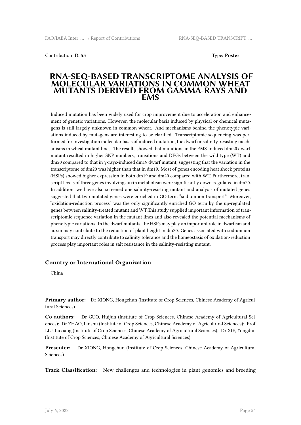Contribution ID: **55** Type: **Poster**

### **RNA-SEQ-BASED TRANSCRIPTOME ANALYSIS OF MOLECULAR VARIATIONS IN COMMON WHEAT MUTANTS DERIVED FROM GAMMA-RAYS AND EMS**

Induced mutation has been widely used for crop improvement due to acceleration and enhancement of genetic variations. However, the molecular basis induced by physical or chemical mutagens is still largely unknown in common wheat. And mechanisms behind the phenotypic variations induced by mutagens are interesting to be clarified. Transcriptomic sequencing was performed for investigation molecular basis of induced mutation, the dwarf or salinity-resisting mechanisms in wheat mutant lines. The results showed that mutations in the EMS-induced dm20 dwarf mutant resulted in higher SNP numbers, transitions and DEGs between the wild type (WT) and dm20 compared to that in γ-rays-induced dm19 dwarf mutant, suggesting that the variation in the transcriptome of dm20 was higher than that in dm19. Most of genes encoding heat shock proteins (HSPs) showed higher expression in both dm19 and dm20 compared with WT. Furthermore, transcript levels of three genes involving auxin metabolism were significantly down-regulated in dm20. In addition, we have also screened one salinity-resisting mutant and analysis of mutated genes suggested that two mutated genes were enriched in GO term "sodium ion transport". Moreover, "oxidation-reduction process" was the only significantly enriched GO term by the up-regulated genes between salinity-treated mutant and WT.This study supplied important information of transcriptomic sequence variation in the mutant lines and also revealed the potential mechanisms of phenotypic variations. In the dwarf mutants, the HSPs may play an important role in dwarfism and auxin may contribute to the reduction of plant height in dm20. Genes associated with sodium ion transport may directly contribute to salinity tolerance and the homeostasis of oxidation-reduction process play important roles in salt resistance in the salinity-resisting mutant.

#### **Country or International Organization**

China

**Primary author:** Dr XIONG, Hongchun (Institute of Crop Sciences, Chinese Academy of Agricultural Sciences)

**Co-authors:** Dr GUO, Huijun (Institute of Crop Sciences, Chinese Academy of Agricultural Sciences); Dr ZHAO, Linshu (Institute of Crop Sciences, Chinese Academy of Agricultural Sciences); Prof. LIU, Luxiang (Institute of Crop Sciences, Chinese Academy of Agricultural Sciences); Dr XIE, Yongdun (Institute of Crop Sciences, Chinese Academy of Agricultural Sciences)

**Presenter:** Dr XIONG, Hongchun (Institute of Crop Sciences, Chinese Academy of Agricultural Sciences)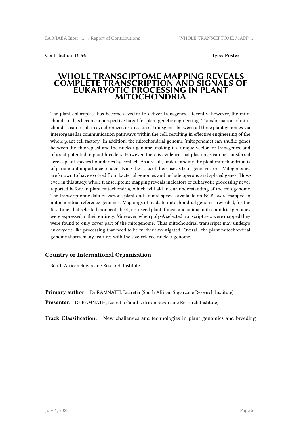Contribution ID: 56 Type: **Poster** 

### **WHOLE TRANSCIPTOME MAPPING REVEALS COMPLETE TRANSCRIPTION AND SIGNALS OF EUKARYOTIC PROCESSING IN PLANT MITOCHONDRIA**

The plant chloroplast has become a vector to deliver transgenes. Recently, however, the mitochondrion has become a prospective target for plant genetic engineering. Transformation of mitochondria can result in synchronized expression of transgenes between all three plant genomes via interorganellar communication pathways within the cell, resulting in effective engineering of the whole plant cell factory. In addition, the mitochondrial genome (mitogenome) can shuffle genes between the chloroplast and the nuclear genome, making it a unique vector for transgenes, and of great potential to plant breeders. However, there is evidence that plastomes can be transferred across plant species boundaries by contact. As a result, understanding the plant mitochondrion is of paramount importance in identifying the risks of their use as transgenic vectors. Mitogenomes are known to have evolved from bacterial genomes and include operons and spliced genes. However, in this study, whole transcriptome mapping reveals indicators of eukaryotic processing never reported before in plant mitochondria, which will aid in our understanding of the mitogenome. The transcriptomic data of various plant and animal species available on NCBI were mapped to mitochondrial reference genomes. Mappings of reads to mitochondrial genomes revealed, for the first time, that selected monocot, dicot, non-seed plant, fungal and animal mitochondrial genomes were expressed in their entirety. Moreover, when poly-A selected transcript sets were mapped they were found to only cover part of the mitogenome. Thus mitochondrial transcripts may undergo eukaryotic-like processing that need to be further investigated. Overall, the plant mitochondrial genome shares many features with the size-relaxed nuclear genome.

### **Country or International Organization**

South African Sugarcane Research Institute

**Primary author:** Dr RAMNATH, Lucretia (South African Sugarcane Research Institute)

**Presenter:** Dr RAMNATH, Lucretia (South African Sugarcane Research Institute)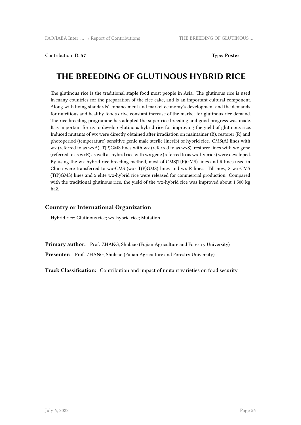Contribution ID: 57 Type: **Poster** 

# **THE BREEDING OF GLUTINOUS HYBRID RICE**

The glutinous rice is the traditional staple food most people in Asia. The glutinous rice is used in many countries for the preparation of the rice cake, and is an important cultural component. Along with living standards' enhancement and market economy's development and the demands for nutritious and healthy foods drive constant increase of the market for glutinous rice demand. The rice breeding programme has adopted the super rice breeding and good progress was made. It is important for us to develop glutinous hybrid rice for improving the yield of glutinous rice. Induced mutants of wx were directly obtained after irradiation on maintainer (B), restorer (R) and photoperiod (temperature) sensitive genic male sterile lines(S) of hybrid rice. CMS(A) lines with wx (referred to as wxA), T(P)GMS lines with wx (referred to as wxS), restorer lines with wx gene (referred to as wxR) as well as hybrid rice with wx gene (referred to as wx-hybrids) were developed. By using the wx-hybrid rice breeding method, most of CMS(T(P)GMS) lines and R lines used in China were transferred to wx-CMS (wx- T(P)GMS) lines and wx R lines. Till now, 8 wx-CMS (T(P)GMS) lines and 5 elite wx-hybrid rice were released for commercial production. Compared with the traditional glutinous rice, the yield of the wx-hybrid rice was improved about 1,500 kg ha2.

#### **Country or International Organization**

Hybrid rice; Glutinous rice; wx-hybrid rice; Mutation

Primary author: Prof. ZHANG, Shubiao (Fujian Agriculture and Forestry University) Presenter: Prof. ZHANG, Shubiao (Fujian Agriculture and Forestry University)

**Track Classification:** Contribution and impact of mutant varieties on food security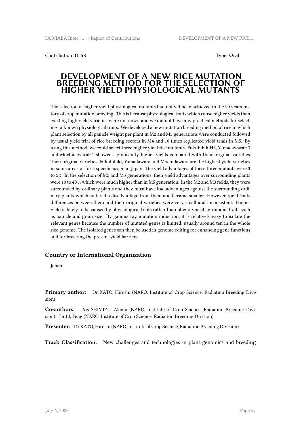**Contribution ID: 58** Type: **Oral** 

## **DEVELOPMENT OF A NEW RICE MUTATION BREEDING METHOD FOR THE SELECTION OF HIGHER YIELD PHYSIOLOGICAL MUTANTS**

The selection of higher yield physiological mutants had not yet been achieved in the 90 years history of crop mutation breeding. This is because physiological traits which cause higher yields than existing high yield varieties were unknown and we did not have any practical methods for selecting unknown physiological traits. We developed a new mutation breeding method of rice in which plant selection by all panicle weight per plant in M2 and M3 generations were conducted followed by usual yield trial of rice breeding sectors in M4 and 10 times replicated yield trials in M5. By using this method, we could select three higher yield rice mutants. FukuhibikiH6, YamadawaraH3 and MochidawaraH1 showed significantly higher yields compared with their original varieties. Their original varieties, Fukuhibiki, Yamadawara and Mochidawara are the highest yield varieties in some areas or for a specific usage in Japan. The yield advantages of these three mutants were 3 to 5%. In the selection of M2 and M3 generations, their yield advantages over surrounding plants were 10 to 40 % which were much higher than in M5 generation. In the M2 and M3 fields, they were surrounded by ordinary plants and they must have had advantages against the surrounding ordinary plants which suffered a disadvantage from them and became smaller. However, yield traits differences between them and their original varieties were very small and inconsistent. Higher yield is likely to be caused by physiological traits rather than phenotypical agronomic traits such as panicle and grain size. By gamma ray mutation induction, it is relatively easy to isolate the relevant genes because the number of mutated genes is limited, usually around ten in the whole rice genome. The isolated genes can then be used in genome editing for enhancing gene functions and for breaking the present yield barriers.

### **Country or International Organization**

Japan

**Primary author:** Dr KATO, Hiroshi (NARO, Institute of Crop Science, Radiation Breeding Division)

**Co-authors:** Ms SHIMIZU, Akemi (NARO, Institute of Crop Science, Radiation Breeding Division); Dr LI, Feng (NARO, Institute of Crop Science, Radiation Breeding Division)

**Presenter:** Dr KATO, Hiroshi (NARO, Institute of Crop Science, Radiation Breeding Division)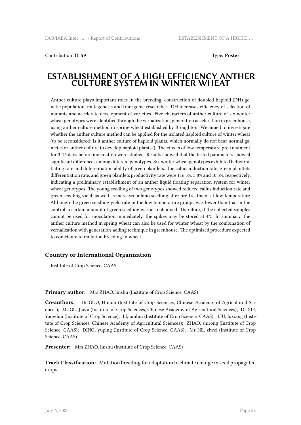Contribution ID: 59 Type: **Poster** 

## **ESTABLISHMENT OF A HIGH EFFICIENCY ANTHER CULTURE SYSTEM IN WINTER WHEAT**

Anther culture plays important roles in the breeding, construction of doubled haploid (DH) genetic population, mutagenesis and transgenic researches. DH increases efficiency of selection of mutants and accelerate development of varieties. Five characters of anther culture of six winter wheat genotypes were identified through the vernalization, generation acceleration in greenhouse, using anther culture method in spring wheat established by Broughton. We aimed to investigate whether the anther culture method can be applied for the isolated haploid culture of winter wheat (to be reconsidered: is it anther culture of haploid plants, which normally do not bear normal gametes or anther culture to develop haploid plants?). The effects of low temperature pre-treatment for 3-15 days before inoculation were studied. Results showed that the tested parameters showed significant differences among different genotypes. Six winter wheat genotypes exhibited better initiating rate and differentiation ability of green plantlets. The callus induction rate, green plantlets differentiation rate, and green plantlets productivity rate were 116.5%, 5.8% and 10.3%, respectively, indicating a preliminary establishment of an anther liquid floating separation system for winter wheat genotypes. The young seedling of two genotypes showed reduced callus induction rate and green seedling yield, as well as increased albino seedling after pre-treatment at low temperature. Although the green seedling yield rate in the low temperature groups was lower than that in the control, a certain amount of green seedling was also obtained. Therefore, if the collected samples cannot be used for inoculation immediately, the spikes may be stored at 4℃. In summary, the anther culture method in spring wheat can also be used for winter wheat by the combination of vernalization with generation-adding technique in greenhouse. The optimized procedure expected to contribute to mutation breeding in wheat.

### **Country or International Organization**

Institute of Crop Science, CAAS

#### **Primary author:** Mrs ZHAO, linshu (Institute of Crop Science, CAAS)

**Co-authors:** Dr GUO, Huijun (Institute of Crop Sciences, Chinese Academy of Agricultural Sciences); Ms GU, Jiayu (Institute of Crop Sciences, Chinese Academy of Agricultural Sciences); Dr XIE, Yongdun (Institute of Crop Science); LI, junhui (Institute of Crop Science, CAAS); LIU, luxiang (Institute of Crop Sciences, Chinese Academy of Agricultural Sciences); ZHAO, shirong (Institute of Crop Science, CAAS); DING, yuping (Institute of Crop Science, CAAS); Mr HE, ziwei (Institute of Crop Science, CAAS)

**Presenter:** Mrs ZHAO, linshu (Institute of Crop Science, CAAS)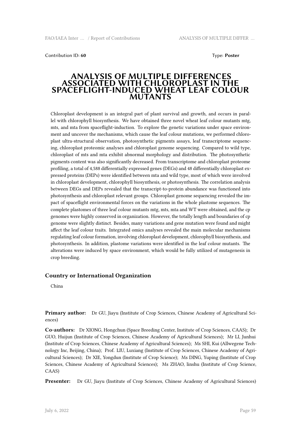Contribution ID: 60 Type: **Poster** 

### **ANALYSIS OF MULTIPLE DIFFERENCES ASSOCIATED WITH CHLOROPLAST IN THE SPACEFLIGHT-INDUCED WHEAT LEAF COLOUR MUTANTS**

Chloroplast development is an integral part of plant survival and growth, and occurs in parallel with chlorophyll biosynthesis. We have obtained three novel wheat leaf colour mutants mtg, mts, and mta from spaceflight-induction. To explore the genetic variations under space environment and uncover the mechanisms, which cause the leaf colour mutations, we performed chloroplast ultra-structural observation, photosynthetic pigments assays, leaf transcriptome sequencing, chloroplast proteomic analyses and chloroplast genome sequencing. Compared to wild type, chloroplast of mts and mta exhibit abnormal morphology and distribution. The photosynthetic pigments content was also significantly decreased. From transcriptome and chloroplast proteome profiling, a total of 4,588 differentially expressed genes (DEGs) and 48 differentially chloroplast expressed proteins (DEPs) were identified between mta and wild type, most of which were involved in chloroplast development, chlorophyll biosynthesis, or photosynthesis. The correlation analysis between DEGs and DEPs revealed that the transcript-to-protein abundance was functioned into photosynthesis and chloroplast relevant groups. Chloroplast genome sequencing revealed the impact of spaceflight environmental forces on the variations in the whole plastome sequences. The complete plastomes of three leaf colour mutants mtg, mts, mta and WT were obtained, and the cp genomes were highly conserved in organization. However, the totally length and boundaries of cp genome were slightly distinct. Besides, many variations and gene mutation were found and might affect the leaf colour traits. Integrated omics analyses revealed the main molecular mechanisms regulating leaf colour formation, involving chloroplast development, chlorophyll biosynthesis, and photosynthesis. In addition, plastome variations were identified in the leaf colour mutants. The alterations were induced by space environment, which would be fully utilized of mutagenesis in crop breeding.

### **Country or International Organization**

China

**Primary author:** Dr GU, Jiayu (Institute of Crop Sciences, Chinese Academy of Agricultural Sciences)

**Co-authors:** Dr XIONG, Hongchun (Space Breeding Center, Institute of Crop Sciences, CAAS); Dr GUO, Huijun (Institute of Crop Sciences, Chinese Academy of Agricultural Sciences); Mr LI, Junhui (Institute of Crop Sciences, Chinese Academy of Agricultural Sciences); Ms SHI, Kui (Allwegene Technology Inc, Beijing, China); Prof. LIU, Luxiang (Institute of Crop Sciences, Chinese Academy of Agricultural Sciences); Dr XIE, Yongdun (Institute of Crop Science); Ms DING, Yuping (Institute of Crop Sciences, Chinese Academy of Agricultural Sciences); Ms ZHAO, linshu (Institute of Crop Science, CAAS)

**Presenter:** Dr GU, Jiayu (Institute of Crop Sciences, Chinese Academy of Agricultural Sciences)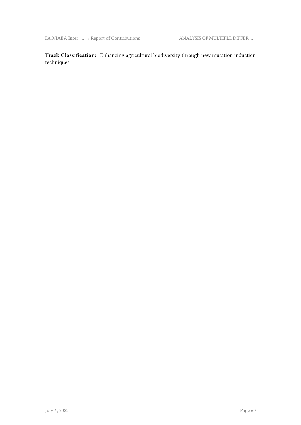**Track Classification:** Enhancing agricultural biodiversity through new mutation induction techniques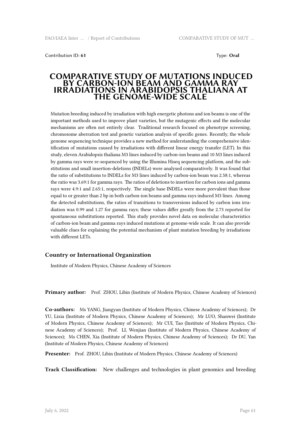Contribution ID: **61** Type: **Oral**

### **COMPARATIVE STUDY OF MUTATIONS INDUCED BY CARBON-ION BEAM AND GAMMA RAY IRRADIATIONS IN ARABIDOPSIS THALIANA AT THE GENOME-WIDE SCALE**

Mutation breeding induced by irradiation with high energetic photons and ion beams is one of the important methods used to improve plant varieties, but the mutagenic effects and the molecular mechanisms are often not entirely clear. Traditional research focused on phenotype screening, chromosome aberration test and genetic variation analysis of specific genes. Recently, the whole genome sequencing technique provides a new method for understanding the comprehensive identification of mutations caused by irradiations with different linear energy transfer (LET). In this study, eleven Arabidopsis thaliana M3 lines induced by carbon-ion beams and 10 M3 lines induced by gamma rays were re-sequenced by using the Illumina Hiseq sequencing platform, and the substitutions and small insertion-deletions (INDELs) were analysed comparatively. It was found that the ratio of substitutions to INDELs for M3 lines induced by carbon-ion beam was 2.58:1, whereas the ratio was 3.69:1 for gamma rays. The ratios of deletions to insertion for carbon ions and gamma rays were 4.9:1 and 2.65:1, respectively. The single base INDELs were more prevalent than those equal to or greater than 2 bp in both carbon-ion beams and gamma rays induced M3 lines. Among the detected substitutions, the ratios of transitions to transversions induced by carbon ions irradiation was 0.99 and 1.27 for gamma rays; these values differ greatly from the 2.73 reported for spontaneous substitutions reported. This study provides novel data on molecular characteristics of carbon-ion beam and gamma rays induced mutations at genome-wide scale. It can also provide valuable clues for explaining the potential mechanism of plant mutation breeding by irradiations with different LETs.

### **Country or International Organization**

Institute of Modern Physics, Chinese Academy of Sciences

**Primary author:** Prof. ZHOU, Libin (Institute of Modern Physics, Chinese Academy of Sciences)

**Co-authors:** Ms YANG, Jiangyan (Institute of Modern Physics, Chinese Academy of Sciences); Dr YU, Lixia (Institute of Modern Physics, Chinese Academy of Sciences); Mr LUO, Shanwei (Institute of Modern Physics, Chinese Academy of Sciences); Mr CUI, Tao (Institute of Modern Physics, Chinese Academy of Sciences); Prof. LI, Wenjian (Institute of Modern Physics, Chinese Academy of Sciences); Ms CHEN, Xia (Institute of Modern Physics, Chinese Academy of Sciences); Dr DU, Yan (Institute of Modern Physics, Chinese Academy of Sciences)

**Presenter:** Prof. ZHOU, Libin (Institute of Modern Physics, Chinese Academy of Sciences)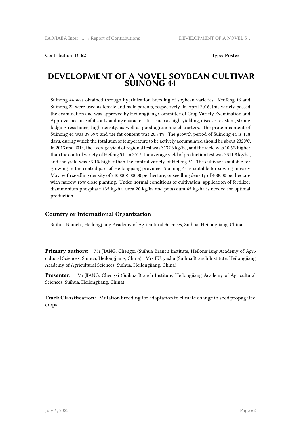Contribution ID: 62 **Type: Poster** 

## **DEVELOPMENT OF A NOVEL SOYBEAN CULTIVAR SUINONG 44**

Suinong 44 was obtained through hybridization breeding of soybean varieties. Kenfeng 16 and Suinong 22 were used as female and male parents, respectively. In April 2016, this variety passed the examination and was approved by Heilongjiang Committee of Crop Variety Examination and Approval because of its outstanding characteristics, such as high-yielding, disease-resistant, strong lodging resistance, high density, as well as good agronomic characters. The protein content of Suinong 44 was 39.59% and the fat content was 20.74%. The growth period of Suinong 44 is 118 days, during which the total sum of temperature to be actively accumulated should be about 2320℃. In 2013 and 2014, the average yield of regional test was 3137.6 kg/ha, and the yield was 10.6% higher than the control variety of Hefeng 51. In 2015, the average yield of production test was 3311.8 kg/ha, and the yield was 83.1% higher than the control variety of Hefeng 51. The cultivar is suitable for growing in the central part of Heilongjiang province. Suinong 44 is suitable for sowing in early May, with seedling density of 240000-300000 per hectare, or seedling density of 400000 per hectare with narrow row close planting. Under normal conditions of cultivation, application of fertilizer diammonium phosphate 135 kg/ha, urea 20 kg/ha and potassium 45 kg/ha is needed for optimal production.

### **Country or International Organization**

Suihua Branch , Heilongjiang Academy of Agricultural Sciences, Suihua, Heilongjiang, China

**Primary authors:** Mr JIANG, Chengxi (Suihua Branch Institute, Heilongjiang Academy of Agricultural Sciences, Suihua, Heilongjiang, China); Mrs FU, yashu (Suihua Branch Institute, Heilongjiang Academy of Agricultural Sciences, Suihua, Heilongjiang, China)

**Presenter:** Mr JIANG, Chengxi (Suihua Branch Institute, Heilongjiang Academy of Agricultural Sciences, Suihua, Heilongjiang, China)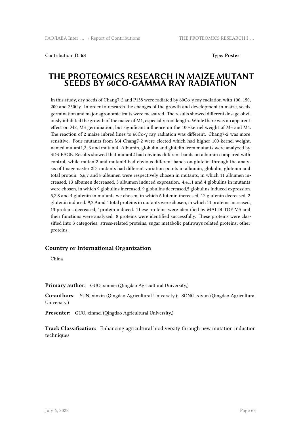Contribution ID: 63 Type: **Poster** 

## **THE PROTEOMICS RESEARCH IN MAIZE MUTANT SEEDS BY 60CO-GAMMA RAY RADIATION**

In this study, dry seeds of Chang7-2 and P138 were radiated by 60Co-γ ray radiation with 100, 150, 200 and 250Gy. In order to research the changes of the growth and development in maize, seeds germination and major agronomic traits were measured. The results showed different dosage obviously inhibited the growth of the maize of M1, especially root length. While there was no apparent effect on M2, M3 germination, but significant influence on the 100-kernel weight of M3 and M4. The reaction of 2 maize inbred lines to 60Co-γ ray radiation was different. Chang7-2 was more sensitive. Four mutants from M4 Chang7-2 were elected which had higher 100-kernel weight, named mutant1,2, 3 and mutant4. Albumin, globulin and glutelin from mutants were analyzed by SDS-PAGE. Results showed that mutant2 had obvious different bands on albumin compared with control, while mutant2 and mutant4 had obvious different bands on glutelin.Through the analysis of Imagemaster 2D, mutants had different variation points in albumin, globulin, glutenin and total protein. 6,6,7 and 8 albumen were respectively chosen in mutants, in which 11 albumen increased, 13 albumen decreased, 3 albumen induced expression. 4,4,11 and 4 globulins in mutants were chosen, in which 9 globulins increased, 9 globulins decreased,5 globulins induced expression. 5,2,8 and 4 glutenin in mutants we chosen, in which 6 lutenin increased, 12 glutenin decreased, 2 glutenin induced. 9,3,9 and 4 total proteins in mutants were chosen, in which 11 proteins increased, 13 proteins decreased, 1protein induced. These proteins were identified by MALDI-TOF-MS and their functions were analyzed. 8 proteins were identified successfully. These proteins were classified into 3 categories: stress-related proteins; sugar metabolic pathways related proteins; other proteins.

#### **Country or International Organization**

China

**Primary author:** GUO, xinmei (Qingdao Agricultural University,)

**Co-authors:** SUN, xinxin (Qingdao Agricultural University,); SONG, xiyun (Qingdao Agricultural University,)

**Presenter:** GUO, xinmei (Qingdao Agricultural University,)

**Track Classification:** Enhancing agricultural biodiversity through new mutation induction techniques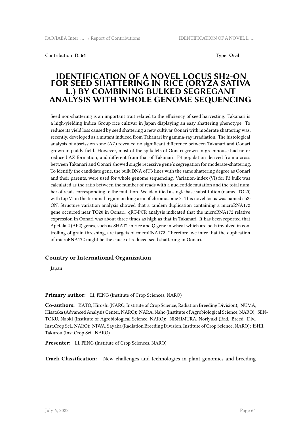Contribution ID: 64 Type: Oral

# **IDENTIFICATION OF A NOVEL LOCUS SH2-ON FOR SEED SHATTERING IN RICE (ORYZA SATIVA L.) BY COMBINING BULKED SEGREGANT ANALYSIS WITH WHOLE GENOME SEQUENCING**

Seed non-shattering is an important trait related to the efficiency of seed harvesting. Takanari is a high-yielding Indica Group rice cultivar in Japan displaying an easy shattering phenotype. To reduce its yield loss caused by seed shattering a new cultivar Oonari with moderate shattering was, recently, developed as a mutant induced from Takanari by gamma-ray irradiation. The histological analysis of abscission zone (AZ) revealed no significant difference between Takanari and Oonari grown in paddy field. However, most of the spikelets of Oonari grown in greenhouse had no or reduced AZ formation, and different from that of Takanari. F3 population derived from a cross between Takanari and Oonari showed single recessive gene's segregation for moderate-shattering. To identify the candidate gene, the bulk DNA of F3 lines with the same shattering degree as Oonari and their parents, were used for whole genome sequencing. Variation-index (VI) for F3 bulk was calculated as the ratio between the number of reads with a nucleotide mutation and the total number of reads corresponding to the mutation. We identified a single base substitution (named TO20) with top VI in the terminal region on long arm of chromosome 2. This novel locus was named sh2- ON. Structure variation analysis showed that a tandem duplication containing a microRNA172 gene occurred near TO20 in Oonari. qRT-PCR analysis indicated that the microRNA172 relative expression in Oonari was about three times as high as that in Takanari. It has been reported that Apetala 2 (AP2) genes, such as SHAT1 in rice and Q gene in wheat which are both involved in controlling of grain threshing, are targets of microRNA172. Therefore, we infer that the duplication of microRNA172 might be the cause of reduced seed shattering in Oonari.

### **Country or International Organization**

Japan

#### **Primary author:** LI, FENG (Institute of Crop Sciences, NARO)

**Co-authors:** KATO, Hiroshi (NARO, Institute of Crop Science, Radiation Breeding Division); NUMA, Hisataka (Advanced Analysis Center, NARO); NARA, Naho (Institute of Agrobiological Science, NARO); SEN-TOKU, Naoki (Institute of Agrobiological Science, NARO); NISHIMURA, Noriyuki (Rad. Breed. Div., Inst.Crop Sci., NARO); NIWA, Sayaka (Radiation Breeding Division, Institute of Crop Science, NARO); ISHII, Takurou (Inst.Crop Sci., NARO)

**Presenter:** LI, FENG (Institute of Crop Sciences, NARO)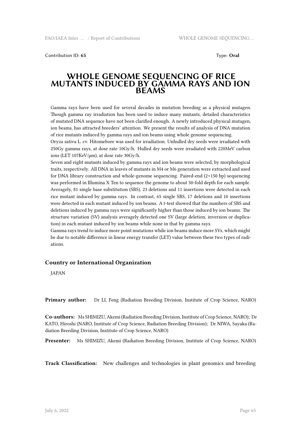Contribution ID: 65 Type: Oral

## **WHOLE GENOME SEQUENCING OF RICE MUTANTS INDUCED BY GAMMA RAYS AND ION BEAMS**

Gamma rays have been used for several decades in mutation breeding as a physical mutagen. Though gamma ray irradiation has been used to induce many mutants, detailed characteristics of mutated DNA sequence have not been clarified enough. A newly introduced physical mutagen, ion beams, has attracted breeders' attention. We present the results of analysis of DNA mutation of rice mutants induced by gamma rays and ion beams using whole genome sequencing.

Oryza sativa L. cv. Hitomebore was used for irradiation. Unhulled dry seeds were irradiated with 250Gy gamma rays, at dose rate 10Gy/h. Hulled dry seeds were irradiated with 220MeV carbon ions (LET 107KeV/μm), at dose rate 30Gy/h.

Seven and eight mutants induced by gamma rays and ion beams were selected, by morphological traits, respectively. All DNA in leaves of mutants in M4 or M6 generation were extracted and used for DNA library construction and whole-genome sequencing. Paired-end  $(2\times150$  bp) sequencing was performed in Illumina X Ten to sequence the genome to about 30-fold depth for each sample. Averagely, 81 single base substitution (SBS), 23 deletions and 11 insertions were detected in each rice mutant induced by gamma rays. In contrast, 65 single SBS, 17 deletions and 10 insertions were detected in each mutant induced by ion beams. A t-test showed that the numbers of SBS and deletions induced by gamma rays were significantly higher than those induced by ion beams. The structure variation (SV) analysis averagely detected one SV (large deletion, inversion or duplication) in each mutant induced by ion beams while none in that by gamma rays.

Gamma rays trend to induce more point mutations while ion beams induce more SVs, which might be due to notable difference in linear energy transfer (LET) value between these two types of radiations.

#### **Country or International Organization**

JAPAN

**Primary author:** Dr LI, Feng (Radiation Breeding Division, Institute of Crop Science, NARO)

**Co-authors:** Ms SHIMIZU, Akemi (Radiation Breeding Division, Institute of Crop Science, NARO); Dr KATO, Hiroshi (NARO, Institute of Crop Science, Radiation Breeding Division); Dr NIWA, Sayaka (Radiation Breeding Division, Institute of Crop Science, NARO)

**Presenter:** Ms SHIMIZU, Akemi (Radiation Breeding Division, Institute of Crop Science, NARO)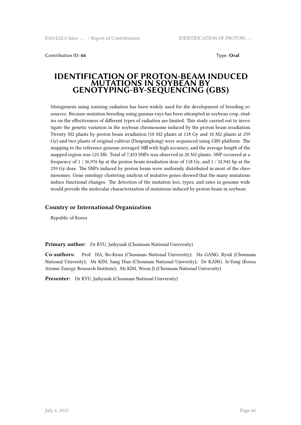Contribution ID: 66 Type: Oral

## **IDENTIFICATION OF PROTON-BEAM INDUCED MUTATIONS IN SOYBEAN BY GENOTYPING-BY-SEQUENCING (GBS)**

Mutagenesis using ionizing radiation has been widely used for the development of breeding resources. Because mutation breeding using gamma-rays has been attempted in soybean crop, studies on the effectiveness of different types of radiation are limited. This study carried out to investigate the genetic variation in the soybean chromosome induced by the proton beam irradiation. Twenty M2 plants by proton beam irradiation (10 M2 plants at 118 Gy and 10 M2 plants at 239 Gy) and two plants of original cultivar (Deapungkong) were sequenced using GBS platform. The mapping to the reference genome averaged 30% with high accuracy, and the average length of the mapped region was 125 Mb. Total of 7,453 SNPs was observed in 20 M2 plants. SNP occurred at a frequency of 1 / 36,976 bp at the proton beam irradiation dose of 118 Gy, and 1 / 32,945 bp at the 239 Gy dose. The SNPs induced by proton beam were uniformly distributed in most of the chromosomes. Gene ontology clustering analysis of mutative genes showed that the many mutations induce functional changes. The detection of the mutation loci, types, and rates in genome wide would provide the molecular characterization of mutations induced by proton beam in soybean.

#### **Country or International Organization**

Republic of Korea

Primary author: Dr RYU, Jaihyunk (Chonnam National University)

**Co-authors:** Prof. HA, Bo-Keun (Chonnam National University); Ms GANG, Ryuli (Chonnam National Univerity); Mr KIM, Sang Hun (Chonnam National Univerity); Dr KANG, Si-Yong (Korea Atomic Energy Research Institute); Mr KIM, Woon Ji (Chonnam National University)

Presenter: Dr RYU, Jaihyunk (Chonnam National University)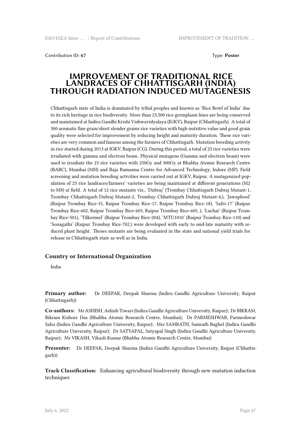Contribution ID: **67** Type: **Poster**

# **IMPROVEMENT OF TRADITIONAL RICE LANDRACES OF CHHATTISGARH (INDIA) THROUGH RADIATION INDUCED MUTAGENESIS**

Chhattisgarh state of India is dominated by tribal peoples and known as 'Rice Bowl of India' due to its rich heritage in rice biodiversity. More than 23,500 rice germplasm lines are being conserved and maintained at Indira Gandhi Krishi Vishwavidyalaya (IGKV), Raipur (Chhattisgarh). A total of 300 aromatic fine grain/short slender grains rice varieties with high nutritive value and good grain quality were selected for improvement by reducing height and maturity duration. These rice varieties are very common and famous among the farmers of Chhattisgarh. Mutation breeding activity in rice started during 2013 at IGKV, Raipur (CG). During this period, a total of 23 rice varieties were irradiated with gamma and electron beam. Physical mutagens (Gamma and electron beam) were used to irradiate the 23 rice varieties with 250Gy and 300Gy at Bhabha Atomic Research Centre (BARC), Mumbai (MH) and Raja Ramanna Centre for Advanced Technology, Indore (MP). Field screening and mutation breeding activities were carried out at IGKV, Raipur. A mutagenized population of 23 rice landraces/farmers' varieties are being maintained at different generations (M2 to M8) at field. A total of 12 rice mutants viz., 'Dubraj' (Trombay Chhattisgarh Dubraj Mutant-1, Trombay Chhattisgarh Dubraj Mutant-2, Trombay Chhattisgarh Dubraj Mutant-4,), 'Jawaphool' (Raipur Trombay Rice-31, Raipur Trombay Rice-17, Raipur Trombay Rice-18), 'Safri-17' (Raipur Trombay Rice-602, Raipur Trombay Rice-603, Raipur Trombay Rice-605, ), 'Luchai' (Raipur Trombay Rice-501), 'Tilkormel' (Raipur Trombay Rice-204), 'MTU1010' (Raipur Trombay Rice-110) and 'Sonagathi' (Raipur Trombay Rice-702,) were developed with early to mid-late maturity with reduced plant height. Theses mutants are being evaluated in the state and national yield trials for release in Chhattisgarh state as well as in India.

### **Country or International Organization**

India

**Primary author:** Dr DEEPAK, Deepak Sharma (Indira Gandhi Agriculture University, Raipur (Chhattisgarh))

**Co-authors:** Mr ASHISH, Ashish Tiwari (Indira Gandhi Agriculture University, Raipur); Dr BIKRAM, Bikram Kishore Das (Bhabha Atomic Research Centre, Mumbai); Dr PARMESHWAR, Parmeshwar Sahu (Indira Gandhi Agriculture University, Raipur); Mrs SAMRATH, Samrath Baghel (Indira Gandhi Agriculture University, Raipur); Dr SATYAPAL, Satyapal Singh (Indira Gandhi Agriculture University, Raipur); Mr VIKASH, Vikash Kumar (Bhabha Atomic Research Centre, Mumbai)

**Presenter:** Dr DEEPAK, Deepak Sharma (Indira Gandhi Agriculture University, Raipur (Chhattisgarh))

**Track Classification:** Enhancing agricultural biodiversity through new mutation induction techniques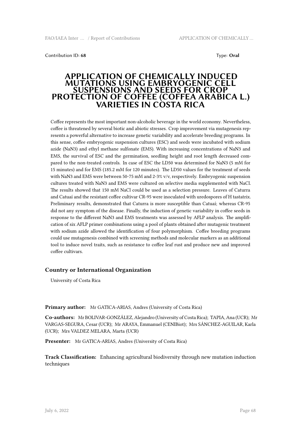Contribution ID: 68 Type: **Oral** 

### **APPLICATION OF CHEMICALLY INDUCED MUTATIONS USING EMBRYOGENIC CELL SUSPENSIONS AND SEEDS FOR CROP PROTECTION OF COFFEE (COFFEA ARABICA L.) VARIETIES IN COSTA RICA**

Coffee represents the most important non-alcoholic beverage in the world economy. Nevertheless, coffee is threatened by several biotic and abiotic stresses. Crop improvement via mutagenesis represents a powerful alternative to increase genetic variability and accelerate breeding programs. In this sense, coffee embryogenic suspension cultures (ESC) and seeds were incubated with sodium azide (NaN3) and ethyl methane sulfonate (EMS). With increasing concentrations of NaN3 and EMS, the survival of ESC and the germination, seedling height and root length decreased compared to the non-treated controls. In case of ESC the LD50 was determined for NaN3 (5 mM for 15 minutes) and for EMS (185.2 mM for 120 minutes). The LD50 values for the treatment of seeds with NaN3 and EMS were between 50-75 mM and 2-3% v/v, respectively. Embryogenic suspension cultures treated with NaN3 and EMS were cultured on selective media supplemented with NaCl. The results showed that 150 mM NaCl could be used as a selection pressure. Leaves of Caturra and Catuaí and the resistant coffee cultivar CR-95 were inoculated with uredospores of H tastatrix. Preliminary results, demonstrated that Caturra is more susceptible than Catuaí; whereas CR-95 did not any symptom of the disease. Finally, the induction of genetic variability in coffee seeds in response to the different NaN3 and EMS treatments was assessed by AFLP analysis. The amplification of six AFLP primer combinations using a pool of plants obtained after mutagenic treatment with sodium azide allowed the identification of four polymorphism. Coffee breeding programs could use mutagenesis combined with screening methods and molecular markers as an additional tool to induce novel traits, such as resistance to coffee leaf rust and produce new and improved coffee cultivars.

### **Country or International Organization**

University of Costa Rica

#### **Primary author:** Mr GATICA-ARIAS, Andres (University of Costa Rica)

**Co-authors:** Mr BOLIVAR-GONZÁLEZ, Alejandro (University of Costa Rica); TAPIA, Ana (UCR); Mr VARGAS-SEGURA, Cesar (UCR); Mr ARAYA, Emmanuel (CENIBiot); Mrs SÁNCHEZ-AGUILAR, Karla (UCR); Mrs VALDEZ MELARA, Marta (UCR)

**Presenter:** Mr GATICA-ARIAS, Andres (University of Costa Rica)

**Track Classification:** Enhancing agricultural biodiversity through new mutation induction techniques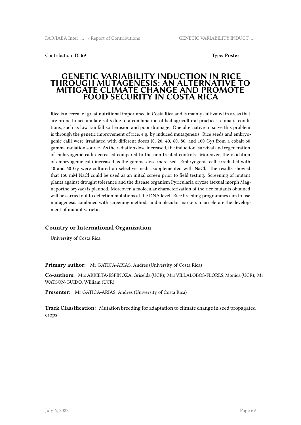Contribution ID: 69 Type: **Poster** 

### **GENETIC VARIABILITY INDUCTION IN RICE THROUGH MUTAGENESIS: AN ALTERNATIVE TO MITIGATE CLIMATE CHANGE AND PROMOTE FOOD SECURITY IN COSTA RICA**

Rice is a cereal of great nutritional importance in Costa Rica and is mainly cultivated in areas that are prone to accumulate salts due to a combination of bad agricultural practices, climatic conditions, such as low rainfall soil erosion and poor drainage. One alternative to solve this problem is through the genetic improvement of rice, e.g. by induced mutagenesis. Rice seeds and embryogenic calli were irradiated with different doses (0, 20, 40, 60, 80, and 100 Gy) from a cobalt-60 gamma radiation source. As the radiation dose increased, the induction, survival and regeneration of embryogenic calli decreased compared to the non-treated controls. Moreover, the oxidation of embryogenic calli increased as the gamma dose increased. Embryogenic calli irradiated with 40 and 60 Gy were cultured on selective media supplemented with NaCl. The results showed that 150 mM NaCl could be used as an initial screen prior to field testing. Screening of mutant plants against drought tolerance and the disease organism Pyricularia oryzae (sexual morph Magnaporthe oryzae) is planned. Moreover, a molecular characterization of the rice mutants obtained will be carried out to detection mutations at the DNA level. Rice breeding programmes aim to use mutagenesis combined with screening methods and molecular markers to accelerate the development of mutant varieties.

### **Country or International Organization**

University of Costa Rica

**Primary author:** Mr GATICA-ARIAS, Andres (University of Costa Rica)

**Co-authors:** Mrs ARRIETA-ESPINOZA, Griselda (UCR); Mrs VILLALOBOS-FLORES, Mónica (UCR); Mr WATSON-GUIDO, William (UCR)

**Presenter:** Mr GATICA-ARIAS, Andres (University of Costa Rica)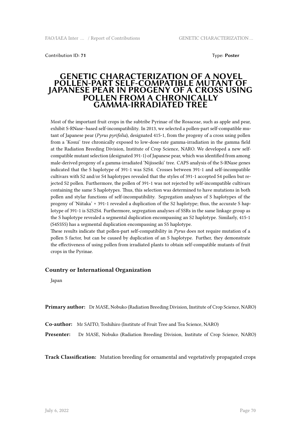Contribution ID: **71** Type: **Poster**

### **GENETIC CHARACTERIZATION OF A NOVEL POLLEN-PART SELF-COMPATIBLE MUTANT OF JAPANESE PEAR IN PROGENY OF A CROSS USING POLLEN FROM A CHRONICALLY GAMMA-IRRADIATED TREE**

Most of the important fruit crops in the subtribe Pyrinae of the Rosaceae, such as apple and pear, exhibit S-RNase–based self-incompatibility. In 2013, we selected a pollen-part self-compatible mutant of Japanese pear (*Pyrus pyrifolia*), designated 415-1, from the progeny of a cross using pollen from a 'Kosui' tree chronically exposed to low-dose-rate gamma-irradiation in the gamma field at the Radiation Breeding Division, Institute of Crop Science, NARO. We developed a new selfcompatible mutant selection (designated 391-1) of Japanese pear, which was identified from among male-derived progeny of a gamma-irradiated 'Nijisseiki' tree. CAPS analysis of the S-RNase genes indicated that the S haplotype of 391-1 was S2S4. Crosses between 391-1 and self-incompatible cultivars with S2 and/or S4 haplotypes revealed that the styles of 391-1 accepted S4 pollen but rejected S2 pollen. Furthermore, the pollen of 391-1 was not rejected by self-incompatible cultivars containing the same S haplotypes. Thus, this selection was determined to have mutations in both pollen and stylar functions of self-incompatibility. Segregation analyses of S haplotypes of the progeny of 'Niitaka' × 391-1 revealed a duplication of the S2 haplotype; thus, the accurate S haplotype of 391-1 is S2S2S4. Furthermore, segregation analyses of SSRs in the same linkage group as the S haplotype revealed a segmental duplication encompassing an S2 haplotype. Similarly, 415-1 (S4S5S5) has a segmental duplication encompassing an S5 haplotype.

These results indicate that pollen-part self-compatibility in *Pyrus* does not require mutation of a pollen S factor, but can be caused by duplication of an S haplotype. Further, they demonstrate the effectiveness of using pollen from irradiated plants to obtain self-compatible mutants of fruit crops in the Pyrinae.

#### **Country or International Organization**

Japan

**Primary author:** Dr MASE, Nobuko (Radiation Breeding Division, Institute of Crop Science, NARO)

**Co-author:** Mr SAITO, Toshihiro (Institute of Fruit Tree and Tea Science, NARO)

**Presenter:** Dr MASE, Nobuko (Radiation Breeding Division, Institute of Crop Science, NARO)

**Track Classification:** Mutation breeding for ornamental and vegetatively propagated crops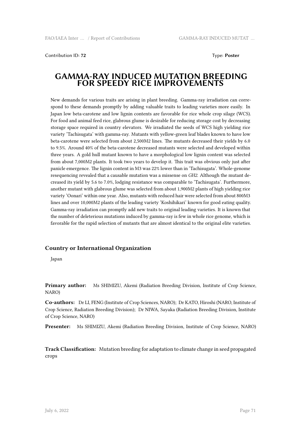Contribution ID: **72** Type: **Poster** 

## **GAMMA-RAY INDUCED MUTATION BREEDING FOR SPEEDY RICE IMPROVEMENTS**

New demands for various traits are arising in plant breeding. Gamma-ray irradiation can correspond to these demands promptly by adding valuable traits to leading varieties more easily. In Japan low beta-carotene and low lignin contents are favorable for rice whole crop silage (WCS). For food and animal feed rice, glabrous glume is desirable for reducing storage cost by decreasing storage space required in country elevators. We irradiated the seeds of WCS high yielding rice variety 'Tachisugata' with gamma-ray. Mutants with yellow-green leaf blades known to have low beta-carotene were selected from about 2,500M2 lines. The mutants decreased their yields by 6.0 to 9.5%. Around 40% of the beta-carotene decreased mutants were selected and developed within three years. A gold hull mutant known to have a morphological low lignin content was selected from about 7,000M2 plants. It took two years to develop it. This trait was obvious only just after panicle emergence. The lignin content in M3 was 22% lower than in 'Tachisugata'. Whole-genome resequencing revealed that a causable mutation was a missense on *GH2*. Although the mutant decreased its yield by 5.6 to 7.0%, lodging resistance was comparable to 'Tachisugata'. Furthermore, another mutant with glabrous glume was selected from about 1,900M2 plants of high yielding rice variety 'Oonari' within one year. Also, mutants with reduced hair were selected from about 800M3 lines and over 10,000M2 plants of the leading variety 'Koshihikari' known for good eating quality. Gamma-ray irradiation can promptly add new traits to original leading varieties. It is known that the number of deleterious mutations induced by gamma-ray is few in whole rice genome, which is favorable for the rapid selection of mutants that are almost identical to the original elite varieties.

### **Country or International Organization**

Japan

**Primary author:** Ms SHIMIZU, Akemi (Radiation Breeding Division, Institute of Crop Science, NARO)

**Co-authors:** Dr LI, FENG (Institute of Crop Sciences, NARO); Dr KATO, Hiroshi (NARO, Institute of Crop Science, Radiation Breeding Division); Dr NIWA, Sayaka (Radiation Breeding Division, Institute of Crop Science, NARO)

**Presenter:** Ms SHIMIZU, Akemi (Radiation Breeding Division, Institute of Crop Science, NARO)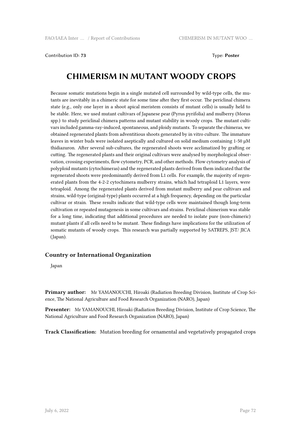#### Contribution ID: **73** Type: **Poster**

# **CHIMERISM IN MUTANT WOODY CROPS**

Because somatic mutations begin in a single mutated cell surrounded by wild-type cells, the mutants are inevitably in a chimeric state for some time after they first occur. The periclinal chimera state (e.g., only one layer in a shoot apical meristem consists of mutant cells) is usually held to be stable. Here, we used mutant cultivars of Japanese pear (Pyrus pyrifolia) and mulberry (Morus spp.) to study periclinal chimera patterns and mutant stability in woody crops. The mutant cultivars included gamma-ray-induced, spontaneous, and ploidy mutants. To separate the chimeras, we obtained regenerated plants from adventitious shoots generated by in vitro culture. The immature leaves in winter buds were isolated aseptically and cultured on solid medium containing 1-50 μM thidiazuron. After several sub-cultures, the regenerated shoots were acclimatized by grafting or cutting. The regenerated plants and their original cultivars were analysed by morphological observation, crossing experiments, flow cytometry, PCR, and other methods. Flow cytometry analysis of polyploid mutants (cytochimeras) and the regenerated plants derived from them indicated that the regenerated shoots were predominantly derived from L1 cells. For example, the majority of regenerated plants from the 4-2-2 cytochimera mulberry strains, which had tetraploid L1 layers, were tetraploid. Among the regenerated plants derived from mutant mulberry and pear cultivars and strains, wild-type (original-type) plants occurred at a high frequency, depending on the particular cultivar or strain. These results indicate that wild-type cells were maintained though long-term cultivation or repeated mutagenesis in some cultivars and strains. Periclinal chimerism was stable for a long time, indicating that additional procedures are needed to isolate pure (non-chimeric) mutant plants if all cells need to be mutant. These findings have implications for the utilization of somatic mutants of woody crops. This research was partially supported by SATREPS, JST/ JICA (Japan).

### **Country or International Organization**

Japan

**Primary author:** Mr YAMANOUCHI, Hiroaki (Radiation Breeding Division, Institute of Crop Science, The National Agriculture and Food Research Organization (NARO), Japan)

**Presenter:** Mr YAMANOUCHI, Hiroaki (Radiation Breeding Division, Institute of Crop Science, The National Agriculture and Food Research Organization (NARO), Japan)

**Track Classification:** Mutation breeding for ornamental and vegetatively propagated crops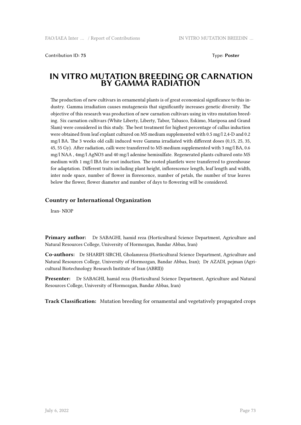Contribution ID: 75 Type: **Poster** 

# **IN VITRO MUTATION BREEDING OR CARNATION BY GAMMA RADIATION**

The production of new cultivars in ornamental plants is of great economical significance to this industry. Gamma irradiation causes mutagenesis that significantly increases genetic diversity. The objective of this research was production of new carnation cultivars using in vitro mutation breeding. Six carnation cultivars (White Liberty, Liberty, Tabor, Tabasco, Eskimo, Mariposa and Grand Slam) were considered in this study. The best treatment for highest percentage of callus induction were obtained from leaf explant cultured on MS medium supplemented with 0.5 mg/l 2,4-D and 0.2 mg/l BA. The 3 weeks old calli induced were Gamma irradiated with different doses (0,15, 25, 35, 45, 55 Gy). After radiation, calli were transferred to MS medium supplemented with 3 mg/l BA, 0.6 mg/l NAA , 4mg/l AgNO3 and 40 mg/l adenine hemisulfate. Regenerated plants cultured onto MS medium with 1 mg/l IBA for root induction. The rooted plantlets were transferred to greenhouse for adaptation. Different traits including plant height, inflorescence length, leaf length and width, inter node space, number of flower in florescence, number of petals, the number of true leaves below the flower, flower diameter and number of days to flowering will be considered.

#### **Country or International Organization**

Iran- NIOP

**Primary author:** Dr SABAGHI, hamid reza (Horticultural Science Department, Agriculture and Natural Resources College, University of Hormozgan, Bandar Abbas, Iran)

**Co-authors:** Dr SHARIFI SIRCHI, Gholamreza (Horticultural Science Department, Agriculture and Natural Resources College, University of Hormozgan, Bandar Abbas, Iran); Dr AZADI, pejman (Agricultural Biotechnology Research Institute of Iran (ABRII))

**Presenter:** Dr SABAGHI, hamid reza (Horticultural Science Department, Agriculture and Natural Resources College, University of Hormozgan, Bandar Abbas, Iran)

**Track Classification:** Mutation breeding for ornamental and vegetatively propagated crops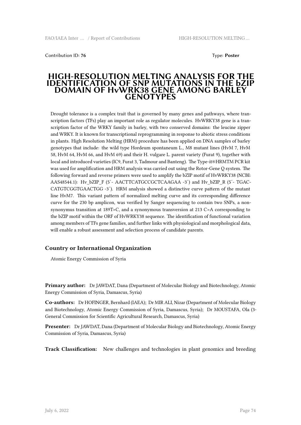Contribution ID: 76 Type: **Poster** 

### **HIGH-RESOLUTION MELTING ANALYSIS FOR THE IDENTIFICATION OF SNP MUTATIONS IN THE bZIP DOMAIN OF HvWRK38 GENE AMONG BARLEY GENOTYPES**

Drought tolerance is a complex trait that is governed by many genes and pathways, where transcription factors (TFs) play an important role as regulator molecules. HvWRKY38 gene is a transcription factor of the WRKY family in barley, with two conserved domains: the leucine zipper and WRKY. It is known for transcriptional reprogramming in response to abiotic stress conditions in plants. High Resolution Melting (HRM) procedure has been applied on DNA samples of barley genotypes that include: the wild type Hordeum spontaneum L., M8 mutant lines (HvM 7, HvM 58, HvM 64, HvM 66, and HvM 69) and their H. vulgare L. parent variety (Furat 9), together with local and introduced varieties (IC9, Furat 3, Tadmour and Banteng). The Type-it®HRMTM PCR kit was used for amplification and HRM analysis was carried out using the Rotor-Gene Q system. The following forward and reverse primers were used to amplify the bZIP motif of HvWRKY38 (NCBI: AAS48544.1): Hv\_bZIP\_F (5´- AACTTCATGCCGCTCAAGAA -3´) and Hv\_bZIP\_R (5´- TGAC-CATGTCGGTGAACTGG -3´). HRM analysis showed a distinctive curve pattern of the mutant line HvM7. This variant pattern of normalized melting curve and its corresponding difference curve for the 230 bp amplicon, was verified by Sanger sequencing to contain two SNPs, a nonsynonymus transition at 189T>C, and a synonymous transversion at 213 C>A corresponding to the bZIP motif within the ORF of HvWRKY38 sequence. The identification of functional variation among members of TFs gene families, and further links with physiological and morphological data, will enable a robust assessment and selection process of candidate parents.

### **Country or International Organization**

Atomic Energy Commission of Syria

**Primary author:** Dr JAWDAT, Dana (Department of Molecular Biology and Biotechnology, Atomic Energy Commission of Syria, Damascus, Syria)

**Co-authors:** Dr HOFINGER, Bernhard (IAEA); Dr MIR ALI, Nizar (Department of Molecular Biology and Biotechnology, Atomic Energy Commission of Syria, Damascus, Syria); Dr MOUSTAFA, Ola (3- General Commission for Scientific Agricultural Research, Damascus, Syria)

**Presenter:** Dr JAWDAT, Dana (Department of Molecular Biology and Biotechnology, Atomic Energy Commission of Syria, Damascus, Syria)

**Track Classification:** New challenges and technologies in plant genomics and breeding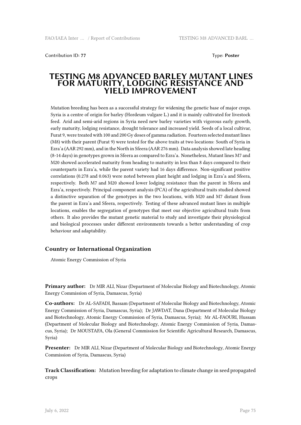Contribution ID: **77** Type: **Poster**

# **TESTING M8 ADVANCED BARLEY MUTANT LINES FOR MATURITY, LODGING RESISTANCE AND YIELD IMPROVEMENT**

Mutation breeding has been as a successful strategy for widening the genetic base of major crops. Syria is a centre of origin for barley (Hordeum vulgare L.) and it is mainly cultivated for livestock feed. Arid and semi-arid regions in Syria need new barley varieties with vigorous early growth, early maturity, lodging resistance, drought tolerance and increased yield. Seeds of a local cultivar, Furat 9, were treated with 100 and 200 Gy doses of gamma radiation. Fourteen selected mutant lines (M8) with their parent (Furat 9) were tested for the above traits at two locations: South of Syria in Ezra'a (AAR 292 mm), and in the North in Sfeera (AAR 276 mm). Data analysis showed late heading (8-14 days) in genotypes grown in Sfeera as compared to Ezra'a. Nonetheless, Mutant lines M7 and M20 showed accelerated maturity from heading to maturity in less than 8 days compared to their counterparts in Ezra'a, while the parent variety had 16 days difference. Non-significant positive correlations (0.278 and 0.063) were noted between plant height and lodging in Ezra'a and Sfeera, respectively. Both M7 and M20 showed lower lodging resistance than the parent in Sfeera and Ezra'a, respectively. Principal component analysis (PCA) of the agricultural traits studied showed a distinctive separation of the genotypes in the two locations, with M20 and M7 distant from the parent in Ezra'a and Sfeera, respectively. Testing of these advanced mutant lines in multiple locations, enables the segregation of genotypes that meet our objective agricultural traits from others. It also provides the mutant genetic material to study and investigate their physiological and biological processes under different environments towards a better understanding of crop behaviour and adaptability.

#### **Country or International Organization**

Atomic Energy Commission of Syria

**Primary author:** Dr MIR ALI, Nizar (Department of Molecular Biology and Biotechnology, Atomic Energy Commission of Syria, Damascus, Syria)

**Co-authors:** Dr AL-SAFADI, Bassam (Department of Molecular Biology and Biotechnology, Atomic Energy Commission of Syria, Damascus, Syria); Dr JAWDAT, Dana (Department of Molecular Biology and Biotechnology, Atomic Energy Commission of Syria, Damascus, Syria); Mr AL-FAOURI, Hussam (Department of Molecular Biology and Biotechnology, Atomic Energy Commission of Syria, Damascus, Syria); Dr MOUSTAFA, Ola (General Commission for Scientific Agricultural Research, Damascus, Syria)

**Presenter:** Dr MIR ALI, Nizar (Department of Molecular Biology and Biotechnology, Atomic Energy Commission of Syria, Damascus, Syria)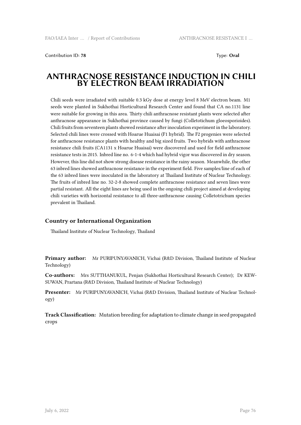Contribution ID: **78** Type: **Oral** 

# **ANTHRACNOSE RESISTANCE INDUCTION IN CHILI BY ELECTRON BEAM IRRADIATION**

Chili seeds were irradiated with suitable 0.3 kGy dose at energy level 8 MeV electron beam. M1 seeds were planted in Sukhothai Horticultural Research Center and found that CA no.1131 line were suitable for growing in this area. Thirty chili anthracnose resistant plants were selected after anthracnose appearance in Sukhothai province caused by fungi (Colletotichum gloeosporioides). Chili fruits from seventeen plants showed resistance after inoculation experiment in the laboratory. Selected chili lines were crossed with Hoarue Huaisai (F1 hybrid). The F2 progenies were selected for anthracnose resistance plants with healthy and big sized fruits. Two hybrids with anthracnose resistance chili fruits (CA1131 x Hoarue Huaisai) were discovered and used for field anthracnose resistance tests in 2015. Inbred line no. 6-1-4 which had hybrid vigor was discovered in dry season. However, this line did not show strong disease resistance in the rainy season. Meanwhile, the other 63 inbred lines showed anthracnose resistance in the experiment field. Five samples/line of each of the 63 inbred lines were inoculated in the laboratory at Thailand Institute of Nuclear Technology. The fruits of inbred line no. 32-2-8 showed complete anthracnose resistance and seven lines were partial resistant. All the eight lines are being used in the ongoing chili project aimed at developing chili varieties with horizontal resistance to all three-anthracnose causing Colletotrichum species prevalent in Thailand.

### **Country or International Organization**

Thailand Institute of Nuclear Technology, Thailand

**Primary author:** Mr PURIPUNYAVANICH, Vichai (R&D Division, Thailand Institute of Nuclear Technology)

**Co-authors:** Mrs SUTTHANUKUL, Penjan (Sukhothai Horticultural Research Center); Dr KEW-SUWAN, Prartana (R&D Division, Thailand Institute of Nuclear Technology)

**Presenter:** Mr PURIPUNYAVANICH, Vichai (R&D Division, Thailand Institute of Nuclear Technology)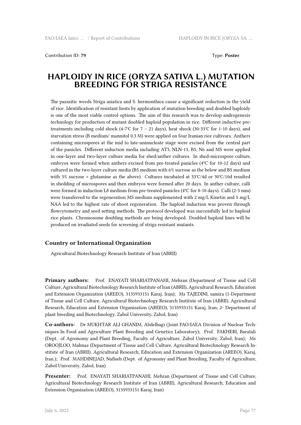Contribution ID: 79 Type: **Poster** 

# **HAPLOIDY IN RICE (ORYZA SATIVA L.) MUTATION BREEDING FOR STRIGA RESISTANCE**

The parasitic weeds Striga asiatica and S. hermonthica cause a significant reduction in the yield of rice. Identification of resistant hosts by application of mutation breeding and doubled haploidy is one of the most viable control options. The aim of this research was to develop androgenesis technology for production of mutant doubled haploid population in rice. Different inductive pretreatments including cold shock (4-7°C for  $7 - 21$  days), heat shock (30-33°C for 1-10 days), and starvation stress (B medium/ mannitol 0.3 M) were applied on four Iranian rice cultivars. Anthers containing microspores at the mid to late-uninucleate stage were excised from the central part of the panicles. Different induction media including AT3, NLN-13, B5, N6 and MS were applied in one-layer and two-layer culture media for shed/anther cultures. In shed-microspore culture, embryos were formed when anthers excised from pre-treated panicles (4°C for 10-12 days) and cultured in the two-layer culture media (B5 medium with 6% sucrose as the below and B5 medium with 3% sucrose + glutamine as the above). Cultures incubated at 33℃/4d or 30℃/10d resulted in shedding of microspores and then embryos were formed after 20 days. In anther culture, calli were formed in induction L8 medium from pre-treated panicles (4°C for 8-10 days). Calli (2-3 mm) were transferred to the regeneration MS medium supplemented with 2 mg/L Kinetin and 5 mg/L NAA led to the highest rate of shoot regeneration. The haploid induction was proven through flowcytometry and seed setting methods. The protocol developed was successfully led to haploid rice plants. Chromosome doubling methods are being developed. Doubled haploid lines will be produced on irradiated seeds for screening of striga resistant mutants.

#### **Country or International Organization**

Agricultural Biotechnology Research Institute of Iran (ABRII)

**Primary authors:** Prof. ENAYATI SHARIATPANAHI, Mehran (Department of Tissue and Cell Culture, Agricultural Biotechnology Research Institute of Iran (ABRII), Agricultural Research, Education and Extension Organization (AREEO), 3135933151 Karaj, Iran); Ms TAJEDINI, samira (1-Department of Tissue and Cell Culture, Agricultural Biotechnology Research Institute of Iran (ABRII), Agricultural Research, Education and Extension Organization (AREEO), 3135933151 Karaj, Iran; 2- Department of plant breeding and Biotechnology, Zabol University, Zabol, Iran)

**Co-authors:** Dr MUKHTAR ALI GHANIM, Abdelbagi (Joint FAO/IAEA Division of Nuclear Techniques In Food and Agriculture Plant Breeding and Genetics Laboratory); Prof. FAKHERI, Baratali (Dept. of Agronomy and Plant Breeding, Faculty of Agriculture, Zabol University, Zabol, Iran); Ms OROOJLOO, Mahnaz (Department of Tissue and Cell Culture, Agricultural Biotechnology Research Institute of Iran (ABRII), Agricultural Research, Education and Extension Organization (AREEO), Karaj, Iran.); Prof. MAHDINEJAD, Nafiseh (Dept. of Agronomy and Plant Breeding, Faculty of Agriculture, Zabol University, Zabol, Iran)

**Presenter:** Prof. ENAYATI SHARIATPANAHI, Mehran (Department of Tissue and Cell Culture, Agricultural Biotechnology Research Institute of Iran (ABRII), Agricultural Research, Education and Extension Organization (AREEO), 3135933151 Karaj, Iran)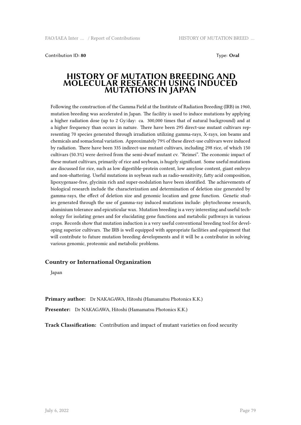Contribution ID: 80 Type: Oral

### **HISTORY OF MUTATION BREEDING AND MOLECULAR RESEARCH USING INDUCED MUTATIONS IN JAPAN**

Following the construction of the Gamma Field at the Institute of Radiation Breeding (IRB) in 1960, mutation breeding was accelerated in Japan. The facility is used to induce mutations by applying a higher radiation dose (up to 2 Gy/day: ca. 300,000 times that of natural background) and at a higher frequency than occurs in nature. There have been 295 direct-use mutant cultivars representing 70 species generated through irradiation utilizing gamma-rays, X-rays, ion beams and chemicals and somaclonal variation. Approximately 79% of these direct-use cultivars were induced by radiation. There have been 335 indirect-use mutant cultivars, including 298 rice, of which 150 cultivars (50.3%) were derived from the semi-dwarf mutant cv. "Reimei". The economic impact of these mutant cultivars, primarily of rice and soybean, is hugely significant. Some useful mutations are discussed for rice, such as low digestible-protein content, low amylose content, giant embryo and non-shattering. Useful mutations in soybean such as radio-sensitivity, fatty acid composition, lipoxygenase-free, glycinin rich and super-nodulation have been identified. The achievements of biological research include the characterization and determination of deletion size generated by gamma-rays, the effect of deletion size and genomic location and gene function. Genetic studies generated through the use of gamma-ray induced mutations include: phytochrome research, aluminium tolerance and epicuticular wax. Mutation breeding is a very interesting and useful technology for isolating genes and for elucidating gene functions and metabolic pathways in various crops. Records show that mutation induction is a very useful conventional breeding tool for developing superior cultivars. The IRB is well equipped with appropriate facilities and equipment that will contribute to future mutation breeding developments and it will be a contributor in solving various genomic, proteomic and metabolic problems.

### **Country or International Organization**

Japan

**Primary author:** Dr NAKAGAWA, Hitoshi (Hamamatsu Photonics K.K.) **Presenter:** Dr NAKAGAWA, Hitoshi (Hamamatsu Photonics K.K.)

**Track Classification:** Contribution and impact of mutant varieties on food security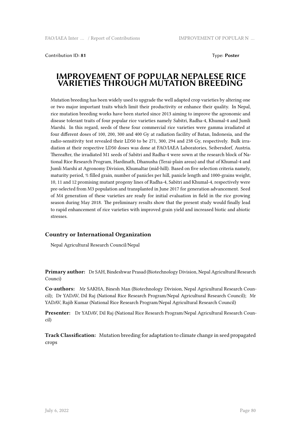Contribution ID: **81** Type: **Poster**

# **IMPROVEMENT OF POPULAR NEPALESE RICE VARIETIES THROUGH MUTATION BREEDING**

Mutation breeding has been widely used to upgrade the well adapted crop varieties by altering one or two major important traits which limit their productivity or enhance their quality. In Nepal, rice mutation breeding works have been started since 2013 aiming to improve the agronomic and disease tolerant traits of four popular rice varieties namely Sabitri, Radha-4, Khumal-4 and Jumli Marshi. In this regard, seeds of these four commercial rice varieties were gamma irradiated at four different doses of 100, 200, 300 and 400 Gy at radiation facility of Batan, Indonesia, and the radio-sensitivity test revealed their LD50 to be 271, 300, 294 and 238 Gy, respectively. Bulk irradiation at their respective LD50 doses was done at FAO/IAEA Laboratories, Seibersdorf, Austria. Thereafter, the irradiated M1 seeds of Sabitri and Radha-4 were sown at the research block of National Rice Research Program, Hardinath, Dhanusha (Terai-plain areas) and that of Khumal-4 and Jumli Marshi at Agronomy Division, Khumaltar (mid-hill). Based on five selection criteria namely, maturity period, % filled grain, number of panicles per hill, panicle length and 1000-grains weight, 10, 11 and 12 promising mutant progeny lines of Radha-4, Sabitri and Khumal-4, respectively were pre-selected from M3 population and transplanted in June 2017 for generation advancement. Seed of M4 generation of these varieties are ready for initial evaluation in field in the rice growing season during May 2018. The preliminary results show that the present study would finally lead to rapid enhancement of rice varieties with improved grain yield and increased biotic and abiotic stresses.

### **Country or International Organization**

Nepal Agricultural Research Council/Nepal

**Primary author:** Dr SAH, Bindeshwar Prasad (Biotechnology Division, Nepal Agricultural Research Counci)

**Co-authors:** Mr SAKHA, Binesh Man (Biotechnology Division, Nepal Agricultural Research Council); Dr YADAV, Dil Raj (National Rice Research Program/Nepal Agricultural Research Council); Mr YADAV, Rajib Kumar (National Rice Research Program/Nepal Agricultural Research Council)

**Presenter:** Dr YADAV, Dil Raj (National Rice Research Program/Nepal Agricultural Research Council)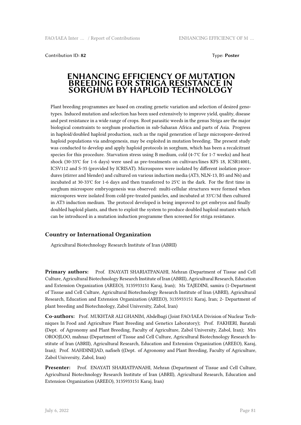Contribution ID: 82 Type: **Poster** 

### **ENHANCING EFFICIENCY OF MUTATION BREEDING FOR STRIGA RESISTANCE IN SORGHUM BY HAPLOID TECHNOLOGY**

Plant breeding programmes are based on creating genetic variation and selection of desired genotypes. Induced mutation and selection has been used extensively to improve yield, quality, disease and pest resistance in a wide range of crops. Root parasitic weeds in the genus Striga are the major biological constraints to sorghum production in sub-Saharan Africa and parts of Asia. Progress in haploid/doubled haploid production, such as the rapid generation of large microspore-derived haploid populations via androgenesis, may be exploited in mutation breeding. The present study was conducted to develop and apply haploid protocols in sorghum, which has been a recalcitrant species for this procedure. Starvation stress using B medium, cold (4-7℃ for 1-7 weeks) and heat shock (30-33℃ for 1-6 days) were used as pre-treatments on cultivars/lines KFS 18, ICSR14001, ICSV112 and S-35 (provided by ICRISAT). Microspores were isolated by different isolation procedures (stirrer and blender) and cultured on various induction media (AT3, NLN-13, B5 and N6) and incubated at 30-33℃ for 1-6 days and then transferred to 25℃ in the dark. For the first time in sorghum microspore embryogenesis was observed: multi-cellular structures were formed when microspores were isolated from cold-pre-treated panicles, and incubated at 33℃/3d then cultured in AT3 induction medium. The protocol developed is being improved to get embryos and finally doubled haploid plants, and then to exploit the system to produce doubled haploid mutants which can be introduced in a mutation induction programme then screened for striga resistance.

### **Country or International Organization**

Agricultural Biotechnology Research Institute of Iran (ABRII)

**Primary authors:** Prof. ENAYATI SHARIATPANAHI, Mehran (Department of Tissue and Cell Culture, Agricultural Biotechnology Research Institute of Iran (ABRII), Agricultural Research, Education and Extension Organization (AREEO), 3135933151 Karaj, Iran); Ms TAJEDINI, samira (1-Department of Tissue and Cell Culture, Agricultural Biotechnology Research Institute of Iran (ABRII), Agricultural Research, Education and Extension Organization (AREEO), 3135933151 Karaj, Iran; 2- Department of plant breeding and Biotechnology, Zabol University, Zabol, Iran)

**Co-authors:** Prof. MUKHTAR ALI GHANIM, Abdelbagi (Joint FAO/IAEA Division of Nuclear Techniques In Food and Agriculture Plant Breeding and Genetics Laboratory); Prof. FAKHERI, Baratali (Dept. of Agronomy and Plant Breeding, Faculty of Agriculture, Zabol University, Zabol, Iran); Mrs OROOJLOO, mahnaz (Department of Tissue and Cell Culture, Agricultural Biotechnology Research Institute of Iran (ABRII), Agricultural Research, Education and Extension Organization (AREEO), Karaj, Iran); Prof. MAHDINEJAD, nafiseh ((Dept. of Agronomy and Plant Breeding, Faculty of Agriculture, Zabol University, Zabol, Iran)

**Presenter:** Prof. ENAYATI SHARIATPANAHI, Mehran (Department of Tissue and Cell Culture, Agricultural Biotechnology Research Institute of Iran (ABRII), Agricultural Research, Education and Extension Organization (AREEO), 3135933151 Karaj, Iran)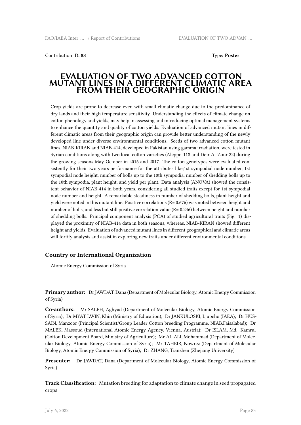Contribution ID: **83** Type: **Poster**

### **EVALUATION OF TWO ADVANCED COTTON MUTANT LINES IN A DIFFERENT CLIMATIC AREA FROM THEIR GEOGRAPHIC ORIGIN**

Crop yields are prone to decrease even with small climatic change due to the predominance of dry lands and their high temperature sensitivity. Understanding the effects of climate change on cotton phenology and yields, may help in assessing and introducing optimal management systems to enhance the quantity and quality of cotton yields. Evaluation of advanced mutant lines in different climatic areas from their geographic origin can provide better understanding of the newly developed line under diverse environmental conditions. Seeds of two advanced cotton mutant lines, NIAB-KIRAN and NIAB-414, developed in Pakistan using gamma irradiation, were tested in Syrian conditions along with two local cotton varieties (Aleppo-118 and Deir Al-Zour 22) during the growing seasons May-October in 2016 and 2017. The cotton genotypes were evaluated consistently for their two years performance for the attributes like;1st sympodial node number, 1st sympodial node height, number of bolls up to the 10th sympodia, number of shedding bolls up to the 10th sympodia, plant height, and yield per plant. Data analysis (ANOVA) showed the consistent behavior of NIAB-414 in both years, considering all studied traits except for 1st sympodial node number and height. A remarkable steadiness in number of shedding bolls, plant height and yield were noted in this mutant line. Positive correlations (R= 0.676) was noted between height and number of bolls, and less but still positive correlation value (R= 0.246) between height and number of shedding bolls. Principal component analysis (PCA) of studied agricultural traits (Fig. 1) displayed the proximity of NIAB-414 data in both seasons, whereas, NIAB-KIRAN showed different height and yields. Evaluation of advanced mutant lines in different geographical and climatic areas will fortify analysis and assist in exploring new traits under different environmental conditions.

### **Country or International Organization**

Atomic Energy Commission of Syria

**Primary author:** Dr JAWDAT, Dana (Department of Molecular Biology, Atomic Energy Commission of Syria)

**Co-authors:** Mr SALEH, Aghyad (Department of Molecular Biology, Atomic Energy Commission of Syria); Dr MYAT LWIN, Khin (Ministry of Education); Dr JANKULOSKI, Ljupcho (IAEA); Dr HUS-SAIN, Manzoor (Principal Scientist/Group Leader Cotton breeding Programme, NIAB,Faisalabad); Dr MALEK, Massoud (International Atomic Energy Agency, Vienna, Austria); Dr ISLAM, Md. Kamrul (Cotton Development Board, Ministry of Agriculture); Mr AL-ALI, Mohammad (Department of Molecular Biology, Atomic Energy Commission of Syria); Mr TAHEIR, Nowrez (Department of Molecular Biology, Atomic Energy Commission of Syria); Dr ZHANG, Tianzhen (Zhejiang University)

**Presenter:** Dr JAWDAT, Dana (Department of Molecular Biology, Atomic Energy Commission of Syria)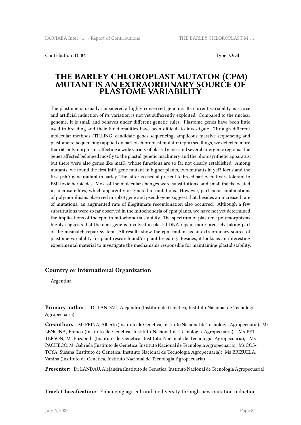Contribution ID: 84 Type: Oral

# **THE BARLEY CHLOROPLAST MUTATOR (CPM) MUTANT IS AN EXTRAORDINARY SOURCE OF PLASTOME VARIABILITY**

The plastome is usually considered a highly conserved genome. Its current variability is scarce and artificial induction of its variation is not yet sufficiently exploited. Compared to the nuclear genome, it is small and behaves under different genetic rules. Plastome genes have been little used in breeding and their functionalities have been difficult to investigate. Through different molecular methods (TILLING, candidate genes sequencing, amplicons massive sequencing and plastome re-sequencing) applied on barley chloroplast mutator (cpm) seedlings, we detected more than 60 polymorphisms affecting a wide variety of plastid genes and several intergenic regions. The genes affected belonged mostly to the plastid genetic machinery and the photosynthetic apparatus, but there were also genes like matK, whose functions are so far not clearly established. Among mutants, we found the first infA gene mutant in higher plants, two mutants in ycf3 locus and the first psbA gene mutant in barley. The latter is used at present to breed barley cultivars tolerant to PSII toxic herbicides. Most of the molecular changes were substitutions, and small indels located in microsatellites, which apparently originated in mutations. However, particular combinations of polymorphisms observed in rpl23 gene and pseudogene suggest that, besides an increased rate of mutations, an augmented rate of illegitimate recombination also occurred. Although a few substitutions were so far observed in the mitochondria of cpm plants, we have not yet determined the implications of the cpm in mitochondria stability. The spectrum of plastome polymorphisms highly suggests that the cpm gene is involved in plastid DNA repair, more precisely taking part of the mismatch repair system. All results show the cpm mutant as an extraordinary source of plastome variability for plant research and/or plant breeding. Besides, it looks as an interesting experimental material to investigate the mechanisms responsible for maintaining plastid stability.

#### **Country or International Organization**

Argentina

**Primary author:** Dr LANDAU, Alejandra (Instituto de Genetica, Instituto Nacional de Tecnologia Agropecuaria)

**Co-authors:** Mr PRINA, Alberto (Instituto de Genetica, Instituto Nacional de Tecnologia Agropecuaria); Mr LENCINA, Franco (Instituto de Genetica, Instituto Nacional de Tecnologia Agropecuaria); Ms PET-TERSON, M. Elizabeth (Instituto de Genetica, Instituto Nacional de Tecnologia Agropecuaria); Ms PACHECO, M. Gabriela (Instituto de Genetica, Instituto Nacional de Tecnologia Agropecuaria); Ms COS-TOYA, Susana (Instituto de Genetica, Instituto Nacional de Tecnologia Agropecuaria); Ms BRIZUELA, Vanina (Instituto de Genetica, Instituto Nacional de Tecnologia Agropecuaria)

**Presenter:** Dr LANDAU, Alejandra (Instituto de Genetica, Instituto Nacional de Tecnologia Agropecuaria)

**Track Classification:** Enhancing agricultural biodiversity through new mutation induction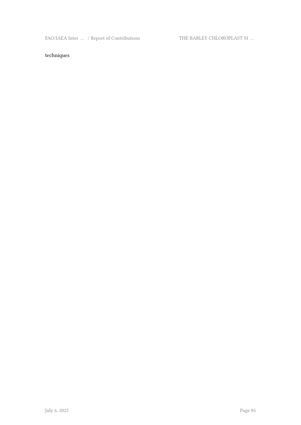FAO/IAEA Inter  $\ldots$  / Report of Contributions  $\hfill\text{THE BARLEY CHLOROPLAST M}\ldots$ 

# techniques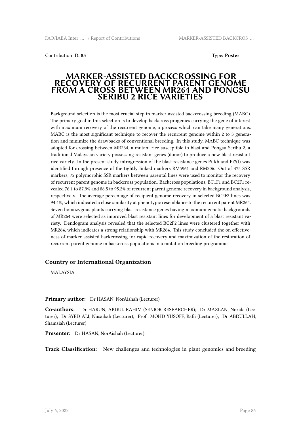Contribution ID: **85** Type: **Poster**

### **MARKER-ASSISTED BACKCROSSING FOR RECOVERY OF RECURRENT PARENT GENOME FROM A CROSS BETWEEN MR264 AND PONGSU SERIBU 2 RICE VARIETIES**

Background selection is the most crucial step in marker-assisted backcrossing breeding (MABC). The primary goal in this selection is to develop backcross progenies carrying the gene of interest with maximum recovery of the recurrent genome, a process which can take many generations. MABC is the most significant technique to recover the recurrent genome within 2 to 3 generation and minimize the drawbacks of conventional breeding. In this study, MABC technique was adopted for crossing between MR264, a mutant rice susceptible to blast and Pongsu Seribu 2, a traditional Malaysian variety possessing resistant genes (donor) to produce a new blast resistant rice variety. In the present study introgression of the blast resistance genes Pi-kh and Pi7(t) was identified through presence of the tightly linked markers RM5961 and RM206. Out of 375 SSR markers, 72 polymorphic SSR markers between parental lines were used to monitor the recovery of recurrent parent genome in backcross population. Backcross populations, BC1F1 and BC2F1 revealed 76.1 to 87.9% and 86.5 to 95.2% of recurrent parent genome recovery in background analysis, respectively. The average percentage of recipient genome recovery in selected BC2F2 lines was 94.4%, which indicated a close similarity at phenotypic resemblance to the recurrent parent MR264. Seven homozygous plants carrying blast resistance genes having maximum genetic backgrounds of MR264 were selected as improved blast resistant lines for development of a blast resistant variety. Dendogram analysis revealed that the selected BC2F2 lines were clustered together with MR264, which indicates a strong relationship with MR264. This study concluded the on effectiveness of marker-assisted backcrossing for rapid recovery and maximization of the restoration of recurrent parent genome in backcross populations in a mutation breeding programme.

### **Country or International Organization**

MALAYSIA

#### **Primary author:** Dr HASAN, NorAishah (Lecturer)

**Co-authors:** Dr HARUN, ABDUL RAHIM (SENIOR RESEARCHER); Dr MAZLAN, Norida (Lecturer); Dr SYED ALI, Nusaibah (Lecturer); Prof. MOHD YUSOFF, Rafii (Lecturer); Dr ABDULLAH, Shamsiah (Lecturer)

**Presenter:** Dr HASAN, NorAishah (Lecturer)

**Track Classification:** New challenges and technologies in plant genomics and breeding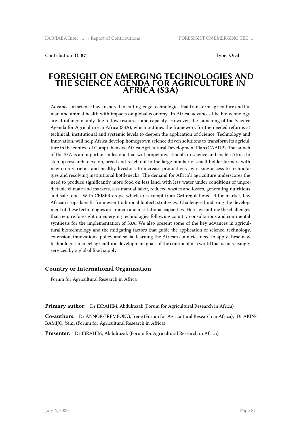Contribution ID: **87** Type: **Oral**

## **FORESIGHT ON EMERGING TECHNOLOGIES AND THE SCIENCE AGENDA FOR AGRICULTURE IN AFRICA (S3A)**

Advances in science have ushered in cutting-edge technologies that transform agriculture and human and animal health with impacts on global economy. In Africa, advances like biotechnology are at infancy mainly due to low resources and capacity. However, the launching of the Science Agenda for Agriculture in Africa (S3A), which outlines the framework for the needed reforms at technical, institutional and systemic levels to deepen the application of Science, Technology and Innovation, will help Africa develop homegrown science driven solutions to transform its agriculture in the context of Comprehensive Africa Agricultural Development Plan (CAADP). The launch of the S3A is an important milestone that will propel investments in science and enable Africa to step up research, develop, breed and reach out to the large number of small-holder farmers with new crop varieties and healthy livestock to increase productivity by easing access to technologies and resolving institutional bottlenecks. The demand for Africa's agriculture underscores the need to produce significantly more food on less land, with less water under conditions of unpredictable climate and markets, less manual labor, reduced wastes and losses, generating nutritious and safe food. With CRISPR-crops, which are exempt from GM regulations set for market, few African crops benefit from even traditional biotech strategies. Challenges hindering the development of these technologies are human and institutional capacities. Here, we outline the challenges that require foresight on emerging technologies following country consultations and continental synthesis for the implementation of S3A. We also present some of the key advances in agricultural biotechnology and the mitigating factors that guide the application of science, technology, extension, innovations, policy and social learning the African countries need to apply these new technologies to meet agricultural development goals of the continent in a world that is increasingly serviced by a global food supply.

### **Country or International Organization**

Forum for Agricultural Research in Africa

**Primary author:** Dr IBRAHIM, Abdulrazak (Forum for Agricultural Research in Africa)

**Co-authors:** Dr ANNOR-FREMPONG, Irene (Forum for Agricultural Research in Africa); Dr AKIN-BAMIJO, Yemi (Forum for Agricultural Research in Africa)

**Presenter:** Dr IBRAHIM, Abdulrazak (Forum for Agricultural Research in Africa)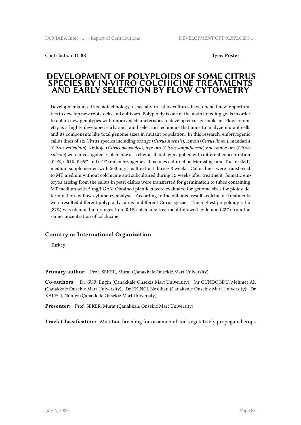Contribution ID: **88** Type: **Poster**

# **DEVELOPMENT OF POLYPLOIDS OF SOME CITRUS SPECIES BY IN-VITRO COLCHICINE TREATMENTS AND EARLY SELECTION BY FLOW CYTOMETRY**

Developments in citrus biotechnology, especially in callus cultures have opened new opportunities to develop new rootstocks and cultivars. Polyploidy is one of the main breeding goals in order to obtain new genotypes with improved characteristics to develop citrus germplasm. Flow cytometry is a highly developed early and rapid selection technique that aims to analyze mutant cells and its components like total genome sizes in mutant population. In this research, embriyogenic callus lines of six Citrus species including orange (*Citrus sinensis*), lemon (*Citrus limon*), mandarin (*Citrus reticulata*), kinkoje (*Citrus obovoidea*), hyokan (*Citrus ampullaceae*) and sanbokan (*Citrus sulcata*) were investigated. Colchicine as a chemical mutagen applied with different concentration (0.0%, 0.01%, 0.05% and 0.1%) on embryogenic callus lines cultured on Murashige and Tucker (MT) medium supplemented with 500 mg/l malt extract during 8 weeks. Callus lines were transferred to MT medium without colchicine and subcultured during 12 weeks after treatment. Somatic embryos arising from the callus in petri dishes were transferred for germination to tubes containing MT medium with 5 mg/l GA3. Obtained plantlets were evaluated for genome sizes for ploidy determination by flow cytometry analysis. According to the obtained results colchicine treatments were resulted different polyploidy ratios in different Citrus species. The highest polyploidy ratio (27%) was obtained in oranges from 0.1% colchicine treatment followed by lemon (22%) from the same concentration of colchicine.

### **Country or International Organization**

Turkey

Primary author: Prof. SEKER, Murat (Çanakkale Onsekiz Mart University)

**Co-authors:** Dr GUR, Engin (Çanakkale Onsekiz Mart University); Mr GUNDOGDU, Mehmet Ali (Çanakkale Onsekiz Mart University); Dr EKINCI, Neslihan (Çanakkale Onsekiz Mart University); Dr KALECI, Nilufer (Çanakkale Onsekiz Mart University)

**Presenter:** Prof. SEKER, Murat (Çanakkale Onsekiz Mart University)

**Track Classification:** Mutation breeding for ornamental and vegetatively propagated crops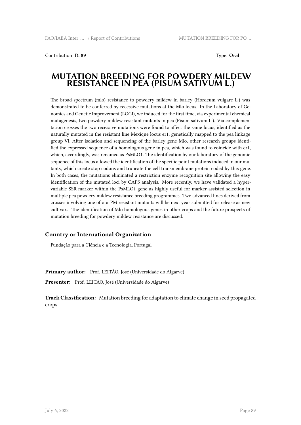Contribution ID: 89 Type: Oral

# **MUTATION BREEDING FOR POWDERY MILDEW RESISTANCE IN PEA (PISUM SATIVUM L.)**

The broad-spectrum (mlo) resistance to powdery mildew in barley (Hordeum vulgare L.) was demonstrated to be conferred by recessive mutations at the Mlo locus. In the Laboratory of Genomics and Genetic Improvement (LGGI), we induced for the first time, via experimental chemical mutagenesis, two powdery mildew resistant mutants in pea (Pisum sativum L.). Via complementation crosses the two recessive mutations were found to affect the same locus, identified as the naturally mutated in the resistant line Mexique locus er1, genetically mapped to the pea linkage group VI. After isolation and sequencing of the barley gene Mlo, other research groups identified the expressed sequence of a homologous gene in pea, which was found to coincide with er1, which, accordingly, was renamed as PsMLO1. The identification by our laboratory of the genomic sequence of this locus allowed the identification of the specific point mutations induced in our mutants, which create stop codons and truncate the cell transmembrane protein coded by this gene. In both cases, the mutations eliminated a restriction enzyme recognition site allowing the easy identification of the mutated loci by CAPS analysis. More recently, we have validated a hypervariable SSR marker within the PsMLO1 gene as highly useful for marker-assisted selection in multiple pea powdery mildew resistance breeding programmes. Two advanced lines derived from crosses involving one of our PM resistant mutants will be next year submitted for release as new cultivars. The identification of Mlo homologous genes in other crops and the future prospects of mutation breeding for powdery mildew resistance are discussed.

### **Country or International Organization**

Fundação para a Ciência e a Tecnologia, Portugal

Primary author: Prof. LEITÃO, José (Universidade do Algarve)

**Presenter:** Prof. LEITÃO, José (Universidade do Algarve)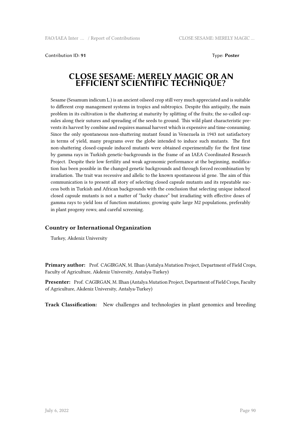Contribution ID: **91** Type: **Poster**

# **CLOSE SESAME: MERELY MAGIC OR AN EFFICIENT SCIENTIFIC TECHNIQUE?**

Sesame (Sesamum indicum L.) is an ancient oilseed crop still very much appreciated and is suitable to different crop management systems in tropics and subtropics. Despite this antiquity, the main problem in its cultivation is the shattering at maturity by splitting of the fruits; the so-called capsules along their sutures and spreading of the seeds to ground. This wild plant characteristic prevents its harvest by combine and requires manual harvest which is expensive and time-consuming. Since the only spontaneous non-shattering mutant found in Venezuela in 1943 not satisfactory in terms of yield, many programs over the globe intended to induce such mutants. The first non-shattering closed-capsule induced mutants were obtained experimentally for the first time by gamma rays in Turkish genetic-backgrounds in the frame of an IAEA Coordinated Research Project. Despite their low fertility and weak agronomic performance at the beginning, modification has been possible in the changed genetic backgrounds and through forced recombination by irradiation. The trait was recessive and allelic to the known spontaneous id gene. The aim of this communication is to present all story of selecting closed capsule mutants and its repeatable success both in Turkish and African backgrounds with the conclusion that selecting unique induced closed capsule mutants is not a matter of "lucky chance" but irradiating with effective doses of gamma rays to yield loss of function mutations; growing quite large M2 populations, preferably in plant progeny rows; and careful screening.

### **Country or International Organization**

Turkey, Akdeniz University

**Primary author:** Prof. CAGIRGAN, M. Ilhan (Antalya Mutation Project, Department of Field Crops, Faculty of Agriculture, Akdeniz University, Antalya-Turkey)

**Presenter:** Prof. CAGIRGAN, M. Ilhan (Antalya Mutation Project, Department of Field Crops, Faculty of Agriculture, Akdeniz University, Antalya-Turkey)

**Track Classification:** New challenges and technologies in plant genomics and breeding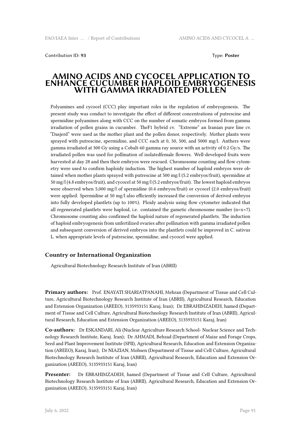Contribution ID: **93** Type: **Poster**

### **AMINO ACIDS AND CYCOCEL APPLICATION TO ENHANCE CUCUMBER HAPLOID EMBRYOGENESIS WITH GAMMA IRRADIATED POLLEN**

Polyamines and cycocel (CCC) play important roles in the regulation of embryogenesis. The present study was conduct to investigate the effect of different concentrations of putrescine and spermidine polyamines along with CCC on the number of somatic embryos formed from gamma irradiation of pollen grains in cucumber. TheF1 hybrid cv. "Extreme" an Iranian pure line cv. "Dasjerd" were used as the mother plant and the pollen donor, respectively. Mother plants were sprayed with putrescine, spermidine, and CCC each at 0, 50, 500, and 5000 mg/l. Anthers were gamma irradiated at 300 Gy using a Cobalt-60 gamma ray source with an activity of 0.2 Gy/s. The irradiated pollen was used for pollination of isolatedfemale flowers. Well-developed fruits were harvested at day 28 and then their embryos were rescued. Chromosome counting and flow cytometry were used to confirm haploidy induction. The highest number of haploid embryos were obtained when mother plants sprayed with putrescine at 500 mg/l (5.2 embryos/fruit), spermidine at 50 mg/l (4.8 embryos/fruit), and cycocel at 50 mg/l (5.2 embryos/fruit). The lowest haploid embryos were observed when 5,000 mg/l of spermidine (0.4 embryos/fruit) or cycocel (2.0 embryos/fruit) were applied. Spermidine at 50 mg/l also efficiently increased the conversion of derived embryos into fully developed plantlets (up to 100%). Ploidy analysis using flow cytometer indicated that all regenerated plantlets were haploid, i.e. contained the gametic chromosome number  $(n=x=7)$ . Chromosome counting also confirmed the haploid nature of regenerated plantlets. The induction of haploid embryogenesis from unfertilized ovaries after pollination with gamma irradiated pollen and subsequent conversion of derived embryos into the plantlets could be improved in C. sativus L. when appropriate levels of putrescine, spermidine, and cycocel were applied.

### **Country or International Organization**

Agricultural Biotechnology Research Institute of Iran (ABRII)

**Primary authors:** Prof. ENAYATI SHARIATPANAHI, Mehran (Department of Tissue and Cell Culture, Agricultural Biotechnology Research Institute of Iran (ABRII), Agricultural Research, Education and Extension Organization (AREEO), 3135933151 Karaj, Iran); Dr EBRAHIMZADEH, hamed (Department of Tissue and Cell Culture, Agricultural Biotechnology Research Institute of Iran (ABRII), Agricultural Research, Education and Extension Organization (AREEO), 3135933151 Karaj, Iran)

**Co-authors:** Dr ESKANDARI, Ali (Nuclear Agriculture Research School- Nuclear Science and Technology Research Institute, Karaj. Iran); Dr AHMADI, Behzad (Department of Maize and Forage Crops, Seed and Plant Improvement Institute (SPII), Agricultural Research, Education and Extension Organization (AREEO), Karaj, Iran); Dr NIAZIAN, Mohsen (Department of Tissue and Cell Culture, Agricultural Biotechnology Research Institute of Iran (ABRII), Agricultural Research, Education and Extension Organization (AREEO), 3135933151 Karaj, Iran)

**Presenter:** Dr EBRAHIMZADEH, hamed (Department of Tissue and Cell Culture, Agricultural Biotechnology Research Institute of Iran (ABRII), Agricultural Research, Education and Extension Organization (AREEO), 3135933151 Karaj, Iran)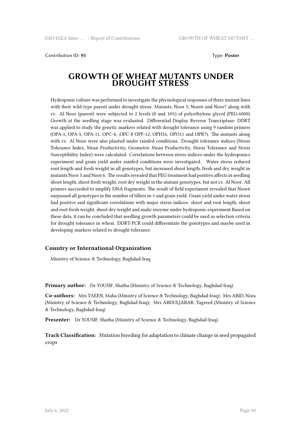Contribution ID: **95** Type: **Poster**

# **GROWTH OF WHEAT MUTANTS UNDER DROUGHT STRESS**

Hydroponic culture was performed to investigate the physiological responses of three mutant lines with their wild-type parent under drought stress. Mutants; Noor 5, Noor6 and Noor7 along with cv. Al Noor (parent) were subjected to 2 levels (0 and 10%) of polyethylene glycol (PEG-6000). Growth at the seedling stage was evaluated. Differential Display Reverse Trancriptase- DDRT was applied to study the genetic markers related with drought tolerance using 9 random primers (OPA-1, OPA-5, OPA-11, OPC-4, ,OPC-8 OPF-12, OPH16, OPO11 and OPR7). The mutants along with cv. Al Noor were also planted under rainfed conditions. Drought tolerance indices (Stress Tolerance Index, Mean Productivity, Geometric Mean Productivity, Stress Tolerance and Stress Susceptibility Index) were calculated. Correlations between stress indices under the hydroponics experiment and grain yield under rainfed conditions were investigated. Water stress reduced root length and fresh weight in all genotypes, but increased shoot length, fresh and dry weight in mutants Noor 5 and Noor 6. The results revealed that PEG treatment had positive affects in seedling shoot length, shoot fresh weight, root dry weight in the mutant genotypes, but not cv. Al Noor. All primers succeeded to amplify DNA fragments. The result of field experiment revealed that Noor6 surpassed all genotypes in the number of tillers m-1 and grain yield. Grain yield under water stress had positive and significant correlations with major stress indices: shoot and root length, shoot and root fresh weight, shoot dry weight and malic enzyme under hydroponic experiment Based on these data, it can be concluded that seedling growth parameters could be used as selection criteria for drought tolerance in wheat. DDRT-PCR could differentiate the genotypes and maybe used in developing markers related to drought tolerance.

#### **Country or International Organization**

Ministry of Science & Technology, Baghdad-Iraq

**Primary author:** Dr YOUSIF, Shatha (Ministry of Science & Technology, Baghdad-Iraq)

**Co-authors:** Mrs TAEEN, Maha (Ministry of Science & Technology, Baghdad-Iraq); Mrs ABID, Nora (Ministry of Science & Technology, Baghdad-Iraq); Mrs ABDULJABAR, Tagreed (Ministry of Science & Technology, Baghdad-Iraq)

**Presenter:** Dr YOUSIF, Shatha (Ministry of Science & Technology, Baghdad-Iraq)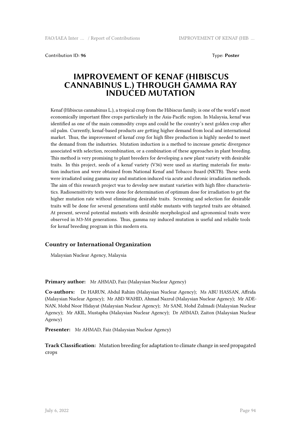Contribution ID: **96** Type: **Poster**

# **IMPROVEMENT OF KENAF (HIBISCUS CANNABINUS L.) THROUGH GAMMA RAY INDUCED MUTATION**

Kenaf (Hibiscus cannabinus L.), a tropical crop from the Hibiscus family, is one of the world's most economically important fibre crops particularly in the Asia-Pacific region. In Malaysia, kenaf was identified as one of the main commodity crops and could be the country's next golden crop after oil palm. Currently, kenaf-based products are getting higher demand from local and international market. Thus, the improvement of kenaf crop for high fibre production is highly needed to meet the demand from the industries. Mutation induction is a method to increase genetic divergence associated with selection, recombination, or a combination of these approaches in plant breeding. This method is very promising to plant breeders for developing a new plant variety with desirable traits. In this project, seeds of a kenaf variety (V36) were used as starting materials for mutation induction and were obtained from National Kenaf and Tobacco Board (NKTB). These seeds were irradiated using gamma ray and mutation induced via acute and chronic irradiation methods. The aim of this research project was to develop new mutant varieties with high fibre characteristics. Radiosensitivity tests were done for determination of optimum dose for irradiation to get the higher mutation rate without eliminating desirable traits. Screening and selection for desirable traits will be done for several generations until stable mutants with targeted traits are obtained. At present, several potential mutants with desirable morphological and agronomical traits were observed in M3-M4 generations. Thus, gamma ray induced mutation is useful and reliable tools for kenaf breeding program in this modern era.

#### **Country or International Organization**

Malaysian Nuclear Agency, Malaysia

#### **Primary author:** Mr AHMAD, Faiz (Malaysian Nuclear Agency)

**Co-authors:** Dr HARUN, Abdul Rahim (Malaysian Nuclear Agency); Ms ABU HASSAN, Affrida (Malaysian Nuclear Agency); Mr ABD WAHID, Ahmad Nazrul (Malaysian Nuclear Agency); Mr ADE-NAN, Mohd Noor Hidayat (Malaysian Nuclear Agency); Mr SANI, Mohd Zulmadi (Malaysian Nuclear Agency); Mr AKIL, Mustapha (Malaysian Nuclear Agency); Dr AHMAD, Zaiton (Malaysian Nuclear Agency)

**Presenter:** Mr AHMAD, Faiz (Malaysian Nuclear Agency)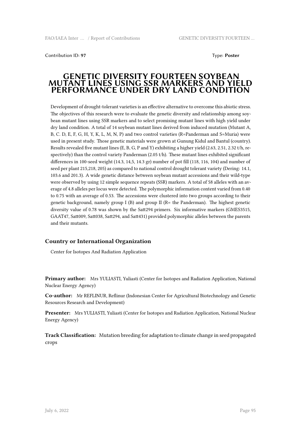Contribution ID: **97** Type: **Poster**

# **GENETIC DIVERSITY FOURTEEN SOYBEAN MUTANT LINES USING SSR MARKERS AND YIELD PERFORMANCE UNDER DRY LAND CONDITION**

Development of drought-tolerant varieties is an effective alternative to overcome this abiotic stress. The objectives of this research were to evaluate the genetic diversity and relationship among soybean mutant lines using SSR markers and to select promising mutant lines with high yield under dry land condition. A total of 14 soybean mutant lines derived from induced mutation (Mutant A, B, C. D, E, F, G, H, Y, K, L, M, N, P) and two control varieties (R=Panderman and S=Muria) were used in present study. Those genetic materials were grown at Gunung Kidul and Bantul (country). Results revealed five mutant lines (E, B, G, P and Y) exhibiting a higher yield (2.63, 2.51, 2.32 t/h, respectively) than the control variety Panderman (2.05 t/h). These mutant lines exhibited significant differences in 100-seed weight (14.3, 14,5, 14.3 gr) number of pot fill (118, 116, 104) and number of seed per plant 215,218, 205) as compared to national control drought tolerant variety (Dering: 14.1, 103.6 and 201.3). A wide genetic distance between soybean mutant accessions and their wild-type were observed by using 12 simple sequence repeats (SSR) markers. A total of 58 alleles with an average of 4.8 alleles per locus were detected. The polymorphic information content varied from 0.40 to 0.75 with an average of 0.53. The accessions were clustered into two groups according to their genetic background, namely group I (B) and group II (R= the Panderman). The highest genetic diversity value of 0.78 was shown by the Satt294 primers. Six informative markers (GMES3515, GAAT47, Satt009, Satt038, Satt294, and Satt431) provided polymorphic alleles between the parents and their mutants.

### **Country or International Organization**

Center for Isotopes And Radiation Application

**Primary author:** Mrs YULIASTI, Yuliasti (Center for Isotopes and Radiation Application, National Nuclear Energy Agency)

**Co-author:** Mr REFLINUR, Reflinur (Indonesian Center for Agricultural Biotechnology and Genetic Resources Research and Development)

**Presenter:** Mrs YULIASTI, Yuliasti (Center for Isotopes and Radiation Application, National Nuclear Energy Agency)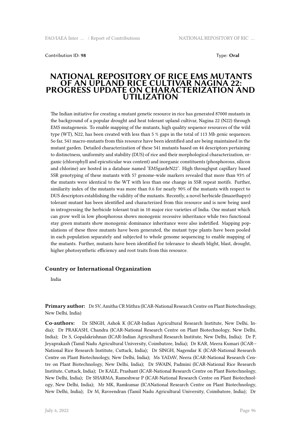Contribution ID: **98** Type: **Oral**

### **NATIONAL REPOSITORY OF RICE EMS MUTANTS OF AN UPLAND RICE CULTIVAR NAGINA 22: PROGRESS UPDATE ON CHARACTERIZATION AND UTILIZATION**

The Indian initiative for creating a mutant genetic resource in rice has generated 87000 mutants in the background of a popular drought and heat tolerant upland cultivar, Nagina 22 (N22) through EMS mutagenesis. To enable mapping of the mutants, high quality sequence resources of the wild type (WT), N22, has been created with less than 5 % gaps in the total of 113 Mb genic sequences. So far, 541 macro-mutants from this resource have been identified and are being maintained in the mutant garden. Detailed characterization of these 541 mutants based on 44 descriptors pertaining to distinctness, uniformity and stability (DUS) of rice and their morphological characterization, organic (chlorophyll and epicuticular wax content) and inorganic constituents (phosphorous, silicon and chlorine) are hosted in a database named 'EMSgardeN22'. High throughput capillary based SSR genotyping of these mutants with 57 genome-wide markers revealed that more than 93% of the mutants were identical to the WT with less than one change in SSR repeat motifs. Further, similarity index of the mutants was more than 0.6 for nearly 90% of the mutants with respect to DUS descriptors establishing the validity of the mutants. Recently, a novel herbicide (Imazethapyr) tolerant mutant has been identified and characterized from this resource and is now being used in introgressing the herbicide tolerant trait in 10 major rice varieties of India. One mutant which can grow well in low phosphorous shows monogenic recessive inheritance while two functional stay green mutants show monogenic dominance inheritance were also indetified. Mapping populations of these three mutants have been generated, the mutant type plants have been pooled in each population separately and subjected to whole genome sequencing to enable mapping of the mutants. Further, mutants have been identified for tolerance to sheath blight, blast, drought, higher photosynthetic efficiency and root traits from this resource.

#### **Country or International Organization**

India

**Primary author:** Dr SV, Amitha CR Mithra (ICAR-National Research Centre on Plant Biotechnology, New Delhi, India)

**Co-authors:** Dr SINGH, Ashok K (ICAR-Indian Agricultural Research Institute, New Delhi, India); Dr PRAKASH, Chandra (ICAR-National Research Centre on Plant Biotechnology, New Delhi, India); Dr S, Gopalakrishnan (ICAR-Indian Agricultural Research Institute, New Delhi, India); Dr P, Jeyaprakash (Tamil Nadu Agricultural University, Coimbatore, India); Dr KAR, Meera Kumari (ICAR-- National Rice Research Institute, Cuttack, India); Dr SINGH, Nagendar K (ICAR-National Research Centre on Plant Biotechnology, New Delhi, India); Ms YADAV, Neera (ICAR-National Research Centre on Plant Biotechnology, New Delhi, India); Dr SWAIN, Padmini (ICAR-National Rice Research Institute, Cuttack, India); Dr KALE, Prashant (ICAR-National Research Centre on Plant Biotechnology, New Delhi, India); Dr SHARMA, Rameshwar P (ICAR-National Research Centre on Plant Biotechnology, New Delhi, India); Mr MK, Ramkumar (ICANational Research Centre on Plant Biotechnology, New Delhi, India); Dr M, Raveendran (Tamil Nadu Agricultural University, Coimbatore, India); Dr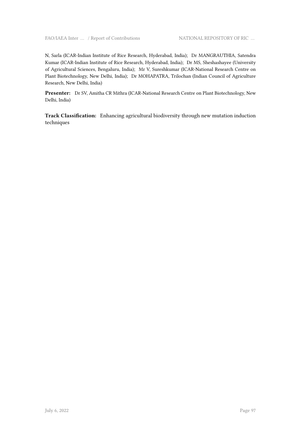N, Sarla (ICAR-Indian Institute of Rice Research, Hyderabad, India); Dr MANGRAUTHIA, Satendra Kumar (ICAR-Indian Institute of Rice Research, Hyderabad, India); Dr MS, Sheshashayee (University of Agricultural Sciences, Bengaluru, India); Mr V, Sureshkumar (ICAR-National Research Centre on Plant Biotechnology, New Delhi, India); Dr MOHAPATRA, Trilochan (Indian Council of Agriculture Research, New Delhi, India)

**Presenter:** Dr SV, Amitha CR Mithra (ICAR-National Research Centre on Plant Biotechnology, New Delhi, India)

**Track Classification:** Enhancing agricultural biodiversity through new mutation induction techniques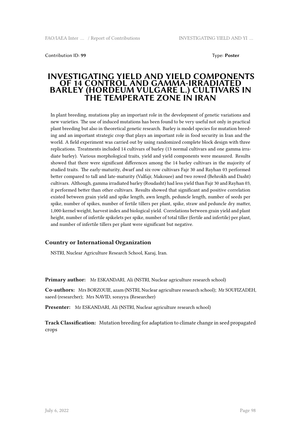Contribution ID: **99** Type: **Poster**

### **INVESTIGATING YIELD AND YIELD COMPONENTS OF 14 CONTROL AND GAMMA-IRRADIATED BARLEY (HORDEUM VULGARE L.) CULTIVARS IN THE TEMPERATE ZONE IN IRAN**

In plant breeding, mutations play an important role in the development of genetic variations and new varieties. The use of induced mutations has been found to be very useful not only in practical plant breeding but also in theoretical genetic research. Barley is model species for mutation breeding and an important strategic crop that plays an important role in food security in Iran and the world. A field experiment was carried out by using randomized complete block design with three replications. Treatments included 14 cultivars of barley (13 normal cultivars and one gamma irradiate barley). Various morphological traits, yield and yield components were measured. Results showed that there were significant differences among the 14 barley cultivars in the majority of studied traits. The early-maturity, dwarf and six-row cultivars Fajr 30 and Rayhan 03 performed better compared to tall and late-maturity (Valfajr, Makouee) and two rowed (Behrokh and Dasht) cultivars. Although, gamma irradiated barley (Roudasht) had less yield than Fajr 30 and Rayhan 03, it performed better than other cultivars. Results showed that significant and positive correlation existed between grain yield and spike length, awn length, peduncle length, number of seeds per spike, number of spikes, number of fertile tillers per plant, spike, straw and peduncle dry matter, 1,000-kernel weight, harvest index and biological yield. Correlations between grain yield and plant height, number of infertile spikelets per spike, number of total tiller (fertile and infertile) per plant, and number of infertile tillers per plant were significant but negative.

### **Country or International Organization**

NSTRI, Nuclear Agriculture Research School, Karaj, Iran.

**Primary author:** Mr ESKANDARI, Ali (NSTRI, Nuclear agriculture research school)

**Co-authors:** Mrs BORZOUIE, azam (NSTRI, Nuclear agriculture research school); Mr SOUFIZADEH, saeed (researcher); Mrs NAVID, sorayya (Researcher)

**Presenter:** Mr ESKANDARI, Ali (NSTRI, Nuclear agriculture research school)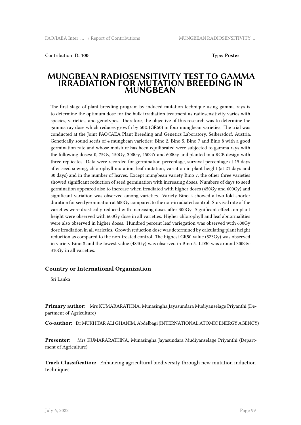Contribution ID: **100** Type: **Poster**

### **MUNGBEAN RADIOSENSITIVITY TEST TO GAMMA IRRADIATION FOR MUTATION BREEDING IN MUNGBEAN**

The first stage of plant breeding program by induced mutation technique using gamma rays is to determine the optimum dose for the bulk irradiation treatment as radiosensitivity varies with species, varieties, and genotypes. Therefore, the objective of this research was to determine the gamma ray dose which reduces growth by 50% (GR50) in four mungbean varieties. The trial was conducted at the Joint FAO/IAEA Plant Breeding and Genetics Laboratory, Seibersdorf, Austria. Genetically sound seeds of 4 mungbean varieties: Bino 2, Bino 5, Bino 7 and Bino 8 with a good germination rate and whose moisture has been equilibrated were subjected to gamma rays with the following doses: 0, 75Gy, 150Gy, 300Gy, 450GY and 600Gy and planted in a RCB design with three replicates. Data were recorded for germination percentage, survival percentage at 15 days after seed sowing, chlorophyll mutation, leaf mutation, variation in plant height (at 21 days and 30 days) and in the number of leaves. Except mungbean variety Bino 7, the other three varieties showed significant reduction of seed germination with increasing doses. Numbers of days to seed germination appeared also to increase when irradiated with higher doses (450Gy and 600Gy) and significant variation was observed among varieties. Variety Bino 2 showed a two-fold shorter duration for seed germination at 600Gy compared to the non-irradiated control. Survival rate of the varieties were drastically reduced with increasing doses after 300Gy. Significant effects on plant height were observed with 600Gy dose in all varieties. Higher chlorophyll and leaf abnormalities were also observed in higher doses. Hundred percent leaf variegation was observed with 600Gy dose irradiation in all varieties. Growth reduction dose was determined by calculating plant height reduction as compared to the non-treated control. The highest GR50 value (523Gy) was observed in variety Bino 8 and the lowest value (484Gy) was observed in Bino 5. LD30 was around 300Gy-310Gy in all varieties.

#### **Country or International Organization**

Sri Lanka

**Primary author:** Mrs KUMARARATHNA, Munasingha Jayasundara Mudiyanselage Priyanthi (Department of Agriculture)

**Co-author:** Dr MUKHTAR ALI GHANIM, Abdelbagi (INTERNATIONAL ATOMIC ENERGY AGENCY)

**Presenter:** Mrs KUMARARATHNA, Munasingha Jayasundara Mudiyanselage Priyanthi (Department of Agriculture)

**Track Classification:** Enhancing agricultural biodiversity through new mutation induction techniques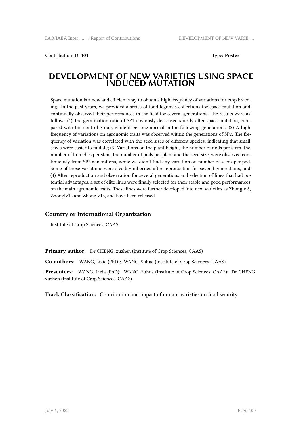Contribution ID: **101** Type: **Poster**

# **DEVELOPMENT OF NEW VARIETIES USING SPACE INDUCED MUTATION**

Space mutation is a new and efficient way to obtain a high frequency of variations for crop breeding. In the past years, we provided a series of food legumes collections for space mutation and continually observed their performances in the field for several generations. The results were as follow: (1) The germination ratio of SP1 obviously decreased shortly after space mutation, compared with the control group, while it became normal in the following generations; (2) A high frequency of variations on agronomic traits was observed within the generations of SP2. The frequency of variation was correlated with the seed sizes of different species, indicating that small seeds were easier to mutate; (3) Variations on the plant height, the number of nods per stem, the number of branches per stem, the number of pods per plant and the seed size, were observed continuously from SP2 generations, while we didn't find any variation on number of seeds per pod. Some of those variations were steadily inherited after reproduction for several generations, and (4) After reproduction and observation for several generations and selection of lines that had potential advantages, a set of elite lines were finally selected for their stable and good performances on the main agronomic traits. These lines were further developed into new varieties as Zhonglv 8, Zhonglv12 and Zhonglv13, and have been released.

#### **Country or International Organization**

Institute of Crop Sciences, CAAS

**Primary author:** Dr CHENG, xuzhen (Institute of Crop Sciences, CAAS)

**Co-authors:** WANG, Lixia (PhD); WANG, Suhua (Institute of Crop Sciences, CAAS)

**Presenters:** WANG, Lixia (PhD); WANG, Suhua (Institute of Crop Sciences, CAAS); Dr CHENG, xuzhen (Institute of Crop Sciences, CAAS)

**Track Classification:** Contribution and impact of mutant varieties on food security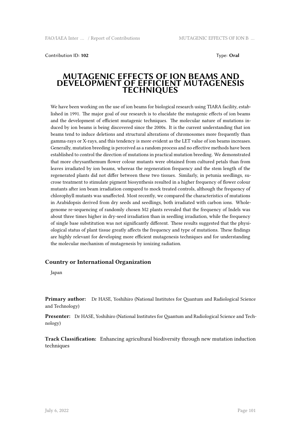Contribution ID: **102** Type: **Oral**

## **MUTAGENIC EFFECTS OF ION BEAMS AND DEVELOPMENT OF EFFICIENT MUTAGENESIS TECHNIQUES**

We have been working on the use of ion beams for biological research using TIARA facility, established in 1991. The major goal of our research is to elucidate the mutagenic effects of ion beams and the development of efficient mutagenic techniques. The molecular nature of mutations induced by ion beams is being discovered since the 2000s. It is the current understanding that ion beams tend to induce deletions and structural alterations of chromosomes more frequently than gamma-rays or X-rays, and this tendency is more evident as the LET value of ion beams increases. Generally, mutation breeding is perceived as a random process and no effective methods have been established to control the direction of mutations in practical mutation breeding. We demonstrated that more chrysanthemum flower colour mutants were obtained from cultured petals than from leaves irradiated by ion beams, whereas the regeneration frequency and the stem length of the regenerated plants did not differ between these two tissues. Similarly, in petunia seedlings, sucrose treatment to stimulate pigment biosynthesis resulted in a higher frequency of flower colour mutants after ion beam irradiation compared to mock treated controls, although the frequency of chlorophyll mutants was unaffected. Most recently, we compared the characteristics of mutations in Arabidopsis derived from dry seeds and seedlings, both irradiated with carbon ions. Wholegenome re-sequencing of randomly chosen M2 plants revealed that the frequency of Indels was about three times higher in dry-seed irradiation than in seedling irradiation, while the frequency of single base substitution was not significantly different. These results suggested that the physiological status of plant tissue greatly affects the frequency and type of mutations. These findings are highly relevant for developing more efficient mutagenesis techniques and for understanding the molecular mechanism of mutagenesis by ionizing radiation.

### **Country or International Organization**

Japan

**Primary author:** Dr HASE, Yoshihiro (National Institutes for Quantum and Radiological Science and Technology)

**Presenter:** Dr HASE, Yoshihiro (National Institutes for Quantum and Radiological Science and Technology)

**Track Classification:** Enhancing agricultural biodiversity through new mutation induction techniques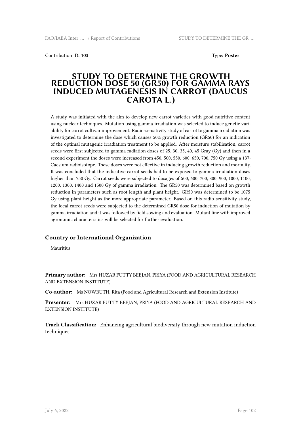Contribution ID: **103** Type: **Poster**

# **STUDY TO DETERMINE THE GROWTH REDUCTION DOSE 50 (GR50) FOR GAMMA RAYS INDUCED MUTAGENESIS IN CARROT (DAUCUS CAROTA L.)**

A study was initiated with the aim to develop new carrot varieties with good nutritive content using nuclear techniques. Mutation using gamma irradiation was selected to induce genetic variability for carrot cultivar improvement. Radio-sensitivity study of carrot to gamma irradiation was investigated to determine the dose which causes 50% growth reduction (GR50) for an indication of the optimal mutagenic irradiation treatment to be applied. After moisture stabilisation, carrot seeds were first subjected to gamma radiation doses of 25, 30, 35, 40, 45 Gray (Gy) and then in a second experiment the doses were increased from 450, 500, 550, 600, 650, 700, 750 Gy using a 137- Caesium radioisotope. These doses were not effective in inducing growth reduction and mortality. It was concluded that the indicative carrot seeds had to be exposed to gamma irradiation doses higher than 750 Gy. Carrot seeds were subjected to dosages of 500, 600, 700, 800, 900, 1000, 1100, 1200, 1300, 1400 and 1500 Gy of gamma irradiation. The GR50 was determined based on growth reduction in parameters such as root length and plant height. GR50 was determined to be 1075 Gy using plant height as the more appropriate parameter. Based on this radio-sensitivity study, the local carrot seeds were subjected to the determined GR50 dose for induction of mutation by gamma irradiation and it was followed by field sowing and evaluation. Mutant line with improved agronomic characteristics will be selected for further evaluation.

### **Country or International Organization**

Mauritius

**Primary author:** Mrs HUZAR FUTTY BEEJAN, PRIYA (FOOD AND AGRICULTURAL RESEARCH AND EXTENSION INSTITUTE)

**Co-author:** Ms NOWBUTH, Rita (Food and Agricultural Research and Extension Institute)

**Presenter:** Mrs HUZAR FUTTY BEEJAN, PRIYA (FOOD AND AGRICULTURAL RESEARCH AND EXTENSION INSTITUTE)

**Track Classification:** Enhancing agricultural biodiversity through new mutation induction techniques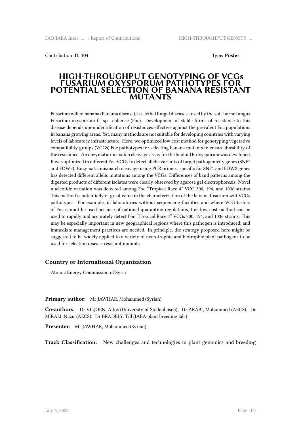Contribution ID: **104** Type: **Poster**

### **HIGH-THROUGHPUT GENOTYPING OF VCGs FUSARIUM OXYSPORUM PATHOTYPES FOR POTENTIAL SELECTION OF BANANA RESISTANT MUTANTS**

Fusarium wilt of banana (Panama disease), is a lethal fungal disease caused by the soil-borne fungus Fusarium oxysporum f. sp. cubense (Foc). Development of stable forms of resistance to this disease depends upon identification of resistances effective against the prevalent Foc populations in banana growing areas. Yet, many methods are not suitable for developing countries with varying levels of laboratory infrastructure. Here, we optimized low cost method for genotyping vegetative compatibility groups (VCGs) Foc pathotypes for selecting banana mutants to ensure durability of the resistance. An enzymatic mismatch cleavage assay for the haploid F. oxysporum was developed. It was optimized in different Foc VCGs to detect allelic variants of target pathogenicity genes (SNF1 and FOW2). Enzymatic mismatch cleavage using PCR primers specific for SNF1 and FOW2 genes has detected different allelic mutations among the VCGs. Differences of band patterns among the digested products of different isolates were clearly observed by agarose gel electrophoresis. Novel nucleotide variation was detected among Foc "Tropical Race 4" VCG 300, 194, and 1036 strains. This method is potentially of great value in the characterization of the banana fusarium wilt VCGs pathotypes. For example, in laboratories without sequencing facilities and where VCG testers of Foc cannot be used because of national quarantine regulations, this low-cost method can be used to rapidly and accurately detect Foc "Tropical Race 4" VCGs 300, 194, and 1036 strains. This may be especially important in new geographical regions where this pathogen is introduced, and immediate management practices are needed. In principle, the strategy proposed here might be suggested to be widely applied to a variety of necrotrophic and biotrophic plant pathogens to be used for selection disease resistant mutants.

#### **Country or International Organization**

Atomic Energy Commission of Syria

#### **Primary author:** Mr JAWHAR, Mohammed (Syrian)

**Co-authors:** Dr VILJOEN, Altos (University of Stellenbosch); Dr ARABI, Mohammed (AECS); Dr MIRALI, Nizar (AECS); Dr BRADELY, Till (IAEA plant breeding lab.)

**Presenter:** Mr JAWHAR, Mohammed (Syrian)

**Track Classification:** New challenges and technologies in plant genomics and breeding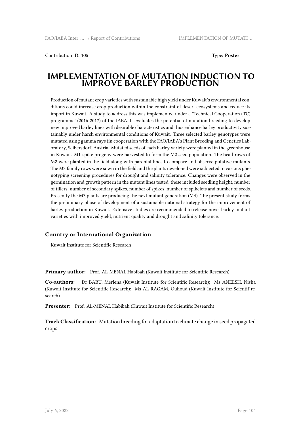Contribution ID: **105** Type: **Poster**

# **IMPLEMENTATION OF MUTATION INDUCTION TO IMPROVE BARLEY PRODUCTION**

Production of mutant crop varieties with sustainable high yield under Kuwait's environmental conditions could increase crop production within the constraint of desert ecosystems and reduce its import in Kuwait. A study to address this was implemented under a 'Technical Cooperation (TC) programme' (2016-2017) of the IAEA. It evaluates the potential of mutation breeding to develop new improved barley lines with desirable characteristics and thus enhance barley productivity sustainably under harsh environmental conditions of Kuwait. Three selected barley genotypes were mutated using gamma rays (in cooperation with the FAO/IAEA's Plant Breeding and Genetics Laboratory, Seibersdorf, Austria. Mutated seeds of each barley variety were planted in the greenhouse in Kuwait. M1-spike progeny were harvested to form the M2 seed population. The head-rows of M2 were planted in the field along with parental lines to compare and observe putative mutants. The M3 family rows were sown in the field and the plants developed were subjected to various phenotyping screening procedures for drought and salinity tolerance. Changes were observed in the germination and growth pattern in the mutant lines tested, these included seedling height, number of tillers, number of secondary spikes, number of spikes, number of spikelets and number of seeds. Presently the M3 plants are producing the next mutant generation (M4). The present study forms the preliminary phase of development of a sustainable national strategy for the improvement of barley production in Kuwait. Extensive studies are recommended to release novel barley mutant varieties with improved yield, nutrient quality and drought and salinity tolerance.

### **Country or International Organization**

Kuwait Institute for Scientific Research

**Primary author:** Prof. AL-MENAI, Habibah (Kuwait Institute for Scientific Research)

**Co-authors:** Dr BABU, Merlena (Kuwait Institute for Scientific Research); Ms ANEESH, Nisha (Kuwait Institute for Scientific Research); Ms AL-RAGAM, Ouhoud (Kuwait Institute for Scientif research)

**Presenter:** Prof. AL-MENAI, Habibah (Kuwait Institute for Scientific Research)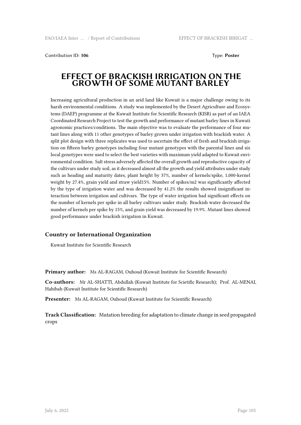Contribution ID: **106** Type: **Poster**

# **EFFECT OF BRACKISH IRRIGATION ON THE GROWTH OF SOME MUTANT BARLEY**

Increasing agricultural production in an arid land like Kuwait is a major challenge owing to its harsh environmental conditions. A study was implemented by the Desert Agriculture and Ecosystems (DAEP) programme at the Kuwait Institute for Scientific Research (KISR) as part of an IAEA Coordinated Research Project to test the growth and performance of mutant barley lines in Kuwati agronomic practices/conditions. The main objective was to evaluate the performance of four mutant lines along with 11 other genotypes of barley grown under irrigation with brackish water. A split plot design with three replicates was used to ascertain the effect of fresh and brackish irrigation on fifteen barley genotypes including four mutant genotypes with the parental lines and six local genotypes were used to select the best varieties with maximum yield adapted to Kuwait environmental condition. Salt stress adversely affected the overall growth and reproductive capacity of the cultivars under study soil, as it decreased almost all the growth and yield attributes under study such as heading and maturity dates, plant height by 37%, number of kernels/spike, 1,000-kernel weight by 27.4%, grain yield and straw yield15%. Number of spikes/m2 was significantly affected by the type of irrigation water and was decreased by 41.2% the results showed insignificant interaction between irrigation and cultivars. The type of water irrigation had significant effects on the number of kernels per spike in all barley cultivars under study. Brackish water decreased the number of kernels per spike by 15%, and grain yield was decreased by 19.9%. Mutant lines showed good performance under brackish irrigation in Kuwait.

### **Country or International Organization**

Kuwait Institute for Scientific Research

**Primary author:** Ms AL-RAGAM, Ouhoud (Kuwait Institute for Scientific Research)

**Co-authors:** Mr AL-SHATTI, Abdullah (Kuwait Institute for Scietific Research); Prof. AL-MENAI, Habibah (Kuwait Institute for Scientific Research)

**Presenter:** Ms AL-RAGAM, Ouhoud (Kuwait Institute for Scientific Research)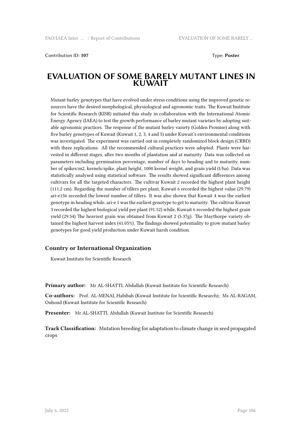Contribution ID: **107** Type: **Poster**

# **EVALUATION OF SOME BARELY MUTANT LINES IN KUWAIT**

Mutant barley genotypes that have evolved under stress conditions using the improved genetic resources have the desired morphological, physiological and agronomic traits. The Kuwait Institute for Scientific Research (KISR) initiated this study in collaboration with the International Atomic Energy Agency (IAEA) to test the growth performance of barley mutant varieties by adopting suitable agronomic practices. The response of the mutant barley variety (Golden Promise) along with five barley genotypes of Kuwait (Kuwait 1, 2, 3, 4 and 5) under Kuwait's environmental conditions was investigated. The experiment was carried out in completely randomized block design (CRBD) with three replications. All the recommended cultural practices were adopted. Plants were harvested in different stages, after two months of plantation and at maturity. Data was collected on parameters including germination percentage, number of days to heading and to maturity, number of spikes/m2, kernels/spike, plant height, 1000 kernel weight, and grain yield (t/ha). Data was statistically analysed using statistical software. The results showed significant differences among cultivars for all the targeted characters. The cultivar Kuwait 2 recorded the highest plant height (111.2 cm). Regarding the number of tillers per plant, Kuwait 6 recorded the highest value (29.79) ari-e156 recorded the lowest number of tillers. It was also shown that Kuwait 4 was the earliest genotype in heading while, ari-e 1 was the earliest genotype to get to maturity. The cultivar Kuwait 3 recorded the highest biological yield per plant (91.52) while, Kuwait 6 recorded the highest grain yield (29.54) The heaviest grain was obtained from Kuwait 2 (5.37g). The Maythorpe variety obtained the highest harvest index (41.05%). The findings showed potentiality to grow mutant barley genotypes for good yield production under Kuwait harsh condition.

#### **Country or International Organization**

Kuwait Institute for Scientific Research

**Primary author:** Mr AL-SHATTI, Abdullah (Kuwait Institute for Scientific Research)

**Co-authors:** Prof. AL-MENAI, Habibah (Kuwait Institute for Scientific Research); Ms AL-RAGAM, Ouhoud (Kuwait Institute for Scientific Research)

**Presenter:** Mr AL-SHATTI, Abdullah (Kuwait Institute for Scientific Research)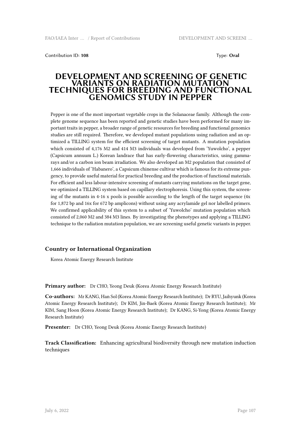Contribution ID: 108 **Type: Oral** 

### **DEVELOPMENT AND SCREENING OF GENETIC VARIANTS ON RADIATION MUTATION TECHNIQUES FOR BREEDING AND FUNCTIONAL GENOMICS STUDY IN PEPPER**

Pepper is one of the most important vegetable crops in the Solanaceae family. Although the complete genome sequence has been reported and genetic studies have been performed for many important traits in pepper, a broader range of genetic resources for breeding and functional genomics studies are still required. Therefore, we developed mutant populations using radiation and an optimized a TILLING system for the efficient screening of target mutants. A mutation population which consisted of 4,176 M2 and 414 M3 individuals was developed from 'Yuwolcho', a pepper (Capsicum annuum L.) Korean landrace that has early-flowering characteristics, using gammarays and/or a carbon ion beam irradiation. We also developed an M2 population that consisted of 1,666 individuals of 'Habanero', a Capsicum chinense cultivar which is famous for its extreme pungency, to provide useful material for practical breeding and the production of functional materials. For efficient and less labour-intensive screening of mutants carrying mutations on the target gene, we optimized a TILLING system based on capillary electrophoresis. Using this system, the screening of the mutants in 4-16 x pools is possible according to the length of the target sequence (4x for 1,872 bp and 16x for 672 bp amplicons) without using any acrylamide gel nor labelled primers. We confirmed applicability of this system to a subset of 'Yuwolcho' mutation population which consisted of 2,060 M2 and 384 M3 lines. By investigating the phenotypes and applying a TILLING technique to the radiation mutation population, we are screening useful genetic variants in pepper.

### **Country or International Organization**

Korea Atomic Energy Research Institute

**Primary author:** Dr CHO, Yeong Deuk (Korea Atomic Energy Research Institute)

**Co-authors:** Mr KANG, Han Sol (Korea Atomic Energy Research Institute); Dr RYU, Jaihyunk (Korea Atomic Energy Research Institute); Dr KIM, Jin-Baek (Korea Atomic Energy Research Institute); Mr KIM, Sang Hoon (Korea Atomic Energy Research Institute); Dr KANG, Si-Yong (Korea Atomic Energy Research Institute)

**Presenter:** Dr CHO, Yeong Deuk (Korea Atomic Energy Research Institute)

**Track Classification:** Enhancing agricultural biodiversity through new mutation induction techniques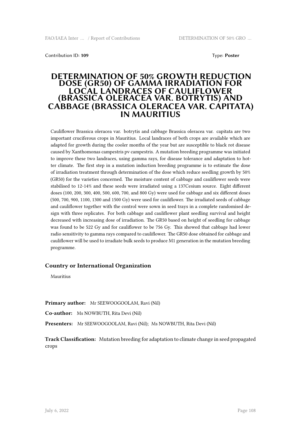Contribution ID: **109** Type: **Poster**

# **DETERMINATION OF 50% GROWTH REDUCTION DOSE (GR50) OF GAMMA IRRADIATION FOR LOCAL LANDRACES OF CAULIFLOWER (BRASSICA OLERACEA VAR. BOTRYTIS) AND CABBAGE (BRASSICA OLERACEA VAR. CAPITATA) IN MAURITIUS**

Cauliflower Brassica oleracea var. botrytis and cabbage Brassica oleracea var. capitata are two important cruciferous crops in Mauritius. Local landraces of both crops are available which are adapted for growth during the cooler months of the year but are susceptible to black rot disease caused by Xanthomonas campestris pv campestris. A mutation breeding programme was initiated to improve these two landraces, using gamma rays, for disease tolerance and adaptation to hotter climate. The first step in a mutation induction breeding programme is to estimate the dose of irradiation treatment through determination of the dose which reduce seedling growth by 50% (GR50) for the varieties concerned. The moisture content of cabbage and cauliflower seeds were stabilised to 12-14% and these seeds were irradiated using a 137Cesium source. Eight different doses (100, 200, 300, 400, 500, 600, 700, and 800 Gy) were used for cabbage and six different doses (500, 700, 900, 1100, 1300 and 1500 Gy) were used for cauliflower. The irradiated seeds of cabbage and cauliflower together with the control were sown in seed trays in a complete randomised design with three replicates. For both cabbage and cauliflower plant seedling survival and height decreased with increasing dose of irradiation. The GR50 based on height of seedling for cabbage was found to be 522 Gy and for cauliflower to be 756 Gy. This showed that cabbage had lower radio sensitivity to gamma rays compared to cauliflower. The GR50 dose obtained for cabbage and cauliflower will be used to irradiate bulk seeds to produce M1 generation in the mutation breeding programme.

### **Country or International Organization**

Mauritius

**Primary author:** Mr SEEWOOGOOLAM, Ravi (Nil)

**Co-author:** Ms NOWBUTH, Rita Devi (Nil)

**Presenters:** Mr SEEWOOGOOLAM, Ravi (Nil); Ms NOWBUTH, Rita Devi (Nil)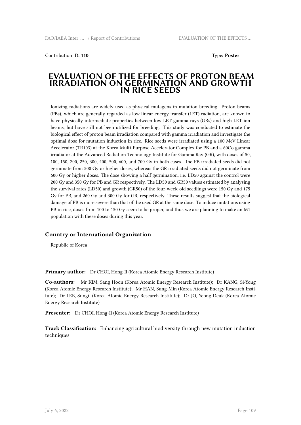Contribution ID: **110** Type: **Poster**

## **EVALUATION OF THE EFFECTS OF PROTON BEAM IRRADIATION ON GERMINATION AND GROWTH IN RICE SEEDS**

Ionizing radiations are widely used as physical mutagens in mutation breeding. Proton beams (PBs), which are generally regarded as low linear energy transfer (LET) radiation, are known to have physically intermediate properties between low LET gamma rays (GRs) and high LET ion beams, but have still not been utilized for breeding. This study was conducted to estimate the biological effect of proton beam irradiation compared with gamma irradiation and investigate the optimal dose for mutation induction in rice. Rice seeds were irradiated using a 100 MeV Linear Accelerator (TR103) at the Korea Multi-Purpose Accelerator Complex for PB and a 60Co gamma irradiator at the Advanced Radiation Technology Institute for Gamma Ray (GR), with doses of 50, 100, 150, 200, 250, 300, 400, 500, 600, and 700 Gy in both cases. The PB irradiated seeds did not germinate from 500 Gy or higher doses, whereas the GR irradiated seeds did not germinate from 600 Gy or higher doses. The dose showing a half germination, i.e. LD50 against the control were 200 Gy and 350 Gy for PB and GR respectively. The LD50 and GR50 values estimated by analysing the survival rates (LD50) and growth (GR50) of the four-week-old seedlings were 150 Gy and 175 Gy for PB, and 260 Gy and 300 Gy for GR, respectively. These results suggest that the biological damage of PB is more severe than that of the used GR at the same dose. To induce mutations using PB in rice, doses from 100 to 150 Gy seem to be proper, and thus we are planning to make an M1 population with these doses during this year.

#### **Country or International Organization**

Republic of Korea

**Primary author:** Dr CHOI, Hong-Il (Korea Atomic Energy Research Institute)

**Co-authors:** Mr KIM, Sang Hoon (Korea Atomic Energy Research Institute); Dr KANG, Si-Yong (Korea Atomic Energy Research Institute); Mr HAN, Sung-Min (Korea Atomic Energy Research Institute); Dr LEE, Sungil (Korea Atomic Energy Research Institute); Dr JO, Yeong Deuk (Korea Atomic Energy Research Institute)

**Presenter:** Dr CHOI, Hong-Il (Korea Atomic Energy Research Institute)

**Track Classification:** Enhancing agricultural biodiversity through new mutation induction techniques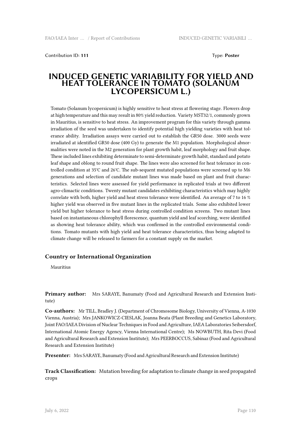Contribution ID: **111** Type: **Poster**

# **INDUCED GENETIC VARIABILITY FOR YIELD AND HEAT TOLERANCE IN TOMATO (SOLANUM LYCOPERSICUM L.)**

Tomato (Solanum lycopersicum) is highly sensitive to heat stress at flowering stage. Flowers drop at high temperature and this may result in 80% yield reduction. Variety MST32/1, commonly grown in Mauritius, is sensitive to heat stress. An improvement program for this variety through gamma irradiation of the seed was undertaken to identify potential high yielding varieties with heat tolerance ability. Irradiation assays were carried out to establish the GR50 dose. 3000 seeds were irradiated at identified GR50 dose (400 Gy) to generate the M1 population. Morphological abnormalities were noted in the M2 generation for plant growth habit, leaf morphology and fruit shape. These included lines exhibiting determinate to semi-determinate growth habit, standard and potato leaf shape and oblong to round fruit shape. The lines were also screened for heat tolerance in controlled condition at 35℃ and 26℃. The sub-sequent mutated populations were screened up to M6 generations and selection of candidate mutant lines was made based on plant and fruit characteristics. Selected lines were assessed for yield performance in replicated trials at two different agro-climactic conditions. Twenty mutant candidates exhibiting characteristics which may highly correlate with both, higher yield and heat stress tolerance were identified. An average of 7 to 16 % higher yield was observed in five mutant lines in the replicated trials. Some also exhibited lower yield but higher tolerance to heat stress during controlled condition screens. Two mutant lines based on instantaneous chlorophyll florescence, quantum yield and leaf scorching, were identified as showing heat tolerance ability, which was confirmed in the controlled environmental conditions. Tomato mutants with high yield and heat tolerance characteristics, thus being adapted to climate change will be released to farmers for a constant supply on the market.

### **Country or International Organization**

Mauritius

**Primary author:** Mrs SARAYE, Banumaty (Food and Agricultural Research and Extension Institute)

**Co-authors:** Mr TILL, Bradley J. (Department of Chromosome Biology, University of Vienna, A-1030 Vienna, Austria); Mrs JANKOWICZ-CIESLAK, Joanna Beata (Plant Breeding and Genetics Laboratory, Joint FAO/IAEA Division of Nuclear Techniques in Food and Agriculture, IAEA Laboratories Seibersdorf, International Atomic Energy Agency, Vienna International Centre); Ms NOWBUTH, Rita Devi (Food and Agricultural Research and Extension Institute); Mrs PEERBOCCUS, Sabinaz (Food and Agricultural Research and Extension Institute)

**Presenter:** Mrs SARAYE, Banumaty (Food and Agricultural Research and Extension Institute)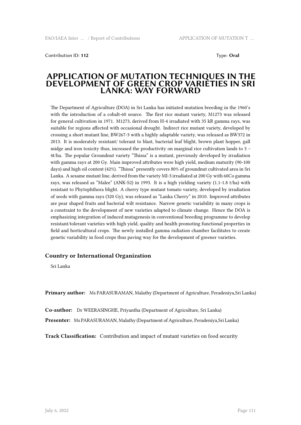Contribution ID: **112** Type: **Oral**

# **APPLICATION OF MUTATION TECHNIQUES IN THE DEVELOPMENT OF GREEN CROP VARIETIES IN SRI LANKA: WAY FORWARD**

The Department of Agriculture (DOA) in Sri Lanka has initiated mutation breeding in the 1960's with the introduction of a cobalt-60 source. The first rice mutant variety, M1273 was released for general cultivation in 1971. M1273, derived from H-4 irradiated with 35 kR gamma rays, was suitable for regions affected with occasional drought. Indirect rice mutant variety, developed by crossing a short mutant line, BW267-3 with a highly adaptable variety, was released as BW372 in 2013. It is moderately resistant/ tolerant to blast, bacterial leaf blight, brown plant hopper, gall midge and iron toxicity thus, increased the productivity on marginal rice cultivation lands to 3 – 4t/ha. The popular Groundnut variety "Thissa" is a mutant, previously developed by irradiation with gamma rays at 200 Gy. Main improved attributes were high yield, medium maturity (90-100 days) and high oil content (42%). "Thissa" presently covers 80% of groundnut cultivated area in Sri Lanka. A sesame mutant line, derived from the variety MI-3 irradiated at 200 Gy with 60Co gamma rays, was released as "Malee" (ANK-S2) in 1993. It is a high yielding variety (1.1-1.8 t/ha) with resistant to Phytophthora blight. A cherry type mutant tomato variety, developed by irradiation of seeds with gamma rays (320 Gy), was released as "Lanka Cherry" in 2010. Improved attributes are pear shaped fruits and bacterial wilt resistance. Narrow genetic variability in many crops is a constraint to the development of new varieties adapted to climate change. Hence the DOA is emphasizing integration of induced mutagenesis in conventional breeding programme to develop resistant/tolerant varieties with high yield, quality and health promoting functional properties in field and horticultural crops. The newly installed gamma radiation chamber facilitates to create genetic variability in food crops thus paving way for the development of greener varieties.

#### **Country or International Organization**

Sri Lanka

**Primary author:** Ms PARASURAMAN, Malathy (Department of Agriculture, Peradeniya,Sri Lanka)

**Co-author:** Dr WEERASINGHE, Priyantha (Department of Agriculture, Sri Lanka)

**Presenter:** Ms PARASURAMAN, Malathy (Department of Agriculture, Peradeniya,Sri Lanka)

**Track Classification:** Contribution and impact of mutant varieties on food security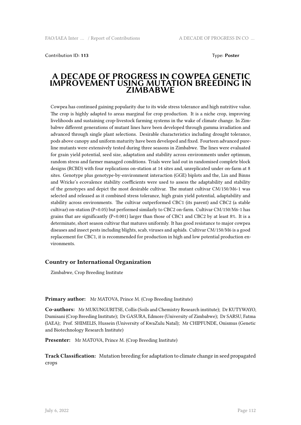Contribution ID: **113** Type: **Poster**

## **A DECADE OF PROGRESS IN COWPEA GENETIC IMPROVEMENT USING MUTATION BREEDING IN ZIMBABWE**

Cowpea has continued gaining popularity due to its wide stress tolerance and high nutritive value. The crop is highly adapted to areas marginal for crop production. It is a niche crop, improving livelihoods and sustaining crop-livestock farming systems in the wake of climate change. In Zimbabwe different generations of mutant lines have been developed through gamma irradiation and advanced through single plant selections. Desirable characteristics including drought tolerance, pods above canopy and uniform maturity have been developed and fixed. Fourteen advanced pureline mutants were extensively tested during three seasons in Zimbabwe. The lines were evaluated for grain yield potential, seed size, adaptation and stability across environments under optimum, random stress and farmer managed conditions. Trials were laid out in randomised complete block designs (RCBD) with four replications on-station at 14 sites and, unreplicated under on-farm at 8 sites. Genotype plus genotype-by-environment interaction (GGE) biplots and the, Lin and Binns and Wricke's ecovalence stability coefficients were used to assess the adaptability and stability of the genotypes and depict the most desirable cultivar. The mutant cultivar CM/150/M6-1 was selected and released as it combined stress tolerance, high grain yield potential, adaptability and stability across environments. The cultivar outperformed CBC1 (its parent) and CBC2 (a stable cultivar) on-station (P<0.05) but performed similarly to CBC2 on-farm. Cultivar CM/150/M6-1 has grains that are significantly (P<0.001) larger than those of CBC1 and CBC2 by at least 8%. It is a determinate, short season cultivar that matures uniformly. It has good resistance to major cowpea diseases and insect pests including blights, scab, viruses and aphids. Cultivar CM/150/M6 is a good replacement for CBC1, it is recommended for production in high and low potential production environments.

### **Country or International Organization**

Zimbabwe, Crop Breeding Institute

#### **Primary author:** Mr MATOVA, Prince M. (Crop Breeding Institute)

**Co-authors:** Mr MUKUNGURITSE, Collis (Soils and Chemistry Research institute); Dr KUTYWAYO, Dumisani (Crop Breeding Institute); Dr GASURA, Edmore (University of Zimbabwe); Dr SARSU, Fatma (IAEA); Prof. SHIMELIS, Hussein (University of KwaZulu Natal); Mr CHIPFUNDE, Onismus (Genetic and Biotechnology Research Institute)

**Presenter:** Mr MATOVA, Prince M. (Crop Breeding Institute)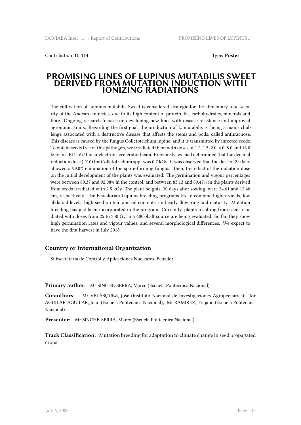Contribution ID: **114** Type: **Poster**

## **PROMISING LINES OF LUPINUS MUTABILIS SWEET DERIVED FROM MUTATION INDUCTION WITH IONIZING RADIATIONS**

The cultivation of Lupinus mutabilis Sweet is considered strategic for the alimentary food security of the Andean countries, due to its high content of protein, fat, carbohydrates, minerals and fibre. Ongoing research focuses on developing new lines with disease resistance and improved agronomic traits. Regarding the first goal, the production of L. mutabilis is facing a major challenge associated with a destructive disease that affects the stems and pods, called anthracnose. This disease is caused by the fungus Colletotrichum lupine, and it is transmitted by infected seeds. To obtain seeds free of this pathogen, we irradiated them with doses of 1.2, 1.5, 2.0, 4.0, 8.0 and 16.0 kGy in a ELU-6U linear electron accelerator beam. Previously, we had determined that the decimal reduction dose (D10) for Colletotrichum spp. was 0.7 kGy. It was observed that the dose of 2.0 kGy allowed a 99.0% elimination of the spore-forming fungus. Then, the effect of the radiation dose on the initial development of the plants was evaluated. The germination and vigour percentages were between 89.37 and 92.08% in the control, and between 83.13 and 89.47% in the plants derived from seeds irradiated with 2.5 kGy. The plant heights, 30 days after sowing, were 24.61 and 12.40 cm, respectively. The Ecuadorian Lupinus breeding programs try to combine higher yields, low alklaloid levels, high seed protein and oil contents, and early flowering and maturity. Mutation breeding has just been incorporated in the program. Currently, plants resulting from seeds irradiated with doses from 25 to 350 Gy in a 60Cobalt source are being evaluated. So far, they show high germination rates and vigour values, and several morphological differences. We expect to have the first harvest in July 2018.

### **Country or International Organization**

Subsecretaría de Control y Aplicaciones Nucleares, Ecuador

**Primary author:** Mr SINCHE-SERRA, Marco (Escuela Politecnica Nacional)

**Co-authors:** Mr VELÁSQUEZ, José (Instituto Nacional de Investigaciones Agropecuarias); Mr AGUILAR-AGUILAR, Juan (Escuela Politécnica Nacional); Mr RAMIREZ, Trajano (Escuela Politécnica Nacional)

**Presenter:** Mr SINCHE-SERRA, Marco (Escuela Politecnica Nacional)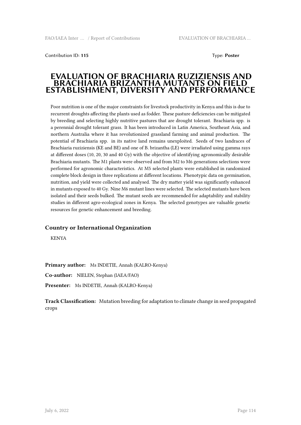Contribution ID: **115** Type: **Poster**

# **EVALUATION OF BRACHIARIA RUZIZIENSIS AND BRACHIARIA BRIZANTHA MUTANTS ON FIELD ESTABLISHMENT, DIVERSITY AND PERFORMANCE**

Poor nutrition is one of the major constraints for livestock productivity in Kenya and this is due to recurrent droughts affecting the plants used as fodder. These pasture deficiencies can be mitigated by breeding and selecting highly nutritive pastures that are drought tolerant. Brachiaria spp. is a perennial drought tolerant grass. It has been introduced in Latin America, Southeast Asia, and northern Australia where it has revolutionized grassland farming and animal production. The potential of Brachiaria spp. in its native land remains unexploited. Seeds of two landraces of Brachiaria ruziziensis (KE and BE) and one of B. brizantha (LE) were irradiated using gamma rays at different doses (10, 20, 30 and 40 Gy) with the objective of identifying agronomically desirable Brachiaria mutants. The M1 plants were observed and from M2 to M6 generations selections were performed for agronomic characteristics. At M5 selected plants were established in randomized complete block design in three replications at different locations. Phenotypic data on germination, nutrition, and yield were collected and analysed. The dry matter yield was significantly enhanced in mutants exposed to 40 Gy. Nine M6 mutant lines were selected. The selected mutants have been isolated and their seeds bulked. The mutant seeds are recommended for adaptability and stability studies in different agro-ecological zones in Kenya. The selected genotypes are valuable genetic resources for genetic enhancement and breeding.

### **Country or International Organization**

KENYA

**Primary author:** Ms INDETIE, Annah (KALRO-Kenya)

**Co-author:** NIELEN, Stephan (IAEA/FAO)

**Presenter:** Ms INDETIE, Annah (KALRO-Kenya)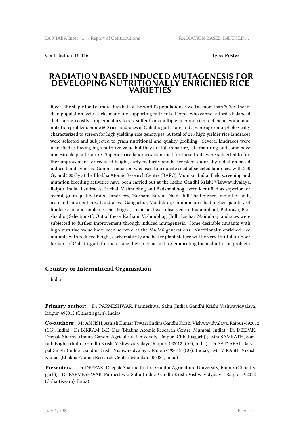Contribution ID: **116** Type: **Poster**

## **RADIATION BASED INDUCED MUTAGENESIS FOR DEVELOPING NUTRITIONALLY ENRICHED RICE VARIETIES**

Rice is the staple food of more than half of the world's population as well as more than 70% of the Indian population, yet it lacks many life-supporting nutrients. People who cannot afford a balanced diet through costly supplementary foods, suffer from multiple micronutrient deficiencies and malnutrition problem. Some 600 rice landraces of Chhattisgarh state, India were agro-morphologically characterized to screen for high yielding rice genotypes. A total of 215 high yielder rice landraces were selected and subjected to grain nutritional and quality profiling. Several landraces were identified as having high nutritive value but they are tall in nature, late maturing and some have undesirable plant stature. Superior rice landraces identified for these traits were subjected to further improvement for reduced height, early maturity and better plant stature by radiation based induced mutagenesis. Gamma radiation was used to irradiate seed of selected landraces with 250 Gy and 300 Gy at the Bhabha Atomic Research Centre (BARC), Mumbai, India. Field screening and mutation breeding activities have been carried out at the Indira Gandhi Krishi Vishwavidyalaya, Raipur, India. Landraces, Luchai, Vishnubhog and Badshahbhog' were identified as superior for overall grain quality traits. Landraces, 'Karhani, Kareni Dhan, Jhilli' had higher amount of both, iron and zinc contents. Landraces, 'Gangachur, Maidubraj, Chhindmauri' had higher quantity of linoleic acid and linolenic acid. Highest oleic acid was observed in 'Kadamphool, Bathrash, Badshabhog Selection-1'. Out of these, Karhani, Vishnubhog, Jhilli, Luchai, Maidubraj landraces were subjected to further improvement through induced mutagenesis. Some desirable mutants with high nutritive value have been selected at the M4-M6 generations. Nutritionally enriched rice mutants with reduced height, early maturity and better plant stature will be very fruitful for poor farmers of Chhattisgarh for increasing their income and for eradicating the malnutrition problem.

### **Country or International Organization**

India

**Primary author:** Dr PARMESHWAR, Parmeshwar Sahu (Indira Gandhi Krishi Vishwavidyalaya, Raipur-492012 (Chhattisgarh), India)

**Co-authors:** Mr ASHISH, Ashish Kumar Tiwari (Indira Gandhi Krishi Vishwavidyalaya, Raipur-492012 (CG), India); Dr BIKRAM, B.K. Das (Bhabha Atomic Research Centre, Mumbai, India); Dr DEEPAK, Deepak Sharma (Indira Gandhi Agriculture University, Raipur (Chhattisgarh)); Mrs SAMRATH, Samrath Baghel (Indira Gandhi Krishi Vishwavidyalaya, Raipur-492012 (CG), India); Dr SATYAPAL, Satyapal Singh (Indira Gandhi Krishi Vishwavidyalaya, Raipur-492012 (CG), India); Mr VIKASH, Vikash Kumar (Bhabha Atomic Research Centre, Mumbai-400085, India)

**Presenters:** Dr DEEPAK, Deepak Sharma (Indira Gandhi Agriculture University, Raipur (Chhattisgarh)); Dr PARMESHWAR, Parmeshwar Sahu (Indira Gandhi Krishi Vishwavidyalaya, Raipur-492012 (Chhattisgarh), India)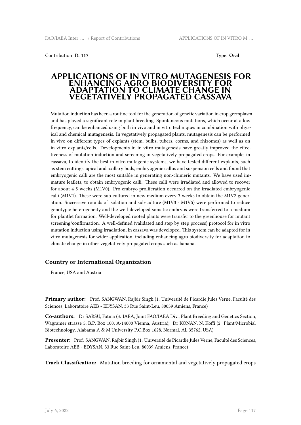Contribution ID: **117** Type: **Oral**

## **APPLICATIONS OF IN VITRO MUTAGENESIS FOR ENHANCING AGRO BIODIVERSITY FOR ADAPTATION TO CLIMATE CHANGE IN VEGETATIVELY PROPAGATED CASSAVA**

Mutation induction has been a routine tool for the generation of genetic variation in crop germplasm and has played a significant role in plant breeding. Spontaneous mutations, which occur at a low frequency, can be enhanced using both in vivo and in vitro techniques in combination with physical and chemical mutagenesis. In vegetatively propagated plants, mutagenesis can be performed in vivo on different types of explants (stem, bulbs, tubers, corms, and rhizomes) as well as on in vitro explants/cells. Developments in in vitro mutagenesis have greatly improved the effectiveness of mutation induction and screening in vegetatively propagated crops. For example, in cassava, to identify the best in vitro mutagenic systems, we have tested different explants, such as stem cuttings, apical and axillary buds, embryogenic callus and suspension cells and found that embryogenic calli are the most suitable in generating non-chimeric mutants. We have used immature leaflets, to obtain embryogenic calli. These calli were irradiated and allowed to recover for about 4-5 weeks (M1V0). Pro-embryo proliferation occurred on the irradiated embryogenic calli (M1V1). These were sub-cultured in new medium every 3 weeks to obtain the M1V2 generation. Successive rounds of isolation and sub-culture (M1V3 - M1V5) were performed to reduce genotypic heterogeneity and the well-developed somatic embryos were transferred to a medium for plantlet formation. Well-developed rooted plants were transfer to the greenhouse for mutant screening/confirmation. A well-defined (validated and step by step process) protocol for in vitro mutation induction using irradiation, in cassava was developed. This system can be adapted for in vitro mutagenesis for wider application, including enhancing agro biodiversity for adaptation to climate change in other vegetatively propagated crops such as banana.

### **Country or International Organization**

France, USA and Austria

**Primary author:** Prof. SANGWAN, Rajbir Singh (1. Université de Picardie Jules Verne, Faculté des Sciences, Laboratoire AEB - EDYSAN, 33 Rue Saint-Leu, 80039 Amiens, France)

**Co-authors:** Dr SARSU, Fatma (3. IAEA, Joint FAO/IAEA Div., Plant Breeding and Genetics Section, Wagramer strasse 5, B.P. Box 100, A-14000 Vienna, Austria); Dr KONAN, N. Koffi (2. Plant/Microbial Biotechnology, Alabama A & M University P.O.Box 1628, Normal, AL 35762, USA)

**Presenter:** Prof. SANGWAN, Rajbir Singh (1. Université de Picardie Jules Verne, Faculté des Sciences, Laboratoire AEB - EDYSAN, 33 Rue Saint-Leu, 80039 Amiens, France)

**Track Classification:** Mutation breeding for ornamental and vegetatively propagated crops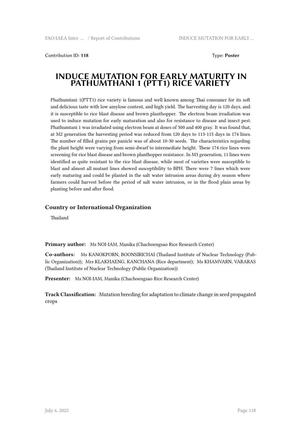Contribution ID: **118** Type: **Poster**

# **INDUCE MUTATION FOR EARLY MATURITY IN PATHUMTHANI 1 (PTT1) RICE VARIETY**

Phathumtani 1(PTT1) rice variety is famous and well known among Thai consumer for its soft and delicious taste with low amylose content, and high yield. The harvesting day is 120 days, and it is susceptible to rice blast disease and brown planthopper. The electron beam irradiation was used to induce mutation for early maturation and also for resistance to disease and insect pest. Phathumtani 1 was irradiated using electron beam at doses of 300 and 400 gray. It was found that, at M2 generation the harvesting period was reduced from 120 days to 113-115 days in 174 lines. The number of filled grains per panicle was of about 10-30 seeds. The characteristics regarding the plant height were varying from semi-dwarf to intermediate height. These 174 rice lines were screening for rice blast disease and brown planthopper resistance. In M3 generation, 11 lines were identified as quite resistant to the rice blast disease, while most of varieties were susceptible to blast and almost all mutant lines showed susceptibility to BPH. There were 7 lines which were early maturing and could be planted in the salt water intrusion areas during dry season where farmers could harvest before the period of salt water intrusion, or in the flood plain areas by planting before and after flood.

#### **Country or International Organization**

Thailand

**Primary author:** Ms NOI-IAM, Manika (Chachoengsao Rice Research Center)

**Co-authors:** Ms KANOKPORN, BOONSIRICHAI (Thailand Institute of Nuclear Technology (Public Organization)); Mrs KLAKHAENG, KANCHANA (Rice department); Ms KHAMVARN, VARARAS (Thailand Institute of Nuclear Technology (Public Organization))

**Presenter:** Ms NOI-IAM, Manika (Chachoengsao Rice Research Center)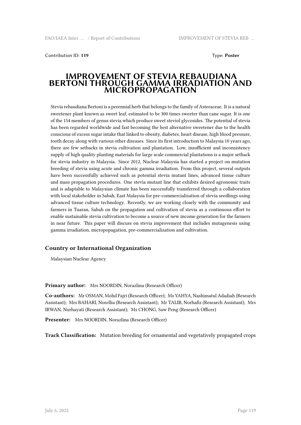Contribution ID: **119** Type: **Poster**

## **IMPROVEMENT OF STEVIA REBAUDIANA BERTONI THROUGH GAMMA IRRADIATION AND MICROPROPAGATION**

Stevia rebaudiana Bertoni is a perennial herb that belongs to the family of Asteraceae. It is a natural sweetener plant known as sweet leaf, estimated to be 300 times sweeter than cane sugar. It is one of the 154 members of genus stevia which produce sweet steviol glycosides. The potential of stevia has been regarded worldwide and fast becoming the best alternative sweetener due to the health conscious of excess sugar intake that linked to obesity, diabetes, heart disease, high blood pressure, tooth decay along with various other diseases. Since its first introduction to Malaysia 10 years ago, there are few setbacks in stevia cultivation and plantation. Low, insufficient and inconsistency supply of high quality planting materials for large scale commercial plantations is a major setback for stevia industry in Malaysia. Since 2012, Nuclear Malaysia has started a project on mutation breeding of stevia using acute and chronic gamma irradiation. From this project, several outputs have been successfully achieved such as potential stevia mutant lines, advanced tissue culture and mass propagation procedures. One stevia mutant line that exhibits desired agronomic traits and is adaptable to Malaysian climate has been successfully transferred through a collaboration with local stakeholder in Sabah, East Malaysia for pre-commercialization of stevia seedlings using advanced tissue culture technology. Recently, we are working closely with the community and farmers in Tuaran, Sabah on the propagation and cultivation of stevia as a continuous effort to enable sustainable stevia cultivation to become a source of new income generation for the farmers in near future. This paper will discuss on stevia improvement that includes mutagenesis using gamma irradiation, micropopagation, pre-commercialization and cultivation.

#### **Country or International Organization**

Malaysian Nuclear Agency

#### **Primary author:** Mrs NOORDIN, Norazlina (Research Officer)

**Co-authors:** Mr OSMAN, Mohd Fajri (Research Officer); Ms YAHYA, Nashimatul Adadiah (Research Assistant); Mrs BAHARI, Norellia (Research Assistant); Mr TALIB, Norhafiz (Research Assistant); Mrs IRWAN, Nurhayati (Research Assistant); Ms CHONG, Saw Peng (Research Officer)

**Presenter:** Mrs NOORDIN, Norazlina (Research Officer)

**Track Classification:** Mutation breeding for ornamental and vegetatively propagated crops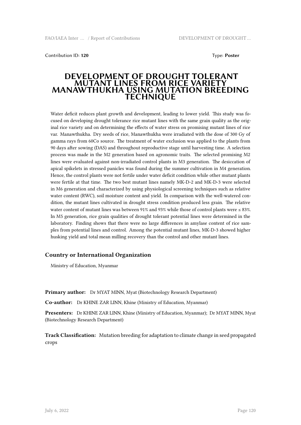Contribution ID: **120** Type: **Poster**

## **DEVELOPMENT OF DROUGHT TOLERANT MUTANT LINES FROM RICE VARIETY MANAWTHUKHA USING MUTATION BREEDING TECHNIQUE**

Water deficit reduces plant growth and development, leading to lower yield. This study was focused on developing drought tolerance rice mutant lines with the same grain quality as the original rice variety and on determining the effects of water stress on promising mutant lines of rice var. Manawthukha. Dry seeds of rice, Manawthukha were irradiated with the dose of 300 Gy of gamma rays from 60Co source. The treatment of water exclusion was applied to the plants from 90 days after sowing (DAS) and throughout reproductive stage until harvesting time. A selection process was made in the M2 generation based on agronomic traits. The selected promising M2 lines were evaluated against non-irradiated control plants in M3 generation. The desiccation of apical spikelets in stressed panicles was found during the summer cultivation in M4 generation. Hence, the control plants were not fertile under water deficit condition while other mutant plants were fertile at that time. The two best mutant lines namely MK-D-2 and MK-D-3 were selected in M6 generation and characterized by using physiological screening techniques such as relative water content (RWC), soil moisture content and yield. In comparison with the well-watered condition, the mutant lines cultivated in drought stress condition produced less grain. The relative water content of mutant lines was between 91% and 93% while those of control plants were  $\leq 83\%$ . In M5 generation, rice grain qualities of drought tolerant potential lines were determined in the laboratory. Finding shows that there were no large differences in amylase content of rice samples from potential lines and control. Among the potential mutant lines, MK-D-3 showed higher husking yield and total mean milling recovery than the control and other mutant lines.

### **Country or International Organization**

Ministry of Education, Myanmar

**Primary author:** Dr MYAT MINN, Myat (Biotechnology Research Department)

**Co-author:** Dr KHINE ZAR LINN, Khine (Ministry of Education, Myanmar)

**Presenters:** Dr KHINE ZAR LINN, Khine (Ministry of Education, Myanmar); Dr MYAT MINN, Myat (Biotechnology Research Department)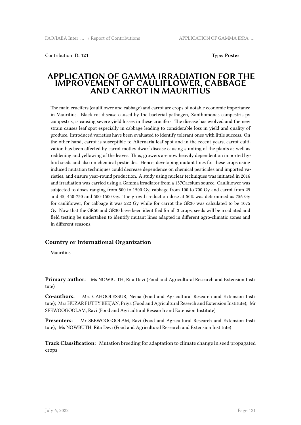#### Contribution ID: **121** Type: **Poster**

# **APPLICATION OF GAMMA IRRADIATION FOR THE IMPROVEMENT OF CAULIFLOWER, CABBAGE AND CARROT IN MAURITIUS**

The main crucifers (cauliflower and cabbage) and carrot are crops of notable economic importance in Mauritius. Black rot disease caused by the bacterial pathogen, Xanthomonas campestris pv campestris, is causing severe yield losses in these crucifers. The disease has evolved and the new strain causes leaf spot especially in cabbage leading to considerable loss in yield and quality of produce. Introduced varieties have been evaluated to identify tolerant ones with little success. On the other hand, carrot is susceptible to Alternaria leaf spot and in the recent years, carrot cultivation has been affected by carrot motley dwarf disease causing stunting of the plants as well as reddening and yellowing of the leaves. Thus, growers are now heavily dependent on imported hybrid seeds and also on chemical pesticides. Hence, developing mutant lines for these crops using induced mutation techniques could decrease dependence on chemical pesticides and imported varieties, and ensure year-round production. A study using nuclear techniques was initiated in 2016 and irradiation was carried using a Gamma irradiator from a 137Caesium source. Cauliflower was subjected to doses ranging from 500 to 1500 Gy, cabbage from 100 to 700 Gy and carrot from 25 and 45, 450-750 and 500-1500 Gy. The growth reduction dose at 50% was determined as 756 Gy for cauliflower, for cabbage it was 522 Gy while for carrot the GR30 was calculated to be 1075 Gy. Now that the GR50 and GR30 have been identified for all 3 crops, seeds will be irradiated and field testing be undertaken to identify mutant lines adapted in different agro-climatic zones and in different seasons.

### **Country or International Organization**

Mauritius

**Primary author:** Ms NOWBUTH, Rita Devi (Food and Agricultural Research and Extension Institute)

**Co-authors:** Mrs CAHOOLESSUR, Nema (Food and Agricultural Research and Extension Institute); Mrs HUZAR FUTTY BEEJAN, Priya (Food and Agricultural Reserch and Extension Institute); Mr SEEWOOGOOLAM, Ravi (Food and Agricultural Research and Extension Institute)

**Presenters:** Mr SEEWOOGOOLAM, Ravi (Food and Agricultural Research and Extension Institute); Ms NOWBUTH, Rita Devi (Food and Agricultural Research and Extension Institute)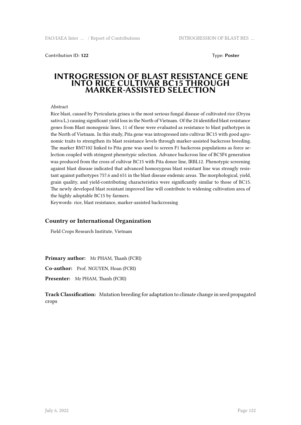#### Contribution ID: **122** Type: **Poster**

## **INTROGRESSION OF BLAST RESISTANCE GENE INTO RICE CULTIVAR BC15 THROUGH MARKER-ASSISTED SELECTION**

#### Abstract

Rice blast, caused by Pyricularia grisea is the most serious fungal disease of cultivated rice (Oryza sativa L.) causing significant yield loss in the North of Vietnam. Of the 24 identified blast resistance genes from Blast monogenic lines, 11 of these were evaluated as resistance to blast pathotypes in the North of Vietnam. In this study, Pita gene was introgressed into cultivar BC15 with good agronomic traits to strengthen its blast resistance levels through marker-assisted backcross breeding. The marker RM7102 linked to Pita gene was used to screen F1 backcross populations as force selection coupled with stringent phenotypic selection. Advance backcross line of BC5F4 generation was produced from the cross of cultivar BC15 with Pita donor line, IRBL12. Phenotypic screening against blast disease indicated that advanced homozygous blast resistant line was strongly resistant against pathotypes 757.6 and 651 in the blast disease endemic areas. The morphological, yield, grain quality, and yield-contributing characteristics were significantly similar to those of BC15. The newly developed blast resistant improved line will contribute to widening cultivation area of the highly adoptable BC15 by farmers.

Keywords: rice, blast resistance, marker-assisted backcrossing

#### **Country or International Organization**

Field Crops Research Institute, Vietnam

**Primary author:** Mr PHAM, Thanh (FCRI)

**Co-author:** Prof. NGUYEN, Hoan (FCRI)

**Presenter:** Mr PHAM, Thanh (FCRI)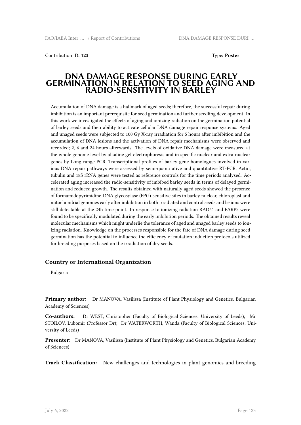Contribution ID: **123** Type: **Poster**

## **DNA DAMAGE RESPONSE DURING EARLY GERMINATION IN RELATION TO SEED AGING AND RADIO-SENSITIVITY IN BARLEY**

Accumulation of DNA damage is a hallmark of aged seeds; therefore, the successful repair during imbibition is an important prerequisite for seed germination and further seedling development. In this work we investigated the effects of aging and ionizing radiation on the germination potential of barley seeds and their ability to activate cellular DNA damage repair response systems. Aged and unaged seeds were subjected to 100 Gy X-ray irradiation for 5 hours after imbibition and the accumulation of DNA lesions and the activation of DNA repair mechanisms were observed and recorded; 2, 6 and 24 hours afterwards. The levels of oxidative DNA damage were measured at the whole genome level by alkaline gel-electrophoresis and in specific nuclear and extra-nuclear genes by Long-range PCR. Transcriptional profiles of barley gene homologues involved in various DNA repair pathways were assessed by semi-quantitative and quantitative RT-PCR. Actin, tubulin and 18S rRNA genes were tested as reference controls for the time periods analysed. Accelerated aging increased the radio-sensitivity of imbibed barley seeds in terms of delayed germination and reduced growth. The results obtained with naturally aged seeds showed the presence of formamidopyrimidine-DNA glycosylase (FPG)-sensitive sites in barley nuclear, chloroplast and mitochondrial genomes early after imbibition in both irradiated and control seeds and lesions were still detectable at the 24h time-point. In response to ionizing radiation RAD51 and PARP2 were found to be specifically modulated during the early imbibition periods. The obtained results reveal molecular mechanisms which might underlie the tolerance of aged and unaged barley seeds to ionizing radiation. Knowledge on the processes responsible for the fate of DNA damage during seed germination has the potential to influence the efficiency of mutation induction protocols utilized for breeding purposes based on the irradiation of dry seeds.

### **Country or International Organization**

Bulgaria

**Primary author:** Dr MANOVA, Vasilissa (Institute of Plant Physiology and Genetics, Bulgarian Academy of Sciences)

**Co-authors:** Dr WEST, Christopher (Faculty of Biological Sciences, University of Leeds); Mr STOILOV, Lubomir (Professor Dr); Dr WATERWORTH, Wanda (Faculty of Biological Sciences, University of Leeds)

**Presenter:** Dr MANOVA, Vasilissa (Institute of Plant Physiology and Genetics, Bulgarian Academy of Sciences)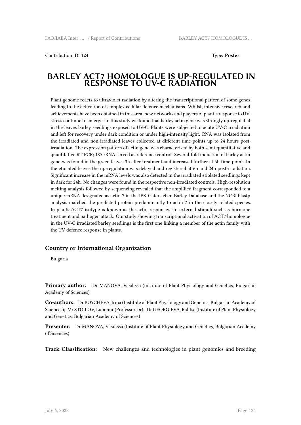Contribution ID: **124** Type: **Poster**

# **BARLEY ACT7 HOMOLOGUE IS UP-REGULATED IN RESPONSE TO UV-C RADIATION**

Plant genome reacts to ultraviolet radiation by altering the transcriptional pattern of some genes leading to the activation of complex cellular defence mechanisms. Whilst, intensive research and achievements have been obtained in this area, new networks and players of plant's response to UVstress continue to emerge. In this study we found that barley actin gene was strongly up-regulated in the leaves barley seedlings exposed to UV-C. Plants were subjected to acute UV-C irradiation and left for recovery under dark condition or under high-intensity light. RNA was isolated from the irradiated and non-irradiated leaves collected at different time-points up to 24 hours postirradiation. The expression pattern of actin gene was characterized by both semi-quantitative and quantitative RT-PCR; 18S rRNA served as reference control. Several-fold induction of barley actin gene was found in the green leaves 3h after treatment and increased further at 6h time-point. In the etiolated leaves the up-regulation was delayed and registered at 6h and 24h post-irradiation. Significant increase in the mRNA levels was also detected in the irradiated etiolated seedlings kept in dark for 24h. No changes were found in the respective non-irradiated controls. High-resolution melting analysis followed by sequencing revealed that the amplified fragment corresponded to a unique mRNA designated as actin 7 in the IPK-Gatersleben Barley Database and the NCBI blastp analysis matched the predicted protein predominantly to actin 7 in the closely related species. In plants ACT7 isotype is known as the actin responsive to external stimuli such as hormone treatment and pathogen attack. Our study showing transcriptional activation of ACT7 homologue in the UV-C irradiated barley seedlings is the first one linking a member of the actin family with the UV defence response in plants.

#### **Country or International Organization**

Bulgaria

**Primary author:** Dr MANOVA, Vasilissa (Institute of Plant Physiology and Genetics, Bulgarian Academy of Sciences)

**Co-authors:** Dr BOYCHEVA, Irina (Institute of Plant Physiology and Genetics, Bulgarian Academy of Sciences); Mr STOILOV, Lubomir (Professor Dr); Dr GEORGIEVA, Ralitsa (Institute of Plant Physiology and Genetics, Bulgarian Academy of Sciences)

**Presenter:** Dr MANOVA, Vasilissa (Institute of Plant Physiology and Genetics, Bulgarian Academy of Sciences)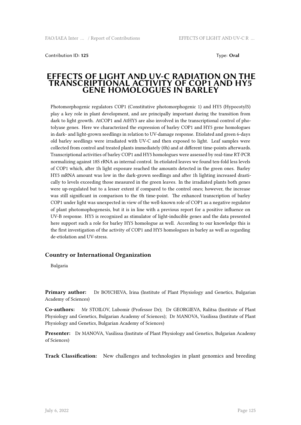Contribution ID: **125** Type: **Oral**

## **EFFECTS OF LIGHT AND UV-C RADIATION ON THE TRANSCRIPTIONAL ACTIVITY OF COP1 AND HY5 GENE HOMOLOGUES IN BARLEY**

Photomorphogenic regulators COP1 (Constitutive photomorphogenic 1) and HY5 (Hypocotyl5) play a key role in plant development, and are principally important during the transition from dark to light growth. AtCOP1 and AtHY5 are also involved in the transcriptional control of photolyase genes. Here we characterized the expression of barley COP1 and HY5 gene homologues in dark- and light-grown seedlings in relation to UV-damage response. Etiolated and green 6-days old barley seedlings were irradiated with UV-C and then exposed to light. Leaf samples were collected from control and treated plants immediately (0h) and at different time-points afterwards. Transcriptional activities of barley COP1 and HY5 homologues were assessed by real-time RT-PCR normalizing against 18S rRNA as internal control. In etiolated leaves we found ten-fold less levels of COP1 which, after 1h light exposure reached the amounts detected in the green ones. Barley HY5 mRNA amount was low in the dark-grown seedlings and after 1h lighting increased drastically to levels exceeding those measured in the green leaves. In the irradiated plants both genes were up-regulated but to a lesser extent if compared to the control ones; however, the increase was still significant in comparison to the 0h time-point. The enhanced transcription of barley COP1 under light was unexpected in view of the well-known role of COP1 as a negative regulator of plant photomophogenesis, but it is in line with a previous report for a positive influence on UV-B response. HY5 is recognized as stimulator of light-inducible genes and the data presented here support such a role for barley HY5 homologue as well. According to our knowledge this is the first investigation of the activity of COP1 and HY5 homologues in barley as well as regarding de-etiolation and UV-stress.

### **Country or International Organization**

Bulgaria

**Primary author:** Dr BOYCHEVA, Irina (Institute of Plant Physiology and Genetics, Bulgarian Academy of Sciences)

**Co-authors:** Mr STOILOV, Lubomir (Professor Dr); Dr GEORGIEVA, Ralitsa (Institute of Plant Physiology and Genetics, Bulgarian Academy of Sciences); Dr MANOVA, Vasilissa (Institute of Plant Physiology and Genetics, Bulgarian Academy of Sciences)

**Presenter:** Dr MANOVA, Vasilissa (Institute of Plant Physiology and Genetics, Bulgarian Academy of Sciences)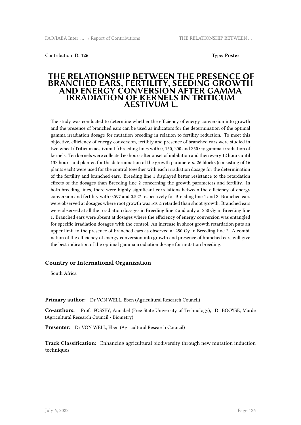Contribution ID: **126** Type: **Poster**

## **THE RELATIONSHIP BETWEEN THE PRESENCE OF BRANCHED EARS, FERTILITY, SEEDING GROWTH AND ENERGY CONVERSION AFTER GAMMA IRRADIATION OF KERNELS IN TRITICUM AESTIVUM L.**

The study was conducted to determine whether the efficiency of energy conversion into growth and the presence of branched ears can be used as indicators for the determination of the optimal gamma irradiation dosage for mutation breeding in relation to fertility reduction. To meet this objective, efficiency of energy conversion, fertility and presence of branched ears were studied in two wheat (Triticum aestivum L.) breeding lines with 0, 150, 200 and 250 Gy gamma-irradiation of kernels. Ten kernels were collected 60 hours after onset of imbibition and then every 12 hours until 132 hours and planted for the determination of the growth parameters. 26 blocks (consisting of 16 plants each) were used for the control together with each irradiation dosage for the determination of the fertility and branched ears. Breeding line 1 displayed better resistance to the retardation effects of the dosages than Breeding line 2 concerning the growth parameters and fertility. In both breeding lines, there were highly significant correlations between the efficiency of energy conversion and fertility with 0.597 and 0.527 respectively for Breeding line 1 and 2. Branched ears were observed at dosages where root growth was ≥10% retarded than shoot growth. Branched ears were observed at all the irradiation dosages in Breeding line 2 and only at 250 Gy in Breeding line 1. Branched ears were absent at dosages where the efficiency of energy conversion was entangled for specific irradiation dosages with the control. An increase in shoot growth retardation puts an upper limit to the presence of branched ears as observed at 250 Gy in Breeding line 2. A combination of the efficiency of energy conversion into growth and presence of branched ears will give the best indication of the optimal gamma irradiation dosage for mutation breeding.

### **Country or International Organization**

South Africa

#### **Primary author:** Dr VON WELL, Eben (Agricultural Research Council)

**Co-authors:** Prof. FOSSEY, Annabel (Free State University of Technology); Dr BOOYSE, Marde (Agricultural Research Council - Biometry)

**Presenter:** Dr VON WELL, Eben (Agricultural Research Council)

**Track Classification:** Enhancing agricultural biodiversity through new mutation induction techniques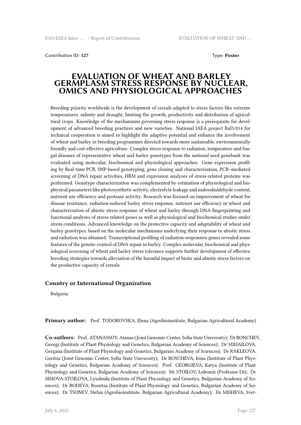Contribution ID: **127** Type: **Poster**

# **EVALUATION OF WHEAT AND BARLEY GERMPLASM STRESS RESPONSE BY NUCLEAR, OMICS AND PHYSIOLOGICAL APPROACHES**

Breeding priority worldwide is the development of cereals adapted to stress factors like extreme temperatures, salinity and drought, limiting the growth, productivity and distribution of agricultural crops. Knowledge of the mechanisms governing stress response is a prerequisite for development of advanced breeding practices and new varieties. National IAEA project Bul5/014 for technical cooperation is aimed to highlight the adaptive potential and enhance the involvement of wheat and barley in breeding programmes directed towards more sustainable, environmentally friendly and cost-effective agriculture. Complex stress response to radiation, temperature and fungal diseases of representative wheat and barley genotypes from the national seed genebank was evaluated using molecular, biochemical and physiological approaches. Gene expression profiling by Real-time PCR, SNP-based genotyping, gene cloning and characterization, PCR–mediated screening of DNA repair activities, HRM and expression analyses of stress-related proteins was performed. Genotype characterization was complemented by estimation of physiological and biophysical parameters like photosynthetic activity, electrolyte leakage and malondialdehyde content, nutrient use efficiency and protease activity. Research was focused on improvement of wheat for disease resistance, radiation-induced barley stress response, nutrient use efficiency in wheat and characterization of abiotic stress response of wheat and barley through DNA fingerprinting and functional analyses of stress-related genes as well as physiological and biochemical studies under stress conditions. Advanced knowledge on the protective capacity and adaptability of wheat and barley genotypes, based on the molecular mechanisms underlying their response to abiotic stress and radiation was obtained. Transcriptional profiling of radiation-responsive genes revealed some features of the genetic control of DNA repair in barley. Complex molecular, biochemical and physiological screening of wheat and barley stress tolerance supports further development of effective breeding strategies towards alleviation of the harmful impact of biotic and abiotic stress factors on the productive capacity of cereals.

### **Country or International Organization**

Bulgaria

**Primary author:** Prof. TODOROVSKA, Elena (Agrobioinstitute, Bulgarian Agricultural Academy)

**Co-authors:** Prof. ATANASSOV, Atanas (Joint Genomic Center, Sofia State University); Dr BONCHEV, Georgi (Institute of Plant Physiology and Genetics, Bulgarian Academy of Sciences); Dr MIHAILOVA, Gergana (Institute of Plant Physiology and Genetics, Bulgarian Academy of Sciences); Dr RAKLEOVA, Goritza (Joint Genomic Center, Sofia State University); Dr BOYCHEVA, Irina (Institute of Plant Physiology and Genetics, Bulgarian Academy of Sciences); Prof. GEORGIEVA, Katya (Institute of Plant Physiology and Genetics, Bulgarian Academy of Sciences); Mr STOILOV, Lubomir (Professor Dr); Dr SIMOVA-STOILOVA, Lyudmila (Institute of Plant Physiology and Genetics, Bulgarian Academy of Sciences); Dr RODEVA, Rossitza (Institute of Plant Physiology and Genetics, Bulgarian Academy of Sciences); Dr TSONEV, Stefan (Agrobioinstitute, Bulgarian Agricultural Academy); Dr MISHEVA, Svet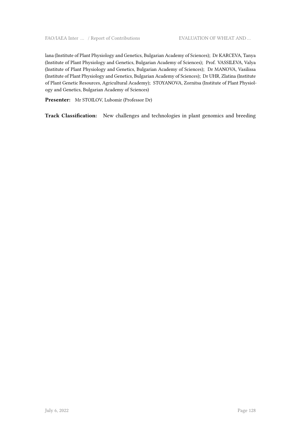lana (Institute of Plant Physiology and Genetics, Bulgarian Academy of Sciences); Dr KARCEVA, Tanya (Institute of Plant Physiology and Genetics, Bulgarian Academy of Sciences); Prof. VASSILEVA, Valya (Institute of Plant Physiology and Genetics, Bulgarian Academy of Sciences); Dr MANOVA, Vasilissa (Institute of Plant Physiology and Genetics, Bulgarian Academy of Sciences); Dr UHR, Zlatina (Institute of Plant Genetic Resources, Agricultural Academy); STOYANOVA, Zornitsa (Institute of Plant Physiology and Genetics, Bulgarian Academy of Sciences)

**Presenter:** Mr STOILOV, Lubomir (Professor Dr)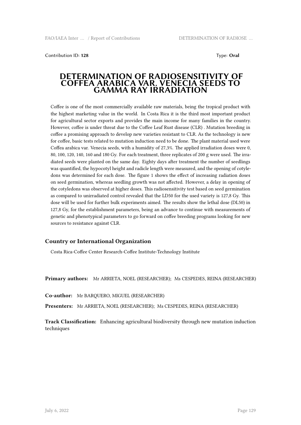Contribution ID: **128** Type: **Oral**

## **DETERMINATION OF RADIOSENSITIVITY OF COFFEA ARABICA VAR. VENECIA SEEDS TO GAMMA RAY IRRADIATION**

Coffee is one of the most commercially available raw materials, being the tropical product with the highest marketing value in the world. In Costa Rica it is the third most important product for agricultural sector exports and provides the main income for many families in the country. However, coffee is under threat due to the Coffee Leaf Rust disease (CLR) . Mutation breeding in coffee a promising approach to develop new varieties resistant to CLR. As the technology is new for coffee, basic tests related to mutation induction need to be done. The plant material used were Coffea arabica var. Venecia seeds, with a humidity of 27,3%. The applied irradiation doses were 0, 80, 100, 120, 140, 160 and 180 Gy. For each treatment, three replicates of 200 g were used. The irradiated seeds were planted on the same day. Eighty days after treatment the number of seedlings was quantified, the hypocotyl height and radicle length were measured, and the opening of cotyledons was determined for each dose. The figure 1 shows the effect of increasing radiation doses on seed germination, whereas seedling growth was not affected. However, a delay in opening of the cotyledons was observed at higher doses. This radiosensitivity test based on seed germination as compared to unirradiated control revealed that the LD50 for the used variety is 127,8 Gy. This dose will be used for further bulk experiments aimed. The results show the lethal dose (DL50) in 127,8 Gy, for the establishment parameters, being an advance to continue with measurements of genetic and phenotypical parameters to go forward on coffee breeding programs looking for new sources to resistance against CLR.

#### **Country or International Organization**

Costa Rica-Coffee Center Research-Coffee Institute-Technology Institute

**Primary authors:** Mr ARRIETA, NOEL (RESEARCHER); Ms CESPEDES, REINA (RESEARCHER)

**Co-author:** Mr BARQUERO, MIGUEL (RESEARCHER)

**Presenters:** Mr ARRIETA, NOEL (RESEARCHER); Ms CESPEDES, REINA (RESEARCHER)

**Track Classification:** Enhancing agricultural biodiversity through new mutation induction techniques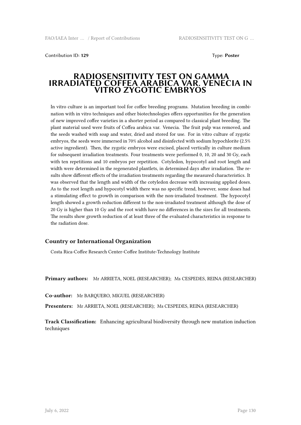Contribution ID: **129** Type: **Poster**

## **RADIOSENSITIVITY TEST ON GAMMA IRRADIATED COFFEA ARABICA VAR. VENECIA IN VITRO ZYGOTIC EMBRYOS**

In vitro culture is an important tool for coffee breeding programs. Mutation breeding in combination with in vitro techniques and other biotechnologies offers opportunities for the generation of new improved coffee varieties in a shorter period as compared to classical plant breeding. The plant material used were fruits of Coffea arabica var. Venecia. The fruit pulp was removed, and the seeds washed with soap and water, dried and stored for use. For in vitro culture of zygotic embryos, the seeds were immersed in 70% alcohol and disinfected with sodium hypochlorite (2.5% active ingredient). Then, the zygotic embryos were excised, placed vertically in culture medium for subsequent irradiation treatments. Four treatments were performed 0, 10, 20 and 30 Gy, each with ten repetitions and 10 embryos per repetition. Cotyledon, hypocotyl and root length and width were determined in the regenerated plantlets, in determined days after irradiation. The results show different effects of the irradiation treatments regarding the measured characteristics. It was observed that the length and width of the cotyledon decrease with increasing applied doses. As to the root length and hypocotyl width there was no specific trend, however, some doses had a stimulating effect to growth in comparison with the non-irradiated treatment. The hypocotyl length showed a growth reduction different to the non-irradiated treatment although the dose of 20 Gy is higher than 10 Gy and the root width have no differences in the sizes for all treatments. The results show growth reduction of at least three of the evaluated characteristics in response to the radiation dose.

#### **Country or International Organization**

Costa Rica-Coffee Research Center-Coffee Institute-Technology Institute

**Primary authors:** Mr ARRIETA, NOEL (RESEARCHER); Ms CESPEDES, REINA (RESEARCHER)

**Co-author:** Mr BARQUERO, MIGUEL (RESEARCHER)

**Presenters:** Mr ARRIETA, NOEL (RESEARCHER); Ms CESPEDES, REINA (RESEARCHER)

**Track Classification:** Enhancing agricultural biodiversity through new mutation induction techniques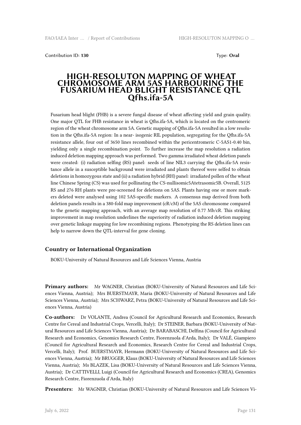Contribution ID: 130 **Type: Oral** 

## **HIGH-RESOLUTON MAPPING OF WHEAT CHROMOSOME ARM 5AS HARBOURING THE FUSARIUM HEAD BLIGHT RESISTANCE QTL Qfhs.ifa-5A**

Fusarium head blight (FHB) is a severe fungal disease of wheat affecting yield and grain quality. One major QTL for FHB resistance in wheat is Qfhs.ifa-5A, which is located on the centromeric region of the wheat chromosome arm 5A. Genetic mapping of Qfhs.ifa-5A resulted in a low resolution in the Qfhs.ifa-5A region: In a near- isogenic RIL population, segregating for the Qfhs.ifa-5A resistance allele, four out of 3650 lines recombined within the pericentromeric C-5AS1-0.40 bin, yielding only a single recombination point. To further increase the map resolution a radiation induced deletion mapping approach was performed. Two gamma irradiated wheat deletion panels were created: (i) radiation selfing (RS) panel: seeds of line NIL3 carrying the Qfhs.ifa-5A resistance allele in a susceptible background were irradiated and plants thereof were selfed to obtain deletions in homozygous state and (ii) a radiation hybrid (RH) panel: irradiated pollen of the wheat line Chinese Spring (CS) was used for pollinating the CS-nullisomic5Atetrasomic5B. Overall, 5125 RS and 276 RH plants were pre-screened for deletions on 5AS. Plants having one or more markers deleted were analysed using 102 5AS-specific markers. A consensus map derived from both deletion panels results in a 380-fold map improvement (cR/cM) of the 5AS chromosome compared to the genetic mapping approach, with an average map resolution of 0.77 Mb/cR. This striking improvement in map resolution underlines the superiority of radiation induced deletion mapping over genetic linkage mapping for low recombining regions. Phenotyping the RS deletion lines can help to narrow down the QTL-interval for gene cloning.

### **Country or International Organization**

BOKU-University of Natural Resources and Life Sciences Vienna, Austria

**Primary authors:** Mr WAGNER, Christian (BOKU-University of Natural Resources and Life Sciences Vienna, Austria); Mrs BUERSTMAYR, Maria (BOKU-University of Natural Resources and Life Sciences Vienna, Austria); Mrs SCHWARZ, Petra (BOKU-University of Natural Resources and Life Sciences Vienna, Austria)

**Co-authors:** Dr VOLANTE, Andrea (Council for Agricultural Research and Economics, Research Centre for Cereal and Industrial Crops, Vercelli, Italy); Dr STEINER, Barbara (BOKU-University of Natural Resources and Life Sciences Vienna, Austria); Dr BARABASCHI, Delfina (Council for Agricultural Research and Economics, Genomics Research Centre, Fiorenzuola d'Arda, Italy); Dr VALÈ, Giampiero (Council for Agricultural Research and Economics, Research Centre for Cereal and Industrial Crops, Vercelli, Italy); Prof. BUERSTMAYR, Hermann (BOKU-University of Natural Resources and Life Sciences Vienna, Austria); Mr BRUGGER, Klaus (BOKU-University of Natural Resources and Life Sciences Vienna, Austria); Ms BLAZEK, Lisa (BOKU-University of Natural Resources and Life Sciences Vienna, Austria); Dr CATTIVELLI, Luigi (Council for Agricultural Research and Economics (CREA), Genomics Research Centre, Fiorenzuola d'Arda, Italy)

**Presenters:** Mr WAGNER, Christian (BOKU-University of Natural Resources and Life Sciences Vi-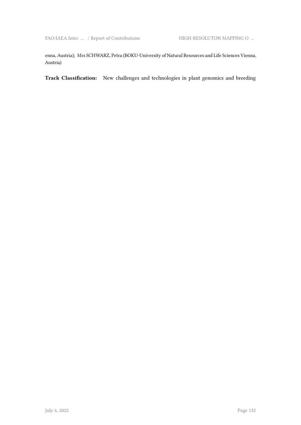enna, Austria); Mrs SCHWARZ, Petra (BOKU-University of Natural Resources and Life Sciences Vienna, Austria)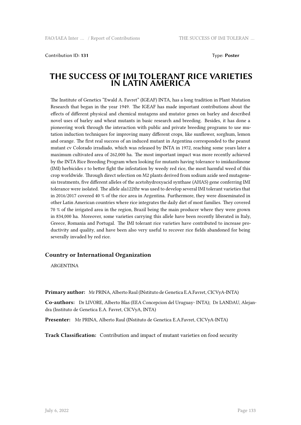Contribution ID: **131** Type: **Poster**

# **THE SUCCESS OF IMI TOLERANT RICE VARIETIES IN LATIN AMERICA**

The Institute of Genetics "Ewald A. Favret" (IGEAF) INTA, has a long tradition in Plant Mutation Research that began in the year 1949. The IGEAF has made important contributions about the effects of different physical and chemical mutagens and mutator genes on barley and described novel uses of barley and wheat mutants in basic research and breeding. Besides, it has done a pioneering work through the interaction with public and private breeding programs to use mutation induction techniques for improving many different crops, like sunflower, sorghum, lemon and orange. The first real success of an induced mutant in Argentina corresponded to the peanut mutant cv Colorado irradiado, which was released by INTA in 1972, reaching some years later a maximum cultivated area of 262,000 ha. The most important impact was more recently achieved by the INTA Rice Breeding Program when looking for mutants having tolerance to imidazolinone (IMI) herbicides r to better fight the infestation by weedy red rice, the most harmful weed of this crop worldwide. Through direct selection on M2 plants derived from sodium azide seed mutagenesis treatments, five different alleles of the acetohydroxyacid synthase (AHAS) gene conferring IMI tolerance were isolated. The allele ala122thr was used to develop several IMI tolerant varieties that in 2016/2017 covered 40 % of the rice area in Argentina. Furthermore, they were disseminated in other Latin American countries where rice integrates the daily diet of most families. They covered 70 % of the irrigated area in the region, Brazil being the main producer where they were grown in 834,000 ha. Moreover, some varieties carrying this allele have been recently liberated in Italy, Greece, Romania and Portugal. The IMI tolerant rice varieties have contributed to increase productivity and quality, and have been also very useful to recover rice fields abandoned for being severally invaded by red rice.

### **Country or International Organization**

ARGENTINA

**Primary author:** Mr PRINA, Alberto Raul (INstituto de Genetica E.A.Favret, CICVyA-INTA)

**Co-authors:** Dr LIVORE, Alberto Blas (EEA Concepcion del Uruguay- INTA); Dr LANDAU, Alejandra (Instituto de Genetica E.A. Favret, CICVyA, INTA)

**Presenter:** Mr PRINA, Alberto Raul (INstituto de Genetica E.A.Favret, CICVyA-INTA)

**Track Classification:** Contribution and impact of mutant varieties on food security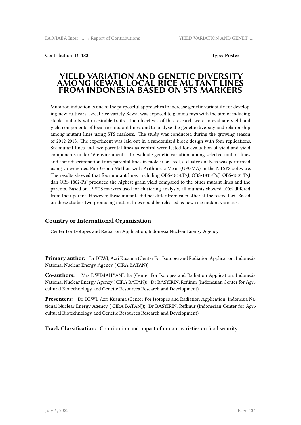Contribution ID: **132** Type: **Poster**

# **YIELD VARIATION AND GENETIC DIVERSITY AMONG KEWAL LOCAL RICE MUTANT LINES FROM INDONESIA BASED ON STS MARKERS**

Mutation induction is one of the purposeful approaches to increase genetic variability for developing new cultivars. Local rice variety Kewal was exposed to gamma rays with the aim of inducing stable mutants with desirable traits. The objectives of this research were to evaluate yield and yield components of local rice mutant lines, and to analyse the genetic diversity and relationship among mutant lines using STS markers. The study was conducted during the growing season of 2012-2013. The experiment was laid out in a randomized block design with four replications. Six mutant lines and two parental lines as control were tested for evaluation of yield and yield components under 16 environments. To evaluate genetic variation among selected mutant lines and their discrimination from parental lines in molecular level, a cluster analysis was performed using Unweighted Pair Group Method with Arithmetic Mean (UPGMA) in the NTSYS software. The results showed that four mutant lines, including OBS-1814/PsJ, OBS-1813/PsJ, OBS-1801/PsJ dan OBS-1802/PsJ produced the highest grain yield compared to the other mutant lines and the parents. Based on 13 STS markers used for clustering analysis, all mutants showed 100% differed from their parent. However, these mutants did not differ from each other at the tested loci. Based on these studies two promising mutant lines could be released as new rice mutant varieties.

### **Country or International Organization**

Center For Isotopes and Radiation Application, Indonesia Nuclear Energy Agency

**Primary author:** Dr DEWI, Azri Kusuma (Center For Isotopes and Radiation Application, Indonesia National Nuclear Energy Agency ( CIRA BATAN))

**Co-authors:** Mrs DWIMAHYANI, Ita (Center For Isotopes and Radiation Application, Indonesia National Nuclear Energy Agency ( CIRA BATAN)); Dr BASYIRIN, Reflinur (Indonesian Center for Agricultural Biotechnology and Genetic Resources Research and Development)

**Presenters:** Dr DEWI, Azri Kusuma (Center For Isotopes and Radiation Application, Indonesia National Nuclear Energy Agency ( CIRA BATAN)); Dr BASYIRIN, Reflinur (Indonesian Center for Agricultural Biotechnology and Genetic Resources Research and Development)

**Track Classification:** Contribution and impact of mutant varieties on food security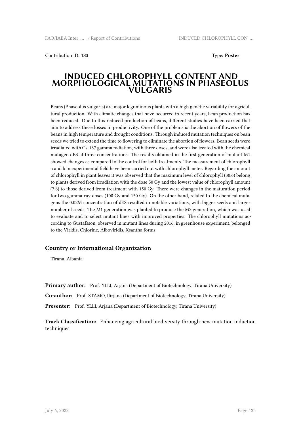Contribution ID: **133** Type: **Poster**

## **INDUCED CHLOROPHYLL CONTENT AND MORPHOLOGICAL MUTATIONS IN PHASEOLUS VULGARIS**

Beans (Phaseolus vulgaris) are major leguminous plants with a high genetic variability for agricultural production. With climatic changes that have occurred in recent years, bean production has been reduced. Due to this reduced production of beans, different studies have been carried that aim to address these losses in productivity. One of the problems is the abortion of flowers of the beans in high temperature and drought conditions. Through induced mutation techniques on bean seeds we tried to extend the time to flowering to eliminate the abortion of flowers. Bean seeds were irradiated with Cs-137 gamma radiation, with three doses, and were also treated with the chemical mutagen dES at three concentrations. The results obtained in the first generation of mutant M1 showed changes as compared to the control for both treatments. The measurement of chlorophyll a and b in experimental field have been carried out with chlorophyll meter. Regarding the amount of chlorophyll in plant leaves it was observed that the maximum level of chlorophyll (30.6) belong to plants derived from irradiation with the dose 50 Gy and the lowest value of chlorophyll amount (7.6) to those derived from treatment with 150 Gy. There were changes in the maturation period for two gamma-ray doses (100 Gy and 150 Gy). On the other hand, related to the chemical mutagens the 0.02M concentration of dES resulted in notable variations, with bigger seeds and larger number of seeds. The M1 generation was planted to produce the M2 generation, which was used to evaluate and to select mutant lines with improved properties. The chlorophyll mutations according to Gustafsson, observed in mutant lines during 2016, in greenhouse experiment, belonged to the Viridis, Chlorine, Alboviridis, Xsantha forms.

#### **Country or International Organization**

Tirana, Albania

**Primary author:** Prof. YLLI, Arjana (Department of Biotechnology, Tirana University)

**Co-author:** Prof. STAMO, Ilirjana (Department of Biotechnology, Tirana University)

Presenter: Prof. YLLI, Arjana (Department of Biotechnology, Tirana University)

**Track Classification:** Enhancing agricultural biodiversity through new mutation induction techniques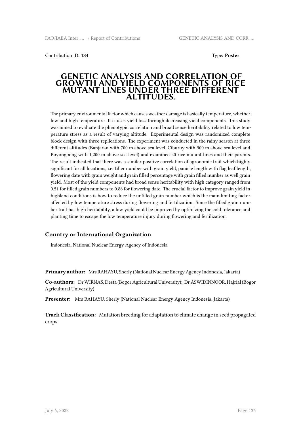Contribution ID: **134** Type: **Poster**

## **GENETIC ANALYSIS AND CORRELATION OF GROWTH AND YIELD COMPONENTS OF RICE MUTANT LINES UNDER THREE DIFFERENT ALTITUDES.**

The primary environmental factor which causes weather damage is basically temperature, whether low and high temperature. It causes yield loss through decreasing yield components. This study was aimed to evaluate the phenotypic correlation and broad sense heritability related to low temperature stress as a result of varying altitude. Experimental design was randomized complete block design with three replications. The experiment was conducted in the rainy season at three different altitudes (Banjaran with 700 m above sea level, Ciburuy with 900 m above sea level and Boyongbong with 1,200 m above sea level) and examined 20 rice mutant lines and their parents. The result indicated that there was a similar positive correlation of agronomic trait which highly significant for all locations, i.e. tiller number with grain yield, panicle length with flag leaf length, flowering date with grain weight and grain filled percentage with grain filled number as well grain yield. Most of the yield components had broad sense heritability with high category ranged from 0.51 for filled grain numbers to 0.86 for flowering date. The crucial factor to improve grain yield in highland conditions is how to reduce the unfilled grain number which is the main limiting factor affected by low temperature stress during flowering and fertilization. Since the filled grain number trait has high heritability, a low yield could be improved by optimizing the cold tolerance and planting time to escape the low temperature injury during flowering and fertilization.

### **Country or International Organization**

Indonesia, National Nuclear Energy Agency of Indonesia

**Primary author:** Mrs RAHAYU, Sherly (National Nuclear Energy Agency Indonesia, Jakarta)

**Co-authors:** Dr WIRNAS, Desta (Bogor Agricultural University); Dr ASWIDINNOOR, Hajrial (Bogor Agricultural University)

**Presenter:** Mrs RAHAYU, Sherly (National Nuclear Energy Agency Indonesia, Jakarta)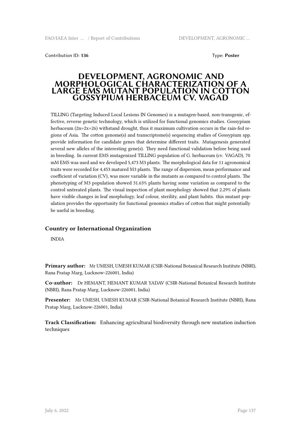#### Contribution ID: 136 Type: **Poster**

## **DEVELOPMENT, AGRONOMIC AND MORPHOLOGICAL CHARACTERIZATION OF A LARGE EMS MUTANT POPULATION IN COTTON GOSSYPIUM HERBACEUM CV. VAGAD**

TILLING (Targeting Induced Local Lesions IN Genomes) is a mutagen-based, non-transgenic, effective, reverse genetic technology, which is utilized for functional genomics studies. Gossypium herbaceum (2n=2x=26) withstand drought, thus it maximum cultivation occurs in the rain-fed regions of Asia. The cotton genome(s) and transcriptome(s) sequencing studies of Gossypium spp. provide information for candidate genes that determine different traits. Mutagenesis generated several new alleles of the interesting gene(s). They need functional validation before being used in breeding. In current EMS mutagenized TILLING population of G. herbaceum (cv. VAGAD), 70 mM EMS was used and we developed 5,473 M3 plants. The morphological data for 11 agronomical traits were recorded for 4,453 matured M3 plants. The range of dispersion, mean performance and coefficient of variation (CV), was more variable in the mutants as compared to control plants. The phenotyping of M3 population showed 31.63% plants having some variation as compared to the control untreated plants. The visual inspection of plant morphology showed that 2.29% of plants have visible changes in leaf morphology, leaf colour, sterility, and plant habits. this mutant population provides the opportunity for functional genomics studies of cotton that might potentially be useful in breeding.

### **Country or International Organization**

INDIA

**Primary author:** Mr UMESH, UMESH KUMAR (CSIR-National Botanical Research Institute (NBRI), Rana Pratap Marg, Lucknow-226001, India)

**Co-author:** Dr HEMANT, HEMANT KUMAR YADAV (CSIR-National Botanical Research Institute (NBRI), Rana Pratap Marg, Lucknow-226001, India)

**Presenter:** Mr UMESH, UMESH KUMAR (CSIR-National Botanical Research Institute (NBRI), Rana Pratap Marg, Lucknow-226001, India)

**Track Classification:** Enhancing agricultural biodiversity through new mutation induction techniques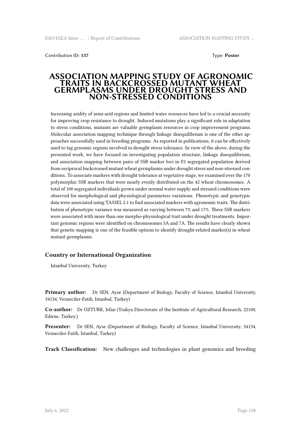Contribution ID: **137** Type: **Poster**

### **ASSOCIATION MAPPING STUDY OF AGRONOMIC TRAITS IN BACKCROSSED MUTANT WHEAT GERMPLASMS UNDER DROUGHT STRESS AND NON-STRESSED CONDITIONS**

Increasing aridity of semi-arid regions and limited water resources have led to a crucial necessity for improving crop resistance to drought. Induced mutations play a significant role in adaptation to stress conditions, mutants are valuable germplasm resources in crop improvement programs. Molecular association mapping technique through linkage disequilibrium is one of the other approaches successfully used in breeding programs. As reported in publications, it can be effectively used to tag genomic regions involved in drought stress tolerance. In view of the above, during the presented work, we have focused on investigating population structure, linkage disequilibrium, and association mapping between pairs of SSR marker loci in F2 segregated population derived from reciprocal backcrossed mutant wheat germplasms under drought stress and non-stressed conditions. To associate markers with drought tolerance at vegetative stage, we examined over the 170 polymorphic SSR markers that were nearly evenly distributed on the 42 wheat chromosomes. A total of 100 segregated individuals grown under normal water supply and stressed conditions were observed for morphological and physiological parameters variations. Phenotypic and genotypic data were associated using TASSEL 2.1 to find associated markers with agronomic traits. The distribution of phenotypic variance was measured as varying between 7% and 17%. Three SSR markers were associated with more than one morpho-physiological trait under drought treatments. Important genomic regions were identified on chromosomes 5A and 7A. The results have clearly shown that genetic mapping is one of the feasible options to identify drought-related marker(s) in wheat mutant germplasms.

### **Country or International Organization**

Istanbul University, Turkey

**Primary author:** Dr SEN, Ayse (Department of Biology, Faculty of Science, Istanbul University, 34134, Vezneciler-Fatih, Istanbul, Turkey)

**Co-author:** Dr OZTURK, Irfan (Trakya Directorate of the Institute of Agricultural Research, 22100, Edirne, Turkey.)

**Presenter:** Dr SEN, Ayse (Department of Biology, Faculty of Science, Istanbul University, 34134, Vezneciler-Fatih, Istanbul, Turkey)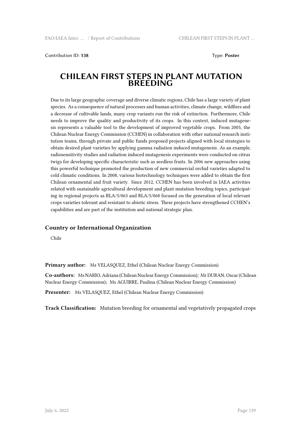Contribution ID: **138** Type: **Poster**

# **CHILEAN FIRST STEPS IN PLANT MUTATION BREEDING**

Due to its large geographic coverage and diverse climatic regions, Chile has a large variety of plant species. As a consequence of natural processes and human activities, climate change, wildfires and a decrease of cultivable lands, many crop variants run the risk of extinction. Furthermore, Chile needs to improve the quality and productivity of its crops. In this context, induced mutagenesis represents a valuable tool to the development of improved vegetable crops. From 2005, the Chilean Nuclear Energy Commission (CCHEN) in collaboration with other national research institution teams, through private and public funds proposed projects aligned with local strategies to obtain desired plant varieties by applying gamma radiation induced mutagenesis. As an example, radiosensitivity studies and radiation induced mutagenesis experiments were conducted on citrus twigs for developing specific characteristic such as seedless fruits. In 2006 new approaches using this powerful technique promoted the production of new commercial orchid varieties adapted to cold climatic conditions. In 2008, various biotechnology techniques were added to obtain the first Chilean ornamental and fruit variety. Since 2012, CCHEN has been involved in IAEA activities related with sustainable agricultural development and plant mutation breeding topics, participating in regional projects as RLA/5/063 and RLA/5/068 focused on the generation of local relevant crops varieties tolerant and resistant to abiotic stress. These projects have strengthened CCHEN's capabilities and are part of the institution and national strategic plan.

### **Country or International Organization**

Chile

**Primary author:** Ms VELASQUEZ, Ethel (Chilean Nuclear Energy Commission)

**Co-authors:** Ms NARIO, Adriana (Chilean Nuclear Energy Commission); Mr DURAN, Oscar (Chilean Nuclear Energy Commission); Ms AGUIRRE, Paulina (Chilean Nuclear Energy Commission)

**Presenter:** Ms VELASQUEZ, Ethel (Chilean Nuclear Energy Commission)

**Track Classification:** Mutation breeding for ornamental and vegetatively propagated crops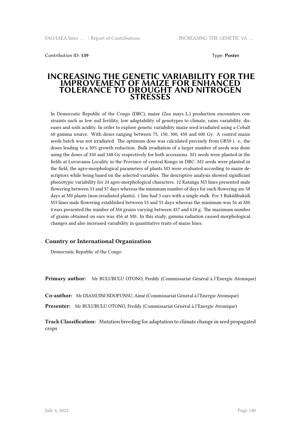Contribution ID: **139** Type: **Poster**

### **INCREASING THE GENETIC VARIABILITY FOR THE IMPROVEMENT OF MAIZE FOR ENHANCED TOLERANCE TO DROUGHT AND NITROGEN STRESSES**

In Democratic Republic of the Congo (DRC), maize (Zea mays L.) production encounters constraints such as low soil fertility, low adaptability of genotypes to climate, rains variability, diseases and soils acidity. In order to explore genetic variability maize seed irradiated using a Cobalt 60 gamma source. With doses ranging between 75, 150, 300, 450 and 600 Gy. A control maize seeds batch was not irradiated. The optimum dose was calculated precisely from GR50 i. e., the doses leading to a 50% growth reduction. Bulk irradiation of a larger number of seeds was done using the doses of 350 and 348 Gy respectively for both accessions. M1 seeds were planted in the fields at Luvuvamu Locality in the Province of central Kongo in DRC. M2 seeds were planted in the field, the agro-morphological parameters of plants M3 were evaluated according to maize descriptors while being based on the selected variables. The descriptive analysis showed significant phenotypic variability for 24 agro-morphological characters. 12 Katanga M3 lines presented male flowering between 53 and 57 days whereas the minimum number of days for such flowering are 58 days at M0 plants (non-irradiated plants). 1 line had 3 ears with a single stalk. For 3 Bukidibukidi M3 lines male flowering established between 53 and 55 days whereas the minimum was 56 at M0. 4 ears presented the number of M4 grains varying between 457 and 610 g. The maximum number of grains obtained on ears was 456 at M0. In this study, gamma radiation caused morphological changes and also increased variability in quantitative traits of maize lines.

### **Country or International Organization**

Democratic Republic of the Congo

**Primary author:** Mr BULUBULU OTONO, Freddy (Commissariat Général à l'Energie Atomique)

**Co-author:** Mr DIAMUINI NDOFUNSU, Aimé (Commissariat Général à l'Energie Atomique)

**Presenter:** Mr BULUBULU OTONO, Freddy (Commissariat Général à l'Energie Atomique)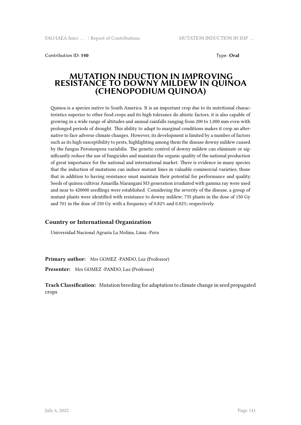#### Contribution ID: **140** Type: **Oral**

# **MUTATION INDUCTION IN IMPROVING RESISTANCE TO DOWNY MILDEW IN QUINOA (CHENOPODIUM QUINOA)**

Quinoa is a species native to South America. It is an important crop due to its nutritional characteristics superior to other food crops and its high tolerance do abiotic factors, it is also capable of growing in a wide range of altitudes and annual rainfalls ranging from 200 to 1,000 mm even with prolonged periods of drought. This ability to adapt to marginal conditions makes it crop an alternative to face adverse climate changes. However, its development is limited by a number of factors such as its high susceptibility to pests, highlighting among them the disease downy mildew caused by the fungus Peronospora variabilis. The genetic control of downy mildew can eliminate or significantly reduce the use of fungicides and maintain the organic quality of the national production of great importance for the national and international market. There is evidence in many species that the induction of mutations can induce mutant lines in valuable commercial varieties; those that in addition to having resistance must maintain their potential for performance and quality. Seeds of quinoa cultivar Amarilla Maranganí M3 generation irradiated with gamma ray were used and near to 420000 seedlings were established. Considering the severity of the disease, a group of mutant plants were identified with resistance to downy mildew; 735 plants in the dose of 150 Gy and 701 in the dose of 250 Gy with a frequency of 0.82% and 0.82%; respectively.

### **Country or International Organization**

Universidad Nacional Agraria La Molina, Lima -Peru

**Primary author:** Mrs GOMEZ -PANDO, Luz (Professor)

**Presenter:** Mrs GOMEZ -PANDO, Luz (Professor)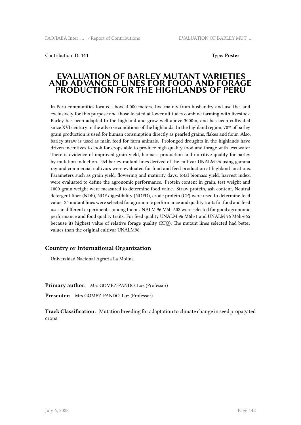Contribution ID: **141** Type: **Poster**

## **EVALUATION OF BARLEY MUTANT VARIETIES AND ADVANCED LINES FOR FOOD AND FORAGE PRODUCTION FOR THE HIGHLANDS OF PERU**

In Peru communities located above 4,000 meters, live mainly from husbandry and use the land exclusively for this purpose and those located at lower altitudes combine farming with livestock. Barley has been adapted to the highland and grow well above 3000m, and has been cultivated since XVI century in the adverse conditions of the highlands. In the highland region, 70% of barley grain production is used for human consumption directly as pearled grains, flakes and flour. Also, barley straw is used as main feed for farm animals. Prolonged droughts in the highlands have driven incentives to look for crops able to produce high quality food and forage with less water. There is evidence of improved grain yield, biomass production and nutritive quality for barley by mutation induction. 264 barley mutant lines derived of the cultivar UNALM 96 using gamma ray and commercial cultivars were evaluated for food and feed production at highland locations. Parameters such as grain yield, flowering and maturity days, total biomass yield, harvest index, were evaluated to define the agronomic performance. Protein content in grain, test weight and 1000-grain weight were measured to determine food value. Straw protein, ash content, Neutral detergent fiber (NDF), NDF digestibility (NDFD), crude protein (CP) were used to determine feed value. 24 mutant lines were selected for agronomic performance and quality traits for food and feed uses in different experiments, among them UNALM 96 M6h-602 were selected for good agronomic performance and food quality traits. For feed quality UNALM 96 M6h-1 and UNALM 96 M6h-665 because its highest value of relative forage quality (RFQ). The mutant lines selected had better values than the original cultivar UNALM96.

### **Country or International Organization**

Universidad Nacional Agraria La Molina

**Primary author:** Mrs GOMEZ-PANDO, Luz (Professor)

**Presenter:** Mrs GOMEZ-PANDO, Luz (Professor)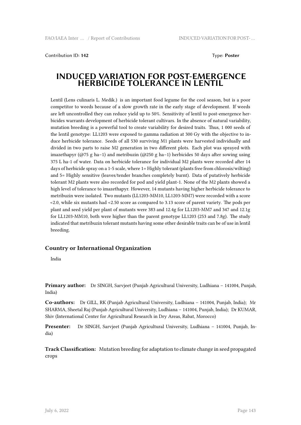Contribution ID: **142** Type: **Poster**

# **INDUCED VARIATION FOR POST-EMERGENCE HERBICIDE TOLERANCE IN LENTIL**

Lentil (Lens culinaris L. Medik.) is an important food legume for the cool season, but is a poor competitor to weeds because of a slow growth rate in the early stage of development. If weeds are left uncontrolled they can reduce yield up to 50%. Sensitivity of lentil to post-emergence herbicides warrants development of herbicide tolerant cultivars. In the absence of natural variability, mutation breeding is a powerful tool to create variability for desired traits. Thus, 1 000 seeds of the lentil genotype: LL1203 were exposed to gamma radiation at 300 Gy with the objective to induce herbicide tolerance. Seeds of all 530 surviving M1 plants were harvested individually and divided in two parts to raise M2 generation in two different plots. Each plot was sprayed with imazethapyr (@75 g ha−1) and metribuzin (@250 g ha−1) herbicides 50 days after sowing using 375 L ha-1 of water. Data on herbicide tolerance for individual M2 plants were recorded after 14 days of herbicide spray on a 1-5 scale, where 1= Highly tolerant (plants free from chlorosis/wilting) and 5= Highly sensitive (leaves/tender branches completely burnt). Data of putatively herbicide tolerant M2 plants were also recorded for pod and yield plant-1. None of the M2 plants showed a high level of tolerance to imazethapyr. However, 14 mutants having higher herbicide tolerance to metribuzin were isolated. Two mutants (LL1203-MM10, LL1203-MM7) were recorded with a score <2.0, while six mutants had <2.50 score as compared to 3.13 score of parent variety. The pods per plant and seed yield per plant of mutants were 383 and 12.4g for LL1203-MM7 and 347 and 12.1g for LL1203-MM10, both were higher than the parent genotype LL1203 (253 and 7.8g). The study indicated that metribuzin tolerant mutants having some other desirable traits can be of use in lentil breeding.

#### **Country or International Organization**

India

**Primary author:** Dr SINGH, Sarvjeet (Punjab Agricultural University, Ludhiana – 141004, Punjab, India)

**Co-authors:** Dr GILL, RK (Punjab Agricultural University, Ludhiana – 141004, Punjab, India); Mr SHARMA, Sheetal Raj (Punjab Agricultural University, Ludhiana – 141004, Punjab, India); Dr KUMAR, Shiv (International Center for Agricultural Research in Dry Areas, Rabat, Morocco)

**Presenter:** Dr SINGH, Sarvjeet (Punjab Agricultural University, Ludhiana – 141004, Punjab, India)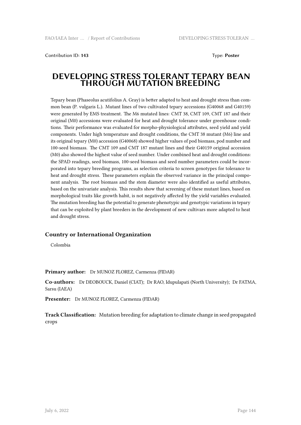Contribution ID: **143** Type: **Poster**

# **DEVELOPING STRESS TOLERANT TEPARY BEAN THROUGH MUTATION BREEDING**

Tepary bean (Phaseolus acutifolius A. Gray) is better adapted to heat and drought stress than common bean (P. vulgaris L.). Mutant lines of two cultivated tepary accessions (G40068 and G40159) were generated by EMS treatment. The M6 mutated lines: CMT 38, CMT 109, CMT 187 and their original (M0) accessions were evaluated for heat and drought tolerance under greenhouse conditions. Their performance was evaluated for morpho-physiological attributes, seed yield and yield components. Under high temperature and drought conditions, the CMT 38 mutant (M6) line and its original tepary (M0) accession (G40068) showed higher values of pod biomass, pod number and 100-seed biomass. The CMT 109 and CMT 187 mutant lines and their G40159 original accession (M0) also showed the highest value of seed number. Under combined heat and drought conditions: the SPAD readings, seed biomass, 100-seed biomass and seed number parameters could be incorporated into tepary breeding programs, as selection criteria to screen genotypes for tolerance to heat and drought stress. These parameters explain the observed variance in the principal component analysis. The root biomass and the stem diameter were also identified as useful attributes, based on the univariate analysis. This results show that screening of these mutant lines, based on morphological traits like growth habit, is not negatively affected by the yield variables evaluated. The mutation breeding has the potential to generate phenotypic and genotypic variations in tepary that can be exploited by plant breeders in the development of new cultivars more adapted to heat and drought stress.

### **Country or International Organization**

Colombia

**Primary author:** Dr MUNOZ FLOREZ, Carmenza (FIDAR)

**Co-authors:** Dr DEOBOUCK, Daniel (CIAT); Dr RAO, Idupulapati (North University); Dr FATMA, Sarsu (IAEA)

**Presenter:** Dr MUNOZ FLOREZ, Carmenza (FIDAR)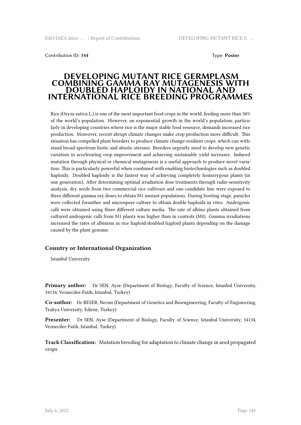Contribution ID: **144** Type: **Poster**

### **DEVELOPING MUTANT RICE GERMPLASM COMBINING GAMMA RAY MUTAGENESIS WITH DOUBLED HAPLOIDY IN NATIONAL AND INTERNATIONAL RICE BREEDING PROGRAMMES**

Rice (Oryza sativa L.) is one of the most important food crops in the world, feeding more than 50% of the world's population. However, an exponential growth in the world's population, particularly in developing countries where rice is the major stable food resource, demands increased rice production. Moreover, recent abrupt climate changes make crop production more difficult. This situation has compelled plant breeders to produce climate change-resilient crops, which can withstand broad-spectrum biotic and abiotic stresses. Breeders urgently need to develop new genetic variation in accelerating crop improvement and achieving sustainable yield increases. Induced mutation through physical or chemical mutagenesis is a useful approach to produce novel variation. This is particularly powerful when combined with enabling biotechnologies such as doubled haploidy. Doubled haploidy is the fastest way of achieving completely homozygous plants (in one generation). After determining optimal irradiation dose treatments through radio-sensitivity analysis, dry seeds from two commercial rice cultivars and one candidate line were exposed to three different gamma ray doses to obtain M1 mutant populations. During booting stage, panicles were collected foranther and microspore culture to obtain double haploids in vitro. Androgenic calli were obtained using three different culture media. The rate of albino plants obtained from cultured androgenic calli from M1 plants was higher than in controls (M0). Gamma irradiations increased the rates of albinism in rice haploid/doubled haploid plants depending on the damage caused by the plant genome.

### **Country or International Organization**

Istanbul University

**Primary author:** Dr SEN, Ayse (Department of Biology, Faculty of Science, Istanbul University, 34134, Vezneciler-Fatih, Istanbul, Turkey)

**Co-author:** Dr BESER, Necmi (Department of Genetics and Bioengineering, Faculty of Engineering, Trakya University, Edirne, Turkey)

**Presenter:** Dr SEN, Ayse (Department of Biology, Faculty of Science, Istanbul University, 34134, Vezneciler-Fatih, Istanbul, Turkey)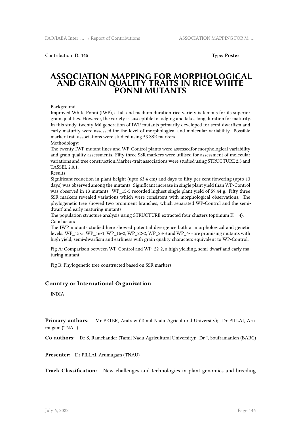Contribution ID: **145** Type: **Poster**

## **ASSOCIATION MAPPING FOR MORPHOLOGICAL AND GRAIN QUALITY TRAITS IN RICE WHITE PONNI MUTANTS**

Background:

Improved White Ponni (IWP), a tall and medium duration rice variety is famous for its superior grain qualities. However, the variety is susceptible to lodging and takes long duration for maturity. In this study, twenty M6 generation of IWP mutants primarily developed for semi-dwarfism and early maturity were assessed for the level of morphological and molecular variability. Possible marker-trait associations were studied using 53 SSR markers.

Methodology:

The twenty IWP mutant lines and WP-Control plants were assessedfor morphological variability and grain quality assessments. Fifty three SSR markers were utilised for assessment of molecular variations and tree construction.Marker-trait associations were studied using STRUCTURE 2.3 and TASSEL 2.0.1.

Results:

Significant reduction in plant height (upto 63.4 cm) and days to fifty per cent flowering (upto 13 days) was observed among the mutants. Significant increase in single plant yield than WP-Control was observed in 13 mutants. WP\_15-5 recorded highest single plant yield of 59.44 g. Fifty three SSR markers revealed variations which were consistent with morphological observations. The phylogenetic tree showed two prominent branches, which separated WP-Control and the semidwarf and early maturing mutants.

The population structure analysis using STRUCTURE extracted four clusters (optimum  $K = 4$ ). Conclusion:

The IWP mutants studied here showed potential divergence both at morphological and genetic levels. WP\_15-5, WP\_16-1, WP\_16-2, WP\_22-2, WP\_23-3 and WP\_6-3 are promising mutants with high yield, semi-dwarfism and earliness with grain quality characters equivalent to WP-Control.

Fig A: Comparison between WP-Control and WP\_22-2, a high yielding, semi-dwarf and early maturing mutant

Fig B: Phylogenetic tree constructed based on SSR markers

#### **Country or International Organization**

INDIA

**Primary authors:** Mr PETER, Andrew (Tamil Nadu Agricultural University); Dr PILLAI, Arumugam (TNAU)

**Co-authors:** Dr S, Ramchander (Tamil Nadu Agricultural University); Dr J, Souframanien (BARC)

**Presenter:** Dr PILLAI, Arumugam (TNAU)

**Track Classification:** New challenges and technologies in plant genomics and breeding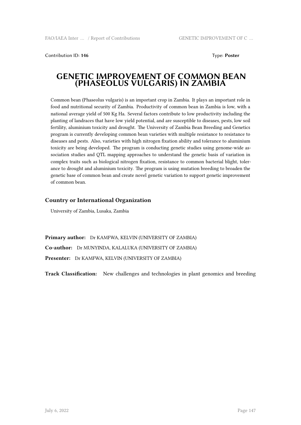Contribution ID: **146** Type: **Poster**

# **GENETIC IMPROVEMENT OF COMMON BEAN (PHASEOLUS VULGARIS) IN ZAMBIA**

Common bean (Phaseolus vulgaris) is an important crop in Zambia. It plays an important role in food and nutritional security of Zambia. Productivity of common bean in Zambia is low, with a national average yield of 500 Kg Ha. Several factors contribute to low productivity including the planting of landraces that have low yield potential, and are susceptible to diseases, pests, low soil fertility, aluminium toxicity and drought. The University of Zambia Bean Breeding and Genetics program is currently developing common bean varieties with multiple resistance to resistance to diseases and pests. Also, varieties with high nitrogen fixation ability and tolerance to aluminium toxicity are being developed. The program is conducting genetic studies using genome-wide association studies and QTL mapping approaches to understand the genetic basis of variation in complex traits such as biological nitrogen fixation, resistance to common bacterial blight, tolerance to drought and aluminium toxicity. The program is using mutation breeding to broaden the genetic base of common bean and create novel genetic variation to support genetic improvement of common bean.

#### **Country or International Organization**

University of Zambia, Lusaka, Zambia

**Primary author:** Dr KAMFWA, KELVIN (UNIVERSITY OF ZAMBIA) **Co-author:** Dr MUNYINDA, KALALUKA (UNIVERSITY OF ZAMBIA) **Presenter:** Dr KAMFWA, KELVIN (UNIVERSITY OF ZAMBIA)

**Track Classification:** New challenges and technologies in plant genomics and breeding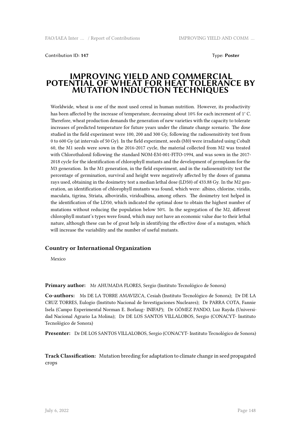Contribution ID: **147** Type: **Poster**

## **IMPROVING YIELD AND COMMERCIAL POTENTIAL OF WHEAT FOR HEAT TOLERANCE BY MUTATION INDUCTION TECHNIQUES**

Worldwide, wheat is one of the most used cereal in human nutrition. However, its productivity has been affected by the increase of temperature, decreasing about 10% for each increment of 1° C. Therefore, wheat production demands the generation of new varieties with the capacity to tolerate increases of predicted temperature for future years under the climate change scenario. The dose studied in the field experiment were 100, 200 and 300 Gy, following the radiosensitivity test from 0 to 600 Gy (at intervals of 50 Gy). In the field experiment, seeds (M0) were irradiated using Cobalt 60, the M1 seeds were sown in the 2016-2017 cycle, the material collected from M2 was treated with Chlorothalonil following the standard NOM-EM-001-FITO-1994, and was sown in the 2017- 2018 cycle for the identification of chlorophyll mutants and the development of germplasm for the M3 generation. In the M1 generation, in the field experiment, and in the radiosensitivity test the percentage of germination, survival and height were negatively affected by the doses of gamma rays used, obtaining in the dosimetry test a median lethal dose (LD50) of 433.88 Gy. In the M2 generation, an identification of chlorophyll mutants was found, which were: albino, chlorine, viridis, maculata, tigrina, Striata, alboviridis, viridoalbina, among others. The dosimetry test helped in the identification of the LD50, which indicated the optimal dose to obtain the highest number of mutations without reducing the population below 50%. In the segregation of the M2, different chlorophyll mutant's types were found, which may not have an economic value due to their lethal nature, although these can be of great help in identifying the effective dose of a mutagen, which will increase the variability and the number of useful mutants.

### **Country or International Organization**

Mexico

**Primary author:** Mr AHUMADA FLORES, Sergio (Instituto Tecnológico de Sonora)

**Co-authors:** Ms DE LA TORRE AMAVIZCA, Cesiah (Instituto Tecnológico de Sonora); Dr DE LA CRUZ TORRES, Eulogio (Instituto Nacional de Investigaciones Nucleares); Dr PARRA COTA, Fannie Isela (Campo Experimental Norman E. Borlaug- INIFAP); Dr GÓMEZ PANDO, Luz Rayda (Universidad Nacional Agrario La Molina); Dr DE LOS SANTOS VILLALOBOS, Sergio (CONACYT- Instituto Tecnológico de Sonora)

**Presenter:** Dr DE LOS SANTOS VILLALOBOS, Sergio (CONACYT- Instituto Tecnológico de Sonora)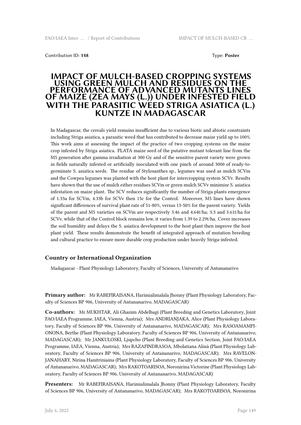Contribution ID: **148** Type: **Poster**

## **IMPACT OF MULCH-BASED CROPPING SYSTEMS USING GREEN MULCH AND RESIDUES ON THE PERFORMANCE OF ADVANCED MUTANTS LINES OF MAIZE (ZEA MAYS (L.)) UNDER INFESTED FIELD WITH THE PARASITIC WEED STRIGA ASIATICA (L.) KUNTZE IN MADAGASCAR**

In Madagascar, the cereals yield remains insufficient due to various biotic and abiotic constraints including Striga asiatica, a parasitic weed that has contributed to decrease maize yield up to 100%. This work aims at assessing the impact of the practice of two cropping systems on the maize crop infested by Striga asiatica. PLATA maize seed of the putative mutant tolerant line from the M5 generation after gamma irradiation at 300 Gy and of the sensitive parent variety were grown in fields naturally infested or artificially inoculated with one pinch of around 3000 of ready-togerminate S. asiatica seeds. The residue of Stylosanthes sp., legumes was used as mulch SCVm and the Cowpea legumes was planted with the host plant for intercropping system SCVv. Results have shown that the use of mulch either residues SCVm or green mulch SCVv minimize S. asiatica infestation on maize plant. The SCV reduces significantly the number of Striga plants emergence of 1.33a for SCVm, 4.33b for SCVv then 15c for the Control. Moreover, M5 lines have shown significant differences of survival plant rate of 51-80%, versus 13-50% for the parent variety. Yields of the parent and M5 varieties on SCVm are respectively 3.46 and 4.64t/ha; 3.3 and 3.61t/ha for SCVv, while that of the Control block remains low, it varies from 1.39 to 2.29t/ha. Cover increases the soil humidity and delays the S. asiatica development to the host plant then improve the host plant yield. These results demonstrate the benefit of integrated approach of mutation breeding and cultural practice to ensure more durable crop production under heavily Striga-infested.

### **Country or International Organization**

Madagascar - Plant Physiology Laboratory, Faculty of Sciences, University of Antananarivo

**Primary author:** Mr RABEFIRAISANA, Harimialimalala Jhonny (Plant Physiology Laboratory, Faculty of Sciences BP 906, University of Antananarivo, MADAGASCAR)

**Co-authors:** Mr MUKHTAR, Ali Ghanim Abdelbagi (Plant Breeding and Genetics Laboratory, Joint FAO/IAEA Programme, IAEA, Vienna, Austria); Mrs ANDRIANJAKA, Alice (Plant Physiology Laboratory, Faculty of Sciences BP 906, University of Antananarivo, MADAGASCAR); Mrs RASOAMAMPI-ONONA, Berthe (Plant Physiology Laboratory, Faculty of Sciences BP 906, University of Antananarivo, MADAGASCAR); Mr JANKULOSKI, Ljupcho (Plant Breeding and Genetics Section, Joint FAO/IAEA Programme, IAEA, Vienna, Austria); Mrs RAZAFINDRASOA, Mbolatiana Alinà (Plant Physiology Laboratory, Faculty of Sciences BP 906, University of Antananarivo, MADAGASCAR); Mrs RAVELON-JANAHARY, Nirina Hanitriniaina (Plant Physiology Laboratory, Faculty of Sciences BP 906, University of Antananarivo, MADAGASCAR); Mrs RAKOTOARISOA, Noronirina Victorine (Plant Physiology Laboratory, Faculty of Sciences BP 906, University of Antananarivo, MADAGASCAR)

**Presenters:** Mr RABEFIRAISANA, Harimialimalala Jhonny (Plant Physiology Laboratory, Faculty of Sciences BP 906, University of Antananarivo, MADAGASCAR); Mrs RAKOTOARISOA, Noronirina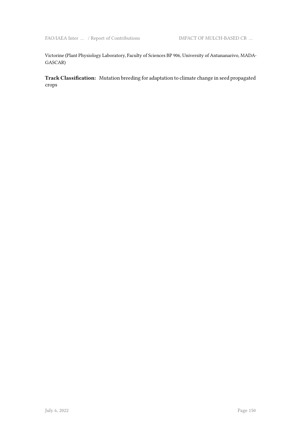Victorine (Plant Physiology Laboratory, Faculty of Sciences BP 906, University of Antananarivo, MADA-GASCAR)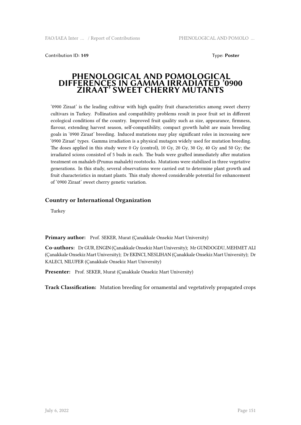Contribution ID: **149** Type: **Poster**

## **PHENOLOGICAL AND POMOLOGICAL DIFFERENCES IN GAMMA IRRADIATED '0900 ZIRAAT' SWEET CHERRY MUTANTS**

'0900 Ziraat' is the leading cultivar with high quality fruit characteristics among sweet cherry cultivars in Turkey. Pollination and compatibility problems result in poor fruit set in different ecological conditions of the country. Improved fruit quality such as size, appearance, firmness, flavour, extending harvest season, self-compatibility, compact growth habit are main breeding goals in '0900 Ziraat' breeding. Induced mutations may play significant roles in increasing new '0900 Ziraat' types. Gamma irradiation is a physical mutagen widely used for mutation breeding. The doses applied in this study were 0 Gy (control), 10 Gy, 20 Gy, 30 Gy, 40 Gy and 50 Gy; the irradiated scions consisted of 5 buds in each. The buds were grafted immediately after mutation treatment on mahaleb (Prunus mahaleb) rootstocks. Mutations were stabilized in three vegetative generations. In this study, several observations were carried out to determine plant growth and fruit characteristics in mutant plants. This study showed considerable potential for enhancement of '0900 Ziraat' sweet cherry genetic variation.

#### **Country or International Organization**

Turkey

Primary author: Prof. SEKER, Murat (Çanakkale Onsekiz Mart University)

**Co-authors:** Dr GUR, ENGIN (Çanakkale Onsekiz Mart University); Mr GUNDOGDU, MEHMET ALI (Çanakkale Onsekiz Mart University); Dr EKINCI, NESLIHAN (Çanakkale Onsekiz Mart University); Dr KALECI, NILUFER (Çanakkale Onsekiz Mart University)

Presenter: Prof. SEKER, Murat (Çanakkale Onsekiz Mart University)

**Track Classification:** Mutation breeding for ornamental and vegetatively propagated crops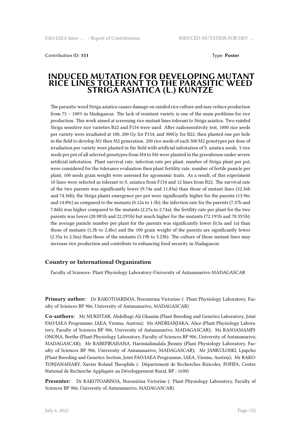#### Contribution ID: **151** Type: **Poster**

## **INDUCED MUTATION FOR DEVELOPING MUTANT RICE LINES TOLERANT TO THE PARASITIC WEED STRIGA ASIATICA (L.) KUNTZE**

The parasitic weed Striga asiatica causes damage on rainfed rice culture and may reduce production from 75 – 100% in Madagascar. The lack of resistant variety is one of the main problems for rice production. This work aimed at screening rice mutant lines tolerant to Striga asiatica. Two rainfed Striga sensitive rice varieties B22 and F154 were used. After radiosensitivity test, 1000 rice seeds per variety were irradiated at 100, 200 Gy for F154, and 300Gy for B22, then planted one per hole in the field to develop M1 then M2 generation. 200 rice seeds of each 500 M2 genotypes per dose of irradiation per variety were planted in the field with artificial infestation of S. asiatica seeds. 5 rice seeds per pot of all selected genotypes from M4 to M6 were planted in the greenhouse under severe artificial infestation. Plant survival rate, infection rate per plant, number of Striga plant per pot, were considered for the tolerance evaluation then plant fertility rate, number of fertile panicle per plant, 100 seeds grain weight were assessed for agronomic traits. As a result, of this experiment 10 lines were selected as tolerant to S. asiatica from F154 and 12 lines from B22. The survival rate of the two parents was significantly lower (9.74a and 11.83a) than those of mutant lines (52.36b and 74.36b); the Striga plants emergence per pot were significantly higher for the parents (13.96c and 14.89c) as compared to the mutants (0.12a to 1.5b); the infection rate for the parents (7.37b and 7.86b) was higher compared to the mutants (2.27a to 2.74a); the fertility rate per plant for the two parents was lower (20.98%b and 22.29%b) but much higher for the mutants (72.19%b and 78.35%b); the average panicle number per plant for the parents was significantly lower (0,5a and 1a) than those of mutants (1,5b to 2,4bc) and the 100 grain weight of the parents are significantly lower (2.35a to 2.56a) than those of the mutants (3.19b to 3.23b). The culture of those mutant lines may increase rice production and contribute to enhancing food security in Madagascar.

### **Country or International Organization**

Faculty of Sciences- Plant Physiology Laboratory-University of Antananarivo-MADAGASCAR

**Primary author:** Dr RAKOTOARISOA, Noronirina Victorine (: Plant Physiology Laboratory, Faculty of Sciences BP 906, University of Antananarivo, MADAGASCAR)

**Co-authors:** Mr MUKHTAR, Abdelbagi Ali Ghanim (Plant Breeding and Genetics Laboratory, Joint FAO/IAEA Programme, IAEA, Vienna, Austria); Ms ANDRIANJAKA, Alice (Plant Physiology Laboratory, Faculty of Sciences BP 906, University of Antananarivo, MADAGASCAR); Ms RASOAMAMPI-ONONA, Berthe (Plant Physiology Laboratory, Faculty of Sciences BP 906, University of Antananarivo, MADAGASCAR); Mr RABEFIRAISANA, Harimialimalala Jhonny (Plant Physiology Laboratory, Faculty of Sciences BP 906, University of Antananarivo, MADAGASCAR); Mr JANKULOSKI, Ljupcho (Plant Breeding and Genetics Section, Joint FAO/IAEA Programme, IAEA, Vienna, Austria); Mr RAKO-TONJANAHARY, Xavier Roland Theophile (: Département de Recherches Rizicoles, FOFIFA, Centre National de Recherche Appliquée au Développement Rural, BP : 1690)

**Presenter:** Dr RAKOTOARISOA, Noronirina Victorine (: Plant Physiology Laboratory, Faculty of Sciences BP 906, University of Antananarivo, MADAGASCAR)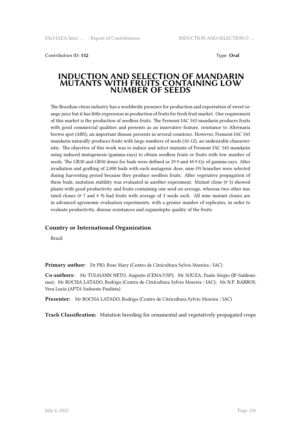Contribution ID: 152 **Type: Oral** 

## **INDUCTION AND SELECTION OF MANDARIN MUTANTS WITH FRUITS CONTAINING LOW NUMBER OF SEEDS**

The Brazilian citrus industry has a worldwide presence for production and exportation of sweet orange juice but it has little expression in production of fruits for fresh fruit market. One requirement of this market is the production of seedless fruits. The Fremont IAC 543 mandarin produces fruits with good commercial qualities and presents as an innovative feature, resistance to Alternaria brown spot (ABS), an important disease presents in several countries. However, Fremont IAC 543 mandarin naturally produces fruits with large numbers of seeds (10-12), an undesirable characteristic. The objective of this work was to induce and select mutants of Fremont IAC 543 mandarin using induced mutagenesis (gamma-rays) to obtain seedless fruits or fruits with low number of seeds. The GR30 and GR50 doses for buds were defined as 29.9 and 49.9 Gy of gamma-rays. After irradiation and grafting of 2,000 buds with each mutagenic dose, nine (9) branches were selected during harvesting period because they produce seedless fruits. After vegetative propagation of these buds, mutation stability was evaluated in another experiment. Mutant clone (# 5) showed plants with good productivity and fruits containing one seed on average, whereas two other mutated clones (# 7 and # 9) had fruits with average of 3 seeds each. All nine mutant clones are in advanced agronomic evaluation experiments, with a greater number of replicates, in order to evaluate productivity, disease resistances and organoleptic quality of the fruits.

### **Country or International Organization**

Brazil

**Primary author:** Dr PIO, Rose Mary (Centro de Citricultura Sylvio Moreira / IAC)

**Co-authors:** Mr TULMANN NETO, Augusto (CENA/USP); Mr SOUZA, Paulo Sérgio (IF-Suldeminas); Mr ROCHA LATADO, Rodrigo (Centro de Citricultura Sylvio Moreira / IAC); Ms N.P. BARROS, Vera Lucia (APTA Sudoeste Paulista)

**Presenter:** Mr ROCHA LATADO, Rodrigo (Centro de Citricultura Sylvio Moreira / IAC)

**Track Classification:** Mutation breeding for ornamental and vegetatively propagated crops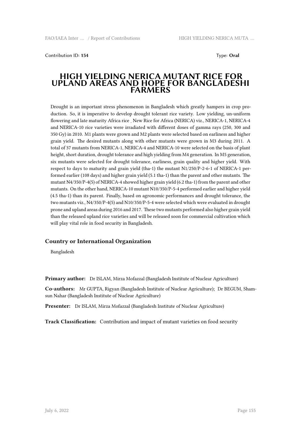Contribution ID: **154** Type: **Oral**

## **HIGH YIELDING NERICA MUTANT RICE FOR UPLAND AREAS AND HOPE FOR BANGLADESHI FARMERS**

Drought is an important stress phenomenon in Bangladesh which greatly hampers in crop production. So, it is imperative to develop drought tolerant rice variety. Low yielding, un-uniform flowering and late maturity Africa rice New Rice for Africa (NERICA) viz., NERICA-1, NERICA-4 and NERICA-10 rice varieties were irradiated with different doses of gamma rays (250, 300 and 350 Gy) in 2010. M1 plants were grown and M2 plants were selected based on earliness and higher grain yield. The desired mutants along with other mutants were grown in M3 during 2011. A total of 37 mutants from NERICA-1, NERICA-4 and NERICA-10 were selected on the basis of plant height, short duration, drought tolerance and high yielding from M4 generation. In M5 generation, six mutants were selected for drought tolerance, earliness, grain quality and higher yield. With respect to days to maturity and grain yield (tha-1) the mutant N1/250/P-2-6-1 of NERICA-1 performed earlier (108 days) and higher grain yield (5.1 tha-1) than the parent and other mutants. The mutant N4/350/P-4(5) of NERICA-4 showed higher grain yield (6.2 tha-1) from the parent and other mutants. On the other hand, NERICA-10 mutant N10/350/P-5-4 performed earlier and higher yield (4.5 tha-1) than its parent. Finally, based on agronomic performances and drought tolerance, the two mutants viz., N4/350/P-4(5) and N10/350/P-5-4 were selected which were evaluated in drought prone and upland areas during 2016 and 2017. These two mutants performed also higher grain yield than the released upland rice varieties and will be released soon for commercial cultivation which will play vital role in food security in Bangladesh.

#### **Country or International Organization**

Bangladesh

**Primary author:** Dr ISLAM, Mirza Mofazzal (Bangladesh Institute of Nuclear Agriculture)

**Co-authors:** Mr GUPTA, Rigyan (Bangladesh Institute of Nuclear Agriculture); Dr BEGUM, Shamsun Nahar (Bangladesh Institute of Nuclear Agriculture)

**Presenter:** Dr ISLAM, Mirza Mofazzal (Bangladesh Institute of Nuclear Agriculture)

**Track Classification:** Contribution and impact of mutant varieties on food security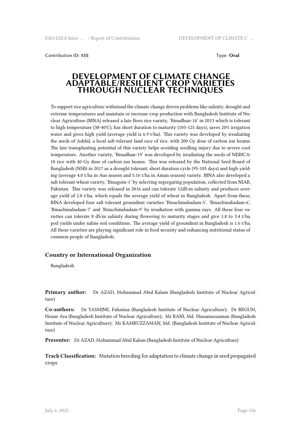Contribution ID: **155** Type: **Oral**

## **DEVELOPMENT OF CLIMATE CHANGE ADAPTABLE/RESILIENT CROP VARIETIES THROUGH NUCLEAR TECHNIQUES**

To support rice agriculture withstand the climate change driven problems like salinity, drought and extreme temperatures and maintain or increase crop production with Bangladesh Institute of Nuclear Agriculture (BINA) released a late Boro rice variety, 'Binadhan-14' in 2013 which is tolerant to high temperature (38-40℃), has short duration to maturity (105-125 days), saves 20% irrigation water and gives high yield (average yield is 6.9 t/ha). This variety was developed by irradiating the seeds of Ashfal, a local salt tolerant land race of rice, with 200 Gy dose of carbon ion beams. The late transplanting potential of this variety helps avoiding seedling injury due to severe cool temperature. Another variety, 'Binadhan-19' was developed by irradiating the seeds of NERICA-10 rice with 40 Gy dose of carbon ion beams. This was released by the National Seed Board of Bangladesh (NSB) in 2017 as a drought tolerant, short duration cycle (95-105 days) and high yielding (average 4.0 t/ha in Aus season and 5.16 t/ha in Aman season) variety. BINA also developed a salt tolerant wheat variety, 'Binagom-1' by selecting segregating population, collected from NIAB, Pakistan. This variety was released in 2016 and can tolerate 12dS/m salinity and produces average yield of 2.8 t/ha, which equals the average yield of wheat in Bangladesh. Apart from these, BINA developed four salt tolerant groundnut varieties 'Binachinabadam-5', 'Binachinabadam-6', 'Binachinabadam-7' and 'Binachinabadam-9' by irradiation with gamma rays. All these four varieties can tolerate 8 dS/m salinity during flowering to maturity stages and give 1.8 to 3.4 t/ha pod yields under saline soil conditions. The average yield of groundnut in Bangladesh is 1.6 t/ha. All these varieties are playing significant role in food security and enhancing nutritional status of common people of Bangladesh.

### **Country or International Organization**

Bangladesh

**Primary author:** Dr AZAD, Mohammad Abul Kalam (Bangladesh Institute of Nuclear Agriculture)

**Co-authors:** Dr YASMINE, Fahmina (Bangladesh Institute of Nuclear Agriculture); Dr BEGUM, Hosne Ara (Bangladesh Institute of Nuclear Agriculture); Mr RANI, Md. Hassanuzzaman (Bangladesh Institute of Nuclear Agriculture); Mr KAMRUZZAMAN, Md. (Bangladesh Institute of Nuclear Agriculture)

**Presenter:** Dr AZAD, Mohammad Abul Kalam (Bangladesh Institute of Nuclear Agriculture)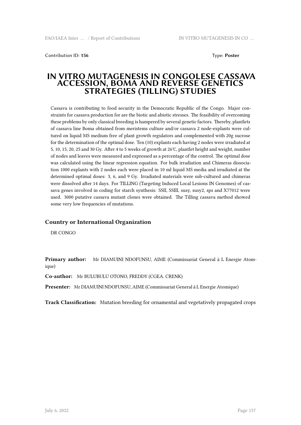#### Contribution ID: 156 **Type: Poster**

# **IN VITRO MUTAGENESIS IN CONGOLESE CASSAVA ACCESSION, BOMA AND REVERSE GENETICS STRATEGIES (TILLING) STUDIES**

Cassava is contributing to food security in the Democratic Republic of the Congo. Major constraints for cassava production for are the biotic and abiotic stresses. The feasibility of overcoming these problems by only classical breeding is hampered by several genetic factors. Thereby, plantlets of cassava line Boma obtained from meristems culture and/or cassava 2 node-explants were cultured on liquid MS medium free of plant growth regulators and complemented with 20g sucrose for the determination of the optimal dose. Ten (10) explants each having 2 nodes were irradiated at 5, 10, 15, 20, 25 and 30 Gy. After 4 to 5 weeks of growth at 26℃, plantlet height and weight, number of nodes and leaves were measured and expressed as a percentage of the control. The optimal dose was calculated using the linear regression equation. For bulk irradiation and Chimeras dissociation 1000 explants with 2 nodes each were placed in 10 ml liquid MS media and irradiated at the determined optimal doses: 3, 6, and 9 Gy. Irradiated materials were sub-cultured and chimeras were dissolved after 14 days. For TILLING (Targeting Induced Local Lesions IN Genomes) of cassava genes involved in coding for starch synthesis: SSII, SSIII, susy, susy2, sps and X77012 were used. 3000 putative cassava mutant clones were obtained. The Tilling cassava method showed some very low frequencies of mutations.

### **Country or International Organization**

DR CONGO

**Primary author:** Mr DIAMUINI NDOFUNSU, AIME (Commissariat General à L Energie Atomique)

**Co-author:** Mr BULUBULU OTONO, FREDDY (CGEA. CRENK)

**Presenter:** Mr DIAMUINI NDOFUNSU, AIME (Commissariat General à L Energie Atomique)

**Track Classification:** Mutation breeding for ornamental and vegetatively propagated crops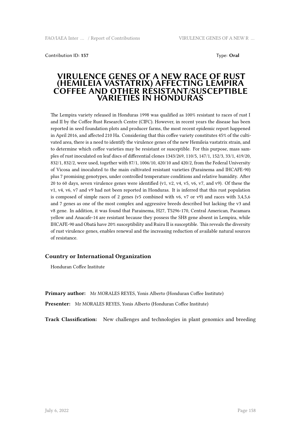Contribution ID: 157 Type: Oral

## **VIRULENCE GENES OF A NEW RACE OF RUST (HEMILEIA VASTATRIX) AFFECTING LEMPIRA COFFEE AND OTHER RESISTANT/SUSCEPTIBLE VARIETIES IN HONDURAS**

The Lempira variety released in Honduras 1998 was qualified as 100% resistant to races of rust I and II by the Coffee Rust Research Centre (CIFC). However, in recent years the disease has been reported in seed foundation plots and producer farms, the most recent epidemic report happened in April 2016, and affected 210 Ha. Considering that this coffee variety constitutes 45% of the cultivated area, there is a need to identify the virulence genes of the new Hemileia vastatrix strain, and to determine which coffee varieties may be resistant or susceptible. For this purpose, mass samples of rust inoculated on leaf discs of differential clones 1343/269, 110/5, 147/1, 152/3, 33/1, 419/20, 832/1, 832/2, were used, together with 87/1, 1006/10, 420/10 and 420/2, from the Federal University of Vicosa and inocaluted to the main cultivated resistant varieties (Parainema and IHCAFE-90) plus 7 promising genotypes, under controlled temperature conditions and relative humidity. After 20 to 60 days, seven virulence genes were identified (v1, v2, v4, v5, v6, v7, and v9). Of these the v1, v4, v6, v7 and v9 had not been reported in Honduras. It is inferred that this rust population is composed of simple races of 2 genes ( $v5$  combined with  $v6$ ,  $v7$  or  $v9$ ) and races with 3,4,5,6 and 7 genes as one of the most complex and aggressive breeds described but lacking the v3 and v8 gene. In addition, it was found that Parainema, H27, T5296-170, Central American, Pacamara yellow and Anacafe-14 are resistant because they possess the SH8 gene absent in Lempira, while IHCAFE-90 and Obatá have 20% susceptibility and Ruiru II is susceptible. This reveals the diversity of rust virulence genes, enables renewal and the increasing reduction of available natural sources of resistance.

### **Country or International Organization**

Honduran Coffee Institute

**Primary author:** Mr MORALES REYES, Yonis Alberto (Honduran Coffee Institute)

**Presenter:** Mr MORALES REYES, Yonis Alberto (Honduran Coffee Institute)

**Track Classification:** New challenges and technologies in plant genomics and breeding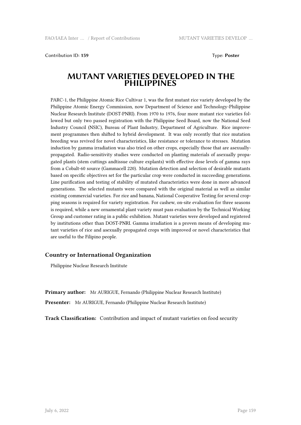Contribution ID: **159** Type: **Poster**

# **MUTANT VARIETIES DEVELOPED IN THE PHILIPPINES**

PARC-1, the Philippine Atomic Rice Cultivar 1, was the first mutant rice variety developed by the Philippine Atomic Energy Commission, now Department of Science and Technology-Philippine Nuclear Research Institute (DOST-PNRI). From 1970 to 1976, four more mutant rice varieties followed but only two passed registration with the Philippine Seed Board, now the National Seed Industry Council (NSIC), Bureau of Plant Industry, Department of Agriculture. Rice improvement programmes then shifted to hybrid development. It was only recently that rice mutation breeding was revived for novel characteristics, like resistance or tolerance to stresses. Mutation induction by gamma irradiation was also tried on other crops, especially those that are asexuallypropagated. Radio-sensitivity studies were conducted on planting materials of asexually propagated plants (stem cuttings andtissue culture explants) with effective dose levels of gamma rays from a Cobalt-60 source (Gammacell 220). Mutation detection and selection of desirable mutants based on specific objectives set for the particular crop were conducted in succeeding generations. Line purification and testing of stability of mutated characteristics were done in more advanced generations. The selected mutants were compared with the original material as well as similar existing commercial varieties. For rice and banana, National Cooperative Testing for several cropping seasons is required for variety registration. For cashew, on-site evaluation for three seasons is required, while a new ornamental plant variety must pass evaluation by the Technical Working Group and customer rating in a public exhibition. Mutant varieties were developed and registered by institutions other than DOST-PNRI. Gamma irradiation is a proven means of developing mutant varieties of rice and asexually propagated crops with improved or novel characteristics that are useful to the Filipino people.

#### **Country or International Organization**

Philippine Nuclear Research Institute

**Primary author:** Mr AURIGUE, Fernando (Philippine Nuclear Research Institute)

**Presenter:** Mr AURIGUE, Fernando (Philippine Nuclear Research Institute)

**Track Classification:** Contribution and impact of mutant varieties on food security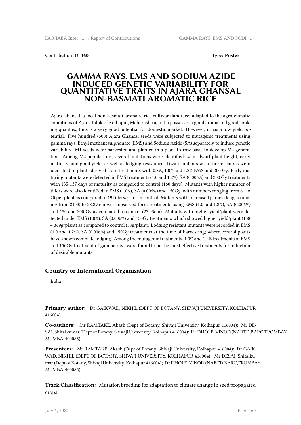Contribution ID: **160** Type: **Poster**

## **GAMMA RAYS, EMS AND SODIUM AZIDE INDUCED GENETIC VARIABILITY FOR QUANTITATIVE TRAITS IN AJARA GHANSAL NON-BASMATI AROMATIC RICE**

Ajara Ghansal, a local non-basmati aromatic rice cultivar (landrace) adapted to the agro-climatic conditions of Ajara Taluk of Kolhapur, Maharashtra, India possesses a good aroma and good cooking qualities, thus is a very good potential for domestic market. However, it has a low yield potential. Five hundred (500) Ajara Ghansal seeds were subjected to mutagenic treatments using gamma rays, Ethyl methanesulphonate (EMS) and Sodium Azide (SA) separately to induce genetic variability. M1 seeds were harvested and planted in a plant-to-row basis to develop M2 generation. Among M2 populations, several mutations were identified: semi-dwarf plant height, early maturity, and good yield, as well as lodging resistance. Dwarf mutants with shorter culms were identified in plants derived from treatments with 0.8%, 1.0% and 1.2% EMS and 200 Gy. Early maturing mutants were detected in EMS treatments (1.0 and 1.2%), SA (0.006%) and 200 Gy treatments with 135-137 days of maturity as compared to control (160 days). Mutants with higher number of tillers were also identified in EMS (1.0%), SA (0.006%) and 150Gy, with numbers ranging from 61 to 70 per plant as compared to 19 tillers/plant in control. Mutants with increased panicle length ranging from 24.30 to 28.89 cm were observed form treatments using EMS (1.0 and 1.2%), SA (0.006%) and 150 and 200 Gy as compared to control (23.03cm). Mutants with higher yield/plant were detected under EMS (1.0%), SA (0.006%) and 150Gy treatments which showed higher yield/plant (138  $-349g/plant$ ) as compared to control (58g/plant). Lodging resistant mutants were recorded in EMS (1.0 and 1.2%), SA (0.006%) and 150Gy treatments at the time of harvesting; where control plants have shown complete lodging. Among the mutagenic treatments, 1.0% and 1.2% treatments of EMS and 150Gy treatment of gamma rays were found to be the most effective treatments for induction of desirable mutants.

#### **Country or International Organization**

India

**Primary author:** Dr GAIKWAD, NIKHIL (DEPT OF BOTANY, SHIVAJI UNIVERSITY, KOLHAPUR 416004)

**Co-authors:** Mr RAMTAKE, Akash (Dept of Botany, Shivaji University, Kolhapur 416004); Mr DE-SAI, Shitalkumar (Dept of Botany, Shivaji University, Kolhapur 416004); Dr DHOLE, VINOD (NABTD,BARC,TROMBAY, MUMBAI400085)

**Presenters:** Mr RAMTAKE, Akash (Dept of Botany, Shivaji University, Kolhapur 416004); Dr GAIK-WAD, NIKHIL (DEPT OF BOTANY, SHIVAJI UNIVERSITY, KOLHAPUR 416004); Mr DESAI, Shitalkumar (Dept of Botany, Shivaji University, Kolhapur 416004); Dr DHOLE, VINOD (NABTD,BARC,TROMBAY, MUMBAI400085)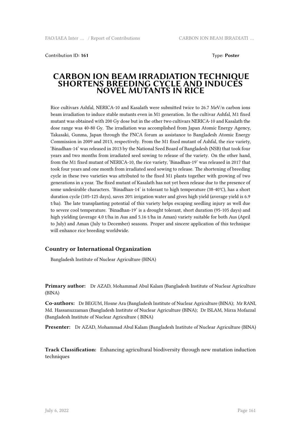#### Contribution ID: **161** Type: **Poster**

## **CARBON ION BEAM IRRADIATION TECHNIQUE SHORTENS BREEDING CYCLE AND INDUCES NOVEL MUTANTS IN RICE**

Rice cultivars Ashfal, NERICA-10 and Kasalath were submitted twice to 26.7 MeV/n carbon ions beam irradiation to induce stable mutants even in M1 generation. In the cultivar Ashfal, M1 fixed mutant was obtained with 200 Gy dose but in the other two cultivars NERICA-10 and Kasalath the dose range was 40-80 Gy. The irradiation was accomplished from Japan Atomic Energy Agency, Takasaki, Gunma, Japan through the FNCA forum as assistance to Bangladesh Atomic Energy Commission in 2009 and 2013, respectively. From the M1 fixed mutant of Ashfal, the rice variety, 'Binadhan-14' was released in 2013 by the National Seed Board of Bangladesh (NSB) that took four years and two months from irradiated seed sowing to release of the variety. On the other hand, from the M1 fixed mutant of NERICA-10, the rice variety, 'Binadhan-19' was released in 2017 that took four years and one month from irradiated seed sowing to release. The shortening of breeding cycle in these two varieties was attributed to the fixed M1 plants together with growing of two generations in a year. The fixed mutant of Kasalath has not yet been release due to the presence of some undesirable characters. 'Binadhan-14' is tolerant to high temperature (38-40℃), has a short duration cycle (105-125 days), saves 20% irrigation water and gives high yield (average yield is 6.9 t/ha). The late transplanting potential of this variety helps escaping seedling injury as well due to severe cool temperature. 'Binadhan-19' is a drought tolerant, short duration (95-105 days) and high yielding (average 4.0 t/ha in Aus and 5.16 t/ha in Aman) variety suitable for both Aus (April to July) and Aman (July to December) seasons. Proper and sincere application of this technique will enhance rice breeding worldwide.

### **Country or International Organization**

Bangladesh Institute of Nuclear Agriculture (BINA)

**Primary author:** Dr AZAD, Mohammad Abul Kalam (Bangladesh Institute of Nuclear Agriculture (BINA)

**Co-authors:** Dr BEGUM, Hosne Ara (Bangladesh Institute of Nuclear Agriculture (BINA); Mr RANI, Md. Hassanuzzaman (Bangladesh Institute of Nuclear Agriculture (BINA); Dr ISLAM, Mirza Mofazzal (Bangladesh Institute of Nuclear Agriculture ( BINA)

**Presenter:** Dr AZAD, Mohammad Abul Kalam (Bangladesh Institute of Nuclear Agriculture (BINA)

**Track Classification:** Enhancing agricultural biodiversity through new mutation induction techniques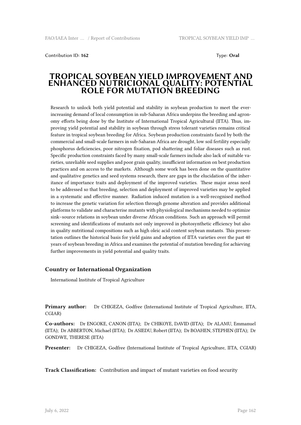Contribution ID: **162** Type: **Oral** 

## **TROPICAL SOYBEAN YIELD IMPROVEMENT AND ENHANCED NUTRICIONAL QUALITY: POTENTIAL ROLE FOR MUTATION BREEDING**

Research to unlock both yield potential and stability in soybean production to meet the everincreasing demand of local consumption in sub-Saharan Africa underpins the breeding and agronomy efforts being done by the Institute of International Tropical Agricultural (IITA). Thus, improving yield potential and stability in soybean through stress tolerant varieties remains critical feature in tropical soybean breeding for Africa. Soybean production constraints faced by both the commercial and small-scale farmers in sub-Saharan Africa are drought, low soil fertility especially phosphorus deficiencies, poor nitrogen fixation, pod shattering and foliar diseases such as rust. Specific production constraints faced by many small-scale farmers include also lack of suitable varieties, unreliable seed supplies and poor grain quality, insufficient information on best production practices and on access to the markets. Although some work has been done on the quantitative and qualitative genetics and seed systems research, there are gaps in the elucidation of the inheritance of importance traits and deployment of the improved varieties. These major areas need to be addressed so that breeding, selection and deployment of improved varieties may be applied in a systematic and effective manner. Radiation induced mutation is a well-recognised method to increase the genetic variation for selection through genome alteration and provides additional platforms to validate and characterise mutants with physiological mechanisms needed to optimize sink–source relations in soybean under diverse African conditions. Such an approach will permit screening and identifications of mutants not only improved in photosynthetic efficiency but also in quality nutritional compositions such as high oleic acid content soybean mutants. This presentation outlines the historical basis for yield gains and adoption of IITA varieties over the past 40 years of soybean breeding in Africa and examines the potential of mutation breeding for achieving further improvements in yield potential and quality traits.

### **Country or International Organization**

International Institute of Tropical Agriculture

**Primary author:** Dr CHIGEZA, Godfree (International Institute of Tropical Agriculture, IITA, CGIAR)

**Co-authors:** Dr ENGOKE, CANON (IITA); Dr CHIKOYE, DAVID (IITA); Dr ALAMU, Emmanuel (IITA); Dr ABBERTON, Michael (IITA); Dr ASIEDU, Robert (IITA); Dr BOAHEN, STEPHEN (IITA); Dr GONDWE, THERESE (IITA)

**Presenter:** Dr CHIGEZA, Godfree (International Institute of Tropical Agriculture, IITA, CGIAR)

**Track Classification:** Contribution and impact of mutant varieties on food security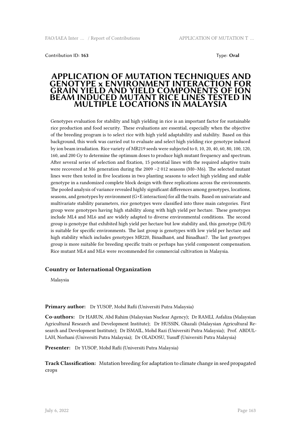Contribution ID: **163** Type: **Oral**

### **APPLICATION OF MUTATION TECHNIQUES AND GENOTYPE x ENVIRONMENT INTERACTION FOR GRAIN YIELD AND YIELD COMPONENTS OF ION BEAM INDUCED MUTANT RICE LINES TESTED IN MULTIPLE LOCATIONS IN MALAYSIA**

Genotypes evaluation for stability and high yielding in rice is an important factor for sustainable rice production and food security. These evaluations are essential, especially when the objective of the breeding program is to select rice with high yield adaptability and stability. Based on this background, this work was carried out to evaluate and select high yielding rice genotype induced by ion beam irradiation. Rice variety of MR219 seeds were subjected to 0, 10, 20, 40, 60, 80, 100, 120, 160, and 200 Gy to determine the optimum doses to produce high mutant frequency and spectrum. After several series of selection and fixation, 15 potential lines with the required adaptive traits were recovered at M6 generation during the 2009 –2 012 seasons (M0–M6). The selected mutant lines were then tested in five locations in two planting seasons to select high yielding and stable genotype in a randomized complete block design with three replications across the environments. The pooled analysis of variance revealed highly significant differences among genotypes, locations, seasons, and genotypes by environment (G×E interaction) for all the traits. Based on univariate and multivariate stability parameters, rice genotypes were classified into three main categories. First group were genotypes having high stability along with high yield per hectare. These genotypes include ML4 and ML6 and are widely adapted to diverse environmental conditions. The second group is genotype that exhibited high yield per hectare but low stability and, this genotype (ML9) is suitable for specific environments. The last group is genotypes with low yield per hectare and high stability which includes genotypes MR220, Binadhan4, and Binadhan7. The last genotypes group is more suitable for breeding specific traits or perhaps has yield component compensation. Rice mutant ML4 and ML6 were recommended for commercial cultivation in Malaysia.

#### **Country or International Organization**

Malaysia

#### **Primary author:** Dr YUSOP, Mohd Rafii (Universiti Putra Malaysia)

**Co-authors:** Dr HARUN, Abd Rahim (Malaysian Nuclear Agency); Dr RAMLI, Asfaliza (Malaysian Agricultural Research and Development Institute); Dr HUSSIN, Ghazali (Malaysian Agricultural Research and Development Institute); Dr ISMAIL, Mohd Razi (Universiti Putra Malaysia); Prof. ABDUL-LAH, Norhani (Universiti Putra Malaysia); Dr OLADOSU, Yusuff (Universiti Putra Malaysia)

**Presenter:** Dr YUSOP, Mohd Rafii (Universiti Putra Malaysia)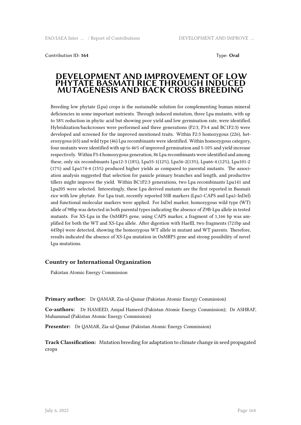Contribution ID: **164** Type: **Oral**

## **DEVELOPMENT AND IMPROVEMENT OF LOW PHYTATE BASMATI RICE THROUGH INDUCED MUTAGENESIS AND BACK CROSS BREEDING**

Breeding low phytate (Lpa) crops is the sustainable solution for complementing human mineral deficiencies in some important nutrients. Through induced mutation, three Lpa mutants, with up to 58% reduction in phytic acid but showing poor yield and low germination rate, were identified. Hybridization/backcrosses were performed and three generations (F2:3, F3:4 and BC1F2:3) were developed and screened for the improved mentioned traits. Within F2:3 homozygous (226), heterozygous (65) and wild type (46) Lpa recombinants were identified. Within homozygous category, four mutants were identified with up to 46% of improved germination and 5-10% and yield increase respectively. Within F3:4 homozygous generation, 86 Lpa recombinants were identified and among these, only six recombinants Lpa12-3 (18%), Lpa55-1(12%), Lpa56-2(13%), Lpa66-4 (12%), Lpa101-2 (17%) and Lpa174-4 (15%) produced higher yields as compared to parental mutants. The association analysis suggested that selection for panicle primary branches and length, and productive tillers might improve the yield. Within BC1F2:3 generations, two Lpa recombinants Lpa141 and Lpa205 were selected. Interestingly, these Lpa derived mutants are the first reported in Basmati rice with low phytate. For Lpa trait, recently reported SSR markers (Lpa1-CAPS and Lpa1-InDel) and functional molecular markers were applied. For InDel marker, homozygous wild type (WT) allele of 98bp was detected in both parental types indicating the absence of Z9B-Lpa allele in tested mutants. For XS-Lpa in the OsMRP5 gene, using CAPS marker, a fragment of 1,166 bp was amplified for both the WT and XS-Lpa allele. After digestion with HaeIII, two fragments (721bp and 445bp) were detected, showing the homozygous WT allele in mutant and WT parents. Therefore, results indicated the absence of XS-Lpa mutation in OsMRP5 gene and strong possibility of novel Lpa mutations.

### **Country or International Organization**

Pakistan Atomic Energy Commission

**Primary author:** Dr QAMAR, Zia-ul-Qamar (Pakistan Atomic Energy Commission)

**Co-authors:** Dr HAMEED, Amjad Hameed (Pakistan Atomic Energy Commission); Dr ASHRAF, Muhammad (Pakistan Atomic Energy Commission)

**Presenter:** Dr QAMAR, Zia-ul-Qamar (Pakistan Atomic Energy Commission)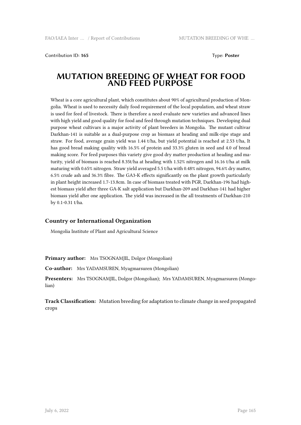Contribution ID: 165 Type: **Poster** 

# **MUTATION BREEDING OF WHEAT FOR FOOD AND FEED PURPOSE**

Wheat is a core agricultural plant, which constitutes about 90% of agricultural production of Mongolia. Wheat is used to necessity daily food requirement of the local population, and wheat straw is used for feed of livestock. There is therefore a need evaluate new varieties and advanced lines with high yield and good quality for food and feed through mutation techniques. Developing dual purpose wheat cultivars is a major activity of plant breeders in Mongolia. The mutant cultivar Darkhan-141 is suitable as a dual-purpose crop as biomass at heading and milk-ripe stage and straw. For food, average grain yield was 1.44 t/ha, but yield potential is reached at 2.53 t/ha, It has good bread making quality with 16.5% of protein and 33.3% gluten in seed and 4.0 of bread making score. For feed purposes this variety give good dry matter production at heading and maturity, yield of biomass is reached 8.35t/ha at heading with 1.52% nitrogen and 16.16 t/ha at milk maturing with 0.65% nitrogen. Straw yield averaged 5.5 t/ha with 0.48% nitrogen, 94.6% dry matter, 6.5% crude ash and 36.3% fibre. The GA3-K effects significantly on the plant growth particularly in plant height increased 1.7-13.8cm. In case of biomass treated with PGR, Darkhan-196 had highest biomass yield after three GA-K salt application but Darkhan-209 and Darkhan-141 had higher biomass yield after one application. The yield was increased in the all treatments of Darkhan-210 by 0.1-0.31 t/ha.

### **Country or International Organization**

Mongolia Institute of Plant and Agricultural Science

**Primary author:** Mrs TSOGNAMJIL, Dolgor (Mongolian)

**Co-author:** Mrs YADAMSUREN, Myagmarsuren (Mongolian)

**Presenters:** Mrs TSOGNAMJIL, Dolgor (Mongolian); Mrs YADAMSUREN, Myagmarsuren (Mongolian)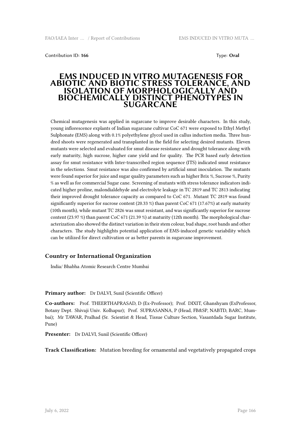Contribution ID: 166 **Type: Oral** 

### **EMS INDUCED IN VITRO MUTAGENESIS FOR ABIOTIC AND BIOTIC STRESS TOLERANCE, AND ISOLATION OF MORPHOLOGICALLY AND BIOCHEMICALLY DISTINCT PHENOTYPES IN SUGARCANE**

Chemical mutagenesis was applied in sugarcane to improve desirable characters. In this study, young inflorescence explants of Indian sugarcane cultivar CoC 671 were exposed to Ethyl Methyl Sulphonate (EMS) along with 0.1% polyethylene glycol used in callus induction media. Three hundred shoots were regenerated and transplanted in the field for selecting desired mutants. Eleven mutants were selected and evaluated for smut disease resistance and drought tolerance along with early maturity, high sucrose, higher cane yield and for quality. The PCR based early detection assay for smut resistance with Inter-transcribed region sequence (ITS) indicated smut resistance in the selections. Smut resistance was also confirmed by artificial smut inoculation. The mutants were found superior for juice and sugar quality parameters such as higher Brix %, Sucrose %, Purity % as well as for commercial Sugar cane. Screening of mutants with stress tolerance indicators indicated higher proline, malondialdehyde and electrolyte leakage in TC 2819 and TC 2813 indicating their improved drought tolerance capacity as compared to CoC 671. Mutant TC 2819 was found significantly superior for sucrose content (20.33 %) than parent CoC 671 (17.67%) at early maturity (10th month), while mutant TC 2826 was smut resistant, and was significantly superior for sucrose content (23.97 %) than parent CoC 671 (21.39 %) at maturity (12th month). The morphological characterization also showed the distinct variation in their stem colour, bud shape, root bands and other characters. The study highlights potential application of EMS-induced genetic variability which can be utilized for direct cultivation or as better parents in sugarcane improvement.

### **Country or International Organization**

India/ Bhabha Atomic Research Centre Mumbai

#### **Primary author:** Dr DALVI, Sunil (Scientific Officer)

**Co-authors:** Prof. THEERTHAPRASAD, D (Ex-Professor); Prof. DIXIT, Ghanshyam (ExProfessor, Botany Dept. Shivaji Univ. Kolhapur); Prof. SUPRASANNA, P (Head, FB&SP, NABTD, BARC, Mumbai); Mr TAWAR, Pralhad (Sr. Scientist & Head, Tissue Culture Section, Vasantdada Sugar Institute, Pune)

**Presenter:** Dr DALVI, Sunil (Scientific Officer)

**Track Classification:** Mutation breeding for ornamental and vegetatively propagated crops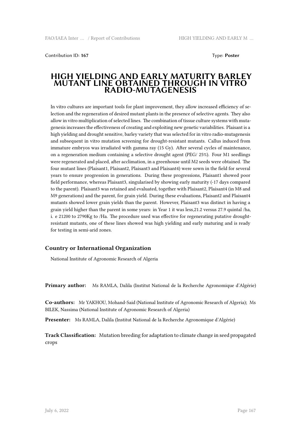#### Contribution ID: **167** Type: **Poster**

## **HIGH YIELDING AND EARLY MATURITY BARLEY MUTANT LINE OBTAINED THROUGH IN VITRO RADIO-MUTAGENESIS**

In vitro cultures are important tools for plant improvement, they allow increased efficiency of selection and the regeneration of desired mutant plants in the presence of selective agents. They also allow in vitro multiplication of selected lines. The combination of tissue culture systems with mutagenesis increases the effectiveness of creating and exploiting new genetic variabilities. Plaisant is a high yielding and drought sensitive, barley variety that was selected for in vitro radio-mutagenesis and subsequent in vitro mutation screening for drought-resistant mutants. Callus induced from immature embryos was irradiated with gamma ray (15 Gy). After several cycles of maintenance, on a regeneration medium containing a selective drought agent (PEG/ 25%). Four M1 seedlings were regenerated and placed, after acclimation, in a greenhouse until M2 seeds were obtained. The four mutant lines (Plaisant1, Plaisant2, Plaisant3 and Plaisant4) were sown in the field for several years to ensure progression in generations. During these progressions, Plaisant1 showed poor field performance, whereas Plaisant3, singularised by showing early maturity (-17 days compared to the parent). Plaisant3 was retained and evaluated, together with Plaisant2, Plaisant4 (in M8 and M9 generations) and the parent, for grain yield. During these evaluations, Plaisant2 and Plaisant4 mutants showed lower grain yields than the parent. However, Plaisant3 was distinct in having a grain yield higher than the parent in some years: in Year 1 it was less,21.2 versus 27.9 quintal /ha, i. e 21200 to 2790Kg to /Ha. The procedure used was effective for regenerating putative droughtresistant mutants, one of these lines showed was high yielding and early maturing and is ready for testing in semi-arid zones.

### **Country or International Organization**

National Institute of Agronomic Research of Algeria

**Primary author:** Ms RAMLA, Dalila (Institut National de la Recherche Agronomique d'Algérie)

**Co-authors:** Mr YAKHOU, Mohand-Said (National Institute of Agronomic Research of Algeria); Ms BILEK, Nassima (National Institute of Agronomic Research of Algeria)

**Presenter:** Ms RAMLA, Dalila (Institut National de la Recherche Agronomique d'Algérie)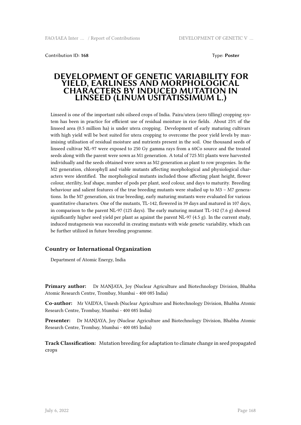Contribution ID: **168** Type: **Poster**

### **DEVELOPMENT OF GENETIC VARIABILITY FOR YIELD, EARLINESS AND MORPHOLOGICAL CHARACTERS BY INDUCED MUTATION IN LINSEED (LINUM USITATISSIMUM L.)**

Linseed is one of the important rabi oilseed crops of India. Paira/utera (zero tilling) cropping system has been in practice for efficient use of residual moisture in rice fields. About 25% of the linseed area (0.5 million ha) is under utera cropping. Development of early maturing cultivars with high yield will be best suited for utera cropping to overcome the poor yield levels by maximising utilisation of residual moisture and nutrients present in the soil. One thousand seeds of linseed cultivar NL-97 were exposed to 250 Gy gamma rays from a 60Co source and the treated seeds along with the parent were sown as M1 generation. A total of 725 M1 plants were harvested individually and the seeds obtained were sown as M2 generation as plant to row progenies. In the M2 generation, chlorophyll and viable mutants affecting morphological and physiological characters were identified. The morphological mutants included those affecting plant height, flower colour, sterility, leaf shape, number of pods per plant, seed colour, and days to maturity. Breeding behaviour and salient features of the true breeding mutants were studied up to M3 – M7 generations. In the M7 generation, six true breeding, early maturing mutants were evaluated for various quantitative characters. One of the mutants, TL-142, flowered in 39 days and matured in 107 days, in comparison to the parent NL-97 (125 days). The early maturing mutant TL-142 (7.6 g) showed significantly higher seed yield per plant as against the parent NL-97 (4.5 g). In the current study, induced mutagenesis was successful in creating mutants with wide genetic variability, which can be further utilized in future breeding programme.

#### **Country or International Organization**

Department of Atomic Energy, India

**Primary author:** Dr MANJAYA, Joy (Nuclear Agriculture and Biotechnology Division, Bhabha Atomic Research Centre, Trombay, Mumbai - 400 085 India)

**Co-author:** Mr VAIDYA, Umesh (Nuclear Agriculture and Biotechnology Division, Bhabha Atomic Research Centre, Trombay, Mumbai - 400 085 India)

**Presenter:** Dr MANJAYA, Joy (Nuclear Agriculture and Biotechnology Division, Bhabha Atomic Research Centre, Trombay, Mumbai - 400 085 India)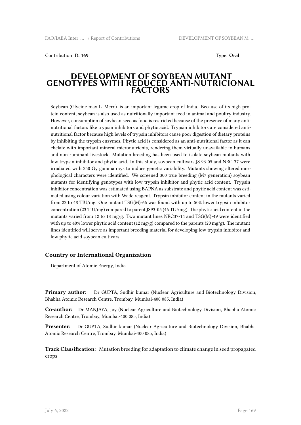Contribution ID: 169 **Type: Oral** 

## **DEVELOPMENT OF SOYBEAN MUTANT GENOTYPES WITH REDUCED ANTI-NUTRICIONAL FACTORS**

Soybean (Glycine max L. Merr.) is an important legume crop of India. Because of its high protein content, soybean is also used as nutritionally important feed in animal and poultry industry. However, consumption of soybean seed as food is restricted because of the presence of many antinutritional factors like trypsin inhibitors and phytic acid. Trypsin inhibitors are considered antinutritional factor because high levels of trypsin inhibitors cause poor digestion of dietary proteins by inhibiting the trypsin enzymes. Phytic acid is considered as an anti-nutritional factor as it can chelate with important mineral micronutrients, rendering them virtually unavailable to humans and non-ruminant livestock. Mutation breeding has been used to isolate soybean mutants with low trypsin inhibitor and phytic acid. In this study, soybean cultivars JS 93-05 and NRC-37 were irradiated with 250 Gy gamma rays to induce genetic variability. Mutants showing altered morphological characters were identified. We screened 300 true breeding (M7 generation) soybean mutants for identifying genotypes with low trypsin inhibitor and phytic acid content. Trypsin inhibitor concentration was estimated using BAPNA as substrate and phytic acid content was estimated using colour variation with Wade reagent. Trypsin inhibitor content in the mutants varied from 23 to 48 TIU/mg. One mutant TSG(M)-66 was found with up to 50% lower trypsin inhibitor concentration (23 TIU/mg) compared to parent JS93-05 (46 TIU/mg). The phytic acid content in the mutants varied from 12 to 18 mg/g. Two mutant lines NRC37-14 and TSG(M)-49 were identified with up to 40% lower phytic acid content (12 mg/g) compared to the parents (20 mg/g). The mutant lines identified will serve as important breeding material for developing low trypsin inhibitor and low phytic acid soybean cultivars.

### **Country or International Organization**

Department of Atomic Energy, India

**Primary author:** Dr GUPTA, Sudhir kumar (Nuclear Agriculture and Biotechnology Division, Bhabha Atomic Research Centre, Trombay, Mumbai-400 085, India)

**Co-author:** Dr MANJAYA, Joy (Nuclear Agriculture and Biotechnology Division, Bhabha Atomic Research Centre, Trombay, Mumbai-400 085, India)

**Presenter:** Dr GUPTA, Sudhir kumar (Nuclear Agriculture and Biotechnology Division, Bhabha Atomic Research Centre, Trombay, Mumbai-400 085, India)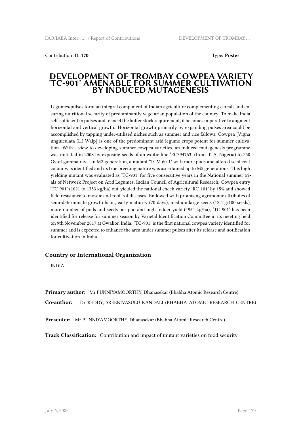Contribution ID: **170** Type: **Poster**

## **DEVELOPMENT OF TROMBAY COWPEA VARIETY 'TC-901' AMENABLE FOR SUMMER CULTIVATION BY INDUCED MUTAGENESIS**

Legumes/pulses form an integral component of Indian agriculture complementing cereals and ensuring nutritional security of predominantly vegetarian population of the country. To make India self-sufficient in pulses and to meet the buffer stock requirement, it becomes imperative to augment horizontal and vertical growth. Horizontal growth primarily by expanding pulses area could be accomplished by tapping under-utilized niches such as summer and rice fallows. Cowpea [Vigna unguiculata (L.) Walp] is one of the predominant arid legume crops potent for summer cultivation. With a view to developing summer cowpea varieties, an induced mutagenesis programme was initiated in 2008 by exposing seeds of an exotic line 'EC394763' (from IITA, Nigeria) to 250 Gy of gamma rays. In M2 generation, a mutant 'TCM 60-1' with more pods and altered seed coat colour was identified and its true breeding nature was ascertained up to M5 generations. This high yielding mutant was evaluated as 'TC-901' for five consecutive years in the National summer trials of Network Project on Arid Legumes, Indian Council of Agricultural Research. Cowpea entry 'TC-901' (1021 to 1353 kg/ha) out-yielded the national check variety 'RC-101' by 15% and showed field resistance to mosaic and root-rot diseases. Endowed with promising agronomic attributes of semi-determinate growth habit, early maturity (70 days), medium large seeds (12.4 g/100 seeds), more number of pods and seeds per pod and high fodder yield (4954 kg/ha), 'TC-901' has been identified for release for summer season by Varietal Identification Committee in its meeting held on 9th November 2017 at Gwalior, India. 'TC-901' is the first national cowpea variety identified for summer and is expected to enhance the area under summer pulses after its release and notification for cultivation in India.

### **Country or International Organization**

INDIA

**Primary author:** Mr PUNNIYAMOORTHY, Dhanasekar (Bhabha Atomic Research Centre) **Co-author:** Dr REDDY, SREENIVASULU KANDALI (BHABHA ATOMIC RESEARCH CENTRE)

**Presenter:** Mr PUNNIYAMOORTHY, Dhanasekar (Bhabha Atomic Research Centre)

**Track Classification:** Contribution and impact of mutant varieties on food security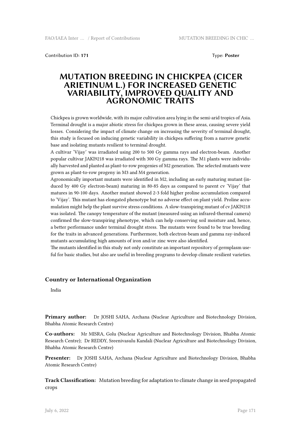Contribution ID: **171** Type: **Poster**

# **MUTATION BREEDING IN CHICKPEA (CICER ARIETINUM L.) FOR INCREASED GENETIC VARIABILITY, IMPROVED QUALITY AND AGRONOMIC TRAITS**

Chickpea is grown worldwide, with its major cultivation area lying in the semi-arid tropics of Asia. Terminal drought is a major abiotic stress for chickpea grown in these areas, causing severe yield losses. Considering the impact of climate change on increasing the severity of terminal drought, this study is focused on inducing genetic variability in chickpea suffering from a narrow genetic base and isolating mutants resilient to terminal drought.

A cultivar 'Vijay' was irradiated using 200 to 500 Gy gamma rays and electron-beam. Another popular cultivar JAKI9218 was irradiated with 300 Gy gamma rays. The M1 plants were individually harvested and planted as plant-to-row progenies of M2 generation. The selected mutants were grown as plant-to-row progeny in M3 and M4 generation.

Agronomically important mutants were identified in M2, including an early maturing mutant (induced by 400 Gy electron-beam) maturing in 80-85 days as compared to parent cv 'Vijay' that matures in 90-100 days. Another mutant showed 2-3 fold higher proline accumulation compared to 'Vijay'. This mutant has elongated phenotype but no adverse effect on plant yield. Proline accumulation might help the plant survive stress conditions. A slow-transpiring mutant of cv JAKI9218 was isolated. The canopy temperature of the mutant (measured using an infrared-thermal camera) confirmed the slow-transpiring phenotype, which can help conserving soil moisture and, hence, a better performance under terminal drought stress. The mutants were found to be true breeding for the traits in advanced generations. Furthermore, both electron-beam and gamma ray-induced mutants accumulating high amounts of iron and/or zinc were also identified.

The mutants identified in this study not only constitute an important repository of germplasm useful for basic studies, but also are useful in breeding programs to develop climate resilient varieties.

#### **Country or International Organization**

India

**Primary author:** Dr JOSHI SAHA, Archana (Nuclear Agriculture and Biotechnology Division, Bhabha Atomic Research Centre)

**Co-authors:** Mr MISRA, Golu (Nuclear Agriculture and Biotechnology Division, Bhabha Atomic Research Centre); Dr REDDY, Sreenivasulu Kandali (Nuclear Agriculture and Biotechnology Division, Bhabha Atomic Research Centre)

**Presenter:** Dr JOSHI SAHA, Archana (Nuclear Agriculture and Biotechnology Division, Bhabha Atomic Research Centre)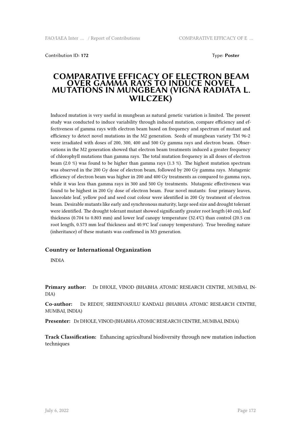Contribution ID: 172 **Type: Poster** 

## **COMPARATIVE EFFICACY OF ELECTRON BEAM OVER GAMMA RAYS TO INDUCE NOVEL MUTATIONS IN MUNGBEAN (VIGNA RADIATA L. WILCZEK)**

Induced mutation is very useful in mungbean as natural genetic variation is limited. The present study was conducted to induce variability through induced mutation, compare efficiency and effectiveness of gamma rays with electron beam based on frequency and spectrum of mutant and efficiency to detect novel mutations in the M2 generation. Seeds of mungbean variety TM 96-2 were irradiated with doses of 200, 300, 400 and 500 Gy gamma rays and electron beam. Observations in the M2 generation showed that electron beam treatments induced a greater frequency of chlorophyll mutations than gamma rays. The total mutation frequency in all doses of electron beam (2.0 %) was found to be higher than gamma rays (1.3 %). The highest mutation spectrum was observed in the 200 Gy dose of electron beam, followed by 200 Gy gamma rays. Mutagenic efficiency of electron beam was higher in 200 and 400 Gy treatments as compared to gamma rays, while it was less than gamma rays in 300 and 500 Gy treatments. Mutagenic effectiveness was found to be highest in 200 Gy dose of electron beam. Four novel mutants: four primary leaves, lanceolate leaf, yellow pod and seed coat colour were identified in 200 Gy treatment of electron beam. Desirable mutants like early and synchronous maturity, large seed size and drought tolerant were identified. The drought tolerant mutant showed significantly greater root length (40 cm), leaf thickness (0.704 to 0.803 mm) and lower leaf canopy temperature (32.4℃) than control (20.5 cm root length, 0.573 mm leaf thickness and 40.9℃ leaf canopy temperature). True breeding nature (inheritance) of these mutants was confirmed in M3 generation.

#### **Country or International Organization**

INDIA

**Primary author:** Dr DHOLE, VINOD (BHABHA ATOMIC RESEARCH CENTRE, MUMBAI, IN-DIA)

**Co-author:** Dr REDDY, SREENIVASULU KANDALI (BHABHA ATOMIC RESEARCH CENTRE, MUMBAI, INDIA)

**Presenter:** Dr DHOLE, VINOD (BHABHA ATOMIC RESEARCH CENTRE, MUMBAI, INDIA)

**Track Classification:** Enhancing agricultural biodiversity through new mutation induction techniques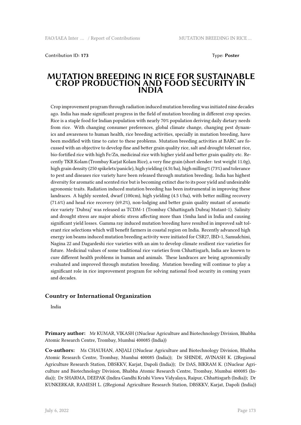#### Contribution ID: **173** Type: **Poster**

## **MUTATION BREEDING IN RICE FOR SUSTAINABLE CROP PRODUCTION AND FOOD SECURITY IN INDIA**

Crop improvement program through radiation induced mutation breeding was initiated nine decades ago. India has made significant progress in the field of mutation breeding in different crop species. Rice is a staple food for Indian population with nearly 70% population deriving daily dietary needs from rice. With changing consumer preferences, global climate change, changing pest dynamics and awareness to human health, rice breeding activities, specially in mutation breeding, have been modified with time to cater to these problems. Mutation breeding activities at BARC are focussed with an objective to develop fine and better grain quality rice, salt and drought tolerant rice, bio-fortified rice with high Fe/Zn, medicinal rice with higher yield and better grain quality etc. Recently TKR Kolam (Trombay Karjat Kolam Rice), a very fine grain (short slender: test weight 11.0g), high grain density (250 spikelets/panicle), high yielding (4.5t/ha), high milling% (73%) and tolerance to pest and diseases rice variety have been released through mutation breeding. India has highest diversity for aromatic and scented rice but is becoming extinct due to its poor yield and undesirable agronomic traits. Radiation induced mutation breeding has been instrumental in improving these landraces. A highly scented, dwarf (100cm), high yielding (4.5 t/ha), with better milling recovery (71.6%) and head rice recovery (69.2%), non-lodging and better grain quality mutant of aromatic rice variety 'Dubraj' was released as TCDM-1 (Trombay Chhattisgarh Dubraj Mutant-1). Salinity and drought stress are major abiotic stress affecting more than 15mha land in India and causing significant yield losses. Gamma ray induced mutation breeding have resulted in improved salt tolerant rice selections which will benefit farmers in coastal region on India. Recently advanced high energy ion beams induced mutation breeding activity were initiated for CSR27, IBD-1, Samudchini, Nagina 22 and Dagardeshi rice varieties with an aim to develop climate resilient rice varieties for future. Medicinal values of some traditional rice varieties from Chhattisgarh, India are known to cure different health problems in human and animals. These landraces are being agronomically evaluated and improved through mutation breeding. Mutation breeding will continue to play a significant role in rice improvement program for solving national food security in coming years and decades.

#### **Country or International Organization**

India

**Primary author:** Mr KUMAR, VIKASH (1Nuclear Agriculture and Biotechnology Division, Bhabha Atomic Research Centre, Trombay, Mumbai 400085 (India))

**Co-authors:** Ms CHAUHAN, ANJALI (1Nuclear Agriculture and Biotechnology Division, Bhabha Atomic Research Centre, Trombay, Mumbai 400085 (India)); Dr SHINDE, AVINASH K. (2Regional Agriculture Research Station, DBSKKV, Karjat, Dapoli (India)); Dr DAS, BIKRAM K. (1Nuclear Agriculture and Biotechnology Division, Bhabha Atomic Research Centre, Trombay, Mumbai 400085 (India)); Dr SHARMA, DEEPAK (Indira Gandhi Krishi Viswa Vidyalaya, Raipur, Chhattisgarh (India)); Dr KUNKERKAR, RAMESH L. (2Regional Agriculture Research Station, DBSKKV, Karjat, Dapoli (India))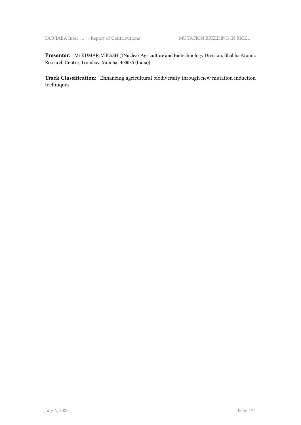**Presenter:** Mr KUMAR, VIKASH (1Nuclear Agriculture and Biotechnology Division, Bhabha Atomic Research Centre, Trombay, Mumbai 400085 (India))

**Track Classification:** Enhancing agricultural biodiversity through new mutation induction techniques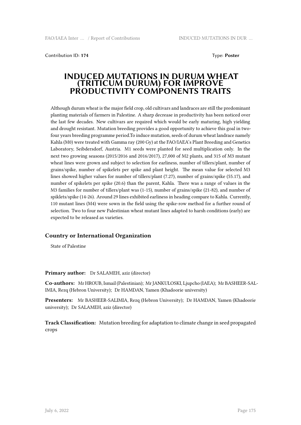Contribution ID: **174** Type: **Poster**

# **INDUCED MUTATIONS IN DURUM WHEAT (TRITICUM DURUM) FOR IMPROVE PRODUCTIVITY COMPONENTS TRAITS**

Although durum wheat is the major field crop, old cultivars and landraces are still the predominant planting materials of farmers in Palestine. A sharp decrease in productivity has been noticed over the last few decades. New cultivars are required which would be early maturing, high yielding and drought resistant. Mutation breeding provides a good opportunity to achieve this goal in twofour years breeding programme period.To induce mutation, seeds of durum wheat landrace namely Kahla (M0) were treated with Gamma ray (200 Gy) at the FAO/IAEA's Plant Breeding and Genetics Laboratory, Seibdersdorf, Austria. M1 seeds were planted for seed multiplication only. In the next two growing seasons (2015/2016 and 2016/2017), 27,000 of M2 plants, and 315 of M3 mutant wheat lines were grown and subject to selection for earliness, number of tillers/plant, number of grains/spike, number of spikelets per spike and plant height. The mean value for selected M3 lines showed higher values for number of tillers/plant (7.27), number of grains/spike (55.17), and number of spikelets per spike (20.6) than the parent, Kahla. There was a range of values in the M3 families for number of tillers/plant was (1-15), number of grains/spike (21-82), and number of spiklets/spike (14-26). Around 29 lines exhibited earliness in heading compare to Kahla. Currently, 110 mutant lines (M4) were sown in the field using the spike-row method for a further round of selection. Two to four new Palestinian wheat mutant lines adapted to harsh conditions (early) are expected to be released as varieties.

### **Country or International Organization**

State of Palestine

**Primary author:** Dr SALAMEH, aziz (director)

**Co-authors:** Mr HROUB, Ismail (Palestinian); Mr JANKULOSKI, Ljupcho (IAEA); Mr BASHEER-SAL-IMIA, Rezq (Hebron University); Dr HAMDAN, Yamen (Khadoorie university)

**Presenters:** Mr BASHEER-SALIMIA, Rezq (Hebron University); Dr HAMDAN, Yamen (Khadoorie university); Dr SALAMEH, aziz (director)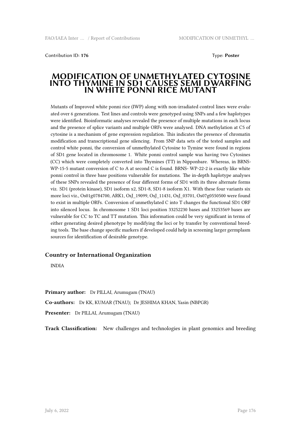Contribution ID: **176** Type: **Poster**

## **MODIFICATION OF UNMETHYLATED CYTOSINE INTO THYMINE IN SD1 CAUSES SEMI DWARFING IN WHITE PONNI RICE MUTANT**

Mutants of Improved white ponni rice (IWP) along with non-irradiated control lines were evaluated over 6 generations. Test lines and controls were genotyped using SNPs and a few haplotypes were identified. Bioinformatic analyses revealed the presence of multiple mutations in each locus and the presence of splice variants and multiple ORFs were analysed. DNA methylation at C5 of cytosine is a mechanism of gene expression regulation. This indicates the presence of chromatin modification and transcriptional gene silencing. From SNP data sets of the tested samples and control white ponni, the conversion of unmethylated Cytosine to Tymine were found in regions of SD1 gene located in chromosome 1. White ponni control sample was having two Cytosines (CC) which were completely converted into Thymines (TT) in Nipponbare. Whereas, in BRNS-WP-15-5 mutant conversion of C to A at second C is found. BRNS- WP-22-2 is exactly like white ponni control in three base positions vulnerable for mutations. The in-depth haplotype analyses of these SNPs revealed the presence of four different forms of SD1 with its three alternate forms viz. SD1 (protein kinase), SD1 isoform x2, SD1-8, SD1-8 isoform X1. With these four variants six more loci viz., Os01g0784700, ARK1, OsJ\_19099, OsJ\_11431, OsJ\_03701, Os07g0550500 were found to exist in multiple ORFs. Conversion of unmethylated C into T changes the functional SD1 ORF into silenced locus. In chromosome 1 SD1 loci position 33252230 bases and 33253569 bases are vulnerable for CC to TC and TT mutation. This information could be very significant in terms of either generating desired phenotype by modifying the loci or by transfer by conventional breeding tools. The base change specific markers if developed could help in screening larger germplasm sources for identification of desirable genotype.

### **Country or International Organization**

INDIA

**Primary author:** Dr PILLAI, Arumugam (TNAU)

**Co-authors:** Dr KK, KUMAR (TNAU); Dr JESHIMA KHAN, Yasin (NBPGR)

**Presenter:** Dr PILLAI, Arumugam (TNAU)

**Track Classification:** New challenges and technologies in plant genomics and breeding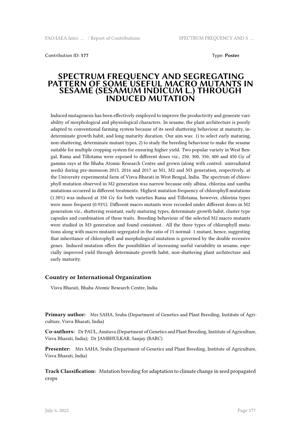Contribution ID: **177** Type: **Poster**

## **SPECTRUM FREQUENCY AND SEGREGATING PATTERN OF SOME USEFUL MACRO MUTANTS IN SESAME (SESAMUM INDICUM L.) THROUGH INDUCED MUTATION**

Induced mutagenesis has been effectively employed to improve the productivity and generate variability of morphological and physiological characters. In sesame, the plant architecture is poorly adapted to conventional farming system because of its seed shattering behaviour at maturity, indeterminate growth habit, and long maturity duration. Our aim was: 1) to select early maturing, non-shattering, determinate mutant types, 2) to study the breeding behaviour to make the sesame suitable for multiple cropping system for ensuring higher yield. Two popular variety in West Bengal, Rama and Tillotama were exposed to different doses viz.; 250, 300, 350, 400 and 450 Gy of gamma rays at the Bhaba Atomic Research Centre and grown (along with control: unirradiated seeds) during pre-monsoon 2015, 2016 and 2017 as M1, M2 and M3 generation, respectively, at the University experimental farm of Visva-Bharati in West Bengal, India. The spectrum of chlorophyll mutation observed in M2 generation was narrow because only albina, chlorina and xantha mutations occurred in different treatments. Highest mutation frequency of chlorophyll mutations (1.38%) was induced at 350 Gy for both varieties Rama and Tillotama, however, chlorina types were more frequent (0.93%). Different macro mutants were recorded under different doses in M2 generation viz.; shattering resistant, early maturing types, determinate growth habit, cluster type capsules and combination of these traits. Breeding behaviour of the selected M2 macro mutants were studied in M3 generation and found consistent. All the three types of chlorophyll mutations along with macro mutants segregated in the ratio of 15 normal: 1 mutant, hence, suggesting that inheritance of chlorophyll and morphological mutation is governed by the double recessive genes. Induced mutation offers the possibilities of increasing useful variability in sesame, especially improved yield through determinate growth habit, non-shattering plant architecture and early maturity.

### **Country or International Organization**

Visva Bharati, Bhaba Atomic Research Centre, India

**Primary author:** Mrs SAHA, Sruba (Department of Genetics and Plant Breeding, Institute of Agriculture, Visva Bharati, India)

**Co-authors:** Dr PAUL, Amitava (Department of Genetics and Plant Breeding, Institute of Agriculture, Visva Bharati, India); Dr JAMBHULKAR, Sanjay (BARC)

**Presenter:** Mrs SAHA, Sruba (Department of Genetics and Plant Breeding, Institute of Agriculture, Visva Bharati, India)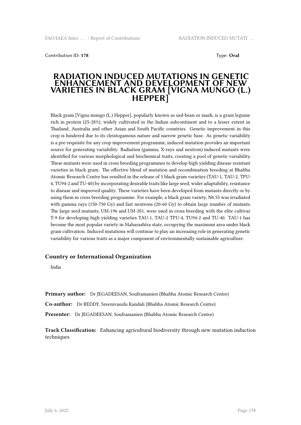Contribution ID: 178 Type: Oral

## **RADIATION INDUCED MUTATIONS IN GENETIC ENHANCEMENT AND DEVELOPMENT OF NEW VARIETIES IN BLACK GRAM [VIGNA MUNGO (L.) HEPPER]**

Black gram [Vigna mungo (L.) Hepper], popularly known as urd-bean or mash, is a grain legume rich in protein (25-28%), widely cultivated in the Indian subcontinent and to a lesser extent in Thailand, Australia and other Asian and South Pacific countries. Genetic improvement in this crop is hindered due to its cleistogamous nature and narrow genetic base. As genetic variability is a pre-requisite for any crop improvement programme, induced mutation provides an important source for generating variability. Radiation (gamma, X-rays and neutron) induced mutants were identified for various morphological and biochemical traits, creating a pool of genetic variability. These mutants were used in cross breeding programmes to develop high yielding disease resistant varieties in black gram. The effective blend of mutation and recombination breeding at Bhabha Atomic Research Centre has resulted in the release of 5 black gram varieties (TAU-1, TAU-2, TPU-4, TU94-2 and TU-40) by incorporating desirable traits like large seed, wider adaptability, resistance to disease and improved quality. These varieties have been developed from mutants directly or by using them in cross breeding programme. For example, a black gram variety, N0.55 was irradiated with gamma rays (150-750 Gy) and fast neutrons (20-60 Gy) to obtain large number of mutants. The large seed mutants, UM-196 and UM-201, were used in cross breeding with the elite cultivar T-9 for developing high yielding varieties TAU-1, TAU-2 TPU-4, TU94-2 and TU-40. TAU-1 has become the most popular variety in Maharashtra state, occupying the maximum area under black gram cultivation. Induced mutations will continue to play an increasing role in generating genetic variability for various traits as a major component of environmentally sustainable agriculture.

#### **Country or International Organization**

India

**Primary author:** Dr JEGADEESAN, Souframanien (Bhabha Atomic Research Centre)

**Co-author:** Dr REDDY, Sreenivasulu Kandali (Bhabha Atomic Research Centre)

**Presenter:** Dr JEGADEESAN, Souframanien (Bhabha Atomic Research Centre)

**Track Classification:** Enhancing agricultural biodiversity through new mutation induction techniques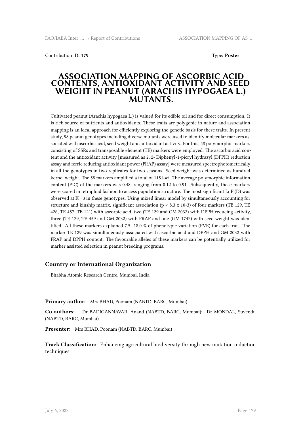Contribution ID: **179** Type: **Poster**

# **ASSOCIATION MAPPING OF ASCORBIC ACID CONTENTS, ANTIOXIDANT ACTIVITY AND SEED WEIGHT IN PEANUT (ARACHIS HYPOGAEA L.) MUTANTS.**

Cultivated peanut (Arachis hypogaea L.) is valued for its edible oil and for direct consumption. It is rich source of nutrients and antioxidants. These traits are polygenic in nature and association mapping is an ideal approach for efficiently exploring the genetic basis for these traits. In present study, 98 peanut genotypes including diverse mutants were used to identify molecular markers associated with ascorbic acid, seed weight and antioxidant activity. For this, 58 polymorphic markers consisting of SSRs and transposable element (TE) markers were employed. The ascorbic acid content and the antioxidant activity [measured as 2, 2- Diphenyl-1-picryl hydrazyl (DPPH) reduction assay and ferric reducing antioxidant power (FRAP) assay] were measured spectrophotometrically in all the genotypes in two replicates for two seasons. Seed weight was determined as hundred kernel weight. The 58 markers amplified a total of 115 loci. The average polymorphic information content (PIC) of the markers was 0.48, ranging from 0.12 to 0.91. Subsequently, these markers were scored in tetraploid fashion to access population structure. The most significant LnP (D) was observed at  $K = 3$  in these genotypes. Using mixed linear model by simultaneously accounting for structure and kinship matrix, significant association ( $p < 8.3 \times 10^{-3}$ ) of four markers (TE 129, TE 426, TE 457, TE 121) with ascorbic acid, two (TE 129 and GM 2032) with DPPH reducing activity, three (TE 129, TE 459 and GM 2032) with FRAP and one (GM 1742) with seed weight was identified. All these markers explained 7.5 -18.0 % of phenotypic variation (PVE) for each trait. The marker TE 129 was simultaneously associated with ascorbic acid and DPPH and GM 2032 with FRAP and DPPH content. The favourable alleles of these markers can be potentially utilized for marker assisted selection in peanut breeding programs.

### **Country or International Organization**

Bhabha Atomic Research Centre, Mumbai, India

#### **Primary author:** Mrs BHAD, Poonam (NABTD. BARC, Mumbai)

**Co-authors:** Dr BADIGANNAVAR, Anand (NABTD, BARC, Mumbai); Dr MONDAL, Suvendu (NABTD, BARC, Mumbai)

**Presenter:** Mrs BHAD, Poonam (NABTD. BARC, Mumbai)

**Track Classification:** Enhancing agricultural biodiversity through new mutation induction techniques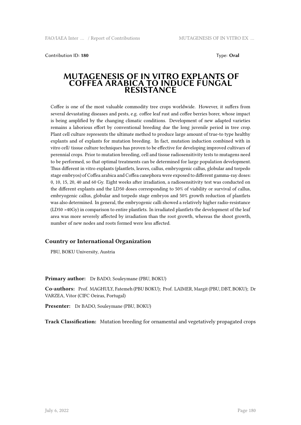Contribution ID: **180** Type: **Oral**

## **MUTAGENESIS OF IN VITRO EXPLANTS OF COFFEA ARABICA TO INDUCE FUNGAL RESISTANCE**

Coffee is one of the most valuable commodity tree crops worldwide. However, it suffers from several devastating diseases and pests, e.g. coffee leaf rust and coffee berries borer, whose impact is being amplified by the changing climatic conditions. Development of new adapted varieties remains a laborious effort by conventional breeding due the long juvenile period in tree crop. Plant cell culture represents the ultimate method to produce large amount of true-to type healthy explants and of explants for mutation breeding. In fact, mutation induction combined with in vitro cell/ tissue culture techniques has proven to be effective for developing improved cultivars of perennial crops. Prior to mutation breeding, cell and tissue radiosensitivity tests to mutagens need to be performed, so that optimal treatments can be determined for large population development. Thus different in vitro explants (plantlets, leaves, callus, embryogenic callus, globular and torpedo stage embryos) of Coffea arabica and Coffea canephora were exposed to different gamma-ray doses: 0, 10, 15, 20, 40 and 60 Gy. Eight weeks after irradiation, a radiosensitivity test was conducted on the different explants and the LD50 doses corresponding to 50% of viability or survival of callus, embryogenic callus, globular and torpedo stage embryos and 50% growth reduction of plantlets was also determined. In general, the embryogenic calli showed a relatively higher radio-resistance (LD50 >40Gy) in comparison to entire plantlets. In irradiated plantlets the development of the leaf area was more severely affected by irradiation than the root growth, whereas the shoot growth, number of new nodes and roots formed were less affected.

## **Country or International Organization**

PBU, BOKU University, Austria

**Primary author:** Dr BADO, Souleymane (PBU, BOKU)

**Co-authors:** Prof. MAGHULY, Fatemeh (PBU BOKU); Prof. LAIMER, Margit (PBU, DBT, BOKU); Dr VARZEA, Vitor (CIFC Oeiras, Portugal)

**Presenter:** Dr BADO, Souleymane (PBU, BOKU)

**Track Classification:** Mutation breeding for ornamental and vegetatively propagated crops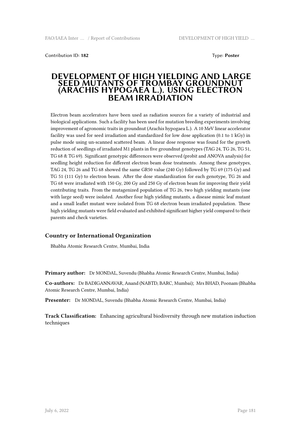Contribution ID: 182 **Type: Poster** 

## **DEVELOPMENT OF HIGH YIELDING AND LARGE SEED MUTANTS OF TROMBAY GROUNDNUT (ARACHIS HYPOGAEA L.). USING ELECTRON BEAM IRRADIATION**

Electron beam accelerators have been used as radiation sources for a variety of industrial and biological applications. Such a facility has been used for mutation breeding experiments involving improvement of agronomic traits in groundnut (Arachis hypogaea L.). A 10 MeV linear accelerator facility was used for seed irradiation and standardized for low dose application (0.1 to 1 kGy) in pulse mode using un-scanned scattered beam. A linear dose response was found for the growth reduction of seedlings of irradiated M1 plants in five groundnut genotypes (TAG 24, TG 26, TG 51, TG 68 & TG 69). Significant genotypic differences were observed (probit and ANOVA analysis) for seedling height reduction for different electron beam dose treatments. Among these genotypes, TAG 24, TG 26 and TG 68 showed the same GR50 value (240 Gy) followed by TG 69 (175 Gy) and TG 51 (111 Gy) to electron beam. After the dose standardization for each genotype, TG 26 and TG 68 were irradiated with 150 Gy, 200 Gy and 250 Gy of electron beam for improving their yield contributing traits. From the mutagenized population of TG 26, two high yielding mutants (one with large seed) were isolated. Another four high yielding mutants, a disease mimic leaf mutant and a small leaflet mutant were isolated from TG 68 electron beam irradiated population. These high yielding mutants were field evaluated and exhibited significant higher yield compared to their parents and check varieties.

## **Country or International Organization**

Bhabha Atomic Research Centre, Mumbai, India

**Primary author:** Dr MONDAL, Suvendu (Bhabha Atomic Research Centre, Mumbai, India)

**Co-authors:** Dr BADIGANNAVAR, Anand (NABTD, BARC, Mumbai); Mrs BHAD, Poonam (Bhabha Atomic Research Centre, Mumbai, India)

**Presenter:** Dr MONDAL, Suvendu (Bhabha Atomic Research Centre, Mumbai, India)

**Track Classification:** Enhancing agricultural biodiversity through new mutation induction techniques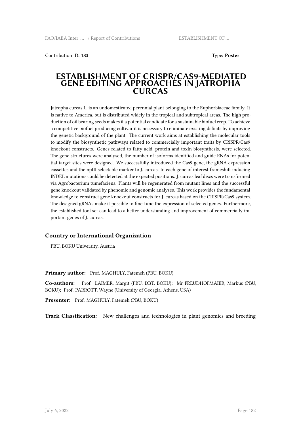Contribution ID: **183** Type: **Poster**

# **ESTABLISHMENT OF CRISPR/CAS9-MEDIATED GENE EDITING APPROACHES IN JATROPHA CURCAS**

Jatropha curcas L. is an undomesticated perennial plant belonging to the Euphorbiaceae family. It is native to America, but is distributed widely in the tropical and subtropical areas. The high production of oil bearing seeds makes it a potential candidate for a sustainable biofuel crop. To achieve a competitive biofuel producing cultivar it is necessary to eliminate existing deficits by improving the genetic background of the plant. The current work aims at establishing the molecular tools to modify the biosynthetic pathways related to commercially important traits by CRISPR/Cas9 knockout constructs. Genes related to fatty acid, protein and toxin biosynthesis, were selected. The gene structures were analysed, the number of isoforms identified and guide RNAs for potential target sites were designed. We successfully introduced the Cas9 gene, the gRNA expression cassettes and the nptII selectable marker to J. curcas. In each gene of interest frameshift inducing INDEL mutations could be detected at the expected positions. J. curcas leaf discs were transformed via Agrobacterium tumefaciens. Plants will be regenerated from mutant lines and the successful gene knockout validated by phenomic and genomic analyses. This work provides the fundamental knowledge to construct gene knockout constructs for J. curcas based on the CRISPR/Cas9 system. The designed gRNAs make it possible to fine-tune the expression of selected genes. Furthermore, the established tool set can lead to a better understanding and improvement of commercially important genes of J. curcas.

## **Country or International Organization**

PBU, BOKU University, Austria

**Primary author:** Prof. MAGHULY, Fatemeh (PBU, BOKU)

**Co-authors:** Prof. LAIMER, Margit (PBU, DBT, BOKU); Mr FREUDHOFMAIER, Markus (PBU, BOKU); Prof. PARROTT, Wayne (University of Georgia, Athens, USA)

**Presenter:** Prof. MAGHULY, Fatemeh (PBU, BOKU)

**Track Classification:** New challenges and technologies in plant genomics and breeding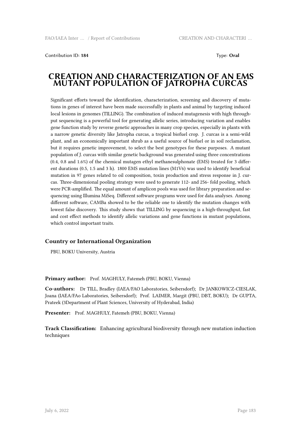Contribution ID: **184** Type: **Oral**

# **CREATION AND CHARACTERIZATION OF AN EMS MUTANT POPULATION OF JATROPHA CURCAS**

Significant efforts toward the identification, characterization, screening and discovery of mutations in genes of interest have been made successfully in plants and animal by targeting induced local lesions in genomes (TILLING). The combination of induced mutagenesis with high throughput sequencing is a powerful tool for generating allelic series, introducing variation and enables gene function study by reverse genetic approaches in many crop species, especially in plants with a narrow genetic diversity like Jatropha curcas, a tropical biofuel crop. J. curcas is a semi-wild plant, and an economically important shrub as a useful source of biofuel or in soil reclamation, but it requires genetic improvement, to select the best genotypes for these purposes. A mutant population of J. curcas with similar genetic background was generated using three concentrations (0.4, 0.8 and 1.6%) of the chemical mutagen ethyl methanesulphonate (EMS) treated for 3 different durations (0.5, 1.5 and 3 h). 1800 EMS mutation lines (M1V6) was used to identify beneficial mutation in 97 genes related to oil composition, toxin production and stress response in J. curcas. Three-dimensional pooling strategy were used to generate 112- and 256- fold pooling, which were PCR-amplified. The equal amount of amplicon pools was used for library preparation and sequencing using Illumina MiSeq. Different software programs were used for data analyses. Among different software, CAMBa showed to be the reliable one to identify the mutation changes with lowest false discovery. This study shows that TILLING by sequencing is a high-throughput, fast and cost effect methods to identify allelic variations and gene functions in mutant populations, which control important traits.

## **Country or International Organization**

PBU, BOKU University, Austria

Primary author: Prof. MAGHULY, Fatemeh (PBU, BOKU, Vienna)

**Co-authors:** Dr TILL, Bradley (IAEA/FAO Laboratories, Seibersdorf); Dr JANKOWICZ-CIESLAK, Joana (IAEA/FAo Laboratories, Seibersdorf); Prof. LAIMER, Margit (PBU, DBT, BOKU); Dr GUPTA, Prateek (3Department of Plant Sciences, University of Hyderabad, India)

**Presenter:** Prof. MAGHULY, Fatemeh (PBU, BOKU, Vienna)

**Track Classification:** Enhancing agricultural biodiversity through new mutation induction techniques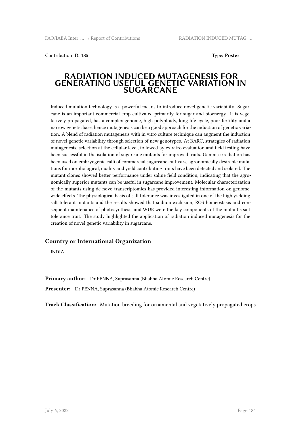Contribution ID: **185** Type: **Poster**

## **RADIATION INDUCED MUTAGENESIS FOR GENERATING USEFUL GENETIC VARIATION IN SUGARCANE**

Induced mutation technology is a powerful means to introduce novel genetic variability. Sugarcane is an important commercial crop cultivated primarily for sugar and bioenergy. It is vegetatively propagated, has a complex genome, high polyploidy, long life cycle, poor fertility and a narrow genetic base, hence mutagenesis can be a good approach for the induction of genetic variation. A blend of radiation mutagenesis with in vitro culture technique can augment the induction of novel genetic variability through selection of new genotypes. At BARC, strategies of radiation mutagenesis, selection at the cellular level, followed by ex vitro evaluation and field testing have been successful in the isolation of sugarcane mutants for improved traits. Gamma irradiation has been used on embryogenic calli of commercial sugarcane cultivars, agronomically desirable mutations for morphological, quality and yield contributing traits have been detected and isolated. The mutant clones showed better performance under saline field condition, indicating that the agronomically superior mutants can be useful in sugarcane improvement. Molecular characterization of the mutants using de novo transcriptomics has provided interesting information on genomewide effects. The physiological basis of salt tolerance was investigated in one of the high yielding salt tolerant mutants and the results showed that sodium exclusion, ROS homeostasis and consequent maintenance of photosynthesis and WUE were the key components of the mutant's salt tolerance trait. The study highlighted the application of radiation induced mutagenesis for the creation of novel genetic variability in sugarcane.

### **Country or International Organization**

INDIA

**Primary author:** Dr PENNA, Suprasanna (Bhabha Atomic Research Centre) **Presenter:** Dr PENNA, Suprasanna (Bhabha Atomic Research Centre)

**Track Classification:** Mutation breeding for ornamental and vegetatively propagated crops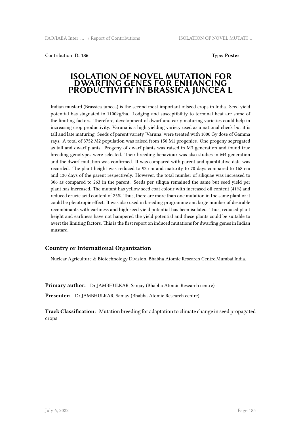Contribution ID: **186** Type: **Poster**

# **ISOLATION OF NOVEL MUTATION FOR DWARFING GENES FOR ENHANCING PRODUCTIVITY IN BRASSICA JUNCEA L**

Indian mustard (Brassica juncea) is the second most important oilseed crops in India. Seed yield potential has stagnated to 1100kg/ha. Lodging and susceptibility to terminal heat are some of the limiting factors. Therefore, development of dwarf and early maturing varieties could help in increasing crop productivity. Varuna is a high yielding variety used as a national check but it is tall and late maturing. Seeds of parent variety 'Varuna' were treated with 1000 Gy dose of Gamma rays. A total of 3752 M2 population was raised from 150 M1 progenies. One progeny segregated as tall and dwarf plants. Progeny of dwarf plants was raised in M3 generation and found true breeding genotypes were selected. Their breeding behaviour was also studies in M4 generation and the dwarf mutation was confirmed. It was compared with parent and quantitative data was recorded. The plant height was reduced to 93 cm and maturity to 70 days compared to 168 cm and 130 days of the parent respectively. However, the total number of siliquae was increased to 306 as compared to 263 in the parent. Seeds per siliqua remained the same but seed yield per plant has increased. The mutant has yellow seed coat colour with increased oil content (41%) and reduced erucic acid content of 25%. Thus, there are more than one mutation in the same plant or it could be pleiotropic effect. It was also used in breeding programme and large number of desirable recombinants with earliness and high seed yield potential has been isolated. Thus, reduced plant height and earliness have not hampered the yield potential and these plants could be suitable to avert the limiting factors. This is the first report on induced mutations for dwarfing genes in Indian mustard.

## **Country or International Organization**

Nuclear Agriculture & Biotechnology Division, Bhabha Atomic Research Centre,Mumbai,India.

**Primary author:** Dr JAMBHULKAR, Sanjay (Bhabha Atomic Research centre)

**Presenter:** Dr JAMBHULKAR, Sanjay (Bhabha Atomic Research centre)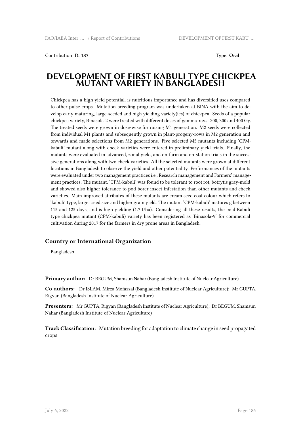Contribution ID: **187** Type: **Oral**

# **DEVELOPMENT OF FIRST KABULI TYPE CHICKPEA MUTANT VARIETY IN BANGLADESH**

Chickpea has a high yield potential, is nutritious importance and has diversified uses compared to other pulse crops. Mutation breeding program was undertaken at BINA with the aim to develop early maturing, large-seeded and high yielding variety(ies) of chickpea. Seeds of a popular chickpea variety, Binasola-2 were treated with different doses of gamma-rays- 200, 300 and 400 Gy. The treated seeds were grown in dose-wise for raising M1 generation. M2 seeds were collected from individual M1 plants and subsequently grown in plant-progeny-rows in M2 generation and onwards and made selections from M2 generations. Five selected M5 mutants including 'CPMkabuli' mutant along with check varieties were entered in preliminary yield trials. Finally, the mutants were evaluated in advanced, zonal yield, and on-farm and on-station trials in the successive generations along with two check varieties. All the selected mutants were grown at different locations in Bangladesh to observe the yield and other potentiality. Performances of the mutants were evaluated under two management practices i.e., Research management and Farmers' management practices. The mutant, 'CPM-kabuli' was found to be tolerant to root rot, botrytis gray-mold and showed also higher tolerance to pod borer insect infestation than other mutants and check varieties. Main improved attributes of these mutants are cream seed coat colour which refers to 'kabuli' type, larger seed size and higher grain yield. The mutant 'CPM-kabuli' matures g between 115 and 125 days, and is high yielding (1.7 t/ha). Considering all these results, the bold Kabuli type chickpea mutant (CPM-kabuli) variety has been registered as 'Binasola-9' for commercial cultivation during 2017 for the farmers in dry prone areas in Bangladesh.

### **Country or International Organization**

Bangladesh

**Primary author:** Dr BEGUM, Shamsun Nahar (Bangladesh Institute of Nuclear Agriculture)

**Co-authors:** Dr ISLAM, Mirza Mofazzal (Bangladesh Institute of Nuclear Agriculture); Mr GUPTA, Rigyan (Bangladesh Institute of Nuclear Agriculture)

**Presenters:** Mr GUPTA, Rigyan (Bangladesh Institute of Nuclear Agriculture); Dr BEGUM, Shamsun Nahar (Bangladesh Institute of Nuclear Agriculture)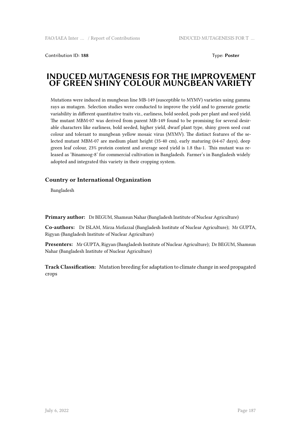Contribution ID: **188** Type: **Poster**

# **INDUCED MUTAGENESIS FOR THE IMPROVEMENT OF GREEN SHINY COLOUR MUNGBEAN VARIETY**

Mutations were induced in mungbean line MB-149 (susceptible to MYMV) varieties using gamma rays as mutagen. Selection studies were conducted to improve the yield and to generate genetic variability in different quantitative traits viz., earliness, bold seeded, pods per plant and seed yield. The mutant MBM-07 was derived from parent MB-149 found to be promising for several desirable characters like earliness, bold seeded, higher yield, dwarf plant type, shiny green seed coat colour and tolerant to mungbean yellow mosaic virus (MYMV). The distinct features of the selected mutant MBM-07 are medium plant height (35-40 cm), early maturing (64-67 days), deep green leaf colour, 23% protein content and average seed yield is 1.8 tha-1. This mutant was released as 'Binamoog-8' for commercial cultivation in Bangladesh. Farmer's in Bangladesh widely adopted and integrated this variety in their cropping system.

### **Country or International Organization**

Bangladesh

**Primary author:** Dr BEGUM, Shamsun Nahar (Bangladesh Institute of Nuclear Agriculture)

**Co-authors:** Dr ISLAM, Mirza Mofazzal (Bangladesh Institute of Nuclear Agriculture); Mr GUPTA, Rigyan (Bangladesh Institute of Nuclear Agriculture)

**Presenters:** Mr GUPTA, Rigyan (Bangladesh Institute of Nuclear Agriculture); Dr BEGUM, Shamsun Nahar (Bangladesh Institute of Nuclear Agriculture)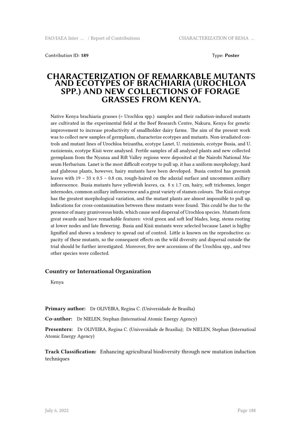#### Contribution ID: **189** Type: **Poster**

# **CHARACTERIZATION OF REMARKABLE MUTANTS AND ECOTYPES OF BRACHIARIA (UROCHLOA SPP.) AND NEW COLLECTIONS OF FORAGE GRASSES FROM KENYA.**

Native Kenya brachiaria grasses (= Urochloa spp.) samples and their radiation-induced mutants are cultivated in the experimental field at the Beef Research Centre, Nakuru, Kenya for genetic improvement to increase productivity of smallholder dairy farms. The aim of the present work was to collect new samples of germplasm, characterize ecotypes and mutants. Non-irradiated controls and mutant lines of Urochloa brizantha, ecotype Lanet, U. ruziziensis, ecotype Busia, and U. ruziziensis, ecotype Kisii were analysed. Fertile samples of all analysed plants and new collected germplasm from the Nyanza and Rift Valley regions were deposited at the Nairobi National Museum Herbarium. Lanet is the most difficult ecotype to pull up, it has a uniform morphology, hard and glabrous plants, however, hairy mutants have been developed. Busia control has greenish leaves with  $19 - 33 \times 0.5 - 0.8$  cm, rough-haired on the adaxial surface and uncommon axillary inflorescence. Busia mutants have yellowish leaves, ca. 8 x 1.7 cm, hairy, soft trichomes, longer internodes, common axillary inflorescence and a great variety of stamen colours. The Kisii ecotype has the greatest morphological variation, and the mutant plants are almost impossible to pull up. Indications for cross-contamination between these mutants were found. This could be due to the presence of many granivorous birds, which cause seed dispersal of Urochloa species. Mutants form great swards and have remarkable features: vivid green and soft leaf blades, long, stems rooting at lower nodes and late flowering. Busia and Kisii mutants were selected because Lanet is higlhy lignified and shows a tendency to spread out of control. Little is known on the reproductive capacity of these mutants, so the consequent effects on the wild diversity and dispersal outside the trial should be further investigated. Moreover, five new accessions of the Urochloa spp., and two other species were collected.

### **Country or International Organization**

Kenya

**Primary author:** Dr OLIVEIRA, Regina C. (Universidade de Brasília)

**Co-author:** Dr NIELEN, Stephan (Internatioal Atomic Energy Agency)

**Presenters:** Dr OLIVEIRA, Regina C. (Universidade de Brasília); Dr NIELEN, Stephan (Internatioal Atomic Energy Agency)

**Track Classification:** Enhancing agricultural biodiversity through new mutation induction techniques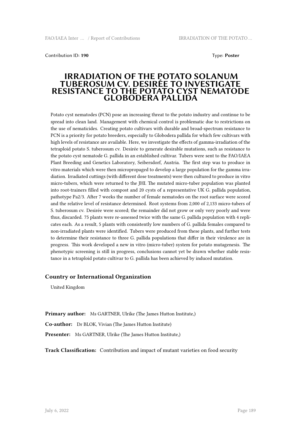Contribution ID: **190** Type: **Poster**

## **IRRADIATION OF THE POTATO SOLANUM TUBEROSUM CV. DESIRÉE TO INVESTIGATE RESISTANCE TO THE POTATO CYST NEMATODE GLOBODERA PALLIDA**

Potato cyst nematodes (PCN) pose an increasing threat to the potato industry and continue to be spread into clean land. Management with chemical control is problematic due to restrictions on the use of nematicides. Creating potato cultivars with durable and broad-spectrum resistance to PCN is a priority for potato breeders, especially to Globodera pallida for which few cultivars with high levels of resistance are available. Here, we investigate the effects of gamma-irradiation of the tetraploid potato S. tuberosum cv. Desirée to generate desirable mutations, such as resistance to the potato cyst nematode G. pallida in an established cultivar. Tubers were sent to the FAO/IAEA Plant Breeding and Genetics Laboratory, Seibersdorf, Austria. The first step was to produce in vitro materials which were then micropropaged to develop a large population for the gamma irradiation. Irradiated cuttings (with different dose treatments) were then cultured to produce in vitro micro-tubers, which were returned to the JHI. The mutated micro-tuber population was planted into root-trainers filled with compost and 20 cysts of a representative UK G. pallida population, pathotype Pa2/3. After 7 weeks the number of female nematodes on the root surface were scored and the relative level of resistance determined. Root systems from 2,000 of 2,133 micro-tubers of S. tuberosum cv. Desirée were scored; the remainder did not grow or only very poorly and were thus, discarded. 75 plants were re-assessed twice with the same G. pallida population with 4 replicates each. As a result, 5 plants with consistently low numbers of G. pallida females compared to non-irradiated plants were identified. Tubers were produced from these plants, and further tests to determine their resistance to three G. pallida populations that differ in their virulence are in progress. This work developed a new in vitro (micro-tuber) system for potato mutagenesis. The phenotypic screening is still in progress, conclusions cannot yet be drawn whether stable resistance in a tetraploid potato cultivar to G. pallida has been achieved by induced mutation.

### **Country or International Organization**

United Kingdom

**Primary author:** Ms GARTNER, Ulrike (The James Hutton Institute,)

**Co-author:** Dr BLOK, Vivian (The James Hutton Institute)

**Presenter:** Ms GARTNER, Ulrike (The James Hutton Institute,)

**Track Classification:** Contribution and impact of mutant varieties on food security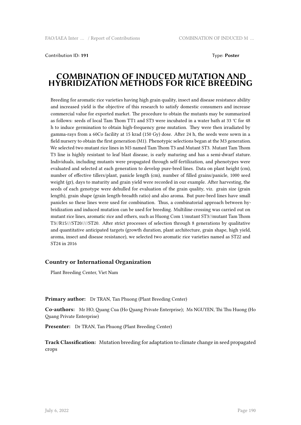Contribution ID: **191** Type: **Poster**

# **COMBINATION OF INDUCED MUTATION AND HYBRIDIZATION METHODS FOR RICE BREEDING**

Breeding for aromatic rice varieties having high grain quality, insect and disease resistance ability and increased yield is the objective of this research to satisfy domestic consumers and increase commercial value for exported market. The procedure to obtain the mutants may be summarized as follows: seeds of local Tam Thom TT1 and ST3 were incubated in a water bath at 33 ℃ for 48 h to induce germination to obtain high-frequency gene mutation. They were then irradiated by gamma-rays from a 60Co facility at 15 krad (150 Gy) dose. After 24 h, the seeds were sown in a field nursery to obtain the first generation (M1). Phenotypic selections began at the M3 generation. We selected two mutant rice lines in M5 named Tam Thom T3 and Mutant ST3. Mutant Tam Thom T3 line is highly resistant to leaf blast disease, is early maturing and has a semi-dwarf stature. Individuals, including mutants were propagated through self-fertilization, and phenotypes were evaluated and selected at each generation to develop pure-bred lines. Data on plant height (cm), number of effective tillers/plant, panicle length (cm), number of filled grains/panicle, 1000 seed weight (gr), days to maturity and grain yield were recorded in our example. After harvesting, the seeds of each genotype were dehulled for evaluation of the grain quality, viz. grain size (grain length), grain shape (grain length-breadth ratio) and also aroma. But pure-bred lines have small panicles so these lines were used for combination. Thus, a combinatorial approach between hybridization and induced mutation can be used for breeding. Multiline crossing was carried out on mutant rice lines, aromatic rice and others, such as Huong Com 1/mutant ST3//mutant Tam Thom T3//R15///ST20////ST20. After strict processes of selection through 8 generations by qualitative and quantitative anticipated targets (growth duration, plant architecture, grain shape, high yield, aroma, insect and disease resistance), we selected two aromatic rice varieties named as ST22 and ST24 in 2016

### **Country or International Organization**

Plant Breeding Center, Viet Nam

**Primary author:** Dr TRAN, Tan Phuong (Plant Breeding Center)

**Co-authors:** Mr HO, Quang Cua (Ho Quang Private Enterprise); Ms NGUYEN, Thi Thu Huong (Ho Quang Private Enterprise)

**Presenter:** Dr TRAN, Tan Phuong (Plant Breeding Center)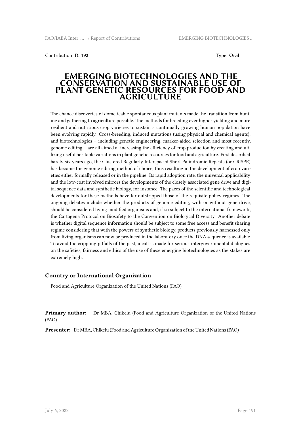Contribution ID: **192** Type: **Oral**

## **EMERGING BIOTECHNOLOGIES AND THE CONSERVATION AND SUSTAINABLE USE OF PLANT GENETIC RESOURCES FOR FOOD AND AGRICULTURE**

The chance discoveries of dometicable spontaneous plant mutants made the transition from hunting and gathering to agriculture possible. The methods for breeding ever higher yielding and more resilient and nutritious crop varieties to sustain a continually growing human population have been evolving rapidly. Cross-breeding; induced mutations (using physical and chemical agents); and biotechnologies – including genetic engineering, marker-aided selection and most recently, genome editing – are all aimed at increasing the efficiency of crop production by creating and utilizing useful heritable variations in plant genetic resources for food and agriculture. First described barely six years ago, the Clustered Regularly Interspaced Short Palindromic Repeats (or CRISPR) has become the genome editing method of choice, thus resulting in the development of crop varieties either formally released or in the pipeline. Its rapid adoption rate, the universal applicability and the low-cost involved mirrors the developments of the closely associated gene drive and digital sequence data and synthetic biology, for instance. The paces of the scientific and technological developments for these methods have far outstripped those of the requisite policy regimes. The ongoing debates include whether the products of genome editing, with or without gene drive, should be considered living modified organisms and, if so subject to the international framework, the Cartagena Protocol on Biosafety to the Convention on Biological Diversity. Another debate is whether digital sequence information should be subject to some free access and benefit sharing regime considering that with the powers of synthetic biology, products previously harnessed only from living organisms can now be produced in the laboratory once the DNA sequence is available. To avoid the crippling pitfalls of the past, a call is made for serious intergovernmental dialogues on the safeties, fairness and ethics of the use of these emerging biotechnologies as the stakes are extremely high.

### **Country or International Organization**

Food and Agriculture Organization of the United Nations (FAO)

**Primary author:** Dr MBA, Chikelu (Food and Agriculture Organization of the United Nations (FAO)

**Presenter:** Dr MBA, Chikelu (Food and Agriculture Organization of the United Nations (FAO)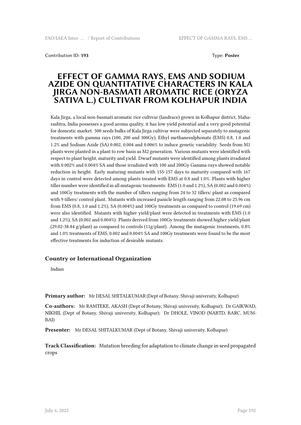Contribution ID: **193** Type: **Poster**

# **EFFECT OF GAMMA RAYS, EMS AND SODIUM AZIDE ON QUANTITATIVE CHARACTERS IN KALA JIRGA NON-BASMATI AROMATIC RICE (ORYZA SATIVA L.) CULTIVAR FROM KOLHAPUR INDIA**

Kala Jirga, a local non-basmati aromatic rice cultivar (landrace) grown in Kolhapur district, Maharashtra, India possesses a good aroma quality, it has low yield potential and a very good potential for domestic market. 500 seeds bulks of Kala Jirga cultivar were subjected separately to mutagenic treatments with gamma rays (100, 200 and 300Gy), Ethyl methanesulphonate (EMS) 0.8, 1.0 and 1.2% and Sodium Azide (SA) 0.002, 0.004 and 0.006% to induce genetic variability. Seeds from M1 plants were planted in a plant to row basis as M2 generation. Various mutants were identified with respect to plant height, maturity and yield. Dwarf mutants were identified among plants irradiated with 0.002% and 0.004% SA and those irradiated with 100 and 200Gy Gamma-rays showed notable reduction in height. Early maturing mutants with 155-157 days to maturity compared with 167 days in control were detected among plants treated with EMS at 0.8 and 1.0%. Plants with higher tiller number were identified in all mutagenic treatments: EMS (1.0 and 1.2%), SA (0.002 and 0.004%) and 100Gy treatments with the number of tillers ranging from 24 to 32 tillers/ plant as compared with 9 tillers/ control plant. Mutants with increased panicle length ranging from 22.08 to 25.96 cm from EMS (0.8, 1.0 and 1.2%), SA (0.004%) and 100Gy treatments as compared to control (19.69 cm) were also identified. Mutants with higher yield/plant were detected in treatments with EMS (1.0 and 1.2%), SA (0.002 and 0.004%). Plants derived from 100Gy treatments showed higher yield/plant (29.02-38.84 g/plant) as compared to controls (11g/plant). Among the mutagenic treatments, 0.8% and 1.0% treatments of EMS, 0.002 and 0.004% SA and 100Gy treatments were found to be the most effective treatments for induction of desirable mutants.

## **Country or International Organization**

Indian

**Primary author:** Mr DESAI, SHITALKUMAR (Dept of Botany, Shivaji university, Kolhapur)

**Co-authors:** Mr RAMTEKE, AKASH (Dept of Botany, Shivaji university, Kolhapur); Dr GAIKWAD, NIKHIL (Dept of Botany, Shivaji university, Kolhapur); Dr DHOLE, VINOD (NABTD, BARC, MUM-BAI)

**Presenter:** Mr DESAI, SHITALKUMAR (Dept of Botany, Shivaji university, Kolhapur)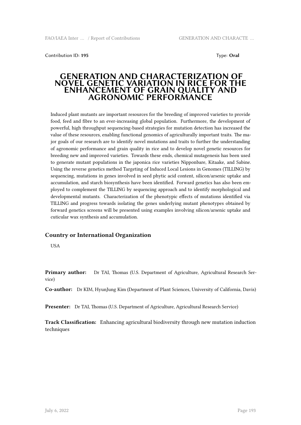Contribution ID: **195** Type: **Oral**

## **GENERATION AND CHARACTERIZATION OF NOVEL GENETIC VARIATION IN RICE FOR THE ENHANCEMENT OF GRAIN QUALITY AND AGRONOMIC PERFORMANCE**

Induced plant mutants are important resources for the breeding of improved varieties to provide food, feed and fibre to an ever-increasing global population. Furthermore, the development of powerful, high throughput sequencing-based strategies for mutation detection has increased the value of these resources, enabling functional genomics of agriculturally important traits. The major goals of our research are to identify novel mutations and traits to further the understanding of agronomic performance and grain quality in rice and to develop novel genetic resources for breeding new and improved varieties. Towards these ends, chemical mutagenesis has been used to generate mutant populations in the japonica rice varieties Nipponbare, Kitaake, and Sabine. Using the reverse genetics method Targeting of Induced Local Lesions in Genomes (TILLING) by sequencing, mutations in genes involved in seed phytic acid content, silicon/arsenic uptake and accumulation, and starch biosynthesis have been identified. Forward genetics has also been employed to complement the TILLING by sequencing approach and to identify morphological and developmental mutants. Characterization of the phenotypic effects of mutations identified via TILLING and progress towards isolating the genes underlying mutant phenotypes obtained by forward genetics screens will be presented using examples involving silicon/arsenic uptake and cuticular wax synthesis and accumulation.

## **Country or International Organization**

USA

**Primary author:** Dr TAI, Thomas (U.S. Department of Agriculture, Agricultural Research Service)

**Co-author:** Dr KIM, HyunJung Kim (Department of Plant Sciences, University of California, Davis)

**Presenter:** Dr TAI, Thomas (U.S. Department of Agriculture, Agricultural Research Service)

**Track Classification:** Enhancing agricultural biodiversity through new mutation induction techniques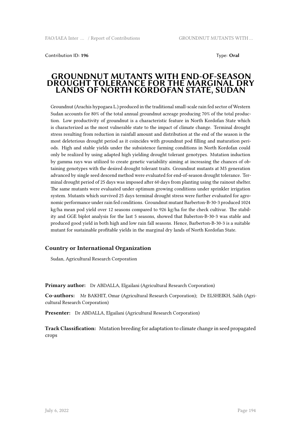Contribution ID: **196** Type: **Oral**

## **GROUNDNUT MUTANTS WITH END-OF-SEASON DROUGHT TOLERANCE FOR THE MARGINAL DRY LANDS OF NORTH KORDOFAN STATE, SUDAN**

Groundnut (Arachis hypogaea L.) produced in the traditional small-scale rain fed sector of Western Sudan accounts for 80% of the total annual groundnut acreage producing 70% of the total production. Low productivity of groundnut is a characteristic feature in North Kordofan State which is characterized as the most vulnerable state to the impact of climate change. Terminal drought stress resulting from reduction in rainfall amount and distribution at the end of the season is the most deleterious drought period as it coincides with groundnut pod filling and maturation periods. High and stable yields under the subsistence farming conditions in North Kordofan could only be realized by using adapted high yielding drought tolerant genotypes. Mutation induction by gamma rays was utilized to create genetic variability aiming at increasing the chances of obtaining genotypes with the desired drought tolerant traits. Groundnut mutants at M5 generation advanced by single seed descend method were evaluated for end-of-season drought tolerance. Terminal drought period of 25 days was imposed after 60 days from planting using the rainout shelter. The same mutants were evaluated under optimum growing conditions under sprinkler irrigation system. Mutants which survived 25 days terminal drought stress were further evaluated for agronomic performance under rain fed conditions. Groundnut mutant Barberton-B-30-3 produced 1024 kg/ha mean pod yield over 12 seasons compared to 926 kg/ha for the check cultivar. The stability and GGE biplot analysis for the last 5 seasons, showed that Baberton-B-30-3 was stable and produced good yield in both high and low rain fall seasons. Hence, Barberton-B-30-3 is a suitable mutant for sustainable profitable yields in the marginal dry lands of North Kordofan State.

## **Country or International Organization**

Sudan, Agricultural Research Corporation

**Primary author:** Dr ABDALLA, Elgailani (Agricultural Research Corporation)

**Co-authors:** Mr BAKHIT, Omar (Agricultural Research Corporation); Dr ELSHEIKH, Salih (Agricultural Research Corporation)

**Presenter:** Dr ABDALLA, Elgailani (Agricultural Research Corporation)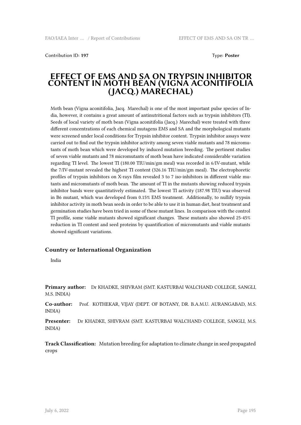Contribution ID: **197** Type: **Poster**

# **EFFECT OF EMS AND SA ON TRYPSIN INHIBITOR CONTENT IN MOTH BEAN (VIGNA ACONITIFOLIA (JACQ.) MARECHAL)**

Moth bean (Vigna aconitifolia, Jacq. Marechal) is one of the most important pulse species of India, however, it contains a great amount of antinutritional factors such as trypsin inhibitors (TI). Seeds of local variety of moth bean (Vigna aconitifolia (Jacq.) Marechal) were treated with three different concentrations of each chemical mutagens EMS and SA and the morphological mutants were screened under local conditions for Trypsin inhibitor content. Trypsin inhibitor assays were carried out to find out the trypsin inhibitor activity among seven viable mutants and 78 micromutants of moth bean which were developed by induced mutation breeding. The pertinent studies of seven viable mutants and 78 micromutants of moth bean have indicated considerable variation regarding TI level. The lowest TI (180.00 TIU/min/gm meal) was recorded in 6/IV-mutant, while the 7/IV-mutant revealed the highest TI content (326.16 TIU/min/gm meal). The electrophoretic profiles of trypsin inhibitors on X-rays film revealed 3 to 7 iso-inhibitors in different viable mutants and micromutants of moth bean. The amount of TI in the mutants showing reduced trypsin inhibitor bands were quantitatively estimated. The lowest TI activity (187.98 TIU) was observed in B6 mutant, which was developed from 0.15% EMS treatment. Additionally, to nullify trypsin inhibitor activity in moth bean seeds in order to be able to use it in human diet, heat treatment and germination studies have been tried in some of these mutant lines. In comparison with the control TI profile, some viable mutants showed significant changes. These mutants also showed 25-45% reduction in TI content and seed proteins by quantification of micromutants and viable mutants showed significant variations.

## **Country or International Organization**

India

**Primary author:** Dr KHADKE, SHIVRAM (SMT. KASTURBAI WALCHAND COLLEGE, SANGLI, M.S. INDIA)

**Co-author:** Prof. KOTHEKAR, VIJAY (DEPT. OF BOTANY, DR. B.A.M.U. AURANGABAD, M.S. INDIA)

**Presenter:** Dr KHADKE, SHIVRAM (SMT. KASTURBAI WALCHAND COLLEGE, SANGLI, M.S. INDIA)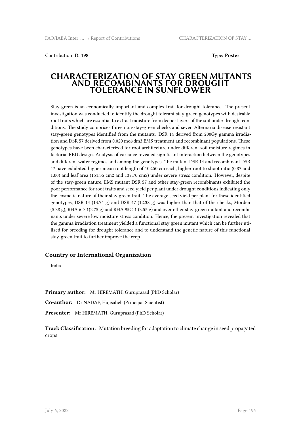Contribution ID: **198** Type: **Poster**

## **CHARACTERIZATION OF STAY GREEN MUTANTS AND RECOMBINANTS FOR DROUGHT TOLERANCE IN SUNFLOWER**

Stay green is an economically important and complex trait for drought tolerance. The present investigation was conducted to identify the drought tolerant stay-green genotypes with desirable root traits which are essential to extract moisture from deeper layers of the soil under drought conditions. The study comprises three non-stay-green checks and seven Alternaria disease resistant stay-green genotypes identified from the mutants: DSR 14 derived from 200Gy gamma irradiation and DSR 57 derived from 0.020 mol/dm3 EMS treatment and recombinant populations. These genotypes have been characterized for root architecture under different soil moisture regimes in factorial RBD design. Analysis of variance revealed significant interaction between the genotypes and different water regimes and among the genotypes. The mutant DSR 14 and recombinant DSR 47 have exhibited higher mean root length of 102.50 cm each, higher root to shoot ratio (0.87 and 1.00) and leaf area (151.35 cm2 and 137.70 cm2) under severe stress condition. However, despite of the stay-green nature, EMS mutant DSR 57 and other stay-green recombinants exhibited the poor performance for root traits and seed yield per plant under drought conditions indicating only the cosmetic nature of their stay green trait. The average seed yield per plant for these identified genotypes, DSR 14 (13.74 g) and DSR 47 (12.38 g) was higher than that of the checks, Morden  $(5.38 \text{ g})$ , RHA 6D-1 $(2.75 \text{ g})$  and RHA 95C-1  $(3.55 \text{ g})$  and over other stay-green mutant and recombinants under severe low moisture stress condition. Hence, the present investigation revealed that the gamma irradiation treatment yielded a functional stay green mutant which can be further utilized for breeding for drought tolerance and to understand the genetic nature of this functional stay-green trait to further improve the crop.

## **Country or International Organization**

India

**Primary author:** Mr HIREMATH, Guruprasad (PhD Scholar)

**Co-author:** Dr NADAF, Hajisaheb (Principal Scientist)

**Presenter:** Mr HIREMATH, Guruprasad (PhD Scholar)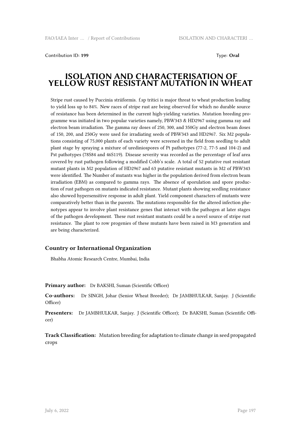Contribution ID: **199** Type: **Oral**

# **ISOLATION AND CHARACTERISATION OF YELLOW RUST RESISTANT MUTATION IN WHEAT**

Stripe rust caused by Puccinia striiformis. f.sp tritici is major threat to wheat production leading to yield loss up to 84%. New races of stripe rust are being observed for which no durable source of resistance has been determined in the current high-yielding varieties. Mutation breeding programme was initiated in two popular varieties namely, PBW343 & HD2967 using gamma ray and electron beam irradiation. The gamma ray doses of 250, 300, and 350Gy and electron beam doses of 150, 200, and 250Gy were used for irradiating seeds of PBW343 and HD2967. Six M2 populations consisting of 75,000 plants of each variety were screened in the field from seedling to adult plant stage by spraying a mixture of urediniospores of Pt pathotypes (77-2, 77-5 and 104-2) and Pst pathotypes (78S84 and 46S119). Disease severity was recorded as the percentage of leaf area covered by rust pathogen following a modified Cobb's scale. A total of 52 putative rust resistant mutant plants in M2 population of HD2967 and 63 putative resistant mutants in M2 of PBW343 were identified. The Number of mutants was higher in the population derived from electron beam irradiation (EBM) as compared to gamma rays. The absence of sporulation and spore production of rust pathogen on mutants indicated resistance. Mutant plants showing seedling resistance also showed hypersensitive response in adult plant. Yield component characters of mutants were comparatively better than in the parents. The mutations responsible for the altered infection phenotypes appear to involve plant resistance genes that interact with the pathogen at later stages of the pathogen development. These rust resistant mutants could be a novel source of stripe rust resistance. The plant to row progenies of these mutants have been raised in M3 generation and are being characterized.

### **Country or International Organization**

Bhabha Atomic Research Centre, Mumbai, India

**Primary author:** Dr BAKSHI, Suman (Scientific Officer)

**Co-authors:** Dr SINGH, Johar (Senior Wheat Breeder); Dr JAMBHULKAR, Sanjay. J (Scientific Officer)

**Presenters:** Dr JAMBHULKAR, Sanjay. J (Scientific Officer); Dr BAKSHI, Suman (Scientific Officer)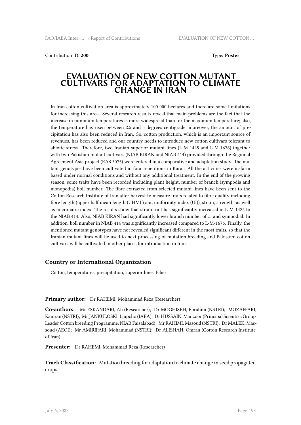Contribution ID: **200** Type: **Poster**

## **EVALUATION OF NEW COTTON MUTANT CULTIVARS FOR ADAPTATION TO CLIMATE CHANGE IN IRAN**

In Iran cotton cultivation area is approximately 100 000 hectares and there are some limitations for increasing this area. Several research results reveal that main problems are the fact that the increase in minimum temperatures is more widespread than for the maximum temperature; also, the temperature has risen between 2.5 and 5 degrees centigrade; moreover, the amount of precipitation has also been reduced in Iran. So, cotton production, which is an important source of revenues, has been reduced and our country needs to introduce new cotton cultivars tolerant to abiotic stress. Therefore, two Iranian superior mutant lines (L-M-1425 and L-M-1676) together with two Pakistani mutant cultivars (NIAB KIRAN and NIAB 414) provided through the Regional Agreement Asia project (RAS 5075) were entered in a comparative and adaptation study. The mutant genotypes have been cultivated in four repetitions in Karaj. All the activities were in-farm based under normal conditions and without any additional treatment. In the end of the growing season, some traits have been recorded including plant height, number of branch (sympodia and monopodia) boll number. The fibre extracted from selected mutant lines have been sent to the Cotton Research Institute of Iran after harvest to measure traits related to fibre quality including fibre length (upper half mean length (UHML) and uniformity index (UI)), strain, strength, as well as micronaire index. The results show that strain trait has significantly increased in L-M-1425 to the NIAB 414. Also, NIAB KIRAN had significantly lower branch number of…. and sympodial. In addition, boll number in NIAB 414 was significantly increased compared to L-M-1676. Finally, the mentioned mutant genotypes have not revealed significant different in the most traits, so that the Iranian mutant lines will be used to next processing of mutation breeding and Pakistani cotton cultivars will be cultivated in other places for introduction in Iran.

## **Country or International Organization**

Cotton, temperatures, precipitation, superior lines, Fiber

#### **Primary author:** Dr RAHEMI, Mohammad Reza (Researcher)

**Co-authors:** Mr ESKANDARI, Ali (Researcher); Dr MOGHISEH, Ebrahim (NSTRI); MOZAFFARI, Kamran (NSTRI); Mr JANKULOSKI, Ljupcho (IAEA); Dr HUSSAIN, Manzoor (Principal Scientist/Group Leader Cotton breeding Programme, NIAB,Faisalabad); Mr RAHIMI, Masoud (NSTRI); Dr MALEK, Massoud (AEOI); Mr AMIRIPARI, Mohammad (NSTRI); Dr ALISHAH, Omran (Cotton Research Institute of Iran)

**Presenter:** Dr RAHEMI, Mohammad Reza (Researcher)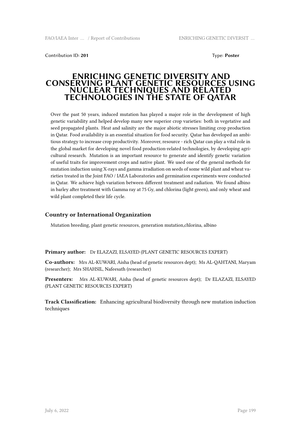Contribution ID: **201** Type: **Poster**

## **ENRICHING GENETIC DIVERSITY AND CONSERVING PLANT GENETIC RESOURCES USING NUCLEAR TECHNIQUES AND RELATED TECHNOLOGIES IN THE STATE OF QATAR**

Over the past 50 years, induced mutation has played a major role in the development of high genetic variability and helped develop many new superior crop varieties: both in vegetative and seed propagated plants. Heat and salinity are the major abiotic stresses limiting crop production in Qatar. Food availability is an essential situation for food security. Qatar has developed an ambitious strategy to increase crop productivity. Moreover, resource - rich Qatar can play a vital role in the global market for developing novel food production-related technologies, by developing agricultural research. Mutation is an important resource to generate and identify genetic variation of useful traits for improvement crops and native plant. We used one of the general methods for mutation induction using X-rays and gamma irradiation on seeds of some wild plant and wheat varieties treated in the Joint FAO / IAEA Laboratories and germination experiments were conducted in Qatar. We achieve high variation between different treatment and radiation. We found albino in barley after treatment with Gamma ray at 75 Gy, and chlorina (light green), and only wheat and wild plant completed their life cycle.

### **Country or International Organization**

Mutation breeding, plant genetic resources, generation mutation,chlorina, albino

**Primary author:** Dr ELAZAZI, ELSAYED (PLANT GENETIC RESOURCES EXPERT)

**Co-authors:** Mrs AL-KUWARI, Aisha (head of genetic resources dept); Ms AL-QAHTANI, Maryam (researcher); Mrs SHAHSIL, Nafeesath (researcher)

**Presenters:** Mrs AL-KUWARI, Aisha (head of genetic resources dept); Dr ELAZAZI, ELSAYED (PLANT GENETIC RESOURCES EXPERT)

**Track Classification:** Enhancing agricultural biodiversity through new mutation induction techniques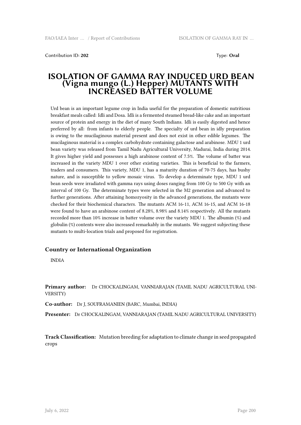#### Contribution ID: **202** Type: **Oral**

# **ISOLATION OF GAMMA RAY INDUCED URD BEAN (Vigna mungo (L.) Hepper) MUTANTS WITH INCREASED BATTER VOLUME**

Urd bean is an important legume crop in India useful for the preparation of domestic nutritious breakfast meals called: Idli and Dosa. Idli is a fermented steamed bread-like cake and an important source of protein and energy in the diet of many South Indians. Idli is easily digested and hence preferred by all: from infants to elderly people. The specialty of urd bean in idly preparation is owing to the mucilaginous material present and does not exist in other edible legumes. The mucilaginous material is a complex carbohydrate containing galactose and arabinose. MDU 1 urd bean variety was released from Tamil Nadu Agricultural University, Madurai, India during 2014. It gives higher yield and possesses a high arabinose content of 7.5%. The volume of batter was increased in the variety MDU 1 over other existing varieties. This is beneficial to the farmers, traders and consumers. This variety, MDU 1, has a maturity duration of 70-75 days, has bushy nature, and is susceptible to yellow mosaic virus. To develop a determinate type, MDU 1 urd bean seeds were irradiated with gamma rays using doses ranging from 100 Gy to 500 Gy with an interval of 100 Gy. The determinate types were selected in the M2 generation and advanced to further generations. After attaining homozyosity in the advanced generations, the mutants were checked for their biochemical characters. The mutants ACM 16-11, ACM 16-15, and ACM 16-18 were found to have an arabinose content of 8.28%, 8.98% and 8.14% respectively. All the mutants recorded more than 10% increase in batter volume over the variety MDU 1. The albumin (%) and globulin (%) contents were also increased remarkably in the mutants. We suggest subjecting these mutants to multi-location trials and proposed for registration.

### **Country or International Organization**

INDIA

**Primary author:** Dr CHOCKALINGAM, VANNIARAJAN (TAMIL NADU AGRICULTURAL UNI-VERSITY)

**Co-author:** Dr J, SOUFRAMANIEN (BARC, Mumbai, INDIA)

**Presenter:** Dr CHOCKALINGAM, VANNIARAJAN (TAMIL NADU AGRICULTURAL UNIVERSITY)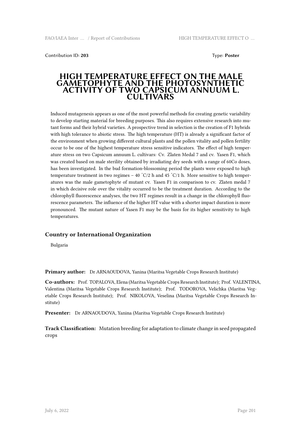Contribution ID: **203** Type: **Poster**

## **HIGH TEMPERATURE EFFECT ON THE MALE GAMETOPHYTE AND THE PHOTOSYNTHETIC ACTIVITY OF TWO CAPSICUM ANNUUM L. CULTIVARS**

Induced mutagenesis appears as one of the most powerful methods for creating genetic variability to develop starting material for breeding purposes. This also requires extensive research into mutant forms and their hybrid varieties. A prospective trend in selection is the creation of F1 hybrids with high tolerance to abiotic stress. The high temperature (HT) is already a significant factor of the environment when growing different cultural plants and the pollen vitality and pollen fertility occur to be one of the highest temperature stress sensitive indicators. The effect of high temperature stress on two Capsicum annuum L. cultivars: Cv. Zlaten Medal 7 and cv. Yasen F1, which was created based on male sterility obtained by irradiating dry seeds with a range of 60Co doses, has been investigated. In the bud formation-blossoming period the plants were exposed to high temperature treatment in two regimes – 40 °C/2 h and 45 °C/1 h. More sensitive to high temperatures was the male gametophyte of mutant cv. Yasen F1 in comparison to cv. Zlaten medal 7 in which decisive role over the vitality occurred to be the treatment duration. According to the chlorophyll fluorescence analyses, the two HT regimes result in a change in the chlorophyll fluorescence parameters. The influence of the higher HT value with a shorter impact duration is more pronounced. The mutant nature of Yasen F1 may be the basis for its higher sensitivity to high temperatures.

## **Country or International Organization**

Bulgaria

**Primary author:** Dr ARNAOUDOVA, Yanina (Maritsa Vegetable Crops Research Institute)

**Co-authors:** Prof. TOPALOVA, Elena (Maritsa Vegetable Crops Research Institute); Prof. VALENTINA, Valentina (Maritsa Vegetable Crops Research Institute); Prof. TODOROVA, Velichka (Maritsa Vegetable Crops Research Institute); Prof. NIKOLOVA, Veselina (Maritsa Vegetable Crops Research Institute)

**Presenter:** Dr ARNAOUDOVA, Yanina (Maritsa Vegetable Crops Research Institute)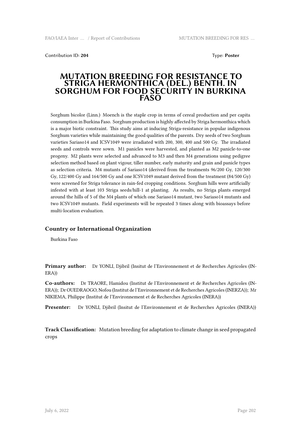Contribution ID: **204** Type: **Poster**

## **MUTATION BREEDING FOR RESISTANCE TO STRIGA HERMONTHICA (DEL.) BENTH. IN SORGHUM FOR FOOD SECURITY IN BURKINA FASO**

Sorghum bicolor (Linn.) Moench is the staple crop in terms of cereal production and per capita consumption in Burkina Faso. Sorghum production is highly affected by Striga hermonthica which is a major biotic constraint. This study aims at inducing Striga-resistance in popular indigenous Sorghum varieties while maintaining the good qualities of the parents. Dry seeds of two Sorghum varieties Sariaso14 and ICSV1049 were irradiated with 200, 300, 400 and 500 Gy. The irradiated seeds and controls were sown. M1 panicles were harvested, and planted as M2 panicle-to-one progeny. M2 plants were selected and advanced to M3 and then M4 generations using pedigree selection method based on plant vigour, tiller number, early maturity and grain and panicle types as selection criteria. M4 mutants of Sariaso14 (derived from the treatments 96/200 Gy, 120/300 Gy, 122/400 Gy and 164/500 Gy and one ICSV1049 mutant derived from the treatment (84/500 Gy) were screened for Striga tolerance in rain-fed cropping conditions. Sorghum hills were artificially infested with at least 103 Striga seeds/hill-1 at planting. As results, no Striga plants emerged around the hills of 5 of the M4 plants of which one Sariaso14 mutant, two Sariaso14 mutants and two ICSV1049 mutants. Field experiments will be repeated 3 times along with bioassays before multi-location evaluation.

## **Country or International Organization**

Burkina Faso

**Primary author:** Dr YONLI, Djibril (Insitut de l'Environnement et de Recherches Agricoles (IN-ERA))

**Co-authors:** Dr TRAORE, Hamidou (Institut de l'Environnement et de Recherches Agricoles (IN-ERA)); Dr OUEDRAOGO, Nofou (Institut de l'Environnement et de Recherches Agricoles (INERZA)); Mr NIKIEMA, Philippe (Institut de l'Environnement et de Recherches Agricoles (INERA))

**Presenter:** Dr YONLI, Djibril (Insitut de l'Environnement et de Recherches Agricoles (INERA))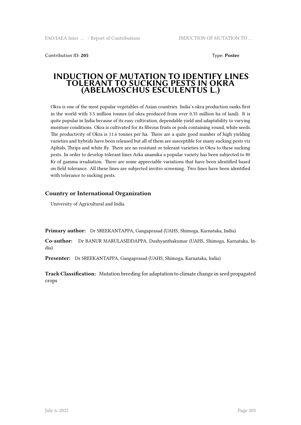Contribution ID: **205** Type: **Poster**

# **INDUCTION OF MUTATION TO IDENTIFY LINES TOLERANT TO SUCKING PESTS IN OKRA (ABELMOSCHUS ESCULENTUS L.)**

Okra is one of the most popular vegetables of Asian countries. India's okra production ranks first in the world with 3.5 million tonnes (of okra produced from over 0.35 million ha of land). It is quite popular in India because of its easy cultivation, dependable yield and adaptability to varying moisture conditions. Okra is cultivated for its fibrous fruits or pods containing round, white seeds. The productivity of Okra is 11.6 tonnes per ha. There are a quite good number of high yielding varieties and hybrids have been released but all of them are susceptible for many sucking pests viz Aphids, Thrips and white fly. There are no resistant or tolerant varieties in Okra to these sucking pests. In order to develop tolerant lines Arka anamika a popular variety has been subjected to 80 Kr of gamma irradiation. There are some appreciable variations that have been identified based on field tolerance. All these lines are subjected invitro screening. Two lines have been identified with tolerance to sucking pests.

## **Country or International Organization**

University of Agricultural and India

**Primary author:** Dr SREEKANTAPPA, Gangaprasad (UAHS, Shimoga, Karnataka, India)

**Co-author:** Dr BANUR MARULASIDDAPPA, Dushyanthakumar (UAHS, Shimoga, Karnataka, India)

**Presenter:** Dr SREEKANTAPPA, Gangaprasad (UAHS, Shimoga, Karnataka, India)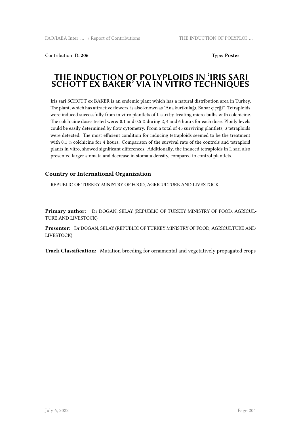Contribution ID: **206** Type: **Poster**

# **THE INDUCTION OF POLYPLOIDS IN 'IRIS SARI SCHOTT EX BAKER' VIA IN VITRO TECHNIQUES**

Iris sari SCHOTT ex BAKER is an endemic plant which has a natural distribution area in Turkey. The plant, which has attractive flowers, is also known as "Ana kurtkulağı, Bahar çiçeği". Tetraploids were induced successfully from in vitro plantlets of I. sari by treating micro-bulbs with colchicine. The colchicine doses tested were: 0.1 and 0.5 % during 2, 4 and 6 hours for each dose. Ploidy levels could be easily determined by flow cytometry. From a total of 45 surviving plantlets, 3 tetraploids were detected. The most efficient condition for inducing tetraploids seemed to be the treatment with 0.1 % colchicine for 4 hours. Comparison of the survival rate of the controls and tetraploid plants in vitro, showed significant differences. Additionally, the induced tetraploids in I. sari also presented larger stomata and decrease in stomata density, compared to control plantlets.

## **Country or International Organization**

REPUBLIC OF TURKEY MINISTRY OF FOOD, AGRICULTURE AND LIVESTOCK

**Primary author:** Dr DOGAN, SELAY (REPUBLIC OF TURKEY MINISTRY OF FOOD, AGRICUL-TURE AND LIVESTOCK)

**Presenter:** Dr DOGAN, SELAY (REPUBLIC OF TURKEY MINISTRY OF FOOD, AGRICULTURE AND LIVESTOCK)

**Track Classification:** Mutation breeding for ornamental and vegetatively propagated crops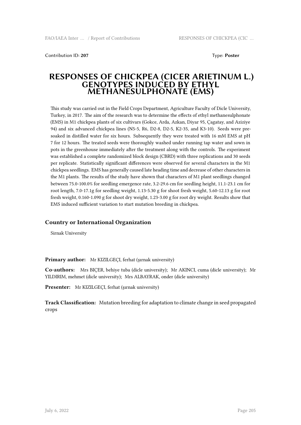#### Contribution ID: **207** Type: **Poster**

# **RESPONSES OF CHICKPEA (CICER ARIETINUM L.) GENOTYPES INDUCED BY ETHYL METHANESULPHONATE (EMS)**

This study was carried out in the Field Crops Department, Agriculture Faculty of Dicle University, Turkey, in 2017. The aim of the research was to determine the effects of ethyl methanesulphonate (EMS) in M1 chickpea plants of six cultivars (Gokce, Arda, Azkan, Diyar 95, Çagatay, and Aziziye 94) and six advanced chickpea lines (N5-5, R6, D2-8, D2-5, K2-35, and K3-10). Seeds were presoaked in distilled water for six hours. Subsequently they were treated with 16 mM EMS at pH 7 for 12 hours. The treated seeds were thoroughly washed under running tap water and sown in pots in the greenhouse immediately after the treatment along with the controls. The experiment was established a complete randomized block design (CBRD) with three replications and 30 seeds per replicate. Statistically significant differences were observed for several characters in the M1 chickpea seedlings. EMS has generally caused late heading time and decrease of other characters in the M1 plants. The results of the study have shown that characters of M1 plant seedlings changed between 75.0-100.0% for seedling emergence rate, 3.2-29.6 cm for seedling height, 11.1-23.1 cm for root length, 7.0-17.1g for seedling weight, 1.13-5.30 g for shoot fresh weight, 5.60-12.13 g for root fresh weight, 0.160-1.090 g for shoot dry weight, 1.23-3.00 g for root dry weight. Results show that EMS induced sufficient variation to start mutation breeding in chickpea.

## **Country or International Organization**

Sirnak University

**Primary author:** Mr KIZILGEÇI, ferhat (şırnak university)

**Co-authors:** Mrs BIÇER, behiye tuba (dicle university); Mr AKINCI, cuma (dicle university); Mr YILDIRIM, mehmet (dicle university); Mrs ALBAYRAK, onder (dicle university)

**Presenter:** Mr KIZILGEÇI, ferhat (şırnak university)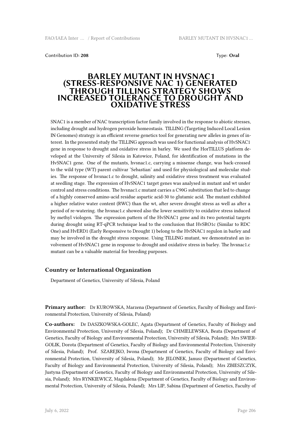Contribution ID: **208** Type: **Oral**

## **BARLEY MUTANT IN HVSNAC1 (STRESS-RESPONSIVE NAC 1) GENERATED THROUGH TILLING STRATEGY SHOWS INCREASED TOLERANCE TO DROUGHT AND OXIDATIVE STRESS**

SNAC1 is a member of NAC transcription factor family involved in the response to abiotic stresses, including drought and hydrogen peroxide homeostasis. TILLING (Targeting Induced Local Lesion IN Genomes) strategy is an efficient reverse genetics tool for generating new alleles in genes of interest. In the presented study the TILLING approach was used for functional analysis of HvSNAC1 gene in response to drought and oxidative stress in barley. We used the HorTILLUS platform developed at the University of Silesia in Katowice, Poland, for identification of mutations in the HvSNAC1 gene. One of the mutants, hvsnac1.c, carrying a missense change, was back-crossed to the wild type (WT) parent cultivar 'Sebastian' and used for physiological and molecular studies. The response of hvsnac1.c to drought, salinity and oxidative stress treatment was evaluated at seedling stage. The expression of HvSNAC1 target genes was analysed in mutant and wt under control and stress conditions. The hvsnac1.c mutant carries a C90G substitution that led to change of a highly conserved amino-acid residue aspartic acid-30 to glutamic acid. The mutant exhibited a higher relative water content (RWC) than the wt, after severe drought stress as well as after a period of re-watering. the hvsnac1.c showed also the lower sensitivity to oxidative stress induced by methyl viologen. The expression pattern of the HvSNAC1 gene and its two potential targets during drought using RT-qPCR technique lead to the conclusion that HvSRO1c (Similar to RDC One) and HvERD1 (Early Responsive to Drought 1) belong to the HvSNAC1 regulon in barley and may be involved in the drought stress response. Using TILLING mutant, we demonstrated an involvement of HvSNAC1 gene in response to drought and oxidative stress in barley. The hvsnac1.c mutant can be a valuable material for breeding purposes.

## **Country or International Organization**

Department of Genetics, University of Silesia, Poland

**Primary author:** Dr KUROWSKA, Marzena (Department of Genetics, Faculty of Biology and Environmental Protection, University of Silesia, Poland)

**Co-authors:** Dr DASZKOWSKA-GOLEC, Agata (Department of Genetics, Faculty of Biology and Environmental Protection, University of Silesia, Poland); Dr CHMIELEWSKA, Beata (Department of Genetics, Faculty of Biology and Environmental Protection, University of Silesia, Poland); Mrs SWIER-GOLIK, Dorota (Department of Genetics, Faculty of Biology and Environmental Protection, University of Silesia, Poland); Prof. SZAREJKO, Iwona (Department of Genetics, Faculty of Biology and Environmental Protection, University of Silesia, Poland); Mr JELONEK, Janusz (Department of Genetics, Faculty of Biology and Environmental Protection, University of Silesia, Poland); Mrs ZBIESZCZYK, Justyna (Department of Genetics, Faculty of Biology and Environmental Protection, University of Silesia, Poland); Mrs RYNKIEWICZ, Magdalena (Department of Genetics, Faculty of Biology and Environmental Protection, University of Silesia, Poland); Mrs LIP, Sabina (Department of Genetics, Faculty of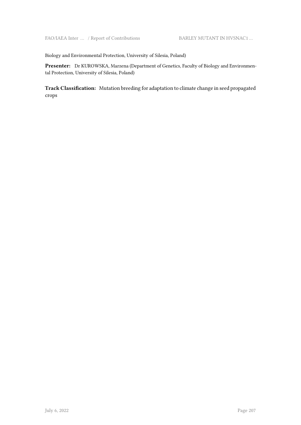Biology and Environmental Protection, University of Silesia, Poland)

**Presenter:** Dr KUROWSKA, Marzena (Department of Genetics, Faculty of Biology and Environmental Protection, University of Silesia, Poland)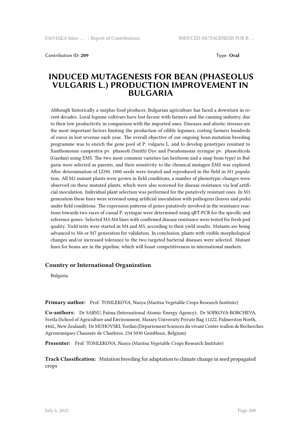Contribution ID: 209 **Type:** Oral

# **INDUCED MUTAGENESIS FOR BEAN (PHASEOLUS VULGARIS L.) PRODUCTION IMPROVEMENT IN BULGARIA**

Although historically a surplus food producer, Bulgarian agriculture has faced a downturn in recent decades. Local legume cultivars have lost favour with farmers and the canning industry, due to their low productivity in comparison with the imported ones. Diseases and abiotic stresses are the most important factors limiting the production of edible legumes, costing farmers hundreds of euros in lost revenue each year. The overall objective of our ongoing bean mutation breeding programme was to enrich the gene pool of P. vulgaris L. and to develop genotypes resistant to Xanthomonas campestris pv. phaseoli (Smith) Dye and Pseudomonas syringae pv. phaseolicola (Gardan) using EMS. The two most common varieties (an heirloom and a snap bean type) in Bulgaria were selected as parents, and their sensitivity to the chemical mutagen EMS was explored. After determination of LD50, 1000 seeds were treated and reproduced in the field in M1 population. All M2 mutant plants were grown in field conditions, a number of phenotypic changes were observed on these mutated plants, which were also screened for disease resistance via leaf artificial inoculation. Individual plant selection was performed for the putatively resistant ones. In M3 generation these lines were screened using artificial inoculation with pathogens (leaves and pods) under field conditions. The expression patterns of genes putatively involved in the resistance reactions towards two races of casual P. syringae were determined using qRT-PCR for the specific and reference genes. Selected M3-M4 lines with confirmed disease resistance were tested for fresh pod quality. Yield tests were started in M4 and M5, according to their yield results. Mutants are being advanced to M6 or M7 generation for validation. In conclusion, plants with visible morphological changes and/or increased tolerance to the two targeted bacterial diseases were selected. Mutant lines for beans are in the pipeline, which will boast competitiveness in international markets.

## **Country or International Organization**

Bulgaria

**Primary author:** Prof. TOMLEKOVA, Nasya (Maritsa Vegetable Crops Research Institute)

**Co-authors:** Dr SARSU, Fatma (International Atomic Energy Agency); Dr SOFKOVA-BOBCHEVA, Svetla (School of Agriculture and Environment, Massey University Private Bag 11222, Palmerston North, 4442, New Zealand); Dr MUHOVSKI, Yordan (Département Sciences du vivant Centre wallon de Recherches Agronomiques Chaussée de Charleroi, 234 5030 Gembloux, Belgium)

**Presenter:** Prof. TOMLEKOVA, Nasya (Maritsa Vegetable Crops Research Institute)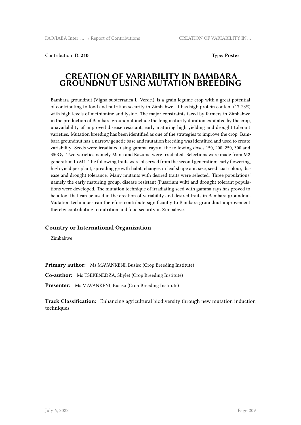Contribution ID: **210** Type: **Poster**

# **CREATION OF VARIABILITY IN BAMBARA GROUNDNUT USING MUTATION BREEDING**

Bambara groundnut (Vigna subterranea L. Verdc.) is a grain legume crop with a great potential of contributing to food and nutrition security in Zimbabwe. It has high protein content (17-23%) with high levels of methionine and lysine. The major constraints faced by farmers in Zimbabwe in the production of Bambara groundnut include the long maturity duration exhibited by the crop, unavailability of improved disease resistant, early maturing high yielding and drought tolerant varieties. Mutation breeding has been identified as one of the strategies to improve the crop. Bambara groundnut has a narrow genetic base and mutation breeding was identified and used to create variability. Seeds were irradiated using gamma rays at the following doses 150, 200, 250, 300 and 350Gy. Two varieties namely Mana and Kazuma were irradiated. Selections were made from M2 generation to M4. The following traits were observed from the second generation; early flowering, high yield per plant, spreading growth habit, changes in leaf shape and size, seed coat colour, disease and drought tolerance. Many mutants with desired traits were selected. Three populations' namely the early maturing group, disease resistant (Fusarium wilt) and drought tolerant populations were developed. The mutation technique of irradiating seed with gamma rays has proved to be a tool that can be used in the creation of variability and desired traits in Bambara groundnut. Mutation techniques can therefore contribute significantly to Bambara groundnut improvement thereby contributing to nutrition and food security in Zimbabwe.

## **Country or International Organization**

Zimbabwe

**Primary author:** Ms MAVANKENI, Busiso (Crop Breeding Institute)

**Co-author:** Ms TSEKENEDZA, Shylet (Crop Breeding Institute)

**Presenter:** Ms MAVANKENI, Busiso (Crop Breeding Institute)

**Track Classification:** Enhancing agricultural biodiversity through new mutation induction techniques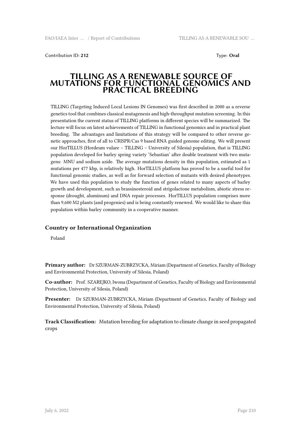Contribution ID: **212** Type: **Oral**

## **TILLING AS A RENEWABLE SOURCE OF MUTATIONS FOR FUNCTIONAL GENOMICS AND PRACTICAL BREEDING**

TILLING (Targeting Induced Local Lesions IN Genomes) was first described in 2000 as a reverse genetics tool that combines classical mutagenesis and high-throughput mutation screening. In this presentation the current status of TILLING platforms in different species will be summarized. The lecture will focus on latest achievements of TILLING in functional genomics and in practical plant breeding. The advantages and limitations of this strategy will be compared to other reverse genetic approaches, first of all to CRISPR/Cas 9 based RNA guided genome editing. We will present our HorTILLUS (Hordeum vulare – TILLING – University of Silesia) population, that is TILLING population developed for barley spring variety 'Sebastian' after double treatment with two mutagens: MNU and sodium azide. The average mutations density in this population, estimated as 1 mutations per 477 kbp, is relatively high. HorTILLUS platform has proved to be a useful tool for functional genomic studies, as well as for forward selection of mutants with desired phenotypes. We have used this population to study the function of genes related to many aspects of barley growth and development, such as brassinosteroid and strigolactone metabolism, abiotic stress response (drought, aluminum) and DNA repair processes. HorTILLUS population comprises more than 9,600 M2 plants (and progenies) and is being constantly renewed. We would like to share this population within barley community in a cooperative manner.

## **Country or International Organization**

Poland

**Primary author:** Dr SZURMAN-ZUBRZYCKA, Miriam (Department of Genetics, Faculty of Biology and Environmental Protection, University of Silesia, Poland)

**Co-author:** Prof. SZAREJKO, Iwona (Department of Genetics, Faculty of Biology and Environmental Protection, University of Silesia, Poland)

**Presenter:** Dr SZURMAN-ZUBRZYCKA, Miriam (Department of Genetics, Faculty of Biology and Environmental Protection, University of Silesia, Poland)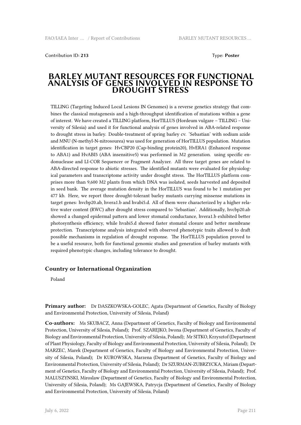Contribution ID: **213** Type: **Poster**

## **BARLEY MUTANT RESOURCES FOR FUNCTIONAL ANALYSIS OF GENES INVOLVED IN RESPONSE TO DROUGHT STRESS**

TILLING (Targeting Induced Local Lesions IN Genomes) is a reverse genetics strategy that combines the classical mutagenesis and a high-throughput identification of mutations within a gene of interest. We have created a TILLING platform, HorTILLUS (Hordeum vulgare – TILLING – University of Silesia) and used it for functional analysis of genes involved in ABA-related response to drought stress in barley. Double-treatment of spring barley cv. 'Sebastian' with sodium azide and MNU (N-methyl-N-nitrosourea) was used for generation of HorTILLUS population. Mutation identification in target genes: HvCBP20 (Cap-binding protein20), HvERA1 (Enhanced response to ABA1) and HvABI5 (ABA insensitive5) was performed in M2 generation. using specific endonuclease and LI-COR Sequencer or Fragment Analyzer. All three target genes are related to ABA-directed response to abiotic stresses. The identified mutants were evaluated for physiological parameters and transcriptome activity under drought stress. The HorTILLUS platform comprises more than 9,600 M2 plants from which DNA was isolated, seeds harvested and deposited in seed bank. The average mutation density in the HorTILLUS was found to be 1 mutation per 477 kb. Here, we report three drought-tolerant barley mutants carrying missense mutations in target genes: hvcbp20.ab, hvera1.b and hvabi5.d. All of them were characterized by a higher relative water content (RWC) after drought stress compared to 'Sebastian'. Additionally, hvcbp20.ab showed a changed epidermal pattern and lower stomatal conductance, hvera1.b exhibited better photosynthesis efficiency, while hvabi5.d showed faster stomatal closure and better membrane protection. Transcriptome analysis integrated with observed phenotypic traits allowed to draft possible mechanisms in regulation of drought response. The HorTILLUS population proved to be a useful resource, both for functional genomic studies and generation of barley mutants with required phenotypic changes, including tolerance to drought.

### **Country or International Organization**

Poland

**Primary author:** Dr DASZKOWSKA-GOLEC, Agata (Department of Genetics, Faculty of Biology and Environmental Protection, University of Silesia, Poland)

**Co-authors:** Ms SKUBACZ, Anna (Department of Genetics, Faculty of Biology and Environmental Protection, University of Silesia, Poland); Prof. SZAREJKO, Iwona (Department of Genetics, Faculty of Biology and Environmental Protection, University of Silesia, Poland); Mr SITKO, Krzysztof (Department of Plant Physiology, Faculty of Biology and Environmental Protection, University of Silesia, Poland); Dr MARZEC, Marek (Department of Genetics, Faculty of Biology and Environmental Protection, University of Silesia, Poland); Dr KUROWSKA, Marzena (Department of Genetics, Faculty of Biology and Environmental Protection, University of Silesia, Poland); Dr SZURMAN-ZUBRZYCKA, Miriam (Department of Genetics, Faculty of Biology and Environmental Protection, University of Silesia, Poland); Prof. MALUSZYNSKI, Miroslaw (Department of Genetics, Faculty of Biology and Environmental Protection, University of Silesia, Poland); Ms GAJEWSKA, Patrycja (Department of Genetics, Faculty of Biology and Environmental Protection, University of Silesia, Poland)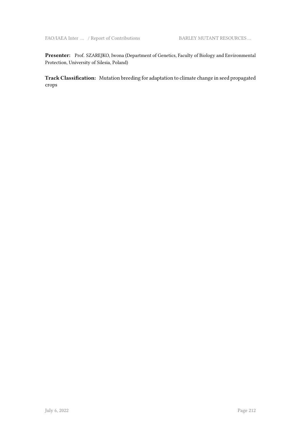**Presenter:** Prof. SZAREJKO, Iwona (Department of Genetics, Faculty of Biology and Environmental Protection, University of Silesia, Poland)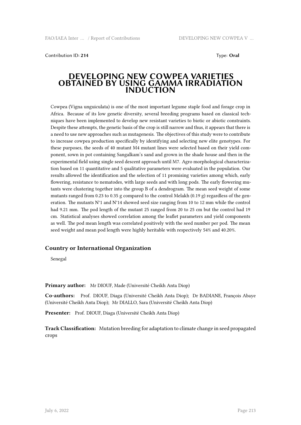Contribution ID: **214** Type: **Oral**

## **DEVELOPING NEW COWPEA VARIETIES OBTAINED BY USING GAMMA IRRADIATION INDUCTION**

Cowpea (Vigna unguiculata) is one of the most important legume staple food and forage crop in Africa. Because of its low genetic diversity, several breeding programs based on classical techniques have been implemented to develop new resistant varieties to biotic or abiotic constraints. Despite these attempts, the genetic basis of the crop is still narrow and thus, it appears that there is a need to use new approaches such as mutagenesis. The objectives of this study were to contribute to increase cowpea production specifically by identifying and selecting new elite genotypes. For these purposes, the seeds of 40 mutant M4 mutant lines were selected based on their yield component, sown in pot containing Sangalkam's sand and grown in the shade house and then in the experimental field using single seed descent approach until M7. Agro morphological characterization based on 11 quantitative and 5 qualitative parameters were evaluated in the population. Our results allowed the identification and the selection of 11 promising varieties among which, early flowering, resistance to nematodes, with large seeds and with long pods. The early flowering mutants were clustering together into the group B of a dendrogram. The mean seed weight of some mutants ranged from 0.23 to 0.35 g compared to the control Melakh (0.19 g) regardless of the generation. The mutants  $N^{\circ}1$  and  $N^{\circ}14$  showed seed size ranging from 10 to 12 mm while the control had 9.21 mm. The pod length of the mutant 25 ranged from 20 to 25 cm but the control had 19 cm. Statistical analyses showed correlation among the leaflet parameters and yield components as well. The pod mean length was correlated positively with the seed number per pod. The mean seed weight and mean pod length were highly heritable with respectively 54% and 40.20%.

## **Country or International Organization**

Senegal

**Primary author:** Mr DIOUF, Made (Université Cheikh Anta Diop)

**Co-authors:** Prof. DIOUF, Diaga (Université Cheikh Anta Diop); Dr BADIANE, François Abaye (Université Cheikh Anta Diop); Mr DIALLO, Sara (Université Cheikh Anta Diop)

**Presenter:** Prof. DIOUF, Diaga (Université Cheikh Anta Diop)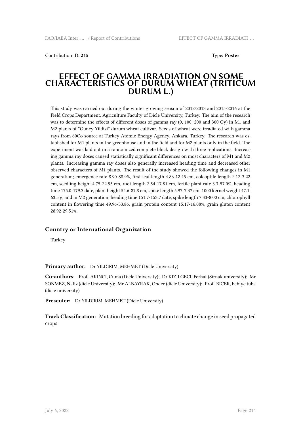Contribution ID: **215** Type: **Poster**

# **EFFECT OF GAMMA IRRADIATION ON SOME CHARACTERISTICS OF DURUM WHEAT (TRITICUM DURUM L.)**

This study was carried out during the winter growing season of 2012/2013 and 2015-2016 at the Field Crops Department, Agriculture Faculty of Dicle University, Turkey. The aim of the research was to determine the effects of different doses of gamma ray (0, 100, 200 and 300 Gy) in M1 and M2 plants of "Guney Yildizi" durum wheat cultivar. Seeds of wheat were irradiated with gamma rays from 60Co source at Turkey Atomic Energy Agency, Ankara, Turkey. The research was established for M1 plants in the greenhouse and in the field and for M2 plants only in the field. The experiment was laid out in a randomized complete block design with three replications. Increasing gamma ray doses caused statistically significant differences on most characters of M1 and M2 plants. Increasing gamma ray doses also generally increased heading time and decreased other observed characters of M1 plants. The result of the study showed the following changes in M1 generation; emergence rate 8.90-88.9%, first leaf length 4.83-12.45 cm, coleoptile length 2.12-3.22 cm, seedling height 4.75-22.95 cm, root length 2.54-17.81 cm, fertile plant rate 3.3-57.0%, heading time 175.0-179.3 date, plant height 54.6-87.8 cm, spike length 5.97-7.37 cm, 1000 kernel weight 47.1- 63.5 g, and in M2 generation; heading time 151.7-153.7 date, spike length 7.33-8.00 cm, chlorophyll content in flowering time 49.96-53.86, grain protein content 15.17-16.08%, grain gluten content 28.92-29.51%.

## **Country or International Organization**

Turkey

**Primary author:** Dr YILDIRIM, MEHMET (Dicle University)

**Co-authors:** Prof. AKINCI, Cuma (Dicle University); Dr KIZILGECI, Ferhat (Sirnak university); Mr SONMEZ, Nafiz (dicle University); Mr ALBAYRAK, Onder (dicle University); Prof. BICER, behiye tuba (dicle university)

**Presenter:** Dr YILDIRIM, MEHMET (Dicle University)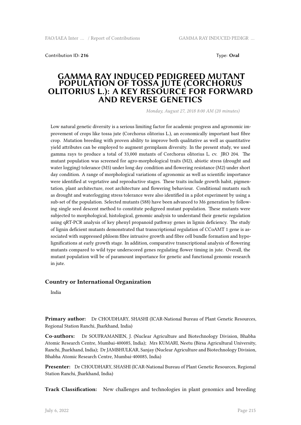Contribution ID: **216** Type: **Oral**

# **GAMMA RAY INDUCED PEDIGREED MUTANT POPULATION OF TOSSA JUTE (CORCHORUS OLITORIUS L.): A KEY RESOURCE FOR FORWARD AND REVERSE GENETICS**

*Monday, August 27, 2018 8:00 AM (20 minutes)*

Low natural genetic diversity is a serious limiting factor for academic progress and agronomic improvement of crops like tossa jute (Corchorus olitorius L.), an economically important bast fibre crop. Mutation breeding with proven ability to improve both qualitative as well as quantitative yield attributes can be employed to augment germplasm diversity. In the present study, we used gamma rays to produce a total of 33,000 mutants of Corchorus olitorius L. cv. JRO 204. The mutant population was screened for agro-morphological traits (M2), abiotic stress (drought and water logging) tolerance (M5) under long day condition and flowering resistance (M2) under short day condition. A range of morphological variations of agronomic as well as scientific importance were identified at vegetative and reproductive stages. These traits include growth habit, pigmentation, plant architecture, root architecture and flowering behaviour. Conditional mutants such as drought and waterlogging stress tolerance were also identified in a pilot experiment by using a sub-set of the population. Selected mutants (588) have been advanced to M6 generation by following single seed descent method to constitute pedigreed mutant population. These mutants were subjected to morphological, histological, genomic analysis to understand their genetic regulation using qRT-PCR analysis of key phenyl propanoid pathway genes in lignin deficiency. The study of lignin deficient mutants demonstrated that transcriptional regulation of CCoAMT 1 gene is associated with suppressed phloem fibre intrusive growth and fibre cell bundle formation and hypolignifications at early growth stage. In addition, comparative transcriptional analysis of flowering mutants compared to wild type underscored genes regulating flower timing in jute. Overall, the mutant population will be of paramount importance for genetic and functional genomic research in jute.

### **Country or International Organization**

India

**Primary author:** Dr CHOUDHARY, SHASHI (ICAR-National Bureau of Plant Genetic Resources, Regional Station Ranchi, Jharkhand, India)

**Co-authors:** Dr SOUFRAMANIEN, J. (Nuclear Agriculture and Biotechnology Division, Bhabha Atomic Research Centre, Mumbai-400085, India); Mrs KUMARI, Neetu (Birsa Agricultural University, Ranchi, Jharkhand, India); Dr JAMBHULKAR, Sanjay (Nuclear Agriculture and Biotechnology Division, Bhabha Atomic Research Centre, Mumbai-400085, India)

**Presenter:** Dr CHOUDHARY, SHASHI (ICAR-National Bureau of Plant Genetic Resources, Regional Station Ranchi, Jharkhand, India)

**Track Classification:** New challenges and technologies in plant genomics and breeding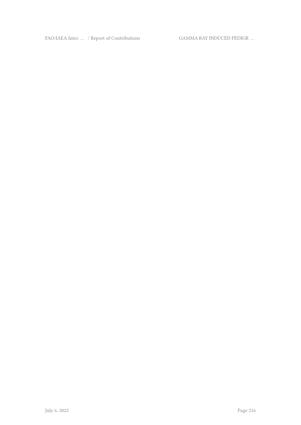FAO/IAEA Inter ... / Report of Contributions GAMMA RAY INDUCED PEDIGR ...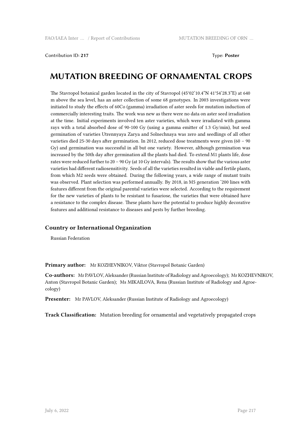Contribution ID: **217** Type: **Poster**

# **MUTATION BREEDING OF ORNAMENTAL CROPS**

The Stavropol botanical garden located in the city of Stavropol (45°02'10.4"N 41°54'28.3"E) at 640 m above the sea level, has an aster collection of some 68 genotypes. In 2003 investigations were initiated to study the effects of 60Co (gamma) irradiation of aster seeds for mutation induction of commercially interesting traits. The work was new as there were no data on aster seed irradiation at the time. Initial experiments involved ten aster varieties, which were irradiated with gamma rays with a total absorbed dose of 90-100 Gy (using a gamma emitter of 1.3 Gy/min), but seed germination of varieties Utrennyaya Zarya and Solnechnaya was zero and seedlings of all other varieties died 25-30 days after germination. In 2012, reduced dose treatments were given (60 – 90 Gy) and germination was successful in all but one variety. However, although germination was increased by the 50th day after germination all the plants had died. To extend M1 plants life, dose rates were reduced further to 20 – 90 Gy (at 10 Gy intervals). The results show that the various aster varieties had different radiosensitivity. Seeds of all the varieties resulted in viable and fertile plants, from which M2 seeds were obtained. During the following years, a wide range of mutant traits was observed. Plant selection was performed annually. By 2018, in M5 generation ˜200 lines with features different from the original parental varieties were selected. According to the requirement for the new varieties of plants to be resistant to fusariose, the varieties that were obtained have a resistance to the complex disease. These plants have the potential to produce highly decorative features and additional resistance to diseases and pests by further breeding.

### **Country or International Organization**

Russian Federation

**Primary author:** Mr KOZHEVNIKOV, Viktor (Stavropol Botanic Garden)

**Co-authors:** Mr PAVLOV, Aleksander (Russian Institute of Radiology and Agroecology); Mr KOZHEVNIKOV, Anton (Stavropol Botanic Garden); Ms MIKAILOVA, Rena (Russian Institute of Radiology and Agroecology)

**Presenter:** Mr PAVLOV, Aleksander (Russian Institute of Radiology and Agroecology)

**Track Classification:** Mutation breeding for ornamental and vegetatively propagated crops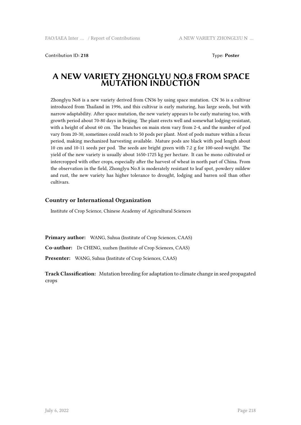Contribution ID: **218** Type: **Poster**

## **A NEW VARIETY ZHONGLYU NO.8 FROM SPACE MUTATION INDUCTION**

Zhonglyu No8 is a new variety derived from CN36 by using space mutation. CN 36 is a cultivar introduced from Thailand in 1996, and this cultivar is early maturing, has large seeds, but with narrow adaptability. After space mutation, the new variety appears to be early maturing too, with growth period about 70-80 days in Beijing. The plant erects well and somewhat lodging-resistant, with a height of about 60 cm. The branches on main stem vary from 2-4, and the number of pod vary from 20-30, sometimes could reach to 50 pods per plant. Most of pods mature within a focus period, making mechanized harvesting available. Mature pods are black with pod length about 10 cm and 10-11 seeds per pod. The seeds are bright green with 7.2 g for 100-seed-weight. The yield of the new variety is usually about 1650-1725 kg per hectare. It can be mono cultivated or intercropped with other crops, especially after the harvest of wheat in north part of China. From the observation in the field, Zhonglyu No.8 is moderately resistant to leaf spot, powdery mildew and rust, the new variety has higher tolerance to drought, lodging and barren soil than other cultivars.

#### **Country or International Organization**

Institute of Crop Science, Chinese Academy of Agricultural Sciences

**Primary author:** WANG, Suhua (Institute of Crop Sciences, CAAS)

**Co-author:** Dr CHENG, xuzhen (Institute of Crop Sciences, CAAS)

**Presenter:** WANG, Suhua (Institute of Crop Sciences, CAAS)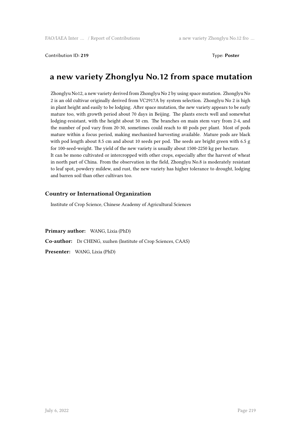Contribution ID: **219** Type: **Poster**

# **a new variety Zhonglyu No.12 from space mutation**

Zhonglyu No12, a new variety derived from Zhonglyu No 2 by using space mutation. Zhonglyu No 2 is an old cultivar originally derived from VC2917A by system selection. Zhonglyu No 2 is high in plant height and easily to be lodging. After space mutation, the new variety appears to be early mature too, with growth period about 70 days in Beijing. The plants erects well and somewhat lodging-resistant, with the height about 50 cm. The branches on main stem vary from 2-4, and the number of pod vary from 20-30, sometimes could reach to 40 pods per plant. Most of pods mature within a focus period, making mechanized harvesting available. Mature pods are black with pod length about 8.5 cm and about 10 seeds per pod. The seeds are bright green with 6.5 g for 100-seed-weight. The yield of the new variety is usually about 1500-2250 kg per hectare. It can be mono cultivated or intercropped with other crops, especially after the harvest of wheat in north part of China. From the observation in the field, Zhonglyu No.8 is moderately resistant to leaf spot, powdery mildew, and rust, the new variety has higher tolerance to drought, lodging and barren soil than other cultivars too.

### **Country or International Organization**

Institute of Crop Science, Chinese Academy of Agricultural Sciences

**Primary author:** WANG, Lixia (PhD) **Co-author:** Dr CHENG, xuzhen (Institute of Crop Sciences, CAAS) **Presenter:** WANG, Lixia (PhD)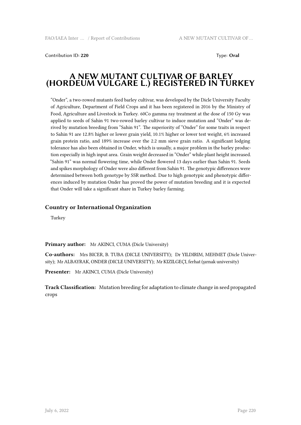Contribution ID: **220** Type: **Oral**

# **A NEW MUTANT CULTIVAR OF BARLEY (HORDEUM VULGARE L.) REGISTERED IN TURKEY**

"Onder", a two-rowed mutants feed barley cultivar, was developed by the Dicle University Faculty of Agriculture, Department of Field Crops and it has been registered in 2016 by the Ministry of Food, Agriculture and Livestock in Turkey. 60Co gamma ray treatment at the dose of 150 Gy was applied to seeds of Sahin 91 two-rowed barley cultivar to induce mutation and "Onder" was derived by mutation breeding from "Sahin 91". The superiority of "Onder" for some traits in respect to Sahin 91 are 12.8% higher or lower grain yield, 10.1% higher or lower test weight, 6% increased grain protein ratio, and 189% increase over the 2.2 mm sieve grain ratio. A significant lodging tolerance has also been obtained in Onder, which is usually, a major problem in the barley production especially in high input area. Grain weight decreased in "Onder" while plant height increased. "Sahin 91" was normal flowering time, while Onder flowered 13 days earlier than Sahin 91. Seeds and spikes morphology of Onder were also different from Sahin 91. The genotypic differences were determined between both genotype by SSR method. Due to high genotypic and phenotypic differences induced by mutation Onder has proved the power of mutation breeding and it is expected that Onder will take a significant share in Turkey barley farming.

#### **Country or International Organization**

Turkey

**Primary author:** Mr AKINCI, CUMA (Dicle University)

**Co-authors:** Mrs BICER, B. TUBA (DICLE UNIVERSITY); Dr YILDIRIM, MEHMET (Dicle University); Mr ALBAYRAK, ONDER (DICLE UNIVERSITY); Mr KIZILGEÇI, ferhat (şırnak university)

**Presenter:** Mr AKINCI, CUMA (Dicle University)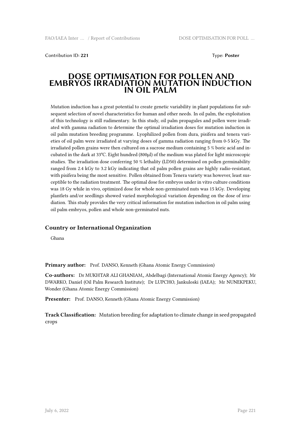Contribution ID: **221** Type: **Poster**

## **DOSE OPTIMISATION FOR POLLEN AND EMBRYOS IRRADIATION MUTATION INDUCTION IN OIL PALM**

Mutation induction has a great potential to create genetic variability in plant populations for subsequent selection of novel characteristics for human and other needs. In oil palm, the exploitation of this technology is still rudimentary. In this study, oil palm propagules and pollen were irradiated with gamma radiation to determine the optimal irradiation doses for mutation induction in oil palm mutation breeding programme. Lyophilized pollen from dura, pisifera and tenera varieties of oil palm were irradiated at varying doses of gamma radiation ranging from 0-5 kGy. The irradiated pollen grains were then cultured on a sucrose medium containing 5 % boric acid and incubated in the dark at 33°C. Eight hundred (800µl) of the medium was plated for light microscopic studies. The irradiation dose conferring 50 % lethality (LD50) determined on pollen germinability ranged from 2.4 kGy to 3.2 kGy indicating that oil palm pollen grains are highly radio-resistant, with pisifera being the most sensitive. Pollen obtained from Tenera variety was however, least susceptible to the radiation treatment. The optimal dose for embryos under in vitro culture conditions was 18 Gy while in vivo, optimized dose for whole non-germinated nuts was 15 kGy. Developing plantlets and/or seedlings showed varied morphological variation depending on the dose of irradiation. This study provides the very critical information for mutation induction in oil palm using oil palm embryos, pollen and whole non-germinated nuts.

### **Country or International Organization**

Ghana

Primary author: Prof. DANSO, Kenneth (Ghana Atomic Energy Commission)

Co-authors: Dr MUKHTAR ALI GHANIAM, Abdelbagi (International Atomic Energy Agency); Mr DWARKO, Daniel (Oil Palm Research Institute); Dr LUPCHO, Jankuloski (IAEA); Mr NUNEKPEKU, Wonder (Ghana Atomic Energy Commission)

Presenter: Prof. DANSO, Kenneth (Ghana Atomic Energy Commission)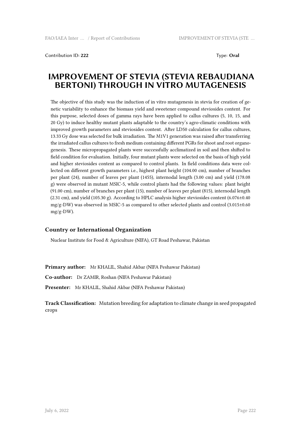Contribution ID: **222** Type: **Oral**

# **IMPROVEMENT OF STEVIA (STEVIA REBAUDIANA BERTONI) THROUGH IN VITRO MUTAGENESIS**

The objective of this study was the induction of in vitro mutagenesis in stevia for creation of genetic variability to enhance the biomass yield and sweetener compound steviosides content. For this purpose, selected doses of gamma rays have been applied to callus cultures (5, 10, 15, and 20 Gy) to induce healthy mutant plants adaptable to the country's agro-climatic conditions with improved growth parameters and steviosides content. After LD50 calculation for callus cultures, 13.33 Gy dose was selected for bulk irradiation. The M1V1 generation was raised after transferring the irradiated callus cultures to fresh medium containing different PGRs for shoot and root organogenesis. These micropropagated plants were successfully acclimatized in soil and then shifted to field condition for evaluation. Initially, four mutant plants were selected on the basis of high yield and higher steviosides content as compared to control plants. In field conditions data were collected on different growth parameters i.e., highest plant height (104.00 cm), number of branches per plant (24), number of leaves per plant (1455), internodal length (3.00 cm) and yield (178.08 g) were observed in mutant MSIC-5, while control plants had the following values: plant height (91.00 cm), number of branches per plant (15), number of leaves per plant (815), internodal length (2.31 cm), and yield (105.30 g). According to HPLC analysis higher steviosides content (6.076±0.40 mg/g-DW) was observed in MSIC-5 as compared to other selected plants and control (3.015±0.60 mg/g-DW).

### **Country or International Organization**

Nuclear Institute for Food & Agriculture (NIFA), GT Road Peshawar, Pakistan

**Primary author:** Mr KHALIL, Shahid Akbar (NIFA Peshawar Pakistan)

**Co-author:** Dr ZAMIR, Roshan (NIFA Peshawar Pakistan)

**Presenter:** Mr KHALIL, Shahid Akbar (NIFA Peshawar Pakistan)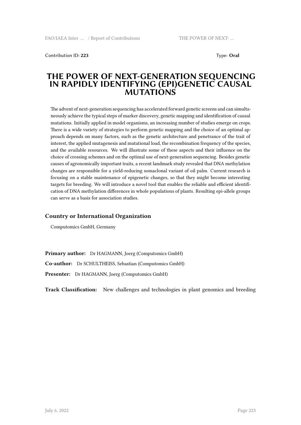Contribution ID: **223** Type: **Oral**

# **THE POWER OF NEXT-GENERATION SEQUENCING IN RAPIDLY IDENTIFYING (EPI)GENETIC CAUSAL MUTATIONS**

The advent of next-generation sequencing has accelerated forward genetic screens and can simultaneously achieve the typical steps of marker discovery, genetic mapping and identification of causal mutations. Initially applied in model organisms, an increasing number of studies emerge on crops. There is a wide variety of strategies to perform genetic mapping and the choice of an optimal approach depends on many factors, such as the genetic architecture and penetrance of the trait of interest, the applied mutagenesis and mutational load, the recombination frequency of the species, and the available resources. We will illustrate some of these aspects and their influence on the choice of crossing schemes and on the optimal use of next-generation sequencing. Besides genetic causes of agronomically important traits, a recent landmark study revealed that DNA methylation changes are responsible for a yield-reducing somaclonal variant of oil palm. Current research is focusing on a stable maintenance of epigenetic changes, so that they might become interesting targets for breeding. We will introduce a novel tool that enables the reliable and efficient identification of DNA methylation differences in whole populations of plants. Resulting epi-allele groups can serve as a basis for association studies.

### **Country or International Organization**

Computomics GmbH, Germany

**Primary author:** Dr HAGMANN, Joerg (Computomics GmbH) **Co-author:** Dr SCHULTHEISS, Sebastian (Computomics GmbH) **Presenter:** Dr HAGMANN, Joerg (Computomics GmbH)

**Track Classification:** New challenges and technologies in plant genomics and breeding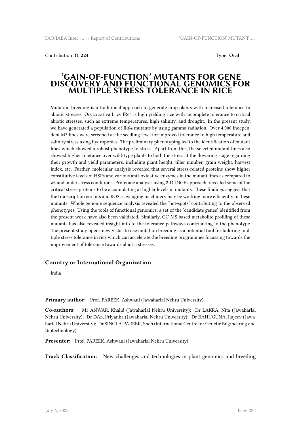Contribution ID: **224** Type: **Oral**

### **'GAIN-OF-FUNCTION' MUTANTS FOR GENE DISCOVERY AND FUNCTIONAL GENOMICS FOR MULTIPLE STRESS TOLERANCE IN RICE**

Mutation breeding is a traditional approach to generate crop plants with increased tolerance to abiotic stresses. Oryza sativa L. cv IR64 is high yielding rice with incomplete tolerance to critical abiotic stresses, such as extreme temperatures, high salinity, and drought. In the present study, we have generated a population of IR64 mutants by using gamma radiation. Over 4,000 independent M3 lines were screened at the seedling level for improved tolerance to high temperature and salinity stress using hydroponics. The preliminary phenotyping led to the identification of mutant lines which showed a robust phenotype to stress. Apart from this, the selected mutant lines also showed higher tolerance over wild-type plants to both the stress at the flowering stage regarding their growth and yield parameters, including plant height, tiller number, grain weight, harvest index, etc. Further, molecular analysis revealed that several stress-related proteins show higher constitutive levels of HSPs and various anti-oxidative enzymes in the mutant lines as compared to wt and under stress conditions. Proteome analysis using 2-D-DIGE approach, revealed some of the critical stress proteins to be accumulating at higher levels in mutants. These findings suggest that the transcription circuits and ROS scavenging machinery may be working more efficiently in these mutants. Whole genome sequence analysis revealed the 'hot-spots' contributing to the observed phenotypes. Using the tools of functional genomics, a set of the 'candidate genes' identified from the present work have also been validated. Similarly, GC-MS based metabolite profiling of these mutants has also revealed insight into to the tolerance pathways contributing to the phenotype. The present study opens new vistas to use mutation breeding as a potential tool for tailoring multiple stress tolerance in rice which can accelerate the breeding programmes focussing towards the improvement of tolerance towards abiotic stresses.

#### **Country or International Organization**

India

#### Primary author: Prof. PAREEK, Ashwani (Jawaharlal Nehru University)

**Co-authors:** Mr ANWAR, Khalid (Jawaharlal Nehru University); Dr LAKRA, Nita (Jawaharlal Nehru University); Dr DAS, Priyanka (Jawaharlal Nehru University); Dr BAHUGUNA, Rajeev (Jawaharlal Nehru University); Dr SINGLA-PAREEK, Sneh (International Centre for Genetic Engineering and Biotechnology)

Presenter: Prof. PAREEK, Ashwani (Jawaharlal Nehru University)

**Track Classification:** New challenges and technologies in plant genomics and breeding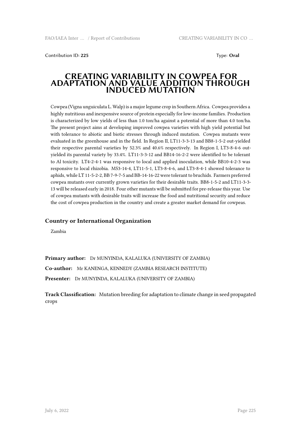Contribution ID: **225** Type: **Oral**

### **CREATING VARIABILITY IN COWPEA FOR ADAPTATION AND VALUE ADDITION THROUGH INDUCED MUTATION**

Cowpea (Vigna unguiculata L. Walp) is a major legume crop in Southern Africa. Cowpea provides a highly nutritious and inexpensive source of protein especially for low-income families. Production is characterized by low yields of less than 1.0 ton/ha against a potential of more than 4.0 ton/ha. The present project aims at developing improved cowpea varieties with high yield potential but with tolerance to abiotic and biotic stresses through induced mutation. Cowpea mutants were evaluated in the greenhouse and in the field. In Region II, LT11-3-3-13 and BB8-1-5-2 out-yielded their respective parental varieties by 52.3% and 40.6% respectively. In Region I, LT3-8-4-6 outyielded its parental variety by 33.4%. LT11-3-3-12 and BB14-16-2-2 were identified to be tolerant to Al toxicity. LT4-2-4-1 was responsive to local and applied inoculation, while BB10-4-2-3 was responsive to local rhizobia. MS3-14-4, LT11-5-1, LT3-8-4-6, and LT3-8-4-1 showed tolerance to aphids, while LT 11-5-2-2, BB 7-9-7-5 and BB-14-16-22 were tolerant to bruchids. Farmers preferred cowpea mutants over currently grown varieties for their desirable traits. BB8-1-5-2 and LT11-3-3- 13 will be released early in 2018. Four other mutants will be submitted for pre-release this year. Use of cowpea mutants with desirable traits will increase the food and nutritional security and reduce the cost of cowpea production in the country and create a greater market demand for cowpeas.

### **Country or International Organization**

Zambia

**Primary author:** Dr MUNYINDA, KALALUKA (UNIVERSITY OF ZAMBIA) **Co-author:** Mr KANENGA, KENNEDY (ZAMBIA RESEARCH INSTITUTE) **Presenter:** Dr MUNYINDA, KALALUKA (UNIVERSITY OF ZAMBIA)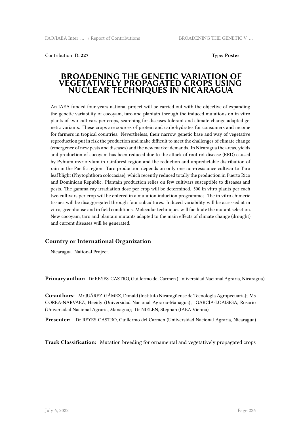Contribution ID: **227** Type: **Poster**

### **BROADENING THE GENETIC VARIATION OF VEGETATIVELY PROPAGATED CROPS USING NUCLEAR TECHNIQUES IN NICARAGUA**

An IAEA-funded four years national project will be carried out with the objective of expanding the genetic variability of cocoyam, taro and plantain through the induced mutations on in vitro plants of two cultivars per crops, searching for diseases tolerant and climate change adapted genetic variants. These crops are sources of protein and carbohydrates for consumers and income for farmers in tropical countries. Nevertheless, their narrow genetic base and way of vegetative reproduction put in risk the production and make difficult to meet the challenges of climate change (emergence of new pests and diseases) and the new market demands. In Nicaragua the areas, yields and production of cocoyam has been reduced due to the attack of root rot disease (RRD) caused by Pyhium myriotylum in rainforest region and the reduction and unpredictable distribution of rain in the Pacific region. Taro production depends on only one non-resistance cultivar to Taro leaf blight (Phytophthora colocasiae), which recently reduced totally the production in Puerto Rico and Dominican Republic. Plantain production relies on few cultivars susceptible to diseases and pests. The gamma-ray irradiation dose per crop will be determined. 500 in vitro plants per each two cultivars per crop will be entered in a mutation induction programmes. The in vitro chimeric tissues will be disaggregated through four subcultures. Induced variability will be assessed at in vitro, greenhouse and in field conditions. Molecular techniques will facilitate the mutant selection. New cocoyam, taro and plantain mutants adapted to the main effects of climate change (drought) and current diseases will be generated.

### **Country or International Organization**

Nicaragua. National Project.

**Primary author:** Dr REYES-CASTRO, Guillermo del Carmen (Uniiversidad Nacional Agraria, Nicaragua)

**Co-authors:** Mr JUÁREZ-GÁMEZ, Donald (Instituto Nicaragüense de Tecnología Agropecuaria); Ms COREA-NARVÁEZ, Heeidy (Universidad Nacional Agraria-Managua); GARCÍA-LOÁISIGA, Rosario (Universidad Nacional Agraria, Managua); Dr NIELEN, Stephan (IAEA-Vienna)

**Presenter:** Dr REYES-CASTRO, Guillermo del Carmen (Uniiversidad Nacional Agraria, Nicaragua)

**Track Classification:** Mutation breeding for ornamental and vegetatively propagated crops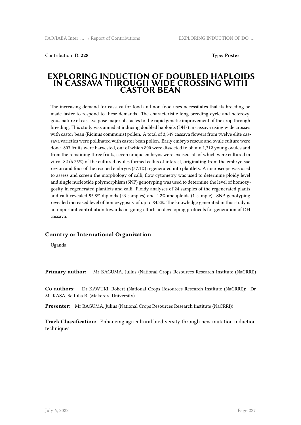Contribution ID: **228** Type: **Poster**

## **EXPLORING INDUCTION OF DOUBLED HAPLOIDS IN CASSAVA THROUGH WIDE CROSSING WITH CASTOR BEAN**

The increasing demand for cassava for food and non-food uses necessitates that its breeding be made faster to respond to these demands. The characteristic long breeding cycle and heterozygous nature of cassava pose major obstacles to the rapid genetic improvement of the crop through breeding. This study was aimed at inducing doubled haploids (DHs) in cassava using wide crosses with castor bean (Ricinus communis) pollen. A total of 3,349 cassava flowers from twelve elite cassava varieties were pollinated with castor bean pollen. Early embryo rescue and ovule culture were done. 803 fruits were harvested, out of which 800 were dissected to obtain 1,312 young ovules and from the remaining three fruits, seven unique embryos were excised, all of which were cultured in vitro. 82 (6.25%) of the cultured ovules formed callus of interest, originating from the embryo sac region and four of the rescued embryos (57.1%) regenerated into plantlets. A microscope was used to assess and screen the morphology of calli, flow cytometry was used to determine ploidy level and single nucleotide polymorphism (SNP) genotyping was used to determine the level of homozygosity in regenerated plantlets and calli. Ploidy analyses of 24 samples of the regenerated plants and calli revealed 95.8% diploids (23 samples) and 4.2% aneuploids (1 sample). SNP genotyping revealed increased level of homozygosity of up to 84.2%. The knowledge generated in this study is an important contribution towards on-going efforts in developing protocols for generation of DH cassava.

### **Country or International Organization**

Uganda

**Primary author:** Mr BAGUMA, Julius (National Crops Resources Research Institute (NaCRRI))

**Co-authors:** Dr KAWUKI, Robert (National Crops Resources Research Institute (NaCRRI)); Dr MUKASA, Settuba B. (Makerere University)

**Presenter:** Mr BAGUMA, Julius (National Crops Resources Research Institute (NaCRRI))

**Track Classification:** Enhancing agricultural biodiversity through new mutation induction techniques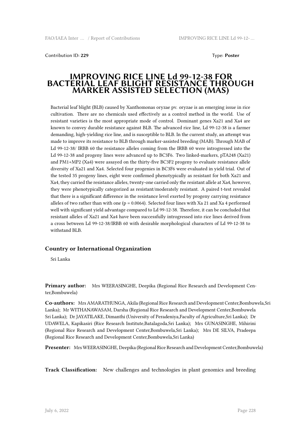Contribution ID: **229** Type: **Poster**

## **IMPROVING RICE LINE Ld 99-12-38 FOR BACTERIAL LEAF BLIGHT RESISTANCE THROUGH MARKER ASSISTED SELECTION (MAS)**

Bacterial leaf blight (BLB) caused by Xanthomonas oryzae pv. oryzae is an emerging issue in rice cultivation. There are no chemicals used effectively as a control method in the world. Use of resistant varieties is the most appropriate mode of control. Dominant genes Xa21 and Xa4 are known to convey durable resistance against BLB. The advanced rice line, Ld 99-12-38 is a farmer demanding, high-yielding rice line, and is susceptible to BLB. In the current study, an attempt was made to improve its resistance to BLB through marker-assisted breeding (MAB). Through MAB of Ld 99-12-38/ IRBB 60 the resistance alleles coming from the IRBB 60 were introgressed into the Ld 99-12-38 and progeny lines were advanced up to BC3F6. Two linked-markers, pTA248 (Xa21) and PM1+MP2 (Xa4) were assayed on the thirty-five BC3F2 progeny to evaluate resistance allele diversity of Xa21 and Xa4. Selected four progenies in BC3F6 were evaluated in yield trial. Out of the tested 35 progeny lines, eight were confirmed phenotypically as resistant for both Xa21 and Xa4, they carried the resistance alleles, twenty-one carried only the resistant allele at Xa4, however, they were phenotypically categorized as resistant/moderately resistant. A paired t-test revealed that there is a significant difference in the resistance level exerted by progeny carrying resistance alleles of two rather than with one ( $p = 0.0064$ ). Selected four lines with Xa 21 and Xa 4 performed well with significant yield advantage compared to Ld 99-12-38. Therefore, it can be concluded that resistant alleles of Xa21 and Xa4 have been successfully introgressed into rice lines derived from a cross between Ld 99-12-38/IRBB 60 with desirable morphological characters of Ld 99-12-38 to withstand BLB.

### **Country or International Organization**

Sri Lanka

**Primary author:** Mrs WEERASINGHE, Deepika (Regional Rice Research and Development Center,Bombuwela)

**Co-authors:** Mrs AMARATHUNGA, Akila (Regional Rice Research and Development Center,Bombuwela,Sri Lanka); Mr WITHANAWASAM, Darsha (Regional Rice Research and Development Center,Bombuwela Sri Lanka); Dr JAYATILAKE, Dimanthi (University of Peradeniya,Faculty of Agriculture,Sri Lanka); Dr UDAWELA, Kapikasiri (Rice Research Institute,Batalagoda,Sri Lanka); Mrs GUNASINGHE, Mihirini (Regional Rice Research and Development Center,Bombuwela,Sri Lanka); Mrs DE SILVA, Pradeepa (Regional Rice Research and Development Center,Bombuwela,Sri Lanka)

**Presenter:** Mrs WEERASINGHE, Deepika (Regional Rice Research and Development Center,Bombuwela)

**Track Classification:** New challenges and technologies in plant genomics and breeding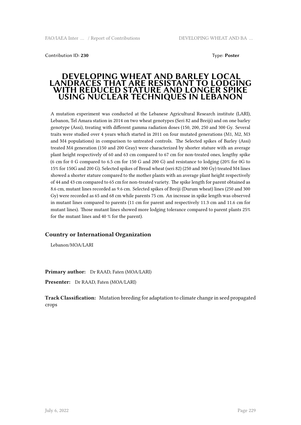Contribution ID: **230** Type: **Poster**

### **DEVELOPING WHEAT AND BARLEY LOCAL LANDRACES THAT ARE RESISTANT TO LODGING WITH REDUCED STATURE AND LONGER SPIKE USING NUCLEAR TECHNIQUES IN LEBANON**

A mutation experiment was conducted at the Lebanese Agricultural Research institute (LARI), Lebanon, Tel Amara station in 2014 on two wheat genotypes (Seri 82 and Breiji) and on one barley genotype (Assi), treating with different gamma radiation doses (150, 200, 250 and 300 Gy. Several traits were studied over 4 years which started in 2011 on four mutated generations (M1, M2, M3 and M4 populations) in comparison to untreated controls. The Selected spikes of Barley (Assi) treated M4 generation (150 and 200 Gray) were characterized by shorter stature with an average plant height respectively of 60 and 63 cm compared to 67 cm for non-treated ones, lengthy spike (6 cm for 0 G compared to 6.5 cm for 150 G and 200 G) and resistance to lodging (20% for 0G to 15% for 150G and 200 G). Selected spikes of Bread wheat (seri 82) (250 and 300 Gy) treated M4 lines showed a shorter stature compared to the mother plants with an average plant height respectively of 44 and 43 cm compared to 65 cm for non-treated variety. The spike length for parent obtained as 8.6 cm, mutant lines recorded as 9.6 cm. Selected spikes of Breiji (Durum wheat) lines (250 and 300 Gy) were recorded as 65 and 68 cm while parents 75 cm. An increase in spike length was observed in mutant lines compared to parents (11 cm for parent and respectively 11.3 cm and 11.6 cm for mutant lines). Those mutant lines showed more lodging tolerance compared to parent plants 25% for the mutant lines and 40 % for the parent).

### **Country or International Organization**

Lebanon/MOA/LARI

**Primary author:** Dr RAAD, Faten (MOA/LARI)

**Presenter:** Dr RAAD, Faten (MOA/LARI)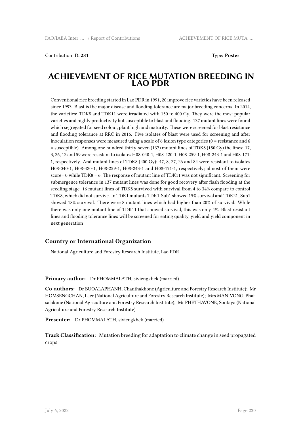Contribution ID: **231** Type: **Poster**

## **ACHIEVEMENT OF RICE MUTATION BREEDING IN LAO PDR**

Conventional rice breeding started in Lao PDR in 1991, 20 improve rice varieties have been released since 1993. Blast is the major disease and flooding tolerance are major breeding concerns. In 2014, the varieties: TDK8 and TDK11 were irradiated with 150 to 400 Gy. They were the most popular varieties and highly productivity but susceptible to blast and flooding. 137 mutant lines were found which segregated for seed colour, plant high and maturity. These were screened for blast resistance and flooding tolerance at RRC in 2016. Five isolates of blast were used for screening and after inoculation responses were measured using a scale of 6 lesion type categories ( $0 =$  resistance and  $6$ = susceptible). Among one hundred thirty-seven (137) mutant lines of TDK8 (150 Gy) the lines: 17, 3, 26, 12 and 59 were resistant to isolates H08-040-1, H08-420-1, H08-259-1, H08-243-1 and H08-171- 1, respectively. And mutant lines of TDK8 (200 Gy): 47, 8, 27, 26 and 84 were resistant to isolates H08-040-1, H08-420-1, H08-259-1, H08-243-1 and H08-171-1, respectively; almost of them were score= 0 while TDK8 = 6. The response of mutant line of TDK11 was not significant. Screening for submergence tolerance in 137 mutant lines was done for good recovery after flash flooding at the seedling stage. 16 mutant lines of TDK8 survived with survival from 4 to 34% compare to control TDK8, which did not survive. In TDK1 mutants TDK1-Sub1 showed 15% survival and TDK21\_Sub1 showed 18% survival. There were 8 mutant lines which had higher than 20% of survival. While there was only one mutant line of TDK11 that showed survival, this was only 4%. Blast resistant lines and flooding tolerance lines will be screened for eating quality, yield and yield component in next generation

### **Country or International Organization**

National Agriculture and Forestry Research Institute, Lao PDR

#### **Primary author:** Dr PHOMMALATH, siviengkhek (married)

**Co-authors:** Dr BUOALAPHANH, Chanthakhone (Agriculture and Forestry Research Institute); Mr HOMSENGCHAN, Laer (National Agriculture and Forestry Research Institute); Mrs MANIVONG, Phatsalakone (National Agriculture and Forestry Research Institute); Mr PHETHAVONE, Sontaya (National Agriculture and Forestry Research Institute)

**Presenter:** Dr PHOMMALATH, siviengkhek (married)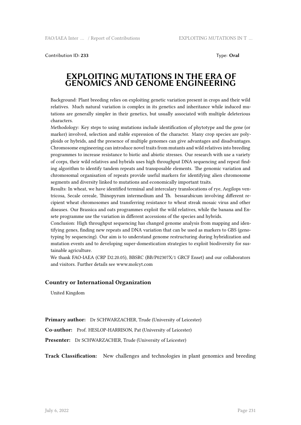Contribution ID: **233** Type: **Oral**

## **EXPLOITING MUTATIONS IN THE ERA OF GENOMICS AND GENOME ENGINEERING**

Background: Plant breeding relies on exploiting genetic variation present in crops and their wild relatives. Much natural variation is complex in its genetics and inheritance while induced mutations are generally simpler in their genetics, but usually associated with multiple deleterious characters.

Methodology: Key steps to using mutations include identification of phytotype and the gene (or marker) involved, selection and stable expression of the character. Many crop species are polyploids or hybrids, and the presence of multiple genomes can give advantages and disadvantages. Chromosome engineering can introduce novel traits from mutants and wild relatives into breeding programmes to increase resistance to biotic and abiotic stresses. Our research with use a variety of corps, their wild relatives and hybrids uses high throughput DNA sequencing and repeat finding algorithm to identify tandem repeats and transposable elements. The genomic variation and chromosomal organisation of repeats provide useful markers for identifying alien chromosome segments and diversity linked to mutations and economically important traits.

Results: In wheat, we have identified terminal and intercalary translocations of rye, Aegilops ventricosa, Secale cereale, Thinopyrum intermedium and Th. bessarabicum involving different recipient wheat chromosomes and transferring resistance to wheat streak mosaic virus and other diseases. Our Brassica and oats programmes exploit the wild relatives, while the banana and Ensete programme use the variation in different accessions of the species and hybrids.

Conclusion: High throughput sequencing has changed genome analysis from mapping and identifying genes, finding new repeats and DNA variation that can be used as markers to GBS (genotyping by sequencing). Our aim is to understand genome restructuring during hybridization and mutation events and to developing super-domestication strategies to exploit biodiversity for sustainable agriculture.

We thank FAO-IAEA (CRP D2.20.05), BBSRC (BB/P02307X/1 GRCF Enset) and our collaborators and visitors. Further details see www.molcyt.com

#### **Country or International Organization**

United Kingdom

**Primary author:** Dr SCHWARZACHER, Trude (University of Leicester)

**Co-author:** Prof. HESLOP-HARRISON, Pat (University of Leicester)

**Presenter:** Dr SCHWARZACHER, Trude (University of Leicester)

**Track Classification:** New challenges and technologies in plant genomics and breeding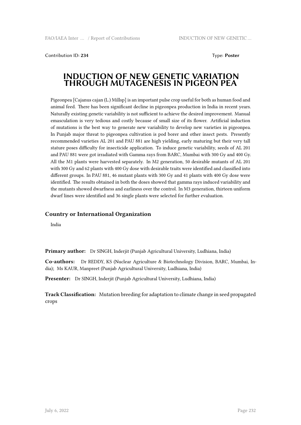Contribution ID: **234** Type: **Poster**

# **INDUCTION OF NEW GENETIC VARIATION THROUGH MUTAGENESIS IN PIGEON PEA**

Pigeonpea [Cajanus cajan (L.) Millsp] is an important pulse crop useful for both as human food and animal feed. There has been significant decline in pigeonpea production in India in recent years. Naturally existing genetic variability is not sufficient to achieve the desired improvement. Manual emasculation is very tedious and costly because of small size of its flower. Artificial induction of mutations is the best way to generate new variability to develop new varieties in pigeonpea. In Punjab major threat to pigeonpea cultivation is pod borer and other insect pests. Presently recommended varieties AL 201 and PAU 881 are high yielding, early maturing but their very tall stature poses difficulty for insecticide application. To induce genetic variability, seeds of AL 201 and PAU 881 were got irradiated with Gamma rays from BARC, Mumbai with 300 Gy and 400 Gy. All the M1 plants were harvested separately. In M2 generation, 50 desirable mutants of AL 201 with 300 Gy and 62 plants with 400 Gy dose with desirable traits were identified and classified into different groups. In PAU 881, 46 mutant plants with 300 Gy and 41 plants with 400 Gy dose were identified. The results obtained in both the doses showed that gamma rays induced variability and the mutants showed dwarfness and earliness over the control. In M3 generation, thirteen uniform dwarf lines were identified and 36 single plants were selected for further evaluation.

### **Country or International Organization**

India

**Primary author:** Dr SINGH, Inderjit (Punjab Agricultural University, Ludhiana, India)

**Co-authors:** Dr REDDY, KS (Nuclear Agriculture & Biotechnology Division, BARC, Mumbai, India); Ms KAUR, Manpreet (Punjab Agricultural University, Ludhiana, India)

**Presenter:** Dr SINGH, Inderjit (Punjab Agricultural University, Ludhiana, India)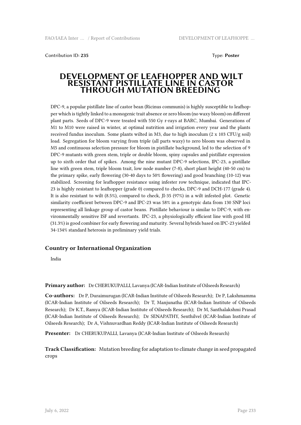Contribution ID: **235** Type: **Poster**

### **DEVELOPMENT OF LEAFHOPPER AND WILT RESISTANT PISTILLATE LINE IN CASTOR THROUGH MUTATION BREEDING**

DPC-9, a popular pistillate line of castor bean (Ricinus communis) is highly susceptible to leafhopper which is tightly linked to a monogenic trait absence or zero bloom (no waxy bloom) on different plant parts. Seeds of DPC-9 were treated with 550 Gy r-rays at BARC, Mumbai. Generations of M1 to M10 were raised in winter, at optimal nutrition and irrigation every year and the plants received fundus inoculum. Some plants wilted in M3, due to high inoculum (2 x 103 CFU/g soil) load. Segregation for bloom varying from triple (all parts waxy) to zero bloom was observed in M5 and continuous selection pressure for bloom in pistillate background, led to the selection of 9 DPC-9 mutants with green stem, triple or double bloom, spiny capsules and pistillate expression up to sixth order that of spikes. Among the nine mutant DPC-9 selections, IPC-23, a pistillate line with green stem, triple bloom trait, low node number (7-8), short plant height (40-50 cm) to the primary spike, early flowering (30-40 days to 50% flowering) and good branching (10-12) was stabilized. Screening for leafhopper resistance using infester row technique, indicated that IPC-23 is highly resistant to leafhopper (grade 0) compared to checks, DPC-9 and DCH-177 (grade 4). It is also resistant to wilt (8.5%), compared to check, JI-35 (97%) in a wilt infested plot. Genetic similarity coefficient between DPC-9 and IPC-23 was 58% in a genotypic data from 130 SNP loci representing all linkage group of castor beans. Pistillate behaviour is similar to DPC-9, with environmentally sensitive ISF and revertants. IPC-23, a physiologically efficient line with good HI (31.3%) is good combiner for early flowering and maturity. Several hybrids based on IPC-23 yielded 34-134% standard heterosis in preliminary yield trials.

### **Country or International Organization**

India

#### **Primary author:** Dr CHERUKUPALLI, Lavanya (ICAR-Indian Institute of Oilseeds Research)

**Co-authors:** Dr P, Duraimurugan (ICAR-Indian Institute of Oilseeds Research); Dr P, Lakshmamma (ICAR-Indian Institute of Oilseeds Research); Dr T, Manjunatha (ICAR-Indian Institute of Oilseeds Research); Dr K.T., Ramya (ICAR-Indian Institute of Oilseeds Research); Dr M, Santhalakshmi Prasad (ICAR-Indian Institute of Oilseeds Research); Dr SENAPATHY, Senthilvel (ICAR-Indian Institute of Oilseeds Research); Dr A, Vishnuvardhan Reddy (ICAR-Indian Institute of Oilseeds Research)

**Presenter:** Dr CHERUKUPALLI, Lavanya (ICAR-Indian Institute of Oilseeds Research)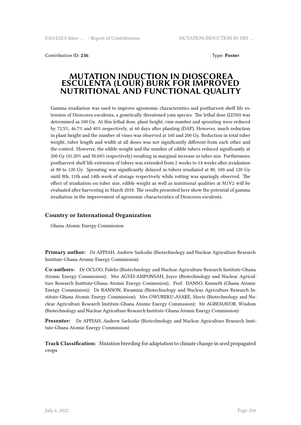Contribution ID: **236** Type: **Poster**

# **MUTATION INDUCTION IN DIOSCOREA ESCULENTA (LOUR) BURK FOR IMPROVED NUTRITIONAL AND FUNCTIONAL QUALITY**

Gamma irradiation was used to improve agronomic characteristics and postharvest shelf life extension of Dioscorea esculenta, a genetically threatened yam species. The lethal dose (LD50) was determined as 100 Gy. At this lethal dose, plant height, vine number and sprouting were reduced by 72.5%, 46.7% and 40% respectively, at 60 days after planting (DAP). However, much reduction in plant height and the number of vines was observed at 160 and 200 Gy. Reduction in total tuber weight, tuber length and width at all doses was not significantly different from each other and the control. However, the edible weight and the number of edible tubers reduced significantly at 200 Gy (41.20% and 30.04% respectively) resulting in marginal increase in tuber size. Furthermore, postharvest shelf life extension of tubers was extended from 2 weeks to 14 weeks after irradiation at 80 to 120 Gy. Sprouting was significantly delayed in tubers irradiated at 80, 100 and 120 Gy until 8th, 11th and 14th week of storage respectively while rotting was sparingly observed. The effect of irradiation on tuber size, edible weight as well as nutritional qualities at M1V2 will be evaluated after harvesting in March 2018. The results presented here show the potential of gamma irradiation in the improvement of agronomic characteristics of Dioscorea esculenta.

### **Country or International Organization**

Ghana Atomic Energy Commission

**Primary author:** Dr APPIAH, Andrew Sarkodie (Biotechnology and Nuclear Agriculture Research Institute-Ghana Atomic Energy Commission)

**Co-authors:** Dr OCLOO, Fidelis (Biotechnology and Nuclear Agriculture Research Institute-Ghana Atomic Energy Commission); Mrs AGYEI-AMPONSAH, Joyce (Biotechnology and Nuclear Agriculture Research Institute-Ghana Atomic Energy Commssion); Prof. DANSO, Kenneth (Ghana Atomic Energy Commission); Dr BANSON, Kwamina (Biotechnology and Nuclear Agriculture Research Institute-Ghana Atomic Energy Commission); Mrs OWUREKU-ASARE, Mavis (Biotechnology and Nuclear Agriculture Research Institute-Ghana Atomic Energy Commssion); Mr AGBEMAVOR, Wisdom (Biotechnology and Nuclear Agriculture Research Institute-Ghana Atomic Energy Commission)

**Presenter:** Dr APPIAH, Andrew Sarkodie (Biotechnology and Nuclear Agriculture Research Institute-Ghana Atomic Energy Commission)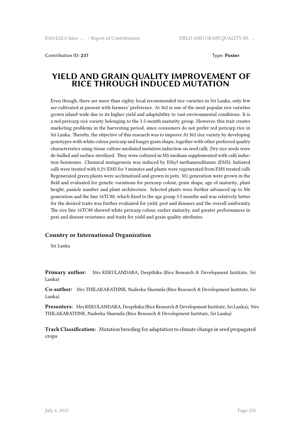Contribution ID: **237** Type: **Poster**

# **YIELD AND GRAIN QUALITY IMPROVEMENT OF RICE THROUGH INDUCED MUTATION**

Even though, there are more than eighty local recommended rice varieties in Sri Lanka, only few are cultivated at present with farmers' preference. At 362 is one of the most popular rice varieties grown island-wide due to its higher yield and adaptability to vast environmental conditions. It is a red pericarp rice variety belonging to the 3.5-month maturity group. However, this trait creates marketing problems in the harvesting period, since consumers do not prefer red pericarp rice in Sri Lanka. Thereby, the objective of this research was to improve At 362 rice variety by developing genotypes with white colour pericarp and longer grain shape, together with other preferred quality characteristics using tissue culture mediated mutation induction on seed calli. Dry rice seeds were de-hulled and surface sterilized. They were cultured in MS medium supplemented with calli induction hormones. Chemical mutagenesis was induced by Ethyl methanesulfonate (EMS). Initiated calli were treated with 0.2% EMS for 3 minutes and plants were regenerated from EMS treated calli. Regenerated green plants were acclimatized and grown in pots. M1 generation were grown in the field and evaluated for genetic variations for pericarp colour, grain shape, age of maturity, plant height, panicle number and plant architecture. Selected plants were further advanced up to M6 generation and the line 16TC80, which fixed to the age group 3.5 months and was relatively better for the desired traits was further evaluated for yield, pest and diseases and the overall uniformity. The rice line 16TC80 showed white pericarp colour, earlier maturity, and greater performances in pest and disease resistance and traits for yield and grain quality attributes.

### **Country or International Organization**

Sri Lanka

**Primary author:** Mrs KEKULANDARA, Deepthika (Rice Research & Development Institute, Sri Lanka)

**Co-author:** Mrs THILAKARATHNE, Nadeeka Sharmila (Rice Research & Development Institute, Sri Lanka)

**Presenters:** Mrs KEKULANDARA, Deepthika (Rice Research & Development Institute, Sri Lanka); Mrs THILAKARATHNE, Nadeeka Sharmila (Rice Research & Development Institute, Sri Lanka)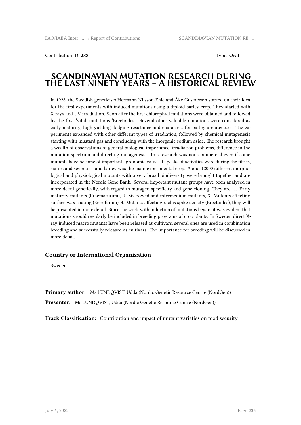Contribution ID: **238** Type: **Oral**

## **SCANDINAVIAN MUTATION RESEARCH DURING THE LAST NINETY YEARS – A HISTORICAL REVIEW**

In 1928, the Swedish geneticists Hermann Nilsson-Ehle and Åke Gustafsson started on their idea for the first experiments with induced mutations using a diploid barley crop. They started with X-rays and UV irradiation. Soon after the first chlorophyll mutations were obtained and followed by the first 'vital' mutations 'Erectoides'. Several other valuable mutations were considered as early maturity, high yielding, lodging resistance and characters for barley architecture. The experiments expanded with other different types of irradiation, followed by chemical mutagenesis starting with mustard gas and concluding with the inorganic sodium azide. The research brought a wealth of observations of general biological importance, irradiation problems, difference in the mutation spectrum and directing mutagenesis. This research was non-commercial even if some mutants have become of important agronomic value. Its peaks of activities were during the fifties, sixties and seventies, and barley was the main experimental crop. About 12000 different morphological and physiological mutants with a very broad biodiversity were brought together and are incorporated in the Nordic Gene Bank. Several important mutant groups have been analysed in more detail genetically, with regard to mutagen specificity and gene cloning. They are: 1. Early maturity mutants (Praematurum), 2. Six-rowed and intermedium mutants, 3. Mutants affecting surface wax coating (Eceriferum), 4. Mutants affecting rachis spike density (Erectoides), they will be presented in more detail. Since the work with induction of mutations began, it was evident that mutations should regularly be included in breeding programs of crop plants. In Sweden direct Xray induced macro mutants have been released as cultivars, several ones are used in combination breeding and successfully released as cultivars. The importance for breeding will be discussed in more detail.

#### **Country or International Organization**

Sweden

**Primary author:** Ms LUNDQVIST, Udda (Nordic Genetic Resource Centre (NordGen))

**Presenter:** Ms LUNDQVIST, Udda (Nordic Genetic Resource Centre (NordGen))

**Track Classification:** Contribution and impact of mutant varieties on food security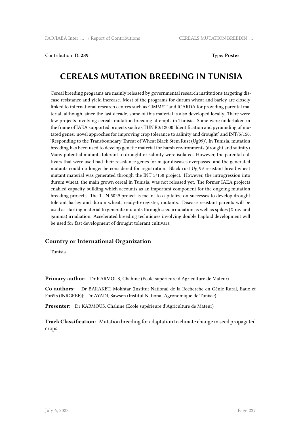Contribution ID: **239** Type: **Poster**

# **CEREALS MUTATION BREEDING IN TUNISIA**

Cereal breeding programs are mainly released by governmental research institutions targeting disease resistance and yield increase. Most of the programs for durum wheat and barley are closely linked to international research centres such as CIMMYT and ICARDA for providing parental material, although, since the last decade, some of this material is also developed locally. There were few projects involving cereals mutation breeding attempts in Tunisia. Some were undertaken in the frame of IAEA supported projects such as TUN R0/12000 'Identification and pyramiding of mutated genes: novel approches for improving crop tolerance to salinity and drought' and INT/5/150, 'Responding to the Transboundary Threat of Wheat Black Stem Rust (Ug99)'. In Tunisia, mutation breeding has been used to develop genetic material for harsh environments (drought and salinity). Many potential mutants tolerant to drought or salinity were isolated. However, the parental cultivars that were used had their resistance genes for major diseases overpassed and the generated mutants could no longer be considered for registration. Black rust Ug 99 resistant bread wheat mutant material was generated through the INT 5/150 project. However, the introgression into durum wheat, the main grown cereal in Tunisia, was not released yet. The former IAEA projects enabled capacity building which accounts as an important component for the ongoing mutation breeding projects. The TUN 5029 project is meant to capitalize on successes to develop drought tolerant barley and durum wheat, ready-to-register, mutants. Disease resistant parents will be used as starting material to generate mutants through seed irradiation as well as spikes (X ray and gamma) irradiation. Accelerated breeding techniques involving double haploid development will be used for fast development of drought tolerant cultivars.

### **Country or International Organization**

Tunisia

**Primary author:** Dr KARMOUS, Chahine (Ecole supérieure d'Agriculture de Mateur)

**Co-authors:** Dr BARAKET, Mokhtar (Institut National de la Recherche en Génie Rural, Eaux et Forêts (INRGREF)); Dr AYADI, Sawsen (Institut National Agronomique de Tunisie)

**Presenter:** Dr KARMOUS, Chahine (Ecole supérieure d'Agriculture de Mateur)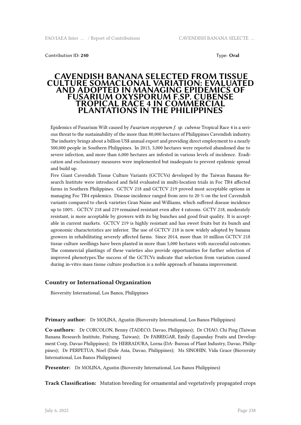Contribution ID: **240** Type: **Oral**

### **CAVENDISH BANANA SELECTED FROM TISSUE CULTURE SOMACLONAL VARIATION: EVALUATED AND ADOPTED IN MANAGING EPIDEMICS OF FUSARIUM OXYSPORUM F.SP. CUBENSE TROPICAL RACE 4 IN COMMERCIAL PLANTATIONS IN THE PHILIPPINES**

Epidemics of Fusarium Wilt caused by *Fusarium oxysporum f. sp. cubense* Tropical Race 4 is a serious threat to the sustainability of the more than 80,000 hectares of Philippines Cavendish industry. The industry brings about a billion US\$ annual export and providing direct employment to a nearly 500,000 people in Southern Philippines. In 2013, 3,000 hectares were reported abandoned due to severe infection, and more than 6,000 hectares are infested in various levels of incidence. Eradication and exclusionary measures were implemented but inadequate to prevent epidemic spread and build up.

Five Giant Cavendish Tissue Culture Variants (GCTCVs) developed by the Taiwan Banana Research Institute were introduced and field evaluated in multi-location trials in Foc TR4 affected farms in Southern Philippines. GCTCV 218 and GCTCV 219 proved most acceptable options in managing Foc TR4 epidemics. Disease incidence ranged from zero to 20 % on the test Cavendish variants compared to check varieties Gran Naine and Williams, which suffered disease incidence up to 100% . GCTCV 218 and 219 remained resistant even after 4 ratoons. GCTV 218, moderately resistant, is more acceptable by growers with its big bunches and good fruit quality. It is acceptable in current markets. GCTCV 219 is highly resistant and has sweet fruits but its bunch and agronomic characteristics are inferior. The use of GCTCV 218 is now widely adopted by banana growers in rehabilitating severely affected farms. Since 2014, more than 10 million GCTCV 218 tissue culture seedlings have been planted in more than 5,000 hectares with successful outcomes. The commercial plantings of these varieties also provide opportunities for further selection of improved phenotypes.The success of the GCTCVs indicate that selection from variation caused during in-vitro mass tissue culture production is a noble approach of banana improvement.

### **Country or International Organization**

Bioversity International, Los Banos, Philippines

**Primary author:** Dr MOLINA, Agustin (Bioversity International, Los Banos Philippines)

**Co-authors:** Dr CORCOLON, Benny (TADECO, Davao, Philippines); Dr CHAO, Chi Ping (Taiwan Banana Research Institute, Pintung, Taiwan); Dr FABREGAR, Emily (Lapanday Fruits and Development Corp, Davao Philippines); Dr HERRADURA, Lorna (DA- Bureau of Plant Industry, Davao, Philippines); Dr PERPETUA, Noel (Dole Asia, Davao, Philippines); Ms SINOHIN, Vida Grace (Bioversity International, Los Banos Philippines)

**Presenter:** Dr MOLINA, Agustin (Bioversity International, Los Banos Philippines)

**Track Classification:** Mutation breeding for ornamental and vegetatively propagated crops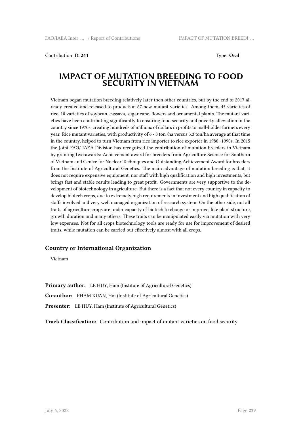Contribution ID: **241** Type: **Oral**

## **IMPACT OF MUTATION BREEDING TO FOOD SECURITY IN VIETNAM**

Vietnam began mutation breeding relatively later then other countries, but by the end of 2017 already created and released to production 67 new mutant varieties. Among them, 45 varieties of rice, 10 varieties of soybean, cassava, sugar cane, flowers and ornamental plants. The mutant varieties have been contributing significantly to ensuring food security and poverty alleviation in the country since 1970s, creating hundreds of millions of dollars in profits to mall-holder farmers every year. Rice mutant varieties, with productivity of 6 - 8 ton /ha versus 3.3 ton/ha average at that time in the country, helped to turn Vietnam from rice importer to rice exporter in 1980 -1990s. In 2015 the Joint FAO/ IAEA Division has recognized the contribution of mutation breeders in Vietnam by granting two awards: Achievement award for breeders from Agriculture Science for Southern of Vietnam and Centre for Nuclear Techniques and Outstanding Achievement Award for breeders from the Institute of Agricultural Genetics. The main advantage of mutation breeding is that, it does not require expensive equipment, nor staff with high qualification and high investments, but brings fast and stable results leading to great profit. Governments are very supportive to the development of biotechnology in agriculture. But there is a fact that not every country in capacity to develop biotech crops, due to extremely high requirements in investment and high qualification of staffs involved and very well managed organization of research system. On the other side, not all traits of agriculture crops are under capacity of biotech to change or improve, like plant structure, growth duration and many others. These traits can be manipulated easily via mutation with very low expenses. Not for all crops biotechnology tools are ready for use for improvement of desired traits, while mutation can be carried out effectively almost with all crops.

#### **Country or International Organization**

Vietnam

**Primary author:** LE HUY, Ham (Institute of Agricultural Genetics) **Co-author:** PHAM XUAN, Hoi (Institute of Agricultural Genetics) **Presenter:** LE HUY, Ham (Institute of Agricultural Genetics)

**Track Classification:** Contribution and impact of mutant varieties on food security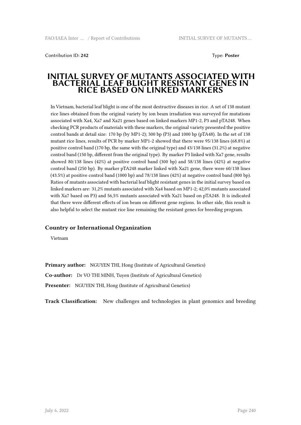Contribution ID: **242** Type: **Poster**

### **INITIAL SURVEY OF MUTANTS ASSOCIATED WITH BACTERIAL LEAF BLIGHT RESISTANT GENES IN RICE BASED ON LINKED MARKERS**

In Vietnam, bacterial leaf blight is one of the most destructive diseases in rice. A set of 138 mutant rice lines obtained from the original variety by ion beam irradiation was surveyed for mutations associated with Xa4, Xa7 and Xa21 genes based on linked markers MP1-2, P3 and pTA248. When checking PCR products of materials with these markers, the original variety presented the positive control bands at detail size: 170 bp (by MP1-2); 300 bp (P3) and 1000 bp (pTA48). In the set of 138 mutant rice lines, results of PCR by marker MP1-2 showed that there were 95/138 lines (68.8%) at positive control band (170 bp, the same with the original type) and 43/138 lines (31.2%) at negative control band (150 bp, different from the original type). By marker P3 linked with Xa7 gene, results showed 80/138 lines (42%) at positive control band (300 bp) and 58/138 lines (42%) at negative control band (250 bp). By marker pTA248 marker linked with Xa21 gene, there were 60/138 lines (43.5%) at positive control band (1000 bp) and 78/138 lines (42%) at negative control band (800 bp). Ratios of mutants associated with bacterial leaf blight resistant genes in the initial survey based on linked markers are: 31,2% mutants associated with Xa4 based on MP1-2; 42,0% mutants associated with Xa7 based on P3) and 56,5% mutants associated with Xa21 based on pTA248. It is indicated that there were different effects of ion beam on different gene regions. In other side, this result is also helpful to select the mutant rice line remaining the resistant genes for breeding program.

#### **Country or International Organization**

Vietnam

**Primary author:** NGUYEN THI, Hong (Institute of Agricultural Genetics) **Co-author:** Dr VO THI MINH, Tuyen (Institute of Agricultural Genetics) **Presenter:** NGUYEN THI, Hong (Institute of Agricultural Genetics)

**Track Classification:** New challenges and technologies in plant genomics and breeding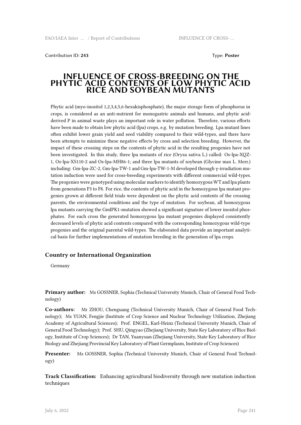Contribution ID: **243** Type: **Poster**

## **INFLUENCE OF CROSS-BREEDING ON THE PHYTIC ACID CONTENTS OF LOW PHYTIC ACID RICE AND SOYBEAN MUTANTS**

Phytic acid (myo-inositol 1,2,3,4,5,6-hexakisphosphate), the major storage form of phosphorus in crops, is considered as an anti-nutrient for monogastric animals and humans, and phytic acidderived P in animal waste plays an important role in water pollution. Therefore, various efforts have been made to obtain low phytic acid (lpa) crops, e.g. by mutation breeding. Lpa mutant lines often exhibit lower grain yield and seed viability compared to their wild-types, and there have been attempts to minimize these negative effects by cross and selection breeding. However, the impact of these crossing steps on the contents of phytic acid in the resulting progenies have not been investigated. In this study, three lpa mutants of rice (Oryza sativa L.) called: Os-lpa-XQZ-1, Os-lpa-XS110-2 and Os-lpa-MH86-1; and three lpa mutants of soybean (Glycine max L. Merr.) including: Gm-lpa-ZC-2, Gm-lpa-TW-1 and Gm-lpa-TW-1-M developed through γ-irradiation mutation induction were used for cross-breeding experiments with different commercial wild-types. The progenies were genotyped using molecular markers to identify homozygous WT and lpa plants from generations F3 to F8. For rice, the contents of phytic acid in the homozygous lpa mutant progenies grown at different field trials were dependent on the phytic acid contents of the crossing parents, the environmental conditions and the type of mutation. For soybean, all homozygous lpa mutants carrying the GmIPK1-mutation showed a significant signature of lower inositol phosphates. For each cross the generated homozygous lpa mutant progenies displayed consistently decreased levels of phytic acid contents compared with the corresponding homozygous wild-type progenies and the original parental wild-types. The elaborated data provide an important analytical basis for further implementations of mutation breeding in the generation of lpa crops.

### **Country or International Organization**

Germany

**Primary author:** Ms GOSSNER, Sophia (Technical University Munich, Chair of General Food Technology)

**Co-authors:** Mr ZHOU, Chenguang (Technical University Munich, Chair of General Food Technology); Ms YUAN, Fengjie (Institute of Crop Science and Nuclear Technology Utilization, Zhejiang Academy of Agricultural Sciences); Prof. ENGEL, Karl-Heinz (Technical University Munich, Chair of General Food Technology); Prof. SHU, Qingyao (Zhejiang University, State Key Laboratory of Rice Biology, Institute of Crop Sciences); Dr TAN, Yuanyuan (Zhejiang University, State Key Laboratory of Rice Biology and Zhejiang Provincial Key Laboratory of Plant Germplasm, Institute of Crop Sciences)

**Presenter:** Ms GOSSNER, Sophia (Technical University Munich, Chair of General Food Technology)

**Track Classification:** Enhancing agricultural biodiversity through new mutation induction techniques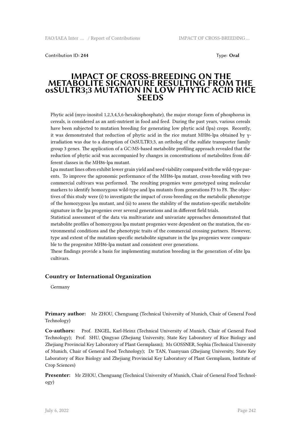Contribution ID: **244** Type: **Oral**

### **IMPACT OF CROSS-BREEDING ON THE METABOLITE SIGNATURE RESULTING FROM THE osSULTR3;3 MUTATION IN LOW PHYTIC ACID RICE SEEDS**

Phytic acid (myo-inositol 1,2,3,4,5,6-hexakisphosphate), the major storage form of phosphorus in cereals, is considered as an anti-nutrient in food and feed. During the past years, various cereals have been subjected to mutation breeding for generating low phytic acid (lpa) crops. Recently, it was demonstrated that reduction of phytic acid in the rice mutant MH86-lpa obtained by γirradiation was due to a disruption of OsSULTR3;3, an ortholog of the sulfate transporter family group 3 genes. The application of a GC/MS-based metabolite profiling approach revealed that the reduction of phytic acid was accompanied by changes in concentrations of metabolites from different classes in the MH86-lpa mutant.

Lpa mutant lines often exhibit lower grain yield and seed viability compared with the wild-type parents. To improve the agronomic performance of the MH86-lpa mutant, cross-breeding with two commercial cultivars was performed. The resulting progenies were genotyped using molecular markers to identify homozygous wild-type and lpa mutants from generations F3 to F8. The objectives of this study were (i) to investigate the impact of cross-breeding on the metabolic phenotype of the homozygous lpa mutant, and (ii) to assess the stability of the mutation-specific metabolite signature in the lpa progenies over several generations and in different field trials.

Statistical assessment of the data via multivariate and univariate approaches demonstrated that metabolite profiles of homozygous lpa mutant progenies were dependent on the mutation, the environmental conditions and the phenotypic traits of the commercial crossing partners. However, type and extent of the mutation-specific metabolite signature in the lpa progenies were comparable to the progenitor MH86-lpa mutant and consistent over generations.

These findings provide a basis for implementing mutation breeding in the generation of elite lpa cultivars.

#### **Country or International Organization**

Germany

**Primary author:** Mr ZHOU, Chenguang (Technical University of Munich, Chair of General Food Technology)

**Co-authors:** Prof. ENGEL, Karl-Heinz (Technical University of Munich, Chair of General Food Technology); Prof. SHU, Qingyao (Zhejiang University, State Key Laboratory of Rice Biology and Zhejiang Provincial Key Laboratory of Plant Germplasm); Ms GOSSNER, Sophia (Technical University of Munich, Chair of General Food Technology); Dr TAN, Yuanyuan (Zhejiang University, State Key Laboratory of Rice Biology and Zhejiang Provincial Key Laboratory of Plant Germplasm, Institute of Crop Sciences)

**Presenter:** Mr ZHOU, Chenguang (Technical University of Munich, Chair of General Food Technology)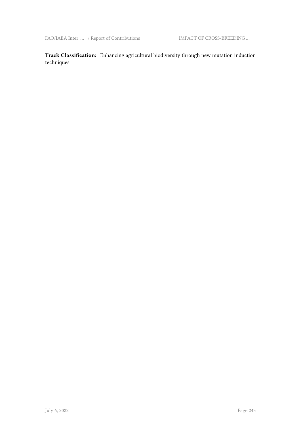**Track Classification:** Enhancing agricultural biodiversity through new mutation induction techniques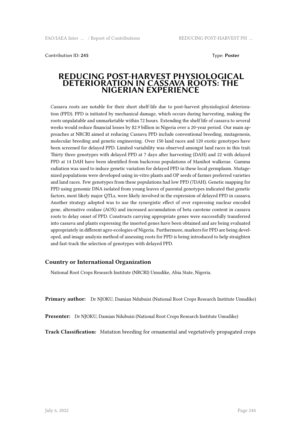Contribution ID: **245** Type: **Poster**

## **REDUCING POST-HARVEST PHYSIOLOGICAL DETERIORATION IN CASSAVA ROOTS: THE NIGERIAN EXPERIENCE**

Cassava roots are notable for their short shelf-life due to post-harvest physiological deterioration (PPD). PPD is initiated by mechanical damage, which occurs during harvesting, making the roots unpalatable and unmarketable within 72 hours. Extending the shelf life of cassava to several weeks would reduce financial losses by \$2.9 billion in Nigeria over a 20-year period. Our main approaches at NRCRI aimed at reducing Cassava PPD include conventional breeding, mutagenesis, molecular breeding and genetic engineering. Over 150 land races and 120 exotic genotypes have been screened for delayed PPD. Limited variability was observed amongst land races in this trait. Thirty three genotypes with delayed PPD at 7 days after harvesting (DAH) and 22 with delayed PPD at 14 DAH have been identified from backcross populations of Manihot walkerae. Gamma radiation was used to induce genetic variation for delayed PPD in these local germplasm. Mutagenized populations were developed using in-vitro plants and OP seeds of farmer preferred varieties and land races. Few genotypes from these populations had low PPD (7DAH). Genetic mapping for PPD using genomic DNA isolated from young leaves of parental genotypes indicated that genetic factors, most likely major QTLs, were likely involved in the expression of delayed PPD in cassava. Another strategy adopted was to use the synergistic effect of over expressing nuclear encoded gene, alternative oxidase (AOX) and increased accumulation of beta carotene content in cassava roots to delay onset of PPD. Constructs carrying appropriate genes were successfully transferred into cassava and plants expressing the inserted genes have been obtained and are being evaluated appropriately in different agro-ecologies of Nigeria. Furthermore, markers for PPD are being developed, and image analysis method of assessing roots for PPD is being introduced to help straighten and fast-track the selection of genotypes with delayed PPD.

### **Country or International Organization**

National Root Crops Research Institute (NRCRI) Umudike, Abia State, Nigeria.

**Primary author:** Dr NJOKU, Damian Ndubuisi (National Root Crops Research Institute Umudike)

**Presenter:** Dr NJOKU, Damian Ndubuisi (National Root Crops Research Institute Umudike)

**Track Classification:** Mutation breeding for ornamental and vegetatively propagated crops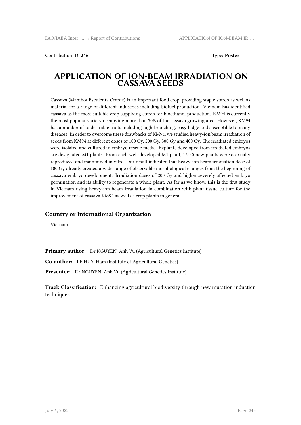Contribution ID: **246** Type: **Poster**

## **APPLICATION OF ION-BEAM IRRADIATION ON CASSAVA SEEDS**

Cassava (Manihot Esculenta Crantz) is an important food crop, providing staple starch as well as material for a range of different industries including biofuel production. Vietnam has identified cassava as the most suitable crop supplying starch for bioethanol production. KM94 is currently the most popular variety occupying more than 70% of the cassava growing area. However, KM94 has a number of undesirable traits including high-branching, easy lodge and susceptible to many diseases. In order to overcome these drawbacks of KM94, we studied heavy-ion beam irradiation of seeds from KM94 at different doses of 100 Gy, 200 Gy, 300 Gy and 400 Gy. The irradiated embryos were isolated and cultured in embryo rescue media. Explants developed from irradiated embryos are designated M1 plants. From each well-developed M1 plant, 15-20 new plants were asexually reproduced and maintained in vitro. Our result indicated that heavy-ion beam irradiation dose of 100 Gy already created a wide-range of observable morphological changes from the beginning of cassava embryo development. Irradiation doses of 200 Gy and higher severely affected embryo germination and its ability to regenerate a whole plant. As far as we know, this is the first study in Vietnam using heavy-ion beam irradiation in combination with plant tissue culture for the improvement of cassava KM94 as well as crop plants in general.

### **Country or International Organization**

Vietnam

**Primary author:** Dr NGUYEN, Anh Vu (Agricultural Genetics Institute)

**Co-author:** LE HUY, Ham (Institute of Agricultural Genetics)

**Presenter:** Dr NGUYEN, Anh Vu (Agricultural Genetics Institute)

**Track Classification:** Enhancing agricultural biodiversity through new mutation induction techniques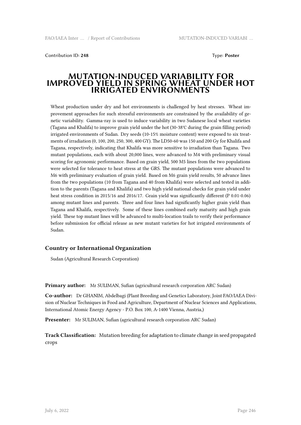Contribution ID: **248** Type: **Poster**

## **MUTATION-INDUCED VARIABILITY FOR IMPROVED YIELD IN SPRING WHEAT UNDER HOT IRRIGATED ENVIRONMENTS**

Wheat production under dry and hot environments is challenged by heat stresses. Wheat improvement approaches for such stressful environments are constrained by the availability of genetic variability. Gamma-ray is used to induce variability in two Sudanese local wheat varieties (Tagana and Khalifa) to improve grain yield under the hot (30-38℃ during the grain filling period) irrigated environments of Sudan. Dry seeds (10-15% moisture content) were exposed to six treatments of irradiation (0, 100, 200, 250, 300, 400 GY). The LD50-60 was 150 and 200 Gy for Khalifa and Tagana, respectively, indicating that Khalifa was more sensitive to irradiation than Tagana. Two mutant populations, each with about 20,000 lines, were advanced to M4 with preliminary visual scoring for agronomic performance. Based on grain yield, 500 M5 lines from the two populations were selected for tolerance to heat stress at the GRS. The mutant populations were advanced to M6 with preliminary evaluation of grain yield. Based on M6 grain yield results, 50 advance lines from the two populations (10 from Tagana and 40 from Khalifa) were selected and tested in addition to the parents (Tagana and Khalifa) and two high yield national checks for grain yield under heat stress condition in 2015/16 and 2016/17. Grain yield was significantly different (P 0.01-0.06) among mutant lines and parents. Three and four lines had significantly higher grain yield than Tagana and Khalifa, respectively. Some of these lines combined early maturity and high grain yield. These top mutant lines will be advanced to multi-location trails to verify their performance before submission for official release as new mutant varieties for hot irrigated environments of Sudan.

### **Country or International Organization**

Sudan (Agricultural Research Corporation)

**Primary author:** Mr SULIMAN, Sufian (agricultural research corporation ARC Sudan)

**Co-author:** Dr GHANIM, Abdelbagi (Plant Breeding and Genetics Laboratory, Joint FAO/IAEA Division of Nuclear Techniques in Food and Agriculture, Department of Nuclear Sciences and Applications, International Atomic Energy Agency - P.O. Box 100, A-1400 Vienna, Austria,)

**Presenter:** Mr SULIMAN, Sufian (agricultural research corporation ARC Sudan)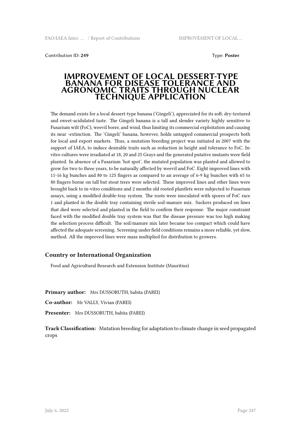Contribution ID: **249** Type: **Poster**

### **IMPROVEMENT OF LOCAL DESSERT-TYPE BANANA FOR DISEASE TOLERANCE AND AGRONOMIC TRAITS THROUGH NUCLEAR TECHNIQUE APPLICATION**

The demand exists for a local dessert-type banana ('Gingeli'), appreciated for its soft, dry-textured and sweet-acidulated taste. The Gingeli banana is a tall and slender variety highly sensitive to Fusarium wilt (FoC), weevil borer, and wind, thus limiting its commercial exploitation and causing its near -extinction. The 'Gingeli' banana, however, holds untapped commercial prospects both for local and export markets. Thus, a mutation breeding project was initiated in 2007 with the support of IAEA, to induce desirable traits such as reduction in height and tolerance to FoC. Invitro cultures were irradiated at 18, 20 and 25 Grays and the generated putative mutants were field planted. In absence of a Fusarium 'hot spot', the mutated population was planted and allowed to grow for two to three years, to be naturally affected by weevil and FoC. Eight improved lines with 11-16 kg bunches and 80 to 125 fingers as compared to an average of 6-9 kg bunches with 65 to 80 fingers borne on tall but stout trees were selected. These improved lines and other lines were brought back to in-vitro conditions and 2 months old rooted plantlets were subjected to Fusarium assays, using a modified double-tray system. The roots were inoculated with spores of FoC race 1 and planted in the double tray containing sterile soil-manure mix. Suckers produced on lines that died were selected and planted in the field to confirm their response. The major constraint faced with the modified double tray system was that the disease pressure was too high making the selection process difficult. The soil/manure mix later became too compact which could have affected the adequate screening. Screening under field conditions remains a more reliable, yet slow, method. All the improved lines were mass multiplied for distribution to growers.

### **Country or International Organization**

Food and Agricultural Research and Extension Institute (Mauritius)

**Primary author:** Mrs DUSSORUTH, babita (FAREI)

**Co-author:** Mr VALLY, Vivian (FAREI)

**Presenter:** Mrs DUSSORUTH, babita (FAREI)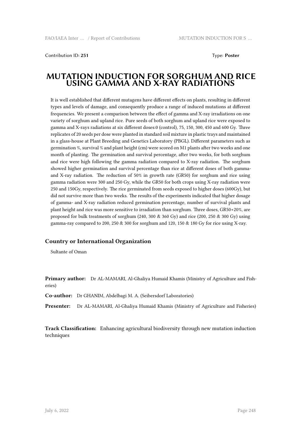Contribution ID: **251** Type: **Poster**

## **MUTATION INDUCTION FOR SORGHUM AND RICE USING GAMMA AND X-RAY RADIATIONS**

It is well established that different mutagens have different effects on plants, resulting in different types and levels of damage, and consequently produce a range of induced mutations at different frequencies. We present a comparison between the effect of gamma and X-ray irradiations on one variety of sorghum and upland rice. Pure seeds of both sorghum and upland rice were exposed to gamma and X-rays radiations at six different doses:0 (control), 75, 150, 300, 450 and 600 Gy. Three replicates of 20 seeds per dose were planted in standard soil mixture in plastic trays and maintained in a glass-house at Plant Breeding and Genetics Laboratory (PBGL). Different parameters such as germination %, survival % and plant height (cm) were scored on M1 plants after two weeks and one month of planting. The germination and survival percentage, after two weeks, for both sorghum and rice were high following the gamma radiation compared to X-ray radiation. The sorghum showed higher germination and survival percentage than rice at different doses of both gammaand X-ray radiation. The reduction of 50% in growth rate (GR50) for sorghum and rice using gamma radiation were 300 and 250 Gy, while the GR50 for both crops using X-ray radiation were 250 and 150Gy, respectively. The rice germinated from seeds exposed to higher doses (600Gy), but did not survive more than two weeks. The results of the experiments indicated that higher dosage of gamma- and X-ray radiation reduced germination percentage, number of survival plants and plant height and rice was more sensitive to irradiation than sorghum. Three doses, GR50+20%, are proposed for bulk treatments of sorghum (240, 300 & 360 Gy) and rice (200, 250 & 300 Gy) using gamma-ray compared to 200, 250 & 300 for sorghum and 120, 150 & 180 Gy for rice using X-ray.

### **Country or International Organization**

Sultante of Oman

**Primary author:** Dr AL-MAMARI, Al-Ghaliya Humaid Khamis (Ministry of Agriculture and Fisheries)

**Co-author:** Dr GHANIM, Abdelbagi M. A. (Seibersdorf Laboratories)

**Presenter:** Dr AL-MAMARI, Al-Ghaliya Humaid Khamis (Ministry of Agriculture and Fisheries)

**Track Classification:** Enhancing agricultural biodiversity through new mutation induction techniques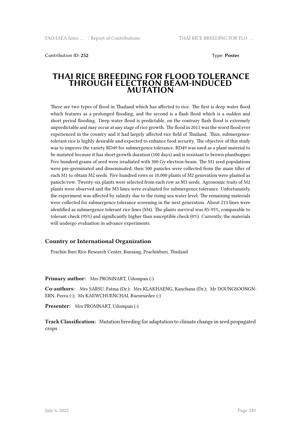Contribution ID: **252** Type: **Poster**

## **THAI RICE BREEDING FOR FLOOD TOLERANCE THROUGH ELECTRON BEAM-INDUCED MUTATION**

There are two types of flood in Thailand which has affected to rice. The first is deep water flood which features as a prolonged flooding, and the second is a flash flood which is a sudden and short period flooding. Deep water flood is predictable, on the contrary flash flood is extremely unpredictable and may occur at any stage of rice growth. The flood in 2011 was the worst flood ever experienced in the country and it had largely affected rice field of Thailand. Thus, submergencetolerant rice is highly desirable and expected to enhance food security. The objective of this study was to improve the variety RD49 for submergence tolerance. RD49 was used as a plant material to be mutated because it has short growth duration (100 days) and is resistant to brown planthopper. Five hundred grams of seed were irradiated with 300 Gy electron-beam. The M1 seed populations were pre-germinated and disseminated, then 500 panicles were collected from the main tiller of each M1 to obtain M2 seeds. Five hundred rows or 10,000 plants of M2 generation were planted as panicle/row. Twenty-six plants were selected from each row as M3 seeds. Agronomic traits of M2 plants were observed and the M3 lines were evaluated for submergence tolerance. Unfortunately, the experiment was affected by salinity due to the rising sea water level. The remaining materials were collected for submergence tolerance screening in the next generation. About 213 lines were identified as submergence tolerant rice lines (M4). The plants survival was 85-95%, comparable to tolerant check (95%) and significantly higher than susceptible check (0%). Currently, the materials will undergo evaluation in advance experiments.

### **Country or International Organization**

Prachin Buri Rice Research Center, Bansang, Prachinburi, Thailand

**Primary author:** Mrs PROMNART, Udompan (-)

**Co-authors:** Mrs SARSU, Fatma (Dr.); Mrs KLAKHAENG, Kanchana (Dr.); Mr DOUNGSOONGN-ERN, Peera (-); Ms KAEWCHUENCHAI, Ruenruedee (-)

**Presenter:** Mrs PROMNART, Udompan (-)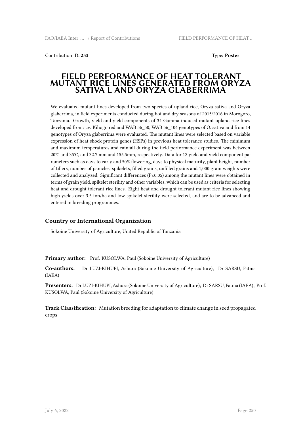Contribution ID: **253** Type: **Poster**

## **FIELD PERFORMANCE OF HEAT TOLERANT MUTANT RICE LINES GENERATED FROM ORYZA SATIVA L AND ORYZA GLABERRIMA**

We evaluated mutant lines developed from two species of upland rice, Oryza sativa and Oryza glaberrima, in field experiments conducted during hot and dry seasons of 2015/2016 in Morogoro, Tanzania. Growth, yield and yield components of 34 Gamma induced mutant upland rice lines developed from: cv. Kihogo red and WAB 56 50, WAB 56 104 genotypes of O. sativa and from 14 genotypes of Oryza glaberrima were evaluated. The mutant lines were selected based on variable expression of heat shock protein genes (HSPs) in previous heat tolerance studies. The minimum and maximum temperatures and rainfall during the field performance experiment was between 20℃ and 35℃, and 32.7 mm and 155.5mm, respectively. Data for 12 yield and yield component parameters such as days to early and 50% flowering, days to physical maturity, plant height, number of tillers, number of panicles, spikelets, filled grains, unfilled grains and 1,000 grain weights were collected and analyzed. Significant differences ( $P \le 0.05$ ) among the mutant lines were obtained in terms of grain yield, spikelet sterility and other variables, which can be used as criteria for selecting heat and drought tolerant rice lines. Eight heat and drought tolerant mutant rice lines showing high yields over 3.5 ton/ha and low spikelet sterility were selected, and are to be advanced and entered in breeding programmes.

### **Country or International Organization**

Sokoine University of Agriculture, United Republic of Tanzania

**Primary author:** Prof. KUSOLWA, Paul (Sokoine University of Agriculture)

**Co-authors:** Dr LUZI-KIHUPI, Ashura (Sokoine University of Agriculture); Dr SARSU, Fatma (IAEA)

**Presenters:** Dr LUZI-KIHUPI, Ashura (Sokoine University of Agriculture); Dr SARSU, Fatma (IAEA); Prof. KUSOLWA, Paul (Sokoine University of Agriculture)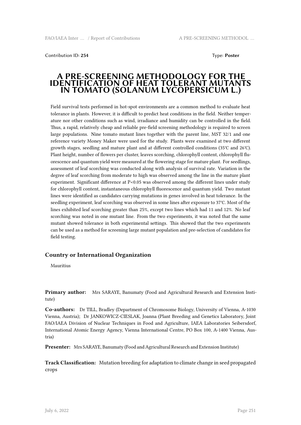Contribution ID: **254** Type: **Poster**

## **A PRE-SCREENING METHODOLOGY FOR THE IDENTIFICATION OF HEAT TOLERANT MUTANTS IN TOMATO (SOLANUM LYCOPERSICUM L.)**

Field survival tests performed in hot-spot environments are a common method to evaluate heat tolerance in plants. However, it is difficult to predict heat conditions in the field. Neither temperature nor other conditions such as wind, irradiance and humidity can be controlled in the field. Thus, a rapid, relatively cheap and reliable pre-field screening methodology is required to screen large populations. Nine tomato mutant lines together with the parent line, MST 32/1 and one reference variety Money Maker were used for the study. Plants were examined at two different growth stages, seedling and mature plant and at different controlled conditions (35℃ and 26℃). Plant height, number of flowers per cluster, leaves scorching, chlorophyll content, chlorophyll fluorescence and quantum yield were measured at the flowering stage for mature plant. For seedlings, assessment of leaf scorching was conducted along with analysis of survival rate. Variation in the degree of leaf scorching from moderate to high was observed among the line in the mature plant experiment. Significant difference at P<0.05 was observed among the different lines under study for chlorophyll content, instantaneous chlorophyll fluorescence and quantum yield. Two mutant lines were identified as candidates carrying mutations in genes involved in heat tolerance. In the seedling experiment, leaf scorching was observed in some lines after exposure to 37℃. Most of the lines exhibited leaf scorching greater than 25%, except two lines which had 11 and 12%. No leaf scorching was noted in one mutant line. From the two experiments, it was noted that the same mutant showed tolerance in both experimental settings. This showed that the two experiments can be used as a method for screening large mutant population and pre-selection of candidates for field testing.

### **Country or International Organization**

Mauritius

**Primary author:** Mrs SARAYE, Banumaty (Food and Agricultural Research and Extension Institute)

**Co-authors:** Dr TILL, Bradley (Department of Chromosome Biology, University of Vienna, A-1030 Vienna, Austria); Dr JANKOWICZ-CIESLAK, Joanna (Plant Breeding and Genetics Laboratory, Joint FAO/IAEA Division of Nuclear Techniques in Food and Agriculture, IAEA Laboratories Seibersdorf, International Atomic Energy Agency, Vienna International Centre, PO Box 100, A-1400 Vienna, Austria)

**Presenter:** Mrs SARAYE, Banumaty (Food and Agricultural Research and Extension Institute)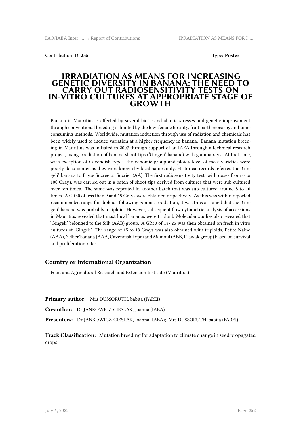Contribution ID: **255** Type: **Poster**

## **IRRADIATION AS MEANS FOR INCREASING GENETIC DIVERSITY IN BANANA: THE NEED TO CARRY OUT RADIOSENSITIVITY TESTS ON IN-VITRO CULTURES AT APPROPRIATE STAGE OF GROWTH**

Banana in Mauritius is affected by several biotic and abiotic stresses and genetic improvement through conventional breeding is limited by the low-female fertility, fruit parthenocarpy and timeconsuming methods. Worldwide, mutation induction through use of radiation and chemicals has been widely used to induce variation at a higher frequency in banana. Banana mutation breeding in Mauritius was initiated in 2007 through support of an IAEA through a technical research project, using irradiation of banana shoot-tips ('Gingeli' banana) with gamma rays. At that time, with exception of Cavendish types, the genomic group and ploidy level of most varieties were poorly documented as they were known by local names only. Historical records referred the 'Gingeli' banana to Figue Sucrée or Sucrier (AA). The first radiosensitivity test, with doses from 0 to 100 Grays, was carried out in a batch of shoot-tips derived from cultures that were sub-cultured over ten times. The same was repeated in another batch that was sub-cultured around 8 to 10 times. A GR30 of less than 9 and 15 Grays were obtained respectively. As this was within reported recommended range for diploids following gamma irradiation, it was thus assumed that the 'Gingeli' banana was probably a diploid. However, subsequent flow cytometric analysis of accessions in Mauritius revealed that most local bananas were triploid. Molecular studies also revealed that 'Gingeli' belonged to the Silk (AAB) group. A GR30 of 18- 25 was then obtained on fresh in vitro cultures of 'Gingeli'. The range of 15 to 18 Grays was also obtained with triploids, Petite Naine (AAA), 'Ollier'banana (AAA, Cavendish-type) and Mamoul (ABB, P. awak group) based on survival and proliferation rates.

#### **Country or International Organization**

Food and Agricultural Research and Extension Institute (Mauritius)

**Primary author:** Mrs DUSSORUTH, babita (FAREI)

**Co-author:** Dr JANKOWICZ-CIESLAK, Joanna (IAEA)

**Presenters:** Dr JANKOWICZ-CIESLAK, Joanna (IAEA); Mrs DUSSORUTH, babita (FAREI)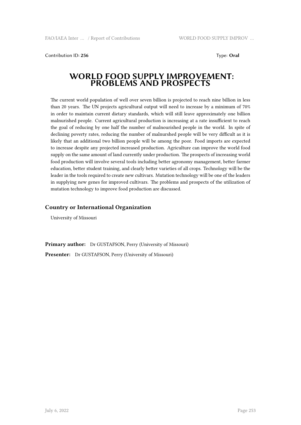Contribution ID: **256** Type: **Oral**

# **WORLD FOOD SUPPLY IMPROVEMENT: PROBLEMS AND PROSPECTS**

The current world population of well over seven billion is projected to reach nine billion in less than 20 years. The UN projects agricultural output will need to increase by a minimum of 70% in order to maintain current dietary standards, which will still leave approximately one billion malnurished people. Current agricultural production is increasing at a rate insufficient to reach the goal of reducing by one half the number of malnourished people in the world. In spite of declining poverty rates, reducing the number of malnurshed people will be very difficult as it is likely that an additional two billion people will be among the poor. Food imports are expected to increase despite any projected increased production. Agriculture can improve the world food supply on the same amount of land currently under production. The prospects of increasing world food production will involve several tools including better agronomy management, better farmer education, better student training, and clearly better varieties of all crops. Technology will be the leader in the tools required to create new cultivars. Mutation technology will be one of the leaders in supplying new genes for improved cultivars. The problems and prospects of the utilization of mutation technology to improve food production are discussed.

#### **Country or International Organization**

University of Missouri

**Primary author:** Dr GUSTAFSON, Perry (University of Missouri) Presenter: Dr GUSTAFSON, Perry (University of Missouri)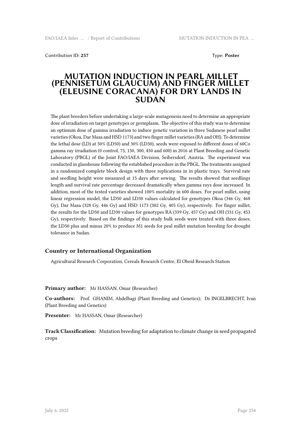Contribution ID: **257** Type: **Poster**

# **MUTATION INDUCTION IN PEARL MILLET (PENNISETUM GLAUCUM) AND FINGER MILLET (ELEUSINE CORACANA) FOR DRY LANDS IN SUDAN**

The plant breeders before undertaking a large-scale mutagenesis need to determine an appropriate dose of irradiation on target genotypes or germplasm. The objective of this study was to determine an optimum dose of gamma irradiation to induce genetic variation in three Sudanese pearl millet varieties (Okoa, Dar Masa and HSD 1173) and two finger millet varieties (RA and OH). To determine the lethal dose (LD) at 50% (LD50) and 30% (LD30), seeds were exposed to different doses of 60Co gamma ray irradiation (0 control, 75, 150, 300, 450 and 600) in 2016 at Plant Breeding and Genetic Laboratory (PBGL) of the Joint FAO/IAEA Division, Seibersdorf, Austria. The experiment was conducted in glasshouse following the established procedure in the PBGL. The treatments assigned in a randomized complete block design with three replications in in plastic trays. Survival rate and seedling height were measured at 15 days after sowing. The results showed that seedlings length and survival rate percentage decreased dramatically when gamma rays dose increased. In addition, most of the tested varieties showed 100% mortality in 600 doses. For pearl millet, using linear regression model, the LD50 and LD30 values calculated for genotypes Okoa (346 Gy, 468 Gy), Dar Masa (328 Gy, 446 Gy) and HSD 1173 (302 Gy, 405 Gy), respectively. For finger millet, the results for the LD50 and LD30 values for genotypes RA (339 Gy, 457 Gy) and OH (331 Gy, 453 Gy), respectively. Based on the findings of this study bulk seeds were treated with three doses; the LD50 plus and minus 20% to produce M1 seeds for peal millet mutation breeding for drought tolerance in Sudan.

### **Country or International Organization**

Agricultural Research Corporation, Cereals Research Centre, El Obeid Research Station

#### **Primary author:** Mr HASSAN, Omar (Researcher)

**Co-authors:** Prof. GHANIM, Abdelbagi (Plant Breeding and Genetics); Dr INGELBRECHT, Ivan (Plant Breeding and Genetics)

**Presenter:** Mr HASSAN, Omar (Researcher)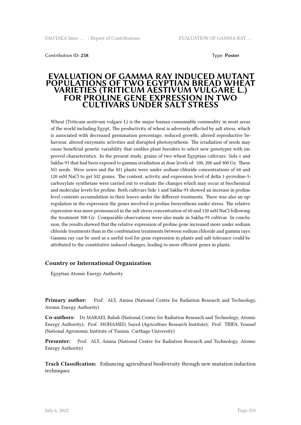Contribution ID: **258** Type: **Poster**

## **EVALUATION OF GAMMA RAY INDUCED MUTANT POPULATIONS OF TWO EGYPTIAN BREAD WHEAT VARIETIES (TRITICUM AESTIVUM VULGARE L.) FOR PROLINE GENE EXPRESSION IN TWO CULTIVARS UNDER SALT STRESS**

Wheat (Triticum aestivum vulgare L) is the major human consumable commodity in most areas of the world including Egypt. The productivity of wheat is adversely affected by salt stress, which is associated with decreased germination percentage, reduced growth, altered reproductive behaviour, altered enzymatic activities and disrupted photosynthesis. The irradiation of seeds may cause beneficial genetic variability that enables plant breeders to select new genotypes with improved characteristics. In the present study, grains of two wheat Egyptian cultivars: Sids-1 and Sakha-93 that had been exposed to gamma irradiation at dose levels of: 100, 200 and 300 Gy. These M1 seeds. Were sown and the M1 plants were under sodium chloride concentrations of 60 and 120 mM NaCl to get M2 grains. The content, activity and expression level of delta 1-pyrroline-5 carboxylate synthetase were carried out to evaluate the changes which may occur at biochemical and molecular levels for proline. Both cultivars Sids-1 and Sakha-93 showed an increase in proline level contents accumulation in their leaves under the different treatments. There was also an upregulation in the expression the genes involved in proline biosynthesis under stress. The relative expression was more pronounced in the salt stress concentration of 60 and 120 mM NaCl following the treatment 300 Gy. Comparable observations were also made in Sakha-93 cultivar. In conclusion, the results showed that the relative expression of proline gene increased more under sodium chloride treatments than in the combination treatments between sodium chloride and gamma rays. Gamma ray can be used as a useful tool for gene expression in plants and salt tolerance could be attributed to the constitutive induced changes, leading to more efficient genes in plants.

### **Country or International Organization**

Egyptian Atomic Energy Authority

Primary author: Prof. ALY, Amina (National Centre for Radiation Research and Technology, Atomic Energy Authority)

**Co-authors:** Dr MARAEI, Rabab (National Centre for Radiation Research and Technology, Atomic Energy Authority); Prof. MOHAMED, Sayed (Agriculture Research Institute); Prof. TRIFA, Youssef (National Agronomic Institute of Tunisia. Carthage University)

**Presenter:** Prof. ALY, Amina (National Centre for Radiation Research and Technology, Atomic Energy Authority)

**Track Classification:** Enhancing agricultural biodiversity through new mutation induction techniques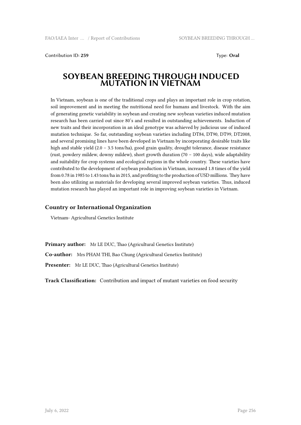Contribution ID: **259** Type: **Oral**

# **SOYBEAN BREEDING THROUGH INDUCED MUTATION IN VIETNAM**

In Vietnam, soybean is one of the traditional crops and plays an important role in crop rotation, soil improvement and in meeting the nutritional need for humans and livestock. With the aim of generating genetic variability in soybean and creating new soybean varieties induced mutation research has been carried out since 80's and resulted in outstanding achievements. Induction of new traits and their incorporation in an ideal genotype was achieved by judicious use of induced mutation technique. So far, outstanding soybean varieties including DT84, DT90, DT99, DT2008, and several promising lines have been developed in Vietnam by incorporating desirable traits like high and stable yield (2.0 – 3.5 tons/ha), good grain quality, drought tolerance, disease resistance (rust, powdery mildew, downy mildew), short growth duration (70 – 100 days), wide adaptability and suitability for crop systems and ecological regions in the whole country. These varieties have contributed to the development of soybean production in Vietnam, increased 1.8 times of the yield from 0.78 in 1985 to 1.43 tons/ha in 2015, and profiting to the production of USD millions. They have been also utilizing as materials for developing several improved soybean varieties. Thus, induced mutation research has played an important role in improving soybean varieties in Vietnam.

#### **Country or International Organization**

Vietnam- Agricultural Genetics Institute

**Primary author:** Mr LE DUC, Thao (Agricultural Genetics Institute) **Co-author:** Mrs PHAM THI, Bao Chung (Agricultural Genetics Institute) **Presenter:** Mr LE DUC, Thao (Agricultural Genetics Institute)

**Track Classification:** Contribution and impact of mutant varieties on food security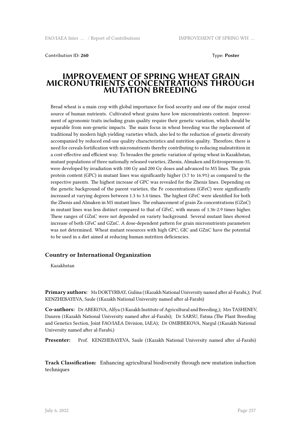Contribution ID: **260** Type: **Poster**

# **IMPROVEMENT OF SPRING WHEAT GRAIN MICRONUTRIENTS CONCENTRATIONS THROUGH MUTATION BREEDING**

Bread wheat is a main crop with global importance for food security and one of the major cereal source of human nutrients. Cultivated wheat grains have low micronutrients content. Improvement of agronomic traits including grain quality require their genetic variation, which should be separable from non-genetic impacts. The main focus in wheat breeding was the replacement of traditional by modern high yielding varieties which, also led to the reduction of genetic diversity accompanied by reduced end-use quality characteristics and nutrition quality. Therefore, there is need for cereals fortification with micronutrients thereby contributing to reducing malnutrition in a cost-effective and efficient way. To broaden the genetic variation of spring wheat in Kazakhstan, mutant populations of three nationally released varieties, Zhenis, Almaken and Eritrospermum-35, were developed by irradiation with 100 Gy and 200 Gy doses and advanced to M5 lines. The grain protein content (GPC) in mutant lines was significantly higher (3.7 to 16.9%) as compared to the respective parents. The highest increase of GPC was revealed for the Zhenis lines. Depending on the genetic background of the parent varieties, the Fe concentrations (GFeC) were significantly increased at varying degrees between 1.3 to 3.4 times. The highest GFeC were identified for both the Zhenis and Almaken in M5 mutant lines. The enhancement of grain Zn concentrations (GZnC) in mutant lines was less distinct compared to that of GFeC, with means of 1.36-2.9 times higher. These ranges of GZnC were not depended on variety background. Several mutant lines showed increase of both GFeC and GZnC. A dose-dependent pattern for grain micronutrients parameters was not determined. Wheat mutant resources with high GPC, GIC and GZnC have the potential to be used in a diet aimed at reducing human nutrition deficiencies.

### **Country or International Organization**

Kazakhstan

**Primary authors:** Ms DOKTYRBAY, Gulina (1Kazakh National University named after al-Farabi,); Prof. KENZHEBAYEVA, Saule (1Kazakh National University named after al-Farabi)

**Co-authors:** Dr ABEKOVA, Alfya (3 Kazakh Institute of Agricultural and Breeding,); Mrs TASHENEV, Dauren (1Kazakh National University named after al-Farabi); Dr SARSU, Fatma (The Plant Breeding and Genetics Section, Joint FAO/IAEA Division, IAEA); Dr OMIRBEKOVA, Nargul (1Kazakh National University named after al-Farabi,)

**Presenter:** Prof. KENZHEBAYEVA, Saule (1Kazakh National University named after al-Farabi)

**Track Classification:** Enhancing agricultural biodiversity through new mutation induction techniques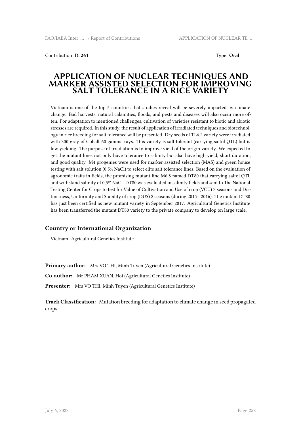Contribution ID: **261** Type: **Oral**

# **APPLICATION OF NUCLEAR TECHNIQUES AND MARKER ASSISTED SELECTION FOR IMPROVING SALT TOLERANCE IN A RICE VARIETY**

Vietnam is one of the top 5 countries that studies reveal will be severely impacted by climate change. Bad harvests, natural calamities, floods, and pests and diseases will also occur more often. For adaptation to mentioned challenges, cultivation of varieties resistant to biotic and abiotic stresses are required. In this study, the result of application of irradiated techniques and biotechnology in rice breeding for salt tolerance will be presented. Dry seeds of TL6.2 variety were irradiated with 300 gray of Cobalt-60 gamma rays. This variety is salt tolerant (carrying saltol QTL) but is low yielding. The purpose of irradiation is to improve yield of the origin variety. We expected to get the mutant lines not only have tolerance to salinity but also have high yield, short duration, and good quality. M4 progenies were used for marker assisted selection (MAS) and green house testing with salt solution (0.5% NaCl) to select elite salt tolerance lines. Based on the evaluation of agronomic traits in fields, the promising mutant line M6.8 named DT80 that carrying saltol QTL and withstand salinity of 0,5% NaCl. DT80 was evaluated in salinity fields and sent to The National Testing Center for Crops to test for Value of Cultivation and Use of crop (VCU) 3 seasons and Distinctness, Uniformity and Stability of crop (DUS) 2 seasons (during 2015 - 2016). The mutant DT80 has just been certified as new mutant variety in September 2017. Agricultural Genetics Institute has been transferred the mutant DT80 variety to the private company to develop on large scale.

### **Country or International Organization**

Vietnam- Agricultural Genetics Institute

**Primary author:** Mrs VO THI, Minh Tuyen (Agricultural Genetics Institute)

**Co-author:** Mr PHAM XUAN, Hoi (Agricultural Genetics Institute)

**Presenter:** Mrs VO THI, Minh Tuyen (Agricultural Genetics Institute)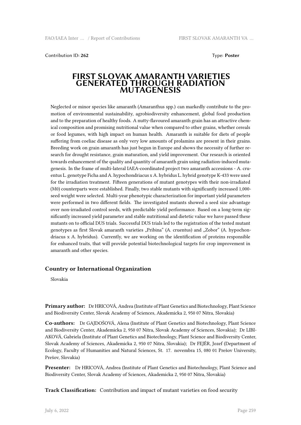Contribution ID: **262** Type: **Poster**

## **FIRST SLOVAK AMARANTH VARIETIES GENERATED THROUGH RADIATION MUTAGENESIS**

Neglected or minor species like amaranth (Amaranthus spp.) can markedly contribute to the promotion of environmental sustainability, agrobiodiversity enhancement, global food production and to the preparation of healthy foods. A nutty-flavoured amaranth grain has an attractive chemical composition and promising nutritional value when compared to other grains, whether cereals or food legumes, with high impact on human health. Amaranth is suitable for diets of people suffering from coeliac disease as only very low amounts of prolamins are present in their grains. Breeding work on grain amaranth has just begun in Europe and shows the necessity of further research for drought resistance, grain maturation, and yield improvement. Our research is oriented towards enhancement of the quality and quantity of amaranth grain using radiation-induced mutagenesis. In the frame of multi-lateral IAEA-coordinated project two amaranth accessions - A. cruentus L. genotype Ficha and A. hypochondriacus x A. hybridus L. hybrid genotype K-433 were used for the irradiation treatment. Fifteen generations of mutant genotypes with their non-irradiated (M0) counterparts were established. Finally, two stable mutants with significantly increased 1,000 seed weight were selected. Multi-year phenotypic characterization for important yield parameters were performed in two different fields. The investigated mutants showed a seed size advantage over non-irradiated control seeds, with predictable yield performance. Based on a long-term significantly increased yield parameter and stable nutritional and dietetic value we have passed these mutants on to official DUS trials. Successful DUS trials led to the registration of the tested mutant genotypes as first Slovak amaranth varieties "Pribina" (A. cruentus) and "Zobor" (A. hypochondriacus x A. hybridus). Currently, we are working on the identification of proteins responsible for enhanced traits, that will provide potential biotechnological targets for crop improvement in amaranth and other species.

#### **Country or International Organization**

Slovakia

**Primary author:** Dr HRICOVÁ, Andrea (Institute of Plant Genetics and Biotechnology, Plant Science and Biodiversity Center, Slovak Academy of Sciences, Akademicka 2, 950 07 Nitra, Slovakia)

**Co-authors:** Dr GAJDOŠOVÁ, Alena (Institute of Plant Genetics and Biotechnology, Plant Science and Biodiversity Center, Akademicka 2, 950 07 Nitra, Slovak Academy of Sciences, Slovakia); Dr LIBI-AKOVÁ, Gabriela (Institute of Plant Genetics and Biotechnology, Plant Science and Biodiversity Center, Slovak Academy of Sciences, Akademicka 2, 950 07 Nitra, Slovakia); Dr FEJÉR, Jozef (Department of Ecology, Faculty of Humanities and Natural Sciences, St. 17. novembra 15, 080 01 Prešov University, Prešov, Slovakia)

**Presenter:** Dr HRICOVÁ, Andrea (Institute of Plant Genetics and Biotechnology, Plant Science and Biodiversity Center, Slovak Academy of Sciences, Akademicka 2, 950 07 Nitra, Slovakia)

**Track Classification:** Contribution and impact of mutant varieties on food security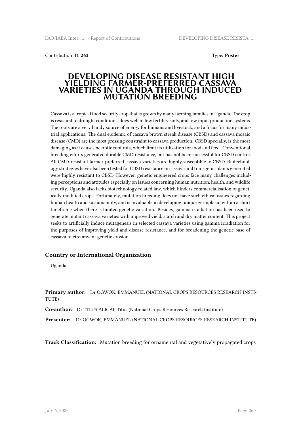Contribution ID: **263** Type: **Poster**

## **DEVELOPING DISEASE RESISTANT HIGH YIELDING FARMER-PREFERRED CASSAVA VARIETIES IN UGANDA THROUGH INDUCED MUTATION BREEDING**

Cassava is a tropical food security crop that is grown by many farming families in Uganda. The crop is resistant to drought conditions, does well in low fertility soils, and low input production systems. The roots are a very handy source of energy for humans and livestock, and a focus for many industrial applications. The dual epidemic of cassava brown streak disease (CBSD) and cassava mosaic disease (CMD) are the most pressing constraint to cassava production. CBSD specially, is the most damaging as it causes necrotic root rots, which limit its utilization for food and feed. Conventional breeding efforts generated durable CMD resistance, but has not been successful for CBSD control. All CMD-resistant farmer-preferred cassava varieties are highly susceptible to CBSD. Biotechnology strategies have also been tested for CBSD resistance in cassava and transgenic plants generated were highly resistant to CBSD. However, genetic engineered crops face many challenges including perceptions and attitudes especially on issues concerning human nutrition, health, and wildlife security. Uganda also lacks biotechnology related law, which hinders commercialisation of genetically modified crops. Fortunately, mutation breeding does not have such ethical issues regarding human health and sustainability, and is invaluable in developing unique germplasm within a short timeframe when there is limited genetic variation. Besides, gamma irradiation has been used to generate mutant cassava varieties with improved yield, starch and dry matter content. This project seeks to artificially induce mutagenesis in selected cassava varieties using gamma irradiation for the purposes of improving yield and disease resistance, and for broadening the genetic base of cassava to circumvent genetic erosion.

### **Country or International Organization**

Uganda

**Primary author:** Dr OGWOK, EMMANUEL (NATIONAL CROPS RESOURCES RESEARCH INSTI-TUTE)

**Co-author:** Dr TITUS ALICAI, Titus (National Crops Resources Research Institute)

**Presenter:** Dr OGWOK, EMMANUEL (NATIONAL CROPS RESOURCES RESEARCH INSTITUTE)

**Track Classification:** Mutation breeding for ornamental and vegetatively propagated crops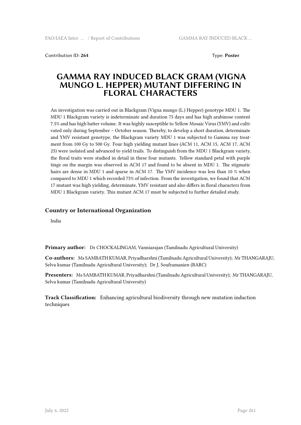Contribution ID: **264** Type: **Poster**

# **GAMMA RAY INDUCED BLACK GRAM (VIGNA MUNGO L. HEPPER) MUTANT DIFFERING IN FLORAL CHARACTERS**

An investigation was carried out in Blackgram (Vigna mungo (L.) Hepper) genotype MDU 1. The MDU 1 Blackgram variety is indeterminate and duration 75 days and has high arabinose content 7.5% and has high batter volume. It was highly susceptible to Yellow Mosaic Virus (YMV) and cultivated only during September – October season. Thereby, to develop a short duration, determinate and YMV resistant genotype, the Blackgram variety MDU 1 was subjected to Gamma ray treatment from 100 Gy to 500 Gy. Four high yielding mutant lines (ACM 11, ACM 15, ACM 17, ACM 25) were isolated and advanced to yield trails. To distinguish from the MDU 1 Blackgram variety, the floral traits were studied in detail in these four mutants. Yellow standard petal with purple tinge on the margin was observed in ACM 17 and found to be absent in MDU 1. The stigmatic hairs are dense in MDU 1 and sparse in ACM 17. The YMV incidence was less than 10 % when compared to MDU 1 which recorded 75% of infection. From the investigation, we found that ACM 17 mutant was high yielding, determinate, YMV resistant and also differs in floral characters from MDU 1 Blackgram variety. This mutant ACM 17 must be subjected to further detailed study.

#### **Country or International Organization**

India

**Primary author:** Dr CHOCKALINGAM, Vanniarajan (Tamilnadu Agricultural University)

**Co-authors:** Ms SAMBATH KUMAR, Priyadharshni (Tamilnadu Agricultural University); Mr THANGARAJU, Selva kumar (Tamilnadu Agricultural University); Dr J, Souframanien (BARC)

**Presenters:** Ms SAMBATH KUMAR, Priyadharshni (Tamilnadu Agricultural University); Mr THANGARAJU, Selva kumar (Tamilnadu Agricultural University)

**Track Classification:** Enhancing agricultural biodiversity through new mutation induction techniques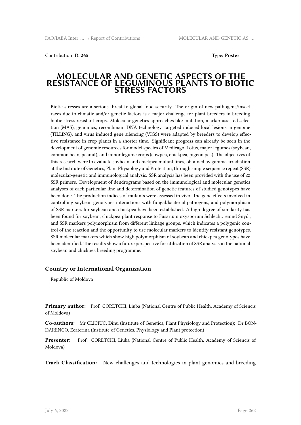Contribution ID: **265** Type: **Poster**

# **MOLECULAR AND GENETIC ASPECTS OF THE RESISTANCE OF LEGUMINOUS PLANTS TO BIOTIC STRESS FACTORS**

Biotic stresses are a serious threat to global food security. The origin of new pathogens/insect races due to climatic and/or genetic factors is a major challenge for plant breeders in breeding biotic stress resistant crops. Molecular genetics approaches like mutation, marker assisted selection (MAS), genomics, recombinant DNA technology, targeted induced local lesions in genome (TILLING), and virus induced gene silencing (VIGS) were adapted by breeders to develop effective resistance in crop plants in a shorter time. Significant progress can already be seen in the development of genomic resources for model species of Medicago, Lotus, major legumes (soybean, common bean, peanut), and minor legume crops (cowpea, chickpea, pigeon pea). The objectives of this research were to evaluate soybean and chickpea mutant lines, obtained by gamma-irradiation at the Institute of Genetics, Plant Physiology and Protection, through simple sequence repeat (SSR) molecular-genetic and immunological analysis. SSR analysis has been provided with the use of 22 SSR primers. Development of dendrograms based on the immunological and molecular genetics analyses of each particular line and determination of genetic features of studied genotypes have been done. The production indices of mutants were assessed in vivo. The gene effects involved in controlling soybean genotypes interactions with fungal/bacterial pathogens, and polymorphism of SSR markers for soybean and chickpea have been established. A high degree of similarity has been found for soybean, chickpea plant response to Fusarium oxysporum Schlecht. emnd Snyd., and SSR markers polymorphism from different linkage groups, which indicates a polygenic control of the reaction and the opportunity to use molecular markers to identify resistant genotypes. SSR molecular markers which show high polymorphism of soybean and chickpea genotypes have been identified. The results show a future perspective for utilization of SSR analysis in the national soybean and chickpea breeding programme.

#### **Country or International Organization**

Republic of Moldova

Primary author: Prof. CORETCHI, Liuba (National Centre of Public Health, Academy of Sciencis of Moldova)

**Co-authors:** Mr CLICIUC, Dinu (Institute of Genetics, Plant Physiology and Protection); Dr BON-DARENCO, Ecaterina (Institute of Genetics, Physiology and Plant protection)

**Presenter:** Prof. CORETCHI, Liuba (National Centre of Public Health, Academy of Sciencis of Moldova)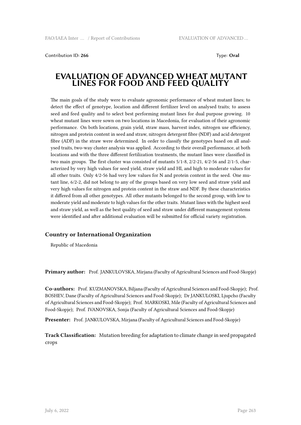Contribution ID: 266 **Type: Oral** 

# **EVALUATION OF ADVANCED WHEAT MUTANT LINES FOR FOOD AND FEED QUALITY**

The main goals of the study were to evaluate agronomic performance of wheat mutant lines; to detect the effect of genotype, location and different fertilizer level on analysed traits; to assess seed and feed quality and to select best performing mutant lines for dual purpose growing. 10 wheat mutant lines were sown on two locations in Macedonia, for evaluation of their agronomic performance. On both locations, grain yield, straw mass, harvest index, nitrogen use efficiency, nitrogen and protein content in seed and straw, nitrogen detergent fibre (NDF) and acid detergent fibre (ADF) in the straw were determined. In order to classify the genotypes based on all analysed traits, two-way cluster analysis was applied. According to their overall performance, at both locations and with the three different fertilization treatments, the mutant lines were classified in two main groups. The first cluster was consisted of mutants 5/1-8, 2/2-21, 4/2-56 and 2/1-5, characterized by very high values for seed yield, straw yield and HI, and high to moderate values for all other traits. Only 4/2-56 had very low values for N and protein content in the seed. One mutant line, 6/2-2, did not belong to any of the groups based on very low seed and straw yield and very high values for nitrogen and protein content in the straw and NDF. By these characteristics it differed from all other genotypes. All other mutants belonged to the second group, with low to moderate yield and moderate to high values for the other traits. Mutant lines with the highest seed and straw yield, as well as the best quality of seed and straw under different management systems were identified and after additional evaluation will be submitted for official variety registration.

### **Country or International Organization**

Republic of Macedonia

**Primary author:** Prof. JANKULOVSKA, Mirjana (Faculty of Agricultural Sciences and Food-Skopje)

**Co-authors:** Prof. KUZMANOVSKA, Biljana (Faculty of Agricultural Sciences and Food-Skopje); Prof. BOSHEV, Dane (Faculty of Agricultural Sciences and Food-Skopje); Dr JANKULOSKI, Ljupcho (Faculty of Agricultural Sciences and Food-Skopje); Prof. MARKOSKI, Mile (Faculty of Agricultural Sciences and Food-Skopje); Prof. IVANOVSKA, Sonja (Faculty of Agricultural Sciences and Food-Skopje)

**Presenter:** Prof. JANKULOVSKA, Mirjana (Faculty of Agricultural Sciences and Food-Skopje)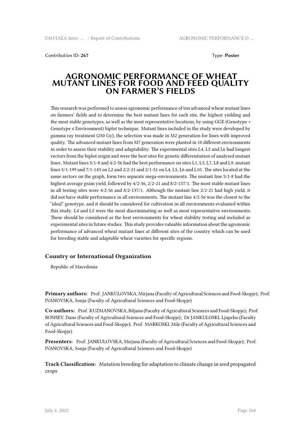Contribution ID: **267** Type: **Poster**

# **AGRONOMIC PERFORMANCE OF WHEAT MUTANT LINES FOR FOOD AND FEED QUALITY ON FARMER'S FIELDS**

This research was performed to assess agronomic performance of ten advanced wheat mutant lines on farmers' fields and to determine the best mutant lines for each site, the highest yielding and the most stable genotypes, as well as the most representative locations, by using GGE (Genotype + Genotype x Environment) biplot technique. Mutant lines included in the study were developed by gamma ray treatment (250 Gy), the selection was made in M2 generation for lines with improved quality. The advanced mutant lines from M7 generation were planted in 10 different environments in order to assess their stability and adaptability. The experimental sites L4, L5 and L6 had longest vectors from the biplot origin and were the best sites for genetic differentiation of analysed mutant lines. Mutant lines 5/1-8 and 4/2-56 had the best performance on sites L1, L3, L7, L8 and L9, mutant lines 5/1-199 and 7/1-143 on L2 and 2/2-21 and 2/1-51 on L4, L5, L6 and L10. The sites located at the same sectors on the graph, form two separate mega-environments. The mutant line 5/1-8 had the highest average grain yield, followed by 4/2-56, 2/2-21 and 8/2-137/1. The most stable mutant lines in all testing sites were 4/2-56 and 8/2-137/1. Although the mutant line 2/2-21 had high yield, it did not have stable performance in all environments. The mutant line 4/2-56 was the closest to the "ideal" genotype, and it should be considered for cultivation in all environments evaluated within this study. L4 and L5 were the most discriminating as well as most representative environments. These should be considered as the best environments for wheat stability testing and included as experimental sites in future studies. This study provides valuable information about the agronomic performance of advanced wheat mutant lines at different sites of the country which can be used for breeding stable and adaptable wheat varieties for specific regions.

### **Country or International Organization**

Republic of Macedonia

**Primary authors:** Prof. JANKULOVSKA, Mirjana (Faculty of Agricultural Sciences and Food-Skopje); Prof. IVANOVSKA, Sonja (Faculty of Agricultural Sciences and Food-Skopje)

**Co-authors:** Prof. KUZMANOVSKA, Biljana (Faculty of Agricultural Sciences and Food-Skopje); Prof. BOSHEV, Dane (Faculty of Agricultural Sciences and Food-Skopje); Dr JANKULOSKI, Ljupcho (Faculty of Agricultural Sciences and Food-Skopje); Prof. MARKOSKI, Mile (Faculty of Agricultural Sciences and Food-Skopje)

**Presenters:** Prof. JANKULOVSKA, Mirjana (Faculty of Agricultural Sciences and Food-Skopje); Prof. IVANOVSKA, Sonja (Faculty of Agricultural Sciences and Food-Skopje)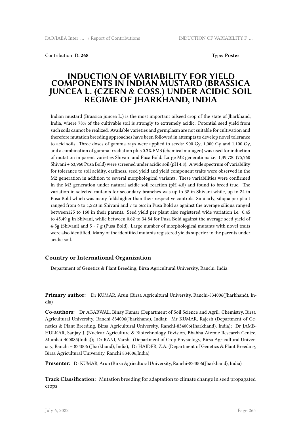Contribution ID: **268** Type: **Poster**

# **INDUCTION OF VARIABILITY FOR YIELD COMPONENTS IN INDIAN MUSTARD (BRASSICA JUNCEA L. (CZERN & COSS.) UNDER ACIDIC SOIL REGIME OF JHARKHAND, INDIA**

Indian mustard (Brassica juncea L.) is the most important oilseed crop of the state of Jharkhand, India, where 78% of the cultivable soil is strongly to extremely acidic. Potential seed yield from such soils cannot be realized. Available varieties and germplasm are not suitable for cultivation and therefore mutation breeding approaches have been followed in attempts to develop novel tolerance to acid soils. Three doses of gamma-rays were applied to seeds: 900 Gy, 1,000 Gy and 1,100 Gy, and a combination of gamma irradiation plus 0.3% EMS (chemical mutagen) was used for induction of mutation in parent varieties Shivani and Pusa Bold. Large M2 generations i.e. 1,39,720 (75,760 Shivani + 63,960 Pusa Bold) were screened under acidic soil (pH 4.8). A wide spectrum of variability for tolerance to soil acidity, earliness, seed yield and yield component traits were observed in the M2 generation in addition to several morphological variants. These variabilities were confirmed in the M3 generation under natural acidic soil reaction (pH 4.8) and found to breed true. The variation in selected mutants for secondary branches was up to 38 in Shivani while, up to 24 in Pusa Bold which was many foldshigher than their respective controls. Similarly, siliqua per plant ranged from 6 to 1,223 in Shivani and 7 to 562 in Pusa Bold as against the average siliqua ranged between125 to 160 in their parents. Seed yield per plant also registered wide variation i.e. 0.45 to 45.49 g in Shivani, while between 0.62 to 34.84 for Pusa Bold against the average seed yield of 4-5g (Shivani) and 5 - 7 g (Pusa Bold). Large number of morphological mutants with novel traits were also identified. Many of the identified mutants registered yields superior to the parents under acidic soil.

### **Country or International Organization**

Department of Genetics & Plant Breeding, Birsa Agricultural University, Ranchi, India

**Primary author:** Dr KUMAR, Arun (Birsa Agricultural University, Ranchi-834006(Jharkhand), India)

**Co-authors:** Dr AGARWAL, Binay Kumar (Department of Soil Science and Agril. Chemistry, Birsa Agricultural University, Ranchi-834006(Jharkhand), India); Mr KUMAR, Rajesh (Department of Genetics & Plant Breeding, Birsa Agricultural University, Ranchi-834006(Jharkhand), India); Dr JAMB-HULKAR, Sanjay J. (Nuclear Agriculture & Biotechnology Division, Bhabha Atomic Research Centre, Mumbai-400085(India)); Dr RANI, Varsha (Department of Crop Physiology, Birsa Agricultural University, Ranchi – 834006 (Jharkhand), India); Dr HAIDER, Z.A. (Department of Genetics & Plant Breeding, Birsa Agricultural University, Ranchi 834006,India)

**Presenter:** Dr KUMAR, Arun (Birsa Agricultural University, Ranchi-834006(Jharkhand), India)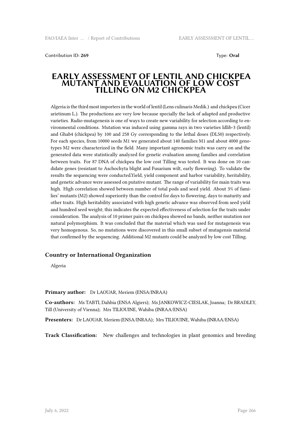Contribution ID: 269 **Type: Oral** 

# **EARLY ASSESSMENT OF LENTIL AND CHICKPEA MUTANT AND EVALUATION OF LOW COST TILLING ON M2 CHICKPEA**

Algeria is the third most importers in the world of lentil (Lens culinaris Medik.) and chickpea (Cicer arietinum L.). The productions are very low because specially the lack of adapted and productive varieties. Radio-mutagenesis is one of ways to create new variability for selection according to environmental conditions. Mutation was induced using gamma rays in two varieties Idlib-3 (lentil) and Ghab4 (chickpea) by 100 and 258 Gy corresponding to the lethal doses (DL50) respectively. For each species, from 10000 seeds M1 we generated about 140 families M1 and about 4000 genotypes M2 were characterized in the field. Many important agronomic traits was carry on and the generated data were statistically analyzed for genetic evaluation among families and correlation between traits. For 87 DNA of chickpea the low cost Tilling was tested. It was done on 10 candidate genes (resistant to Aschochyta blight and Fusarium wilt, early flowering). To validate the results the sequencing were conducted.Yield, yield component and harbor variability, heritability, and genetic advance were assessed on putative mutant. The range of variability for main traits was high. High correlation showed between number of total pods and seed yield. About 3% of families' mutants (M2) showed superiority than the control for days to flowering, days to maturity and other traits. High heritability associated with high genetic advance was observed from seed yield and hundred seed weight; this indicates the expected effectiveness of selection for the traits under consideration. The analysis of 10 primer pairs on chickpea showed no bands, neither mutation nor natural polymorphism. It was concluded that the material which was used for mutagenesis was very homogenous. So, no mutations were discovered in this small subset of mutagensis material that confirmed by the sequencing. Additional M2 mutants could be analyzed by low cost Tilling.

### **Country or International Organization**

Algeria

**Primary author:** Dr LAOUAR, Meriem (ENSA/INRAA)

**Co-authors:** Ms TABTI, Dahbia (ENSA Algiers); Ms JANKOWICZ-CIESLAK, Joanna; Dr BRADLEY, Till (University of Vienna); Mrs TILIOUINE, Wahiba (INRAA/ENSA)

**Presenters:** Dr LAOUAR, Meriem (ENSA/INRAA); Mrs TILIOUINE, Wahiba (INRAA/ENSA)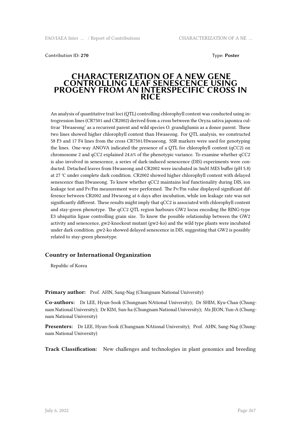Contribution ID: **270** Type: **Poster**

## **CHARACTERIZATION OF A NEW GENE CONTROLLING LEAF SENESCENCE USING PROGENY FROM AN INTERSPECIFIC CROSS IN RICE**

An analysis of quantitative trait loci (QTL) controlling chlorophyll content was conducted using introgression lines (CR7501 and CR2002) derived from a cross between the Oryza sativa japonica cultivar 'Hwaseong' as a recurrent parent and wild species O. grandiglumis as a donor parent. These two lines showed higher chlorophyll content than Hwaseong. For QTL analysis, we constructed 58 F3 and 17 F4 lines from the cross CR7501/Hwaseong. SSR markers were used for genotyping the lines. One-way ANOVA indicated the presence of a QTL for chlorophyll content (qCC2) on chromosome 2 and qCC2 explained 24.6% of the phenotypic variance. To examine whether qCC2 is also involved in senescence, a series of dark-induced senescence (DIS) experiments were conducted. Detached leaves from Hwaseong and CR2002 were incubated in 3mM MES buffer (pH 5.8) at 27 ℃ under complete dark condition. CR2002 showed higher chlorophyll content with delayed senescence than Hwaseong. To know whether qCC2 maintains leaf functionality during DIS, ion leakage test and Fv/Fm measurement were performed. The Fv/Fm value displayed significant difference between CR2002 and Hwseong at 6 days after incubation, while ion leakage rate was not significantly different. These results might imply that qCC2 is associated with chlorophyll content and stay-green phenotype. The qCC2 QTL region harbours GW2 locus encoding the RING-type E3 ubiquitin ligase controlling grain size. To know the possible relationship between the GW2 activity and senescence, gw2-knockout mutant (gw2-ko) and the wild type plants were incubated under dark condition. gw2-ko showed delayed senescence in DIS, suggesting that GW2 is possibly related to stay-green phenotype.

## **Country or International Organization**

Republic of Korea

Primary author: Prof. AHN, Sang-Nag (Chungnam National University)

**Co-authors:** Dr LEE, Hyun-Sook (Chungnam NAtional University); Dr SHIM, Kyu-Chan (Chungnam National University); Dr KIM, Sun-ha (Chungnam National University); Ms JEON, Yun-A (Chungnam National University)

**Presenters:** Dr LEE, Hyun-Sook (Chungnam NAtional University); Prof. AHN, Sang-Nag (Chungnam National University)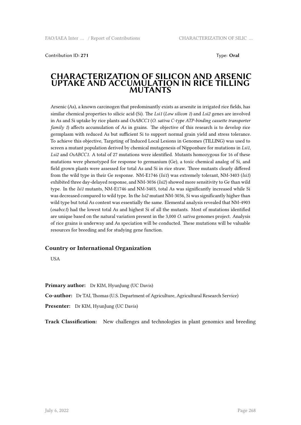Contribution ID: **271** Type: **Oral**

# **CHARACTERIZATION OF SILICON AND ARSENIC UPTAKE AND ACCUMULATION IN RICE TILLING MUTANTS**

Arsenic (As), a known carcinogen that predominantly exists as arsenite in irrigated rice fields, has similar chemical properties to silicic acid (Si). The *Lsi1* (*Low silicon 1*) and *Lsi2* genes are involved in As and Si uptake by rice plants and *OsABCC1* (*O. sativa C-type ATP-binding cassette transporter family 1*) affects accumulation of As in grains. The objective of this research is to develop rice germplasm with reduced As but sufficient Si to support normal grain yield and stress tolerance. To achieve this objective, Targeting of Induced Local Lesions in Genomes (TILLING) was used to screen a mutant population derived by chemical mutagenesis of Nipponbare for mutations in *Lsi1*, *Lsi2* and *OsABCC1*. A total of 27 mutations were identified. Mutants homozygous for 16 of these mutations were phenotyped for response to germanium (Ge), a toxic chemical analog of Si, and field grown plants were assessed for total As and Si in rice straw. Three mutants clearly differed from the wild type in their Ge response. NM-E1746 (*lsi1*) was extremely tolerant, NM-3403 (*lsi1*) exhibited three day-delayed response, and NM-3036 (*lsi2*) showed more sensitivity to Ge than wild type. In the *lsi1* mutants, NM-E1746 and NM-3403, total As was significantly increased while Si was decreased compared to wild type. In the *lsi2* mutant NM-3036, Si was significantly higher than wild type but total As content was essentially the same. Elemental analysis revealed that NM-4903 (*osabcc1*) had the lowest total As and highest Si of all the mutants. Most of mutations identified are unique based on the natural variation present in the 3,000 *O. sativa* genomes project. Analysis of rice grains is underway and As speciation will be conducted. These mutations will be valuable resources for breeding and for studying gene function.

#### **Country or International Organization**

USA

**Primary author:** Dr KIM, HyunJung (UC Davis)

**Co-author:** Dr TAI, Thomas (U.S. Department of Agriculture, Agricultural Research Service)

**Presenter:** Dr KIM, HyunJung (UC Davis)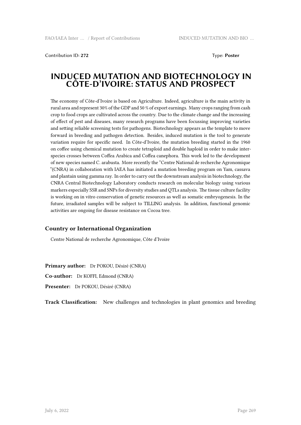Contribution ID: **272** Type: **Poster**

# **INDUCED MUTATION AND BIOTECHNOLOGY IN CÔTE-D'IVOIRE: STATUS AND PROSPECT**

The economy of Côte-d'Ivoire is based on Agriculture. Indeed, agriculture is the main activity in rural area and represent 30% of the GDP and 50 % of export earnings. Many crops ranging from cash crop to food crops are cultivated across the country. Due to the climate change and the increasing of effect of pest and diseases, many research programs have been focussing improving varieties and setting reliable screening tests for pathogens. Biotechnology appears as the template to move forward in breeding and pathogen detection. Besides, induced mutation is the tool to generate variation require for specific need. In Côte-d'Ivoire, the mutation breeding started in the 1960 on coffee using chemical mutation to create tetraploid and double haploid in order to make interspecies crosses between Coffea Arabica and Coffea canephora. This work led to the development of new species named C. arabusta. More recently the "Centre National de recherche Agronomique "(CNRA) in collaboration with IAEA has initiated a mutation breeding program on Yam, cassava and plantain using gamma ray. In order to carry out the downstream analysis in biotechnology, the CNRA Central Biotechnology Laboratory conducts research on molecular biology using various markers especially SSR and SNPs for diversity studies and QTLs analysis. The tissue culture facility is working on in vitro conservation of genetic resources as well as somatic embryogenesis. In the future, irradiated samples will be subject to TILLING analysis. In addition, functional genomic activities are ongoing for disease resistance on Cocoa tree.

## **Country or International Organization**

Centre National de recherche Agronomique, Côte d'Ivoire

**Primary author:** Dr POKOU, Désiré (CNRA)

**Co-author:** Dr KOFFI, Edmond (CNRA)

**Presenter:** Dr POKOU, Désiré (CNRA)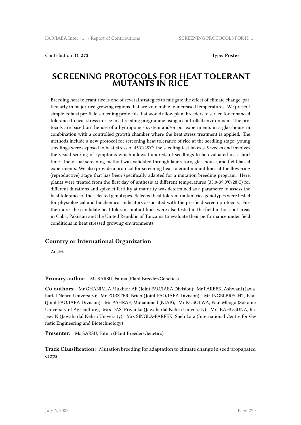Contribution ID: **273** Type: **Poster**

# **SCREENING PROTOCOLS FOR HEAT TOLERANT MUTANTS IN RICE**

Breeding heat tolerant rice is one of several strategies to mitigate the effect of climate change, particularly in major rice growing regions that are vulnerable to increased temperatures. We present simple, robust pre-field screening protocols that would allow plant breeders to screen for enhanced tolerance to heat stress in rice in a breeding programme using a controlled environment. The protocols are based on the use of a hydroponics system and/or pot experiments in a glasshouse in combination with a controlled growth chamber where the heat stress treatment is applied. The methods include a new protocol for screening heat tolerance of rice at the seedling stage: young seedlings were exposed to heat stress of 45℃/28℃; the seedling test takes 4-5 weeks and involves the visual scoring of symptoms which allows hundreds of seedlings to be evaluated in a short time. The visual screening method was validated through laboratory, glasshouse, and field-based experiments. We also provide a protocol for screening heat tolerant mutant lines at the flowering (reproductive) stage that has been specifically adapted for a mutation breeding program. Here, plants were treated from the first day of anthesis at different temperatures (35.0-39.0℃/28℃) for different durations and spikelet fertility at maturity was determined as a parameter to assess the heat tolerance of the selected genotypes. Selected heat tolerant mutant rice genotypes were tested for physiological and biochemical indicators associated with the pre-field screen protocols. Furthermore, the candidate heat tolerant mutant lines were also tested in the field in hot spot areas in Cuba, Pakistan and the United Republic of Tanzania to evaluate their performance under field conditions in heat stressed growing environments.

### **Country or International Organization**

Austria

**Primary author:** Ms SARSU, Fatma (Plant Breeder/Genetics)

**Co-authors:** Mr GHANIM, A.Mukhtar Ali (Joint FAO/IAEA Division); Mr PAREEK, Ashwani (Jawaharlal Nehru University); Mr FORSTER, Brian (Joint FAO/IAEA Division); Mr INGELBRECHT, Ivan (Joint FAO/IAEA Division); Mr ASHRAF, Muhammed (NIAB); Mr KUSOLWA, Paul Mbogo (Sokoine University of Agriculture); Mrs DAS, Priyanka (Jawaharlal Nehru University); Mrs BAHUGUNA, Rajeev N (Jawaharlal Nehru University); Mrs SINGLA-PAREEK, Sneh Lata (International Centre for Genetic Engineering and Biotechnology)

**Presenter:** Ms SARSU, Fatma (Plant Breeder/Genetics)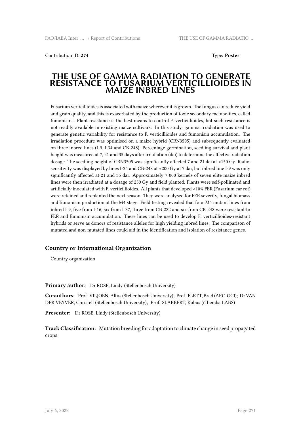Contribution ID: **274** Type: **Poster**

## **THE USE OF GAMMA RADIATION TO GENERATE RESISTANCE TO FUSARIUM VERTICILLIOIDES IN MAIZE INBRED LINES**

Fusarium verticillioides is associated with maize wherever it is grown. The fungus can reduce yield and grain quality, and this is exacerbated by the production of toxic secondary metabolites, called fumonisins. Plant resistance is the best means to control F. verticillioides, but such resistance is not readily available in existing maize cultivars. In this study, gamma irradiation was used to generate genetic variability for resistance to F. verticillioides and fumonisin accumulation. The irradiation procedure was optimised on a maize hybrid (CRN3505) and subsequently evaluated on three inbred lines (I-9, I-34 and CB-248). Percentage germination, seedling survival and plant height was measured at 7, 21 and 35 days after irradiation (dai) to determine the effective radiation dosage. The seedling height of CRN3505 was significantly affected 7 and 21 dai at <150 Gy. Radiosensitivity was displayed by lines I-34 and CB-248 at <200 Gy at 7 dai, but inbred line I-9 was only significantly affected at 21 and 35 dai. Approximately 7 000 kernels of seven elite maize inbred lines were then irradiated at a dosage of 250 Gy and field planted. Plants were self-pollinated and artificially inoculated with F. verticillioides. All plants that developed <10% FER (Fusarium ear rot) were retained and replanted the next season. They were analysed for FER severity, fungal biomass and fumonisin production at the M4 stage. Field testing revealed that four M4 mutant lines from inbred I-9, five from I-16, six from I-37, three from CB-222 and six from CB-248 were resistant to FER and fumonisin accumulation. These lines can be used to develop F. verticillioides-resistant hybrids or serve as donors of resistance alleles for high yielding inbred lines. The comparison of mutated and non-mutated lines could aid in the identification and isolation of resistance genes.

### **Country or International Organization**

Country organization

**Primary author:** Dr ROSE, Lindy (Stellenbosch University)

**Co-authors:** Prof. VILJOEN, Altus (Stellenbosch University); Prof. FLETT, Brad (ARC-GCI); Dr VAN DER VEYVER, Christell (Stellenbosch University); Prof. SLABBERT, Kobus (iThemba LABS)

**Presenter:** Dr ROSE, Lindy (Stellenbosch University)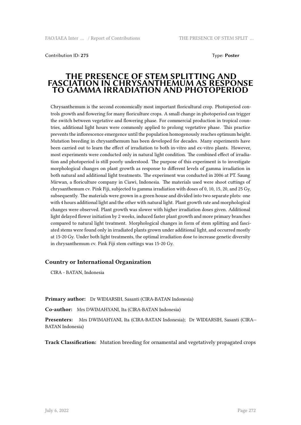Contribution ID: **275** Type: **Poster**

# **THE PRESENCE OF STEM SPLITTING AND FASCIATION IN CHRYSANTHEMUM AS RESPONSE TO GAMMA IRRADIATION AND PHOTOPERIOD**

Chrysanthemum is the second economically most important floricultural crop. Photoperiod controls growth and flowering for many floriculture crops. A small change in photoperiod can trigger the switch between vegetative and flowering phase. For commercial production in tropical countries, additional light hours were commonly applied to prolong vegetative phase. This practice prevents the inflorescence emergence until the population homogenously reaches optimum height. Mutation breeding in chrysanthemum has been developed for decades. Many experiments have been carried out to learn the effect of irradiation to both in-vitro and ex-vitro plants. However, most experiments were conducted only in natural light condition. The combined effect of irradiation and photoperiod is still poorly understood. The purpose of this experiment is to investigate morphological changes on plant growth as response to different levels of gamma irradiation in both natural and additional light treatments. The experiment was conducted in 2006 at PT. Saung Mirwan, a floriculture company in Ciawi, Indonesia. The materials used were shoot cuttings of chrysanthemum cv. Pink Fiji, subjected to gamma irradiation with doses of 0, 10, 15, 20, and 25 Gy, subsequently. The materials were grown in a green house and divided into two separate plots: one with 4 hours additional light and the other with natural light. Plant growth rate and morphological changes were observed. Plant growth was slower with higher irradiation doses given. Additional light delayed flower initiation by 2 weeks, induced faster plant growth and more primary branches compared to natural light treatment. Morphological changes in form of stem splitting and fasciated stems were found only in irradiated plants grown under additional light, and occurred mostly at 15-20 Gy. Under both light treatments, the optimal irradiation dose to increase genetic diversity in chrysanthemum cv. Pink Fiji stem cuttings was 15-20 Gy.

### **Country or International Organization**

CIRA - BATAN, Indonesia

**Primary author:** Dr WIDIARSIH, Sasanti (CIRA-BATAN Indonesia)

**Co-author:** Mrs DWIMAHYANI, Ita (CIRA-BATAN Indonesia)

**Presenters:** Mrs DWIMAHYANI, Ita (CIRA-BATAN Indonesia); Dr WIDIARSIH, Sasanti (CIRA-- BATAN Indonesia)

**Track Classification:** Mutation breeding for ornamental and vegetatively propagated crops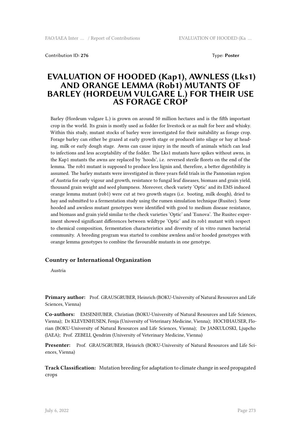Contribution ID: **276** Type: **Poster**

# **EVALUATION OF HOODED (Kap1), AWNLESS (Lks1) AND ORANGE LEMMA (Rob1) MUTANTS OF BARLEY (HORDEUM VULGARE L.) FOR THEIR USE AS FORAGE CROP**

Barley (Hordeum vulgare L.) is grown on around 50 million hectares and is the fifth important crop in the world. Its grain is mostly used as fodder for livestock or as malt for beer and whisky. Within this study, mutant stocks of barley were investigated for their suitability as forage crop. Forage barley can either be grazed at early growth stage or produced into silage or hay at heading, milk or early dough stage. Awns can cause injury in the mouth of animals which can lead to infections and less acceptability of the fodder. The Lks1 mutants have spikes without awns, in the Kap1 mutants the awns are replaced by 'hoods', i.e. reversed sterile florets on the end of the lemma. The rob1 mutant is supposed to produce less lignin and, therefore, a better digestibility is assumed. The barley mutants were investigated in three years field trials in the Pannonian region of Austria for early vigour and growth, resistance to fungal leaf diseases, biomass and grain yield, thousand grain weight and seed plumpness. Moreover, check variety 'Optic' and its EMS induced orange lemma mutant (rob1) were cut at two growth stages (i.e. booting, milk dough), dried to hay and submitted to a fermentation study using the rumen simulation technique (Rusitec). Some hooded and awnless mutant genotypes were identified with good to medium disease resistance, and biomass and grain yield similar to the check varieties 'Optic' and 'Eunova'. The Rusitec experiment showed significant differences between wildtype 'Optic' and its rob1 mutant with respect to chemical composition, fermentation characteristics and diversity of in vitro rumen bacterial community. A breeding program was started to combine awnless and/or hooded genotypes with orange lemma genotypes to combine the favourable mutants in one genotype.

#### **Country or International Organization**

Austria

**Primary author:** Prof. GRAUSGRUBER, Heinrich (BOKU-University of Natural Resources and Life Sciences, Vienna)

**Co-authors:** EMSENHUBER, Christian (BOKU-University of Natural Resources and Life Sciences, Vienna); Dr KLEVENHUSEN, Fenja (University of Veterinary Medicine, Vienna); HOCHHAUSER, Florian (BOKU-University of Natural Resources and Life Sciences, Vienna); Dr JANKULOSKI, Ljupcho (IAEA); Prof. ZEBELI, Qendrim (University of Veterinary Medicine, Vienna)

**Presenter:** Prof. GRAUSGRUBER, Heinrich (BOKU-University of Natural Resources and Life Sciences, Vienna)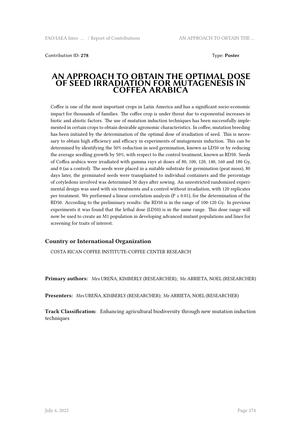Contribution ID: **278** Type: **Poster**

# **AN APPROACH TO OBTAIN THE OPTIMAL DOSE OF SEED IRRADIATION FOR MUTAGENESIS IN COFFEA ARABICA**

Coffee is one of the most important crops in Latin America and has a significant socio-economic impact for thousands of families. The coffee crop is under threat due to exponential increases in biotic and abiotic factors. The use of mutation induction techniques has been successfully implemented in certain crops to obtain desirable agronomic characteristics. In coffee, mutation breeding has been initiated by the determination of the optimal dose of irradiation of seed. This is necessary to obtain high efficiency and efficacy in experiments of mutagenesis induction. This can be determined by identifying the 50% reduction in seed germination, known as LD50 or by reducing the average seedling growth by 50%, with respect to the control treatment, known as RD50. Seeds of Coffea arabica were irradiated with gamma rays at doses of 80, 100, 120, 140, 160 and 180 Gy, and 0 (as a control). The seeds were placed in a suitable substrate for germination (peat moss), 80 days later, the germinated seeds were transplanted to individual containers and the percentage of cotyledons involved was determined 30 days after sowing. An unrestricted randomized experimental design was used with six treatments and a control without irradiation, with 120 replicates per treatment. We performed a linear correlation analysis ( $P \le 0.01$ ), for the determination of the RD50. According to the preliminary results: the RD50 is in the range of 100-120 Gy. In previous experiments it was found that the lethal dose (LD50) is in the same range. This dose range will now be used to create an M1 population in developing advanced mutant populations and lines for screening for traits of interest.

### **Country or International Organization**

COSTA RICAN COFFEE INSTITUTE-COFFEE CENTER RESEARCH

**Primary authors:** Mrs UREÑA, KIMBERLY (RESEARCHER); Mr ARRIETA, NOEL (RESEARCHER)

**Presenters:** Mrs UREÑA, KIMBERLY (RESEARCHER); Mr ARRIETA, NOEL (RESEARCHER)

**Track Classification:** Enhancing agricultural biodiversity through new mutation induction techniques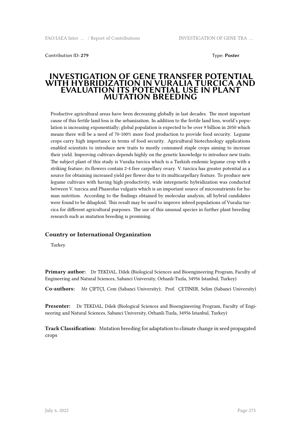Contribution ID: **279** Type: **Poster**

## **INVESTIGATION OF GENE TRANSFER POTENTIAL WITH HYBRIDIZATION IN VURALIA TURCICA AND EVALUATION ITS POTENTIAL USE IN PLANT MUTATION BREEDING**

Productive agricultural areas have been decreasing globally in last decades. The most important cause of this fertile land loss is the urbanization. In addition to the fertile land loss, world's population is increasing exponentially; global population is expected to be over 9 billion in 2050 which means there will be a need of 70-100% more food production to provide food security. Legume crops carry high importance in terms of food security. Agricultural biotechnology applications enabled scientists to introduce new traits to mostly consumed staple crops aiming to increase their yield. Improving cultivars depends highly on the genetic knowledge to introduce new traits. The subject plant of this study is Vuralia turcica which is a Turkish endemic legume crop with a striking feature; its flowers contain 2-4 free carpellary ovary. V. turcica has greater potential as a source for obtaining increased yield per flower due to its multicarpellary feature. To produce new legume cultivars with having high productivity, wide intergenetic hybridization was conducted between V. turcica and Phaseolus vulgaris which is an important source of micronutrients for human nutrition. According to the findings obtained by molecular analysis, all hybrid candidates were found to be dihaploid. This result may be used to improve inbred populations of Vuralia turcica for different agricultural purposes. The use of this unusual species in further plant breeding research such as mutation breeding is promising.

### **Country or International Organization**

Turkey

**Primary author:** Dr TEKDAL, Dilek (Biological Sciences and Bioengineering Program, Faculty of Engineering and Natural Sciences, Sabanci University, Orhanli-Tuzla, 34956 Istanbul, Turkey)

**Co-authors:** Mr ÇIFTÇI, Cem (Sabanci University); Prof. ÇETINER, Selim (Sabanci University)

**Presenter:** Dr TEKDAL, Dilek (Biological Sciences and Bioengineering Program, Faculty of Engineering and Natural Sciences, Sabanci University, Orhanli-Tuzla, 34956 Istanbul, Turkey)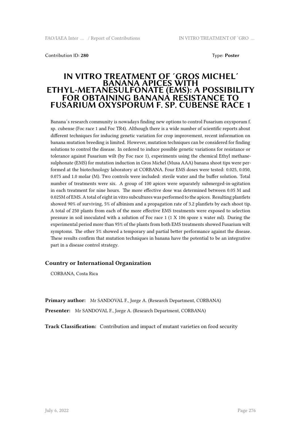Contribution ID: **280** Type: **Poster**

# **IN VITRO TREATMENT OF ´GROS MICHEL´ BANANA APICES WITH ETHYL-METANESULFONATE (EMS): A POSSIBILITY FOR OBTAINING BANANA RESISTANCE TO FUSARIUM OXYSPORUM F. SP. CUBENSE RACE 1**

Banana´s research community is nowadays finding new options to control Fusarium oxysporum f. sp. cubense (Foc race 1 and Foc TR4). Although there is a wide number of scientific reports about different techniques for inducing genetic variation for crop improvement, recent information on banana mutation breeding is limited. However, mutation techniques can be considered for finding solutions to control the disease. In ordered to induce possible genetic variations for resistance or tolerance against Fusarium wilt (by Foc race 1), experiments using the chemical Ethyl methanesulphonate (EMS) for mutation induction in Gros Michel (Musa AAA) banana shoot tips were performed at the biotechnology laboratory at CORBANA. Four EMS doses were tested: 0.025, 0.050, 0.075 and 1.0 molar (M). Two controls were included: sterile water and the buffer solution. Total number of treatments were six. A group of 100 apices were separately submerged-in-agitation in each treatment for nine hours. The more effective dose was determined between 0.05 M and 0.025M of EMS. A total of eight in vitro subcultures was performed to the apices. Resulting plantlets showed 90% of surviving, 5% of albinism and a propagation rate of 3.2 plantlets by each shoot tip. A total of 250 plants from each of the more effective EMS treatments were exposed to selection pressure in soil inoculated with a solution of Foc race 1 (1 X 106 spore x water ml). During the experimental period more than 95% of the plants from both EMS treatments showed Fusarium wilt symptoms. The other 5% showed a temporary and partial better performance against the disease. These results confirm that mutation techniques in banana have the potential to be an integrative part in a disease control strategy.

### **Country or International Organization**

CORBANA, Costa Rica

**Primary author:** Mr SANDOVAL F., Jorge A. (Research Department, CORBANA)

**Presenter:** Mr SANDOVAL F., Jorge A. (Research Department, CORBANA)

**Track Classification:** Contribution and impact of mutant varieties on food security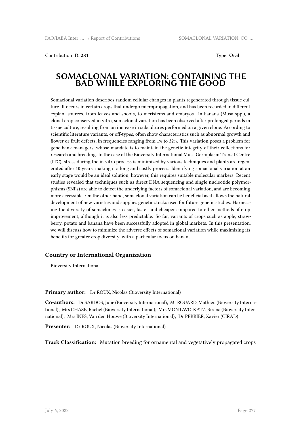Contribution ID: **281** Type: **Oral**

# **SOMACLONAL VARIATION: CONTAINING THE BAD WHILE EXPLORING THE GOOD**

Somaclonal variation describes random cellular changes in plants regenerated through tissue culture. It occurs in certain crops that undergo micropropagation, and has been recorded in different explant sources, from leaves and shoots, to meristems and embryos. In banana (Musa spp.), a clonal crop conserved in vitro, somaclonal variation has been observed after prolonged periods in tissue culture, resulting from an increase in subcultures performed on a given clone. According to scientific literature variants, or off-types, often show characteristics such as abnormal growth and flower or fruit defects, in frequencies ranging from 1% to 32%. This variation poses a problem for gene bank managers, whose mandate is to maintain the genetic integrity of their collections for research and breeding. In the case of the Bioversity International Musa Germplasm Transit Centre (ITC), stress during the in vitro process is minimized by various techniques and plants are regenerated after 10 years, making it a long and costly process. Identifying somaclonal variation at an early stage would be an ideal solution; however, this requires suitable molecular markers. Recent studies revealed that techniques such as direct DNA sequencing and single nucleotide polymorphisms (SNPs) are able to detect the underlying factors of somaclonal variation, and are becoming more accessible. On the other hand, somaclonal variation can be beneficial as it allows the natural development of new varieties and supplies genetic stocks used for future genetic studies. Harnessing the diversity of somaclones is easier, faster and cheaper compared to other methods of crop improvement, although it is also less predictable. So far, variants of crops such as apple, strawberry, potato and banana have been successfully adopted in global markets. In this presentation, we will discuss how to minimize the adverse effects of somaclonal variation while maximizing its benefits for greater crop diversity, with a particular focus on banana.

#### **Country or International Organization**

Bioversity International

#### **Primary author:** Dr ROUX, Nicolas (Bioversity International)

**Co-authors:** Dr SARDOS, Julie (Bioversity International); Mr ROUARD, Mathieu (Bioversity International); Mrs CHASE, Rachel (Bioversity International); Mrs MONTAVO-KATZ, Sirena (Bioversity International); Mrs INES, Van den Houwe (Bioversity International); Dr PERRIER, Xavier (CIRAD)

**Presenter:** Dr ROUX, Nicolas (Bioversity International)

**Track Classification:** Mutation breeding for ornamental and vegetatively propagated crops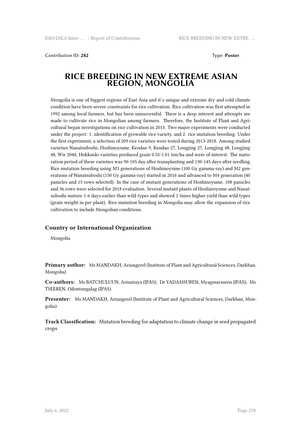Contribution ID: **282** Type: **Poster**

# **RICE BREEDING IN NEW EXTREME ASIAN REGION, MONGOLIA**

Mongolia is one of biggest regions of East Asia and it's unique and extreme dry and cold climate condition have been severe constraints for rice cultivation. Rice cultivation was first attempted in 1992 among local farmers, but has been unsuccessful. There is a deep interest and attempts are made to cultivate rice in Mongolian among farmers. Therefore, the Institute of Plant and Agricultural began investigations on rice cultivation in 2013. Two major experiments were conducted under the project: 1. identification of growable rice variety, and 2. rice mutation breeding. Under the first experiment, a selection of 209 rice varieties were tested during 2013-2018. Among studied varieties Nanatsuboshi, Hoshinoyume, Kendao 9, Kendao 27, Longjing 27, Longjing 48, Longjing 48, Wir 2040, Hokkaido varieties produced grain 0.55-1.01 ton/ha and were of interest. The maturation period of these varieties was 90-105 day after transplanting and 130-145 days after seedling. Rice mutation breeding using M3 generations of Hoshinoyume (100 Gy gamma-ray) and M2 generations of Nanatsuboshi (150 Gy gamma-ray) started in 2016 and advanced to M4 generation (40 panicles and 15 rows selected). In the case of mutant generations of Hoshinoyume, 108 panicles and 36 rows were selected for 2018 evaluation. Several mutant plants of Hoshinoyume and Nanatsuboshi mature 1-6 days earlier than wild types and showed 2 times higher yield than wild types (grain weight in per plant). Rice mutation breeding in Mongolia may allow the expansion of rice cultivation to include Mongolian conditions.

### **Country or International Organization**

Mongolia

**Primary author:** Ms MANDAKH, Ariungerel (Institute of Plant and Agricultural Sciences, Darkhan, Mongolia)

**Co-authors:** Ms BATCHULUUN, Ariuntuya (IPAS); Dr YADAMSUREN, Myagmarsuren (IPAS); Ms TSEEREN, Odontungalag (IPAS)

**Presenter:** Ms MANDAKH, Ariungerel (Institute of Plant and Agricultural Sciences, Darkhan, Mongolia)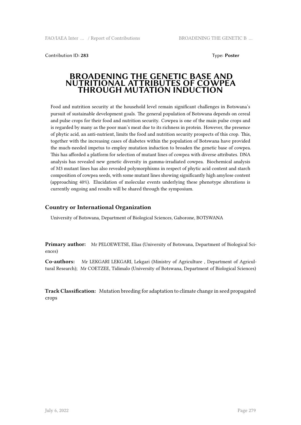Contribution ID: **283** Type: **Poster**

# **BROADENING THE GENETIC BASE AND NUTRITIONAL ATTRIBUTES OF COWPEA THROUGH MUTATION INDUCTION**

Food and nutrition security at the household level remain significant challenges in Botswana's pursuit of sustainable development goals. The general population of Botswana depends on cereal and pulse crops for their food and nutrition security. Cowpea is one of the main pulse crops and is regarded by many as the poor man's meat due to its richness in protein. However, the presence of phytic acid, an anti-nutrient, limits the food and nutrition security prospects of this crop. This, together with the increasing cases of diabetes within the population of Botswana have provided the much-needed impetus to employ mutation induction to broaden the genetic base of cowpea. This has afforded a platform for selection of mutant lines of cowpea with diverse attributes. DNA analysis has revealed new genetic diversity in gamma-irradiated cowpea. Biochemical analysis of M3 mutant lines has also revealed polymorphisms in respect of phytic acid content and starch composition of cowpea seeds, with some mutant lines showing significantly high amylose content (approaching 40%). Elucidation of molecular events underlying these phenotype alterations is currently ongoing and results will be shared through the symposium.

#### **Country or International Organization**

University of Botswana, Department of Biological Sciences, Gaborone, BOTSWANA

**Primary author:** Mr PELOEWETSE, Elias (University of Botswana, Department of Biological Sciences)

**Co-authors:** Mr LEKGARI LEKGARI, Lekgari (Ministry of Agriculture , Department of Agricultural Research); Mr COETZEE, Tidimalo (University of Botswana, Department of Biological Sciences)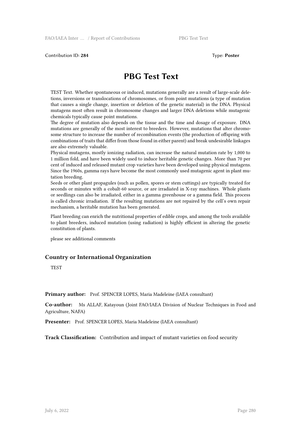#### Contribution ID: **284** Type: **Poster**

# **PBG Test Text**

TEST Text. Whether spontaneous or induced, mutations generally are a result of large-scale deletions, inversions or translocations of chromosomes, or from point mutations (a type of mutation that causes a single change, insertion or deletion of the genetic material) in the DNA. Physical mutagens most often result in chromosome changes and larger DNA deletions while mutagenic chemicals typically cause point mutations.

The degree of mutation also depends on the tissue and the time and dosage of exposure. DNA mutations are generally of the most interest to breeders. However, mutations that alter chromosome structure to increase the number of recombination events (the production of offspring with combinations of traits that differ from those found in either parent) and break undesirable linkages are also extremely valuable.

Physical mutagens, mostly ionizing radiation, can increase the natural mutation rate by 1,000 to 1 million fold, and have been widely used to induce heritable genetic changes. More than 70 per cent of induced and released mutant crop varieties have been developed using physical mutagens. Since the 1960s, gamma rays have become the most commonly used mutagenic agent in plant mutation breeding.

Seeds or other plant propagules (such as pollen, spores or stem cuttings) are typically treated for seconds or minutes with a cobalt-60 source, or are irradiated in X-ray machines. Whole plants or seedlings can also be irradiated, either in a gamma greenhouse or a gamma field. This process is called chronic irradiation. If the resulting mutations are not repaired by the cell's own repair mechanism, a heritable mutation has been generated.

Plant breeding can enrich the nutritional properties of edible crops, and among the tools available to plant breeders, induced mutation (using radiation) is highly efficient in altering the genetic constitution of plants.

please see additional comments

#### **Country or International Organization**

**TEST** 

**Primary author:** Prof. SPENCER LOPES, Maria Madeleine (IAEA consultant)

**Co-author:** Ms ALLAF, Katayoun (Joint FAO/IAEA Division of Nuclear Techniques in Food and Agriculture, NAFA)

**Presenter:** Prof. SPENCER LOPES, Maria Madeleine (IAEA consultant)

**Track Classification:** Contribution and impact of mutant varieties on food security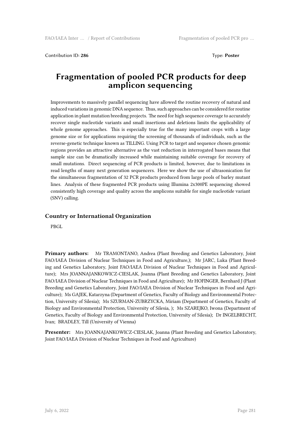# **Fragmentation of pooled PCR products for deep amplicon sequencing**

Improvements to massively parallel sequencing have allowed the routine recovery of natural and induced variations in genomic DNA sequence. Thus, such approaches can be considered for routine application in plant mutation breeding projects. The need for high sequence coverage to accurately recover single nucleotide variants and small insertions and deletions limits the applicability of whole genome approaches. This is especially true for the many important crops with a large genome size or for applications requiring the screening of thousands of individuals, such as the reverse-genetic technique known as TILLING. Using PCR to target and sequence chosen genomic regions provides an attractive alternative as the vast reduction in interrogated bases means that sample size can be dramatically increased while maintaining suitable coverage for recovery of small mutations. Direct sequencing of PCR products is limited, however, due to limitations in read lengths of many next generation sequencers. Here we show the use of ultrasonication for the simultaneous fragmentation of 32 PCR products produced from large pools of barley mutant lines. Analysis of these fragmented PCR products using Illumina 2x300PE sequencing showed consistently high coverage and quality across the amplicons suitable for single nucleotide variant (SNV) calling.

### **Country or International Organization**

PBGL

**Primary authors:** Mr TRAMONTANO, Andrea (Plant Breeding and Genetics Laboratory, Joint FAO/IAEA Division of Nuclear Techniques in Food and Agriculture,); Mr JARC, Luka (Plant Breeding and Genetics Laboratory, Joint FAO/IAEA Division of Nuclear Techniques in Food and Agriculture); Mrs JOANNAJANKOWICZ-CIESLAK, Joanna (Plant Breeding and Genetics Laboratory, Joint FAO/IAEA Division of Nuclear Techniques in Food and Agriculture); Mr HOFINGER, Bernhard J (Plant Breeding and Genetics Laboratory, Joint FAO/IAEA Division of Nuclear Techniques in Food and Agriculture); Ms GAJEK, Katarzyna (Department of Genetics, Faculty of Biology and Environmental Protection, University of Silesia); Ms SZURMAN-ZUBRZYCKA, Miriam (Department of Genetics, Faculty of Biology and Environmental Protection, University of Silesia, ); Ms SZAREJKO, Iwona (Department of Genetics, Faculty of Biology and Environmental Protection, University of Silesia); Dr INGELBRECHT, Ivan; BRADLEY, Till (University of Vienna)

**Presenter:** Mrs JOANNAJANKOWICZ-CIESLAK, Joanna (Plant Breeding and Genetics Laboratory, Joint FAO/IAEA Division of Nuclear Techniques in Food and Agriculture)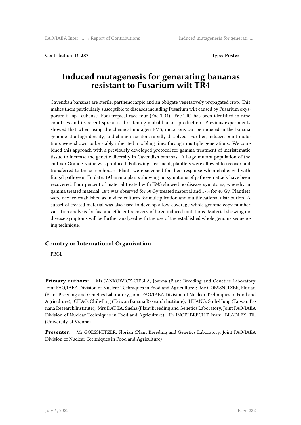#### Contribution ID: **287** Type: **Poster**

# **Induced mutagenesis for generating bananas resistant to Fusarium wilt TR4**

Cavendish bananas are sterile, parthenocarpic and an obligate vegetatively propagated crop. This makes them particularly susceptible to diseases including Fusarium wilt caused by Fusarium oxysporum f. sp. cubense (Foc) tropical race four (Foc TR4). Foc TR4 has been identified in nine countries and its recent spread is threatening global banana production. Previous experiments showed that when using the chemical mutagen EMS, mutations can be induced in the banana genome at a high density, and chimeric sectors rapidly dissolved. Further, induced point mutations were shown to be stably inherited in sibling lines through multiple generations. We combined this approach with a previously developed protocol for gamma treatment of meristematic tissue to increase the genetic diversity in Cavendish bananas. A large mutant population of the cultivar Grande Naine was produced. Following treatment, plantlets were allowed to recover and transferred to the screenhouse. Plants were screened for their response when challenged with fungal pathogen. To date, 19 banana plants showing no symptoms of pathogen attack have been recovered. Four percent of material treated with EMS showed no disease symptoms, whereby in gamma treated material, 18% was observed for 30 Gy treated material and 17% for 40 Gy. Plantlets were next re-established as in vitro cultures for multiplication and multilocational distribution. A subset of treated material was also used to develop a low-coverage whole genome copy number variation analysis for fast and efficient recovery of large induced mutations. Material showing no disease symptoms will be further analysed with the use of the established whole genome sequencing technique.

### **Country or International Organization**

PBGL

**Primary authors:** Ms JANKOWICZ-CIESLA, Joanna (Plant Breeding and Genetics Laboratory, Joint FAO/IAEA Division of Nuclear Techniques in Food and Agriculture); Mr GOESSNITZER, Florian (Plant Breeding and Genetics Laboratory, Joint FAO/IAEA Division of Nuclear Techniques in Food and Agriculture); CHAO, Chih-Ping (Taiwan Banana Research Institute); HUANG, Shih-Hung (Taiwan Banana Research Institute); Mrs DATTA, Sneha (Plant Breeding and Genetics Laboratory, Joint FAO/IAEA Division of Nuclear Techniques in Food and Agriculture); Dr INGELBRECHT, Ivan; BRADLEY, Till (University of Vienna)

**Presenter:** Mr GOESSNITZER, Florian (Plant Breeding and Genetics Laboratory, Joint FAO/IAEA Division of Nuclear Techniques in Food and Agriculture)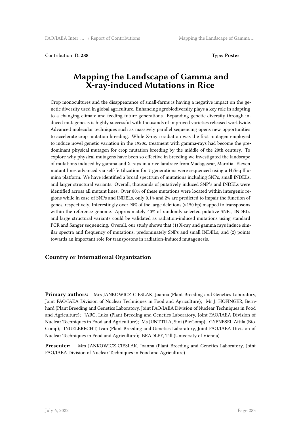Contribution ID: **288** Type: **Poster**

# **Mapping the Landscape of Gamma and X-ray-induced Mutations in Rice**

Crop monocultures and the disappearance of small-farms is having a negative impact on the genetic diversity used in global agriculture. Enhancing agrobiodiversity plays a key role in adapting to a changing climate and feeding future generations. Expanding genetic diversity through induced mutagenesis is highly successful with thousands of improved varieties released worldwide. Advanced molecular techniques such as massively parallel sequencing opens new opportunities to accelerate crop mutation breeding. While X-ray irradiation was the first mutagen employed to induce novel genetic variation in the 1920s, treatment with gamma-rays had become the predominant physical mutagen for crop mutation breeding by the middle of the 20th century. To explore why physical mutagens have been so effective in breeding we investigated the landscape of mutations induced by gamma and X-rays in a rice landrace from Madagascar, Marotia. Eleven mutant lines advanced via self-fertilization for 7 generations were sequenced using a HiSeq Illumina platform. We have identified a broad spectrum of mutations including SNPs, small INDELs, and larger structural variants. Overall, thousands of putatively induced SNP's and INDELs were identified across all mutant lines. Over 80% of these mutations were located within intergenic regions while in case of SNPs and INDELs, only 0.1% and 2% are predicted to impair the function of genes, respectively. Interestingly over 90% of the large deletions (>150 bp) mapped to transposons within the reference genome. Approximately 40% of randomly selected putative SNPs, INDELs and large structural variants could be validated as radiation-induced mutations using standard PCR and Sanger sequencing. Overall, our study shows that (1) X-ray and gamma rays induce similar spectra and frequency of mutations, predominately SNPs and small INDELs; and (2) points towards an important role for transposons in radiation-induced mutagenesis.

### **Country or International Organization**

**Primary authors:** Mrs JANKOWICZ-CIESLAK, Joanna (Plant Breeding and Genetics Laboratory, Joint FAO/IAEA Division of Nuclear Techniques in Food and Agriculture); Mr J. HOFINGER, Bernhard (Plant Breeding and Genetics Laboratory, Joint FAO/IAEA Division of Nuclear Techniques in Food and Agriculture); JARC, Luka (Plant Breeding and Genetics Laboratory, Joint FAO/IAEA Division of Nuclear Techniques in Food and Agriculture); Ms JUNTTILA, Sini (BioComp); GYENESEI, Attila (Bio-Comp); INGELBRECHT, Ivan (Plant Breeding and Genetics Laboratory, Joint FAO/IAEA Division of Nuclear Techniques in Food and Agriculture); BRADLEY, Till (University of Vienna)

**Presenter:** Mrs JANKOWICZ-CIESLAK, Joanna (Plant Breeding and Genetics Laboratory, Joint FAO/IAEA Division of Nuclear Techniques in Food and Agriculture)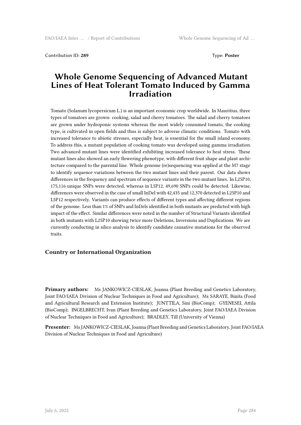Contribution ID: **289** Type: **Poster**

# **Whole Genome Sequencing of Advanced Mutant Lines of Heat Tolerant Tomato Induced by Gamma Irradiation**

Tomato (Solanum lycopersicum L.) is an important economic crop worldwide. In Mauritius, three types of tomatoes are grown: cooking, salad and cherry tomatoes. The salad and cherry tomatoes are grown under hydroponic systems whereas the most widely consumed tomato, the cooking type, is cultivated in open fields and thus is subject to adverse climatic conditions. Tomato with increased tolerance to abiotic stresses, especially heat, is essential for the small island economy. To address this, a mutant population of cooking tomato was developed using gamma irradiation. Two advanced mutant lines were identified exhibiting increased tolerance to heat stress. These mutant lines also showed an early flowering phenotype, with different fruit shape and plant architecture compared to the parental line. Whole genome (re)sequencing was applied at the M7 stage to identify sequence variations between the two mutant lines and their parent. Our data shows differences in the frequency and spectrum of sequence variants in the two mutant lines. In L25P10, 175,116 unique SNPs were detected, whereas in L5P12, 49,690 SNPs could be detected. Likewise, differences were observed in the case of small InDel with 42,435 and 12,370 detected in L25P10 and L5P12 respectively. Variants can produce effects of different types and affecting different regions of the genome. Less than 1% of SNPs and InDels identified in both mutants are predicted with high impact of the effect. Similar differences were noted in the number of Structural Variants identified in both mutants with L25P10 showing twice more Deletions, Inversions and Duplications. We are currently conducting in silico analysis to identify candidate causative mutations for the observed traits.

### **Country or International Organization**

**Primary authors:** Ms JANKOWICZ-CIESLAK, Joanna (Plant Breeding and Genetics Laboratory, Joint FAO/IAEA Division of Nuclear Techniques in Food and Agriculture); Ms SARAYE, Binita (Food and Agricultural Research and Extension Institute); JUNTTILA, Sini (BioComp); GYENESEI, Attila (BioComp); INGELBRECHT, Ivan (Plant Breeding and Genetics Laboratory, Joint FAO/IAEA Division of Nuclear Techniques in Food and Agriculture); BRADLEY, Till (University of Vienna)

**Presenter:** Ms JANKOWICZ-CIESLAK, Joanna (Plant Breeding and Genetics Laboratory, Joint FAO/IAEA Division of Nuclear Techniques in Food and Agriculture)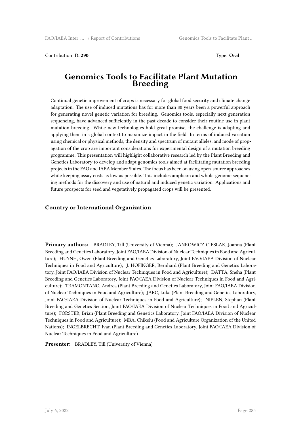Contribution ID: **290** Type: **Oral**

# **Genomics Tools to Facilitate Plant Mutation Breeding**

Continual genetic improvement of crops is necessary for global food security and climate change adaptation. The use of induced mutations has for more than 80 years been a powerful approach for generating novel genetic variation for breeding. Genomics tools, especially next generation sequencing, have advanced sufficiently in the past decade to consider their routine use in plant mutation breeding. While new technologies hold great promise, the challenge is adapting and applying them in a global context to maximize impact in the field. In terms of induced variation using chemical or physical methods, the density and spectrum of mutant alleles, and mode of propagation of the crop are important considerations for experimental design of a mutation breeding programme. This presentation will highlight collaborative research led by the Plant Breeding and Genetics Laboratory to develop and adapt genomics tools aimed at facilitating mutation breeding projects in the FAO and IAEA Member States. The focus has been on using open-source approaches while keeping assay costs as low as possible. This includes amplicon and whole-genome sequencing methods for the discovery and use of natural and induced genetic variation. Applications and future prospects for seed and vegetatively propagated crops will be presented.

#### **Country or International Organization**

**Primary authors:** BRADLEY, Till (University of Vienna); JANKOWICZ-CIESLAK, Joanna (Plant Breeding and Genetics Laboratory, Joint FAO/IAEA Division of Nuclear Techniques in Food and Agriculture); HUYNH, Owen (Plant Breeding and Genetics Laboratory, Joint FAO/IAEA Division of Nuclear Techniques in Food and Agriculture); J. HOFINGER, Bernhard (Plant Breeding and Genetics Laboratory, Joint FAO/IAEA Division of Nuclear Techniques in Food and Agriculture); DATTA, Sneha (Plant Breeding and Genetics Laboratory, Joint FAO/IAEA Division of Nuclear Techniques in Food and Agriculture); TRAMONTANO, Andrea (Plant Breeding and Genetics Laboratory, Joint FAO/IAEA Division of Nuclear Techniques in Food and Agriculture); JARC, Luka (Plant Breeding and Genetics Laboratory, Joint FAO/IAEA Division of Nuclear Techniques in Food and Agriculture); NIELEN, Stephan (Plant Breeding and Genetics Section, Joint FAO/IAEA Division of Nuclear Techniques in Food and Agriculture); FORSTER, Brian (Plant Breeding and Genetics Laboratory, Joint FAO/IAEA Division of Nuclear Techniques in Food and Agriculture); MBA, Chikelu (Food and Agriculture Organization of the United Nations); INGELBRECHT, Ivan (Plant Breeding and Genetics Laboratory, Joint FAO/IAEA Division of Nuclear Techniques in Food and Agriculture)

**Presenter:** BRADLEY, Till (University of Vienna)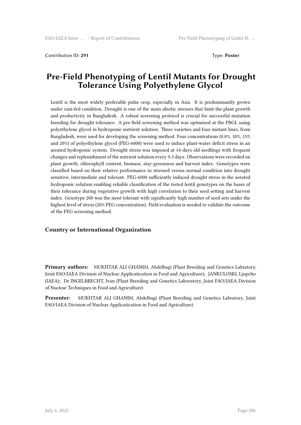Contribution ID: **291** Type: **Poster**

# **Pre-Field Phenotyping of Lentil Mutants for Drought Tolerance Using Polyethylene Glycol**

Lentil is the most widely preferable pulse crop, especially in Asia. It is predominantly grown under rain-fed condition. Drought is one of the main abiotic stresses that limit the plant growth and productivity in Bangladesh. A robust screening protocol is crucial for successful mutation breeding for drought tolerance. A pre-field screening method was optimized at the PBGL using polyethylene glycol in hydroponic nutrient solution. Three varieties and four mutant lines, from Bangladesh, were used for developing the screening method. Four concentrations (0.0%, 10%, 15% and 20%) of polyethylene glycol (PEG-6000) were used to induce plant-water deficit stress in an aerated hydroponic system. Drought stress was imposed at 14-days old seedlings with frequent changes and replenishment of the nutrient solution every 3-5 days. Observations were recorded on plant growth, chlorophyll content, biomass, stay-greenness and harvest index. Genotypes were classified based on their relative performance in stressed versus normal condition into drought sensitive, intermediate and tolerant. PEG-6000 sufficiently induced drought stress in the aerated hydroponic solution enabling reliable classification of the tested lentil genotypes on the bases of their tolerance during vegetative growth with high correlation to their seed setting and harvest index. Genotype 208 was the most tolerant with significantly high number of seed sets under the highest level of stress (20% PEG concentration). Field evaluation is needed to validate the outcome of the PEG screening method.

### **Country or International Organization**

**Primary authors:** MUKHTAR ALI GHANIM, Abdelbagi (Plant Breeding and Genetics Labratory, Joint FAO/IAEA Division of Nuclear Applicatication in Food and Agriculture); JANKULOSKI, Ljupcho (IAEA); Dr INGELBRECHT, Ivan (Plant Breeding and Genetics Laboratory, Joint FAO/IAEA Division of Nuclear Techniques in Food and Agriculture)

**Presenter:** MUKHTAR ALI GHANIM, Abdelbagi (Plant Breeding and Genetics Labratory, Joint FAO/IAEA Division of Nuclear Applicatication in Food and Agriculture)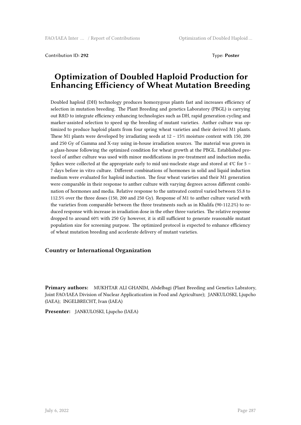Contribution ID: **292** Type: **Poster**

# **Optimization of Doubled Haploid Production for Enhancing Efficiency of Wheat Mutation Breeding**

Doubled haploid (DH) technology produces homozygous plants fast and increases efficiency of selection in mutation breeding. The Plant Breeding and genetics Laboratory (PBGL) is carrying out R&D to integrate efficiency enhancing technologies such as DH, rapid generation cycling and marker-assisted selection to speed up the breeding of mutant varieties. Anther culture was optimized to produce haploid plants from four spring wheat varieties and their derived M1 plants. These M1 plants were developed by irradiating seeds at 12 – 15% moisture content with 150, 200 and 250 Gy of Gamma and X-ray using in-house irradiation sources. The material was grown in a glass-house following the optimized condition for wheat growth at the PBGL. Established protocol of anther culture was used with minor modifications in pre-treatment and induction media. Spikes were collected at the appropriate early to mid uni-nucleate stage and stored at 4℃ for 5 – 7 days before in vitro culture. Different combinations of hormones in solid and liquid induction medium were evaluated for haploid induction. The four wheat varieties and their M1 generation were comparable in their response to anther culture with varying degrees across different combination of hormones and media. Relative response to the untreated control varied between 55.8 to 112.5% over the three doses (150, 200 and 250 Gy). Response of M1 to anther culture varied with the varieties from comparable between the three treatments such as in Khalifa (90-112.2%) to reduced response with increase in irradiation dose in the other three varieties. The relative response dropped to around 60% with 250 Gy however, it is still sufficient to generate reasonable mutant population size for screening purpose. The optimized protocol is expected to enhance efficiency of wheat mutation breeding and accelerate delivery of mutant varieties.

### **Country or International Organization**

**Primary authors:** MUKHTAR ALI GHANIM, Abdelbagi (Plant Breeding and Genetics Labratory, Joint FAO/IAEA Division of Nuclear Applicatication in Food and Agriculture); JANKULOSKI, Ljupcho (IAEA); INGELBRECHT, Ivan (IAEA)

**Presenter:** JANKULOSKI, Ljupcho (IAEA)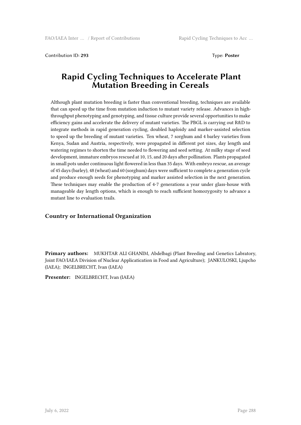Contribution ID: **293** Type: **Poster**

## **Rapid Cycling Techniques to Accelerate Plant Mutation Breeding in Cereals**

Although plant mutation breeding is faster than conventional breeding, techniques are available that can speed up the time from mutation induction to mutant variety release. Advances in highthroughput phenotyping and genotyping, and tissue culture provide several opportunities to make efficiency gains and accelerate the delivery of mutant varieties. The PBGL is carrying out R&D to integrate methods in rapid generation cycling, doubled haploidy and marker-assisted selection to speed up the breeding of mutant varieties. Ten wheat, 7 sorghum and 4 barley varieties from Kenya, Sudan and Austria, respectively, were propagated in different pot sizes, day length and watering regimes to shorten the time needed to flowering and seed setting. At milky stage of seed development, immature embryos rescued at 10, 15, and 20 days after pollination. Plants propagated in small pots under continuous light flowered in less than 35 days. With embryo rescue, an average of 45 days (barley), 48 (wheat) and 60 (sorghum) days were sufficient to complete a generation cycle and produce enough seeds for phenotyping and marker assisted selection in the next generation. These techniques may enable the production of 4-7 generations a year under glass-house with manageable day length options, which is enough to reach sufficient homozygosity to advance a mutant line to evaluation trails.

### **Country or International Organization**

**Primary authors:** MUKHTAR ALI GHANIM, Abdelbagi (Plant Breeding and Genetics Labratory, Joint FAO/IAEA Division of Nuclear Applicatication in Food and Agriculture); JANKULOSKI, Ljupcho (IAEA); INGELBRECHT, Ivan (IAEA)

**Presenter:** INGELBRECHT, Ivan (IAEA)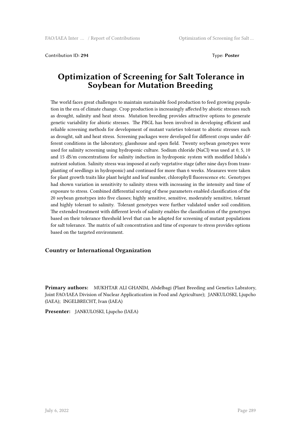#### Contribution ID: **294** Type: **Poster**

# **Optimization of Screening for Salt Tolerance in Soybean for Mutation Breeding**

The world faces great challenges to maintain sustainable food production to feed growing population in the era of climate change. Crop production is increasingly affected by abiotic stresses such as drought, salinity and heat stress. Mutation breeding provides attractive options to generate genetic variability for abiotic stresses. The PBGL has been involved in developing efficient and reliable screening methods for development of mutant varieties tolerant to abiotic stresses such as drought, salt and heat stress. Screening packages were developed for different crops under different conditions in the laboratory, glasshouse and open field. Twenty soybean genotypes were used for salinity screening using hydroponic culture. Sodium chloride (NaCl) was used at 0, 5, 10 and 15 dS/m concentrations for salinity induction in hydroponic system with modified Ishida's nutrient solution. Salinity stress was imposed at early vegetative stage (after nine days from transplanting of seedlings in hydroponic) and continued for more than 6 weeks. Measures were taken for plant growth traits like plant height and leaf number, chlorophyll fluorescence etc. Genotypes had shown variation in sensitivity to salinity stress with increasing in the intensity and time of exposure to stress. Combined differential scoring of these parameters enabled classification of the 20 soybean genotypes into five classes; highly sensitive, sensitive, moderately sensitive, tolerant and highly tolerant to salinity. Tolerant genotypes were further validated under soil condition. The extended treatment with different levels of salinity enables the classification of the genotypes based on their tolerance threshold level that can be adapted for screening of mutant populations for salt tolerance. The matrix of salt concentration and time of exposure to stress provides options based on the targeted environment.

### **Country or International Organization**

**Primary authors:** MUKHTAR ALI GHANIM, Abdelbagi (Plant Breeding and Genetics Labratory, Joint FAO/IAEA Division of Nuclear Applicatication in Food and Agriculture); JANKULOSKI, Ljupcho (IAEA); INGELBRECHT, Ivan (IAEA)

**Presenter:** JANKULOSKI, Ljupcho (IAEA)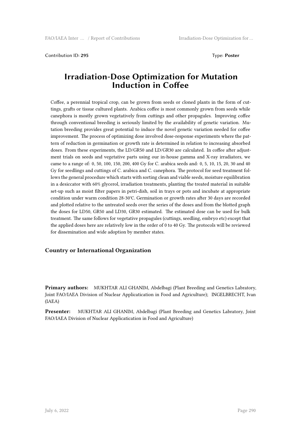Contribution ID: **295** Type: **Poster**

### **Irradiation-Dose Optimization for Mutation Induction in Coffee**

Coffee, a perennial tropical crop, can be grown from seeds or cloned plants in the form of cuttings, grafts or tissue cultured plants. Arabica coffee is most commonly grown from seeds while canephora is mostly grown vegetatively from cuttings and other propagules. Improving coffee through conventional breeding is seriously limited by the availability of genetic variation. Mutation breeding provides great potential to induce the novel genetic variation needed for coffee improvement. The process of optimizing dose involved dose-response experiments where the pattern of reduction in germination or growth rate is determined in relation to increasing absorbed doses. From these experiments, the LD/GR50 and LD/GR30 are calculated. In coffee after adjustment trials on seeds and vegetative parts using our in-house gamma and X-ray irradiators, we came to a range of: 0, 50, 100, 150, 200, 400 Gy for C. arabica seeds and: 0, 5, 10, 15, 20, 30 and 40 Gy for seedlings and cuttings of C. arabica and C. canephora. The protocol for seed treatment follows the general procedure which starts with sorting clean and viable seeds, moisture equilibration in a desiccator with 60% glycerol, irradiation treatments, planting the treated material in suitable set-up such as moist filter papers in petri-dish, soil in trays or pots and incubate at appropriate condition under warm condition 28-30℃. Germination or growth rates after 30 days are recorded and plotted relative to the untreated seeds over the series of the doses and from the blotted graph the doses for LD50, GR50 and LD30, GR30 estimated. The estimated dose can be used for bulk treatment. The same follows for vegetative propagules (cuttings, seedling, embryo etc) except that the applied doses here are relatively low in the order of 0 to 40 Gy. The protocols will be reviewed for dissemination and wide adoption by member states.

### **Country or International Organization**

**Primary authors:** MUKHTAR ALI GHANIM, Abdelbagi (Plant Breeding and Genetics Labratory, Joint FAO/IAEA Division of Nuclear Applicatication in Food and Agriculture); INGELBRECHT, Ivan (IAEA)

**Presenter:** MUKHTAR ALI GHANIM, Abdelbagi (Plant Breeding and Genetics Labratory, Joint FAO/IAEA Division of Nuclear Applicatication in Food and Agriculture)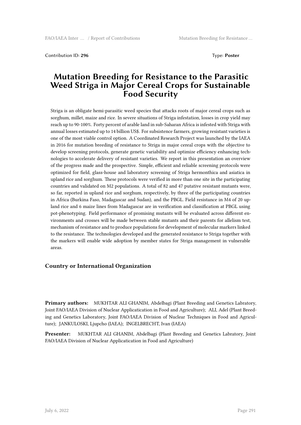Contribution ID: **296** Type: **Poster**

## **Mutation Breeding for Resistance to the Parasitic Weed Striga in Major Cereal Crops for Sustainable Food Security**

Striga is an obligate hemi-parasitic weed species that attacks roots of major cereal crops such as sorghum, millet, maize and rice. In severe situations of Striga infestation, losses in crop yield may reach up to 90-100%. Forty percent of arable land in sub-Saharan Africa is infested with Striga with annual losses estimated up to 14 billion US\$. For subsistence farmers, growing resistant varieties is one of the most viable control option. A Coordinated Research Project was launched by the IAEA in 2016 for mutation breeding of resistance to Striga in major cereal crops with the objective to develop screening protocols, generate genetic variability and optimize efficiency enhancing technologies to accelerate delivery of resistant varieties. We report in this presentation an overview of the progress made and the prospective. Simple, efficient and reliable screening protocols were optimized for field, glass-house and laboratory screening of Striga hermonthica and asiatica in upland rice and sorghum. These protocols were verified in more than one site in the participating countries and validated on M2 populations. A total of 82 and 47 putative resistant mutants were, so far, reported in upland rice and sorghum, respectively, by three of the participating countries in Africa (Burkina Faso, Madagascar and Sudan), and the PBGL. Field resistance in M4 of 20 upland rice and 6 maize lines from Madagascar are in verification and classification at PBGL using pot-phenotyping. Field performance of promising mutants will be evaluated across different environments and crosses will be made between stable mutants and their parents for allelism test, mechanism of resistance and to produce populations for development of molecular markers linked to the resistance. The technologies developed and the generated resistance to Striga together with the markers will enable wide adoption by member states for Striga management in vulnerable areas.

### **Country or International Organization**

**Primary authors:** MUKHTAR ALI GHANIM, Abdelbagi (Plant Breeding and Genetics Labratory, Joint FAO/IAEA Division of Nuclear Applicatication in Food and Agriculture); ALI, Adel (Plant Breeding and Genetics Laboratory, Joint FAO/IAEA Division of Nuclear Techniques in Food and Agriculture); JANKULOSKI, Ljupcho (IAEA); INGELBRECHT, Ivan (IAEA)

**Presenter:** MUKHTAR ALI GHANIM, Abdelbagi (Plant Breeding and Genetics Labratory, Joint FAO/IAEA Division of Nuclear Applicatication in Food and Agriculture)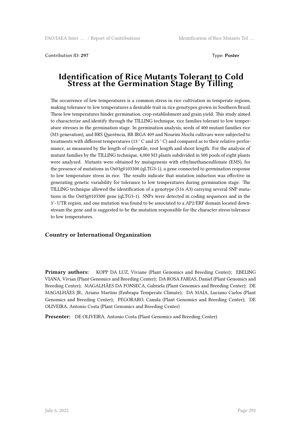Contribution ID: **297** Type: **Poster**

### **Identification of Rice Mutants Tolerant to Cold Stress at the Germination Stage By Tilling**

The occurrence of low temperatures is a common stress in rice cultivation in temperate regions, making tolerance to low temperatures a desirable trait in rice genotypes grown in Southern Brazil. These low temperatures hinder germination, crop establishment and grain yield. This study aimed to characterize and identify through the TILLING technique, rice families tolerant to low temperature stresses in the germination stage. In germination analysis, seeds of 400 mutant families rice (M3 generation), and BRS Querência, BR IRGA 409 and Nourim Mochi cultivars were subjected to treatments with different temperatures (13 ° C and 25 ° C) and compared as to their relative performance, as measured by the length of coleoptile, root length and shoot length. For the analysis of mutant families by the TILLING technique, 4,000 M3 plants subdivided in 500 pools of eight plants were analyzed. Mutants were obtained by mutagenesis with ethylmethanesulfonate (EMS), for the presence of mutations in Os03g0103300 (qLTG3-1), a gene connected to germination response to low temperature stress in rice. The results indicate that mutation induction was effective in generating genetic variability for tolerance to low temperatures during germination stage. The TILLING technique allowed the identification of a genotype (516 A3) carrying several SNP mutations in the Os03g0103300 gene (qLTG3-1). SNPs were detected in coding sequences and in the 3'- UTR region, and one mutation was found to be associated to a AP2/ERF domain located downstream the gene and is suggested to be the mutation responsible for the character stress tolerance to low temperatures.

### **Country or International Organization**

**Primary authors:** KOPP DA LUZ, Viviane (Plant Genomics and Breeding Center); EBELING VIANA, Vivian (Plant Genomics and Breeding Center); DA ROSA FARIAS, Daniel (Plant Genomics and Breeding Center); MAGALHÃES DA FONSECA, Gabriela (Plant Genomics and Breeding Center); DE MAGALHÃES JR., Ariano Martins (Embrapa Temperate Climate); DA MAIA, Luciano Carlos (Plant Genomics and Breeding Center); PEGORARO, Camila (Plant Genomics and Breeding Center); DE OLIVEIRA, Antonio Costa (Plant Genomics and Breeding Center)

**Presenter:** DE OLIVEIRA, Antonio Costa (Plant Genomics and Breeding Center)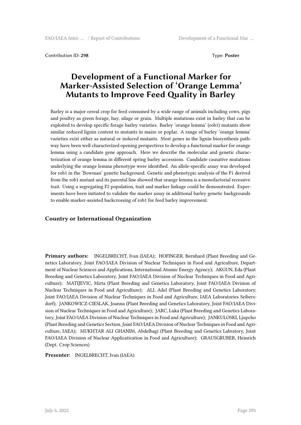Contribution ID: **298** Type: **Poster**

# **Development of a Functional Marker for Marker-Assisted Selection of 'Orange Lemma' Mutants to Improve Feed Quality in Barley**

Barley is a major cereal crop for feed consumed by a wide range of animals including cows, pigs and poultry as green forage, hay, silage or grain. Multiple mutations exist in barley that can be exploited to develop specific forage barley varieties. Barley 'orange lemma' (rob1) mutants show similar reduced lignin content to mutants in maize or poplar. A range of barley 'orange lemma' varieties exist either as natural or induced mutants. Most genes in the lignin biosynthesis pathway have been well characterized opening perspectives to develop a functional marker for orange lemma using a candidate gene approach. Here we describe the molecular and genetic characterization of orange lemma in different spring barley accessions. Candidate causative mutations underlying the orange lemma phenotype were identified. An allele-specific assay was developed for rob1 in the 'Bowman' genetic background. Genetic and phenotypic analysis of the F1 derived from the rob1 mutant and its parental line showed that orange lemma is a monofactorial recessive trait. Using a segregating F2 population, trait and marker linkage could be demonstrated. Experiments have been initiated to validate the marker assay in additional barley genetic backgrounds to enable marker-assisted backcrossing of rob1 for feed barley improvement.

### **Country or International Organization**

**Primary authors:** INGELBRECHT, Ivan (IAEA); HOFINGER, Bernhard (Plant Breeding and Genetics Laboratory, Joint FAO/IAEA Division of Nuclear Techniques in Food and Agriculture, Department of Nuclear Sciences and Applications, International Atomic Energy Agency); AKGUN, Eda (Plant Breeding and Genetics Laboratory, Joint FAO/IAEA Division of Nuclear Techniques in Food and Agriculture); MATIJEVIC, Mirta (Plant Breeding and Genetics Laboratory, Joint FAO/IAEA Division of Nuclear Techniques in Food and Agriculture); ALI, Adel (Plant Breeding and Genetics Laboratory, Joint FAO/IAEA Division of Nuclear Techniques in Food and Agriculture, IAEA Laboratories Seibersdorf); JANKOWICZ-CIESLAK, Joanna (Plant Breeding and Genetics Laboratory, Joint FAO/IAEA Division of Nuclear Techniques in Food and Agriculture); JARC, Luka (Plant Breeding and Genetics Laboratory, Joint FAO/IAEA Division of Nuclear Techniques in Food and Agriculture); JANKULOSKI, Ljupcho (Plant Breeding and Genetics Section, Joint FAO/IAEA Division of Nuclear Techniques in Food and Agriculture, IAEA); MUKHTAR ALI GHANIM, Abdelbagi (Plant Breeding and Genetics Labratory, Joint FAO/IAEA Division of Nuclear Applicatication in Food and Agriculture); GRAUSGRUBER, Heinrich (Dept. Crop Sciences)

#### **Presenter:** INGELBRECHT, Ivan (IAEA)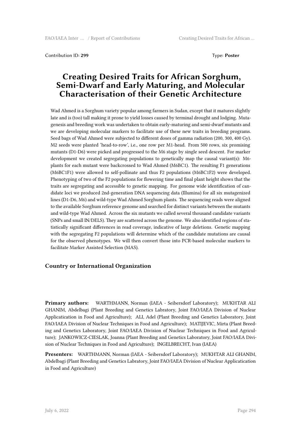Contribution ID: **299** Type: **Poster**

## **Creating Desired Traits for African Sorghum, Semi-Dwarf and Early Maturing, and Molecular Characterisation of their Genetic Architecture**

Wad Ahmed is a Sorghum variety popular among farmers in Sudan, except that it matures slightly late and is (too) tall making it prone to yield losses caused by terminal drought and lodging. Mutagenesis and breeding work was undertaken to obtain early-maturing and semi-dwarf mutants and we are developing molecular markers to facilitate use of these new traits in breeding programs. Seed bags of Wad Ahmed were subjected to different doses of gamma radiation (200, 300, 400 Gy). M2 seeds were planted 'head-to-row', i.e., one row per M1-head. From 500 rows, six promising mutants (D1-D6) were picked and progressed to the M6 stage by single seed descent. For marker development we created segregating populations to genetically map the causal variant(s): M6 plants for each mutant were backcrossed to Wad Ahmed (M6BC1). The resulting F1 generations (M6BC1F1) were allowed to self-pollinate and thus F2 populations (M6BC1F2) were developed. Phenotyping of two of the F2 populations for flowering time and final plant height shows that the traits are segregating and accessible to genetic mapping. For genome wide identification of candidate loci we produced 2nd-generation DNA sequencing data (Illumina) for all six mutagenized lines (D1-D6, M6) and wild-type Wad Ahmed Sorghum plants. The sequencing reads were aligned to the available Sorghum reference genome and searched for distinct variants between the mutants and wild-type Wad Ahmed. Across the six mutants we called several thousand candidate variants (SNPs and small IN/DELS). They are scattered across the genome. We also identified regions of statistically significant differences in read coverage, indicative of large deletions. Genetic mapping with the segregating F2 populations will determine which of the candidate mutations are causal for the observed phenotypes. We will then convert those into PCR-based molecular markers to facilitate Marker Assisted Selection (MAS).

### **Country or International Organization**

**Primary authors:** WARTHMANN, Norman (IAEA - Seibersdorf Laboratory); MUKHTAR ALI GHANIM, Abdelbagi (Plant Breeding and Genetics Labratory, Joint FAO/IAEA Division of Nuclear Applicatication in Food and Agriculture); ALI, Adel (Plant Breeding and Genetics Laboratory, Joint FAO/IAEA Division of Nuclear Techniques in Food and Agriculture); MATIJEVIC, Mirta (Plant Breeding and Genetics Laboratory, Joint FAO/IAEA Division of Nuclear Techniques in Food and Agriculture); JANKOWICZ-CIESLAK, Joanna (Plant Breeding and Genetics Laboratory, Joint FAO/IAEA Division of Nuclear Techniques in Food and Agriculture); INGELBRECHT, Ivan (IAEA)

**Presenters:** WARTHMANN, Norman (IAEA - Seibersdorf Laboratory); MUKHTAR ALI GHANIM, Abdelbagi (Plant Breeding and Genetics Labratory, Joint FAO/IAEA Division of Nuclear Applicatication in Food and Agriculture)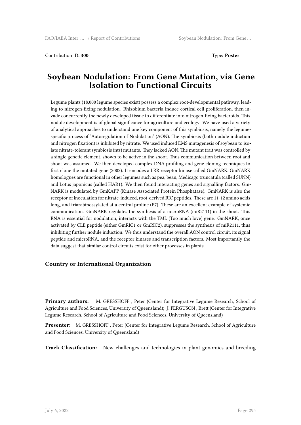#### Contribution ID: **300** Type: **Poster**

## **Soybean Nodulation: From Gene Mutation, via Gene Isolation to Functional Circuits**

Legume plants (18,000 legume species exist) possess a complex root-developmental pathway, leading to nitrogen-fixing nodulation. Rhizobium bacteria induce cortical cell proliferation, then invade concurrently the newly developed tissue to differentiate into nitrogen-fixing bacteroids. This nodule development is of global significance for agriculture and ecology. We have used a variety of analytical approaches to understand one key component of this symbiosis, namely the legumespecific process of 'Autoregulation of Nodulation' (AON). The symbiosis (both nodule induction and nitrogen fixation) is inhibited by nitrate. We used induced EMS mutagenesis of soybean to isolate nitrate-tolerant symbiosis (nts) mutants. They lacked AON. The mutant trait was controlled by a single genetic element, shown to be active in the shoot. Thus communication between root and shoot was assumed. We then developed complex DNA profiling and gene cloning techniques to first clone the mutated gene (2002). It encodes a LRR receptor kinase called GmNARK. GmNARK homologues are functional in other legumes such as pea, bean, Medicago truncatula (called SUNN) and Lotus japonicus (called HAR1). We then found interacting genes and signalling factors. Gm-NARK is modulated by GmKAPP (Kinase Associated Protein Phosphatase). GmNARK is also the receptor of inoculation for nitrate-induced, root-derived RIC peptides. These are 11-12 amino acids long, and triarabinossylated at a central proline (P7). These are an excellent example of systemic communication. GmNARK regulates the synthesis of a microRNA (miR2111) in the shoot. This RNA is essential for nodulation, interacts with the TML (Too much love) gene. GmNARK, once activated by CLE peptide (either GmRIC1 or GmRIC2), suppresses the synthesis of miR2111, thus inhibiting further nodule induction. We thus understand the overall AON control circuit, its signal peptide and microRNA, and the receptor kinases and transcription factors. Most importantly the data suggest that similar control circuits exist for other processes in plants.

### **Country or International Organization**

**Primary authors:** M. GRESSHOFF , Peter (Center for Integrative Legume Research, School of Agriculture and Food Sciences, University of Queensland); J. FERGUSON , Brett (Center for Integrative Legume Research, School of Agriculture and Food Sciences, University of Queensland)

**Presenter:** M. GRESSHOFF , Peter (Center for Integrative Legume Research, School of Agriculture and Food Sciences, University of Queensland)

**Track Classification:** New challenges and technologies in plant genomics and breeding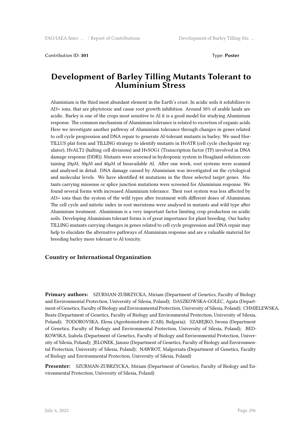#### Contribution ID: **301** Type: **Poster**

## **Development of Barley Tilling Mutants Tolerant to Aluminium Stress**

Aluminium is the third most abundant element in the Earth's crust. In acidic soils it solubilizes to Al3+ ions, that are phytotoxic and cause root growth inhibition. Around 50% of arable lands are acidic. Barley is one of the crops most sensitive to Al it is a good model for studying Aluminium response. The common mechanism of Aluminium tolerance is related to excretion of organic acids. Here we investigate another pathway of Aluminium tolerance through changes in genes related to cell cycle progression and DNA repair to generate Al-tolerant mutants in barley. We used Hor-TILLUS plat form and TILLING strategy to identify mutants in HvATR (cell cycle checkpoint regulator), HvALT2 (halting cell divisions) and HvSOG1 (Transcription factor (TF) involved in DNA damage response (DDR)). Mutants were screened in hydroponic system in Hoagland solution containing 20µM, 30µM and 40µM of bioavailable Al. After one week, root systems were scanned and analysed in detail. DNA damage caused by Aluminium was investigated on the cytological and molecular levels. We have identified 44 mutations in the three selected target genes. Mutants carrying missense or splice junction mutations were screened for Aluminium response. We found several forms with increased Aluminium tolerance. Their root system was less affected by Al3+ ions than the system of the wild types after treatment with different doses of Aluminium. The cell cycle and mitotic index in root meristems were analysed in mutants and wild type after Aluminium treatment. Aluminium is a very important factor limiting crop production on acidic soils. Developing Aluminium tolerant forms is of great importance for plant breeding. Our barley TILLING mutants carrying changes in genes related to cell cycle progression and DNA repair may help to elucidate the alternative pathways of Aluminium response and are a valuable material for breeding barley more tolerant to Al toxicity.

### **Country or International Organization**

**Primary authors:** SZURMAN-ZUBRZYCKA, Miriam (Department of Genetics, Faculty of Biology and Environmental Protection, University of Silesia, Poland); DASZKOWSKA-GOLEC, Agata (Department of Genetics, Faculty of Biology and Environmental Protection, University of Silesia, Poland); CHMIELEWSKA, Beata (Department of Genetics, Faculty of Biology and Environmental Protection, University of Silesia, Poland); TODOROVSKA, Elena (Agrobioinstitute (CAB), Bulgaria); SZAREJKO, Iwona (Department of Genetics, Faculty of Biology and Environmental Protection, University of Silesia, Poland); BED-KOWSKA, Izabela (Department of Genetics, Faculty of Biology and Environmental Protection, University of Silesia, Poland); JELONEK, Janusz (Department of Genetics, Faculty of Biology and Environmental Protection, University of Silesia, Poland); NAWROT, Malgorzata (Department of Genetics, Faculty of Biology and Environmental Protection, University of Silesia, Poland)

**Presenter:** SZURMAN-ZUBRZYCKA, Miriam (Department of Genetics, Faculty of Biology and Environmental Protection, University of Silesia, Poland)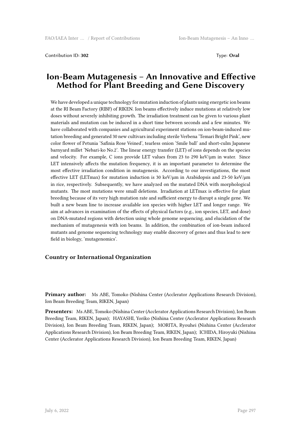Contribution ID: **302** Type: **Oral**

### **Ion-Beam Mutagenesis – An Innovative and Effective Method for Plant Breeding and Gene Discovery**

We have developed a unique technology for mutation induction of plants using energetic ion beams at the RI Beam Factory (RIBF) of RIKEN. Ion beams effectively induce mutations at relatively low doses without severely inhibiting growth. The irradiation treatment can be given to various plant materials and mutation can be induced in a short time between seconds and a few minutes. We have collaborated with companies and agricultural experiment stations on ion-beam-induced mutation breeding and generated 30 new cultivars including sterile Verbena 'Temari Bright Pink', new color flower of Petunia 'Safinia Rose Veined', tearless onion 'Smile ball' and short-culm Japanese barnyard millet 'Nebari-ko No.2'. The linear energy transfer (LET) of ions depends on the species and velocity. For example, C ions provide LET values from 23 to 290 keV/μm in water. Since LET intensively affects the mutation frequency, it is an important parameter to determine the most effective irradiation condition in mutagenesis. According to our investigations, the most effective LET (LETmax) for mutation induction is 30 keV/μm in Arabidopsis and 23-50 keV/μm in rice, respectively. Subsequently, we have analyzed on the mutated DNA with morphological mutants. The most mutations were small deletions. Irradiation at LETmax is effective for plant breeding because of its very high mutation rate and sufficient energy to disrupt a single gene. We built a new beam line to increase available ion species with higher LET and longer range. We aim at advances in examination of the effects of physical factors (e.g., ion species, LET, and dose) on DNA-mutated regions with detection using whole genome sequencing, and elucidation of the mechanism of mutagenesis with ion beams. In addition, the combination of ion-beam induced mutants and genome sequencing technology may enable discovery of genes and thus lead to new field in biology, 'mutagenomics'.

### **Country or International Organization**

**Primary author:** Ms ABE, Tomoko (Nishina Center (Acclerator Applications Research Division), Ion Beam Breeding Team, RIKEN, Japan)

**Presenters:** Ms ABE, Tomoko (Nishina Center (Acclerator Applications Research Division), Ion Beam Breeding Team, RIKEN, Japan); HAYASHI, Yoriko (Nishina Center (Acclerator Applications Research Division), Ion Beam Breeding Team, RIKEN, Japan); MORITA, Ryouhei (Nishina Center (Acclerator Applications Research Division), Ion Beam Breeding Team, RIKEN, Japan); ICHIDA, Hiroyuki (Nishina Center (Acclerator Applications Research Division), Ion Beam Breeding Team, RIKEN, Japan)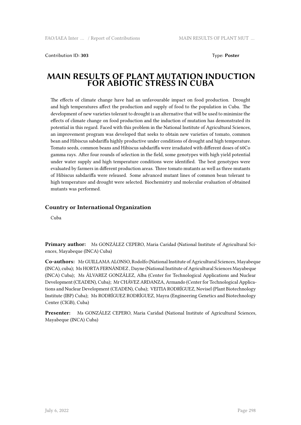Contribution ID: **303** Type: **Poster**

### **MAIN RESULTS OF PLANT MUTATION INDUCTION FOR ABIOTIC STRESS IN CUBA**

The effects of climate change have had an unfavourable impact on food production. Drought and high temperatures affect the production and supply of food to the population in Cuba. The development of new varieties tolerant to drought is an alternative that will be used to minimize the effects of climate change on food production and the induction of mutation has demonstrated its potential in this regard. Faced with this problem in the National Institute of Agricultural Sciences, an improvement program was developed that seeks to obtain new varieties of tomato, common bean and Hibiscus sabdariffa highly productive under conditions of drought and high temperature. Tomato seeds, common beans and Hibiscus sabdariffa were irradiated with different doses of 60Co gamma rays. After four rounds of selection in the field, some genotypes with high yield potential under water supply and high temperature conditions were identified. The best genotypes were evaluated by farmers in different production areas. Three tomato mutants as well as three mutants of Hibiscus sabdariffa were released. Some advanced mutant lines of common bean tolerant to high temperature and drought were selected. Biochemistry and molecular evaluation of obtained mutants was performed.

#### **Country or International Organization**

Cuba

**Primary author:** Ms GONZÁLEZ CEPERO, Maria Caridad (National Institute of Agricultural Sciences, Mayabeque (INCA) Cuba)

**Co-authors:** Mr GUILLAMA ALONSO, Rodolfo (National Institute of Agricultural Sciences, Mayabeque (INCA), cuba); Ms HORTA FERNÁNDEZ , Dayne (National Institute of Agricultural Sciences Mayabeque (INCA) Cuba); Ms ÁLVAREZ GONZÁLEZ, Alba (Center for Technological Applications and Nuclear Development (CEADEN), Cuba); Mr CHÁVEZ ARDANZA, Armando (Center for Technological Applications and Nuclear Development (CEADEN), Cuba); VEITIA RODRÍGUEZ, Novisel (Plant Biotechnology Institute (IBP) Cuba); Ms RODRÍGUEZ RODRÍGUEZ, Mayra (Engineering Genetics and Biotechnology Center (CIGB), Cuba)

**Presenter:** Ms GONZÁLEZ CEPERO, Maria Caridad (National Institute of Agricultural Sciences, Mayabeque (INCA) Cuba)